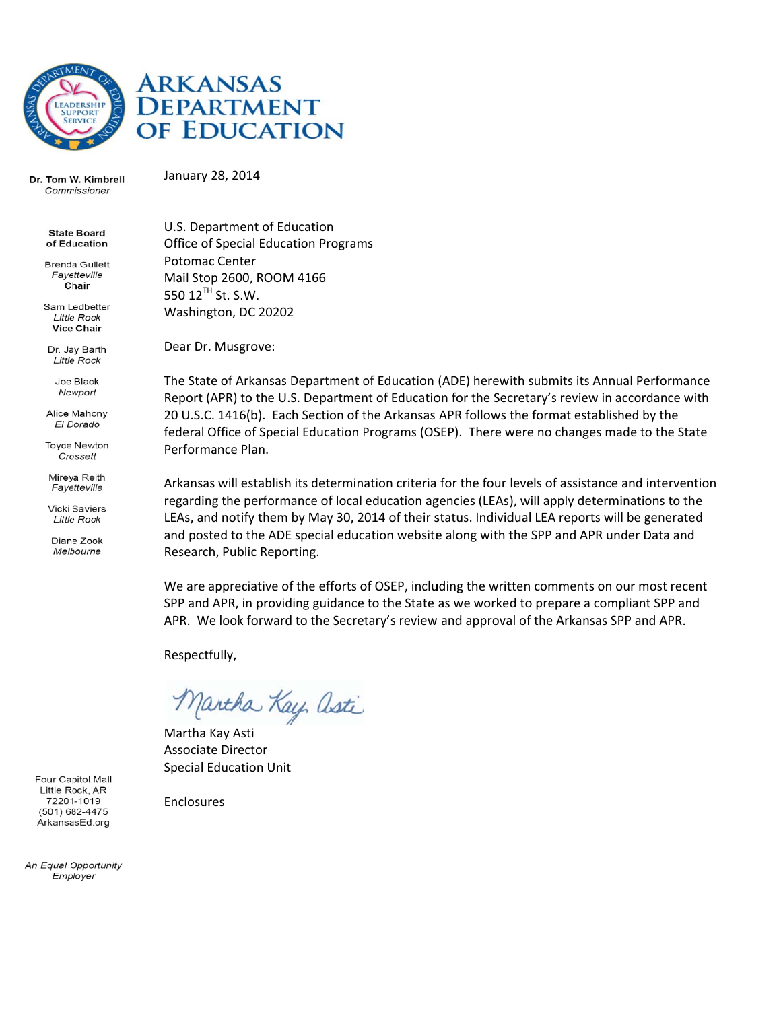

# **ARKANSAS DEPARTMENT** OF EDUCATION

Dr. Tom W. Kimbrell Commissioner

January 28 8, 2014

**State Board** of Education

**Brenda Gullett** Fayetteville Chair

Sam Ledbetter **Little Rock Vice Chair** 

Dr. Jay Barth **Little Rock** 

> Joe Black Newport

Alice Mahony El Dorado

**Toyce Newton** Crossett

Mireya Reith Fayetteville

**Vicki Saviers Little Rock** 

Diane Zook Melbourne

U.S. Department of Education Office of Special Education Programs Potomac C Center Mail Stop 2600, ROOM M 4166 550  $12^{TH}$  St. S.W. Washington, DC 20202

Dear Dr. M Musgrove:

The State of Arkansas Department of Education (ADE) herewith submits its Annual Performance Report (APR) to the U.S. Department of Education for the Secretary's review in accordance with 20 U.S.C. 1416(b). Each Section of the Arkansas APR follows the format established by the federal Office of Special Education Programs (OSEP). There were no changes made to the State Performance Plan.

Arkansas will establish its determination criteria for the four levels of assistance and intervention regarding the performance of local education agencies (LEAs), will apply determinations to the LEAs, and notify them by May 30, 2014 of their status. Individual LEA reports will be generated and posted to the ADE special education website along with the SPP and APR under Data and Research, Public Reporting.

We are appreciative of the efforts of OSEP, including the written comments on our most recent SPP and APR, in providing guidance to the State as we worked to prepare a compliant SPP and APR. We look forward to the Secretary's review and approval of the Arkansas SPP and APR.

Respectfully,

Martha Kay Asti

Martha Kay Asti Associate Director Special Ed ducation Unit

Enclosure s

Four Capitol Mall Little Rock, AR 72201-1019 (501) 682-4475 ArkansasEd.org

An Equal Opportunity Emplover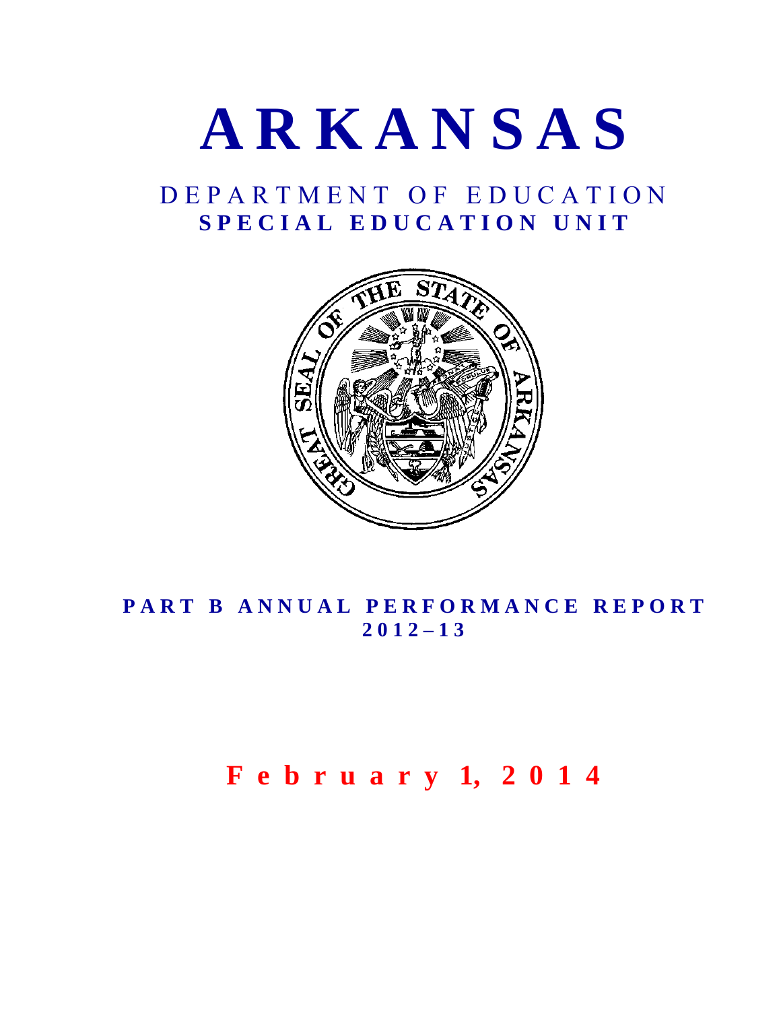

# D E P A R T M E N T O F E D U C A T I O N S P E C I A L E D U C A T I O N U N I T



# PART B ANNUAL PERFORMANCE REPORT **2 0 1 2 – 1 3**

# **F e b r u a r y 1, 2 0 1 4**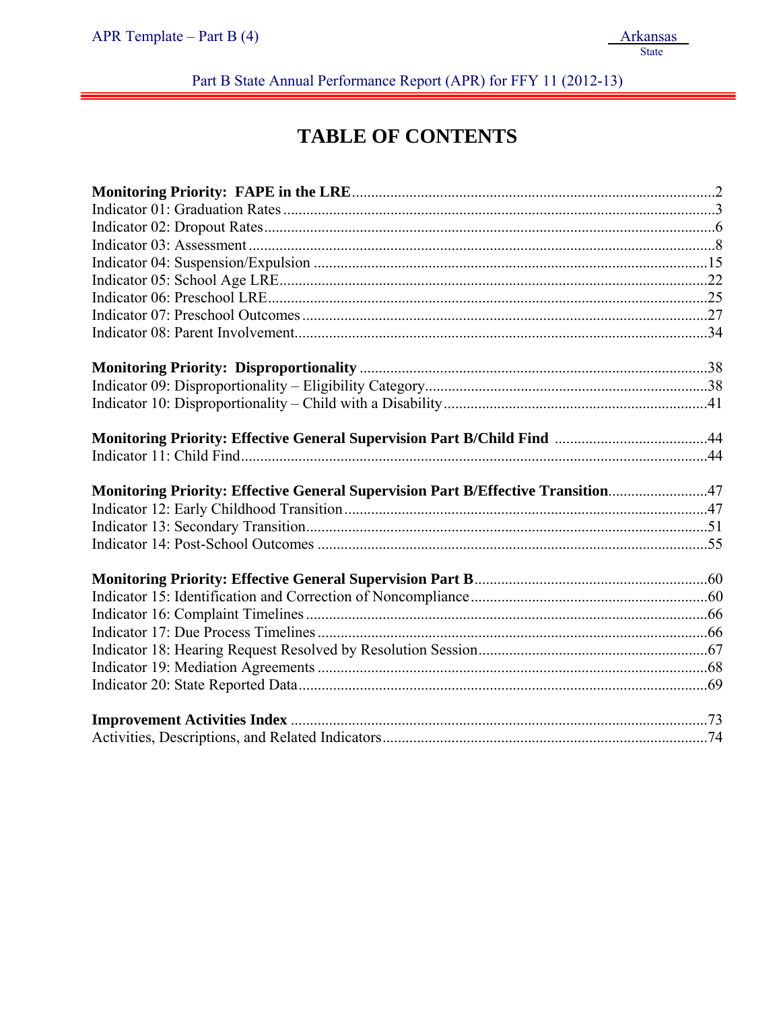Part B State Annual Performance Report (APR) for FFY 11 (2012-13)

# **TABLE OF CONTENTS**

| Monitoring Priority: Effective General Supervision Part B/Effective Transition47 |  |
|----------------------------------------------------------------------------------|--|
|                                                                                  |  |
|                                                                                  |  |
|                                                                                  |  |
|                                                                                  |  |
|                                                                                  |  |
|                                                                                  |  |
|                                                                                  |  |
|                                                                                  |  |
|                                                                                  |  |
|                                                                                  |  |
|                                                                                  |  |
|                                                                                  |  |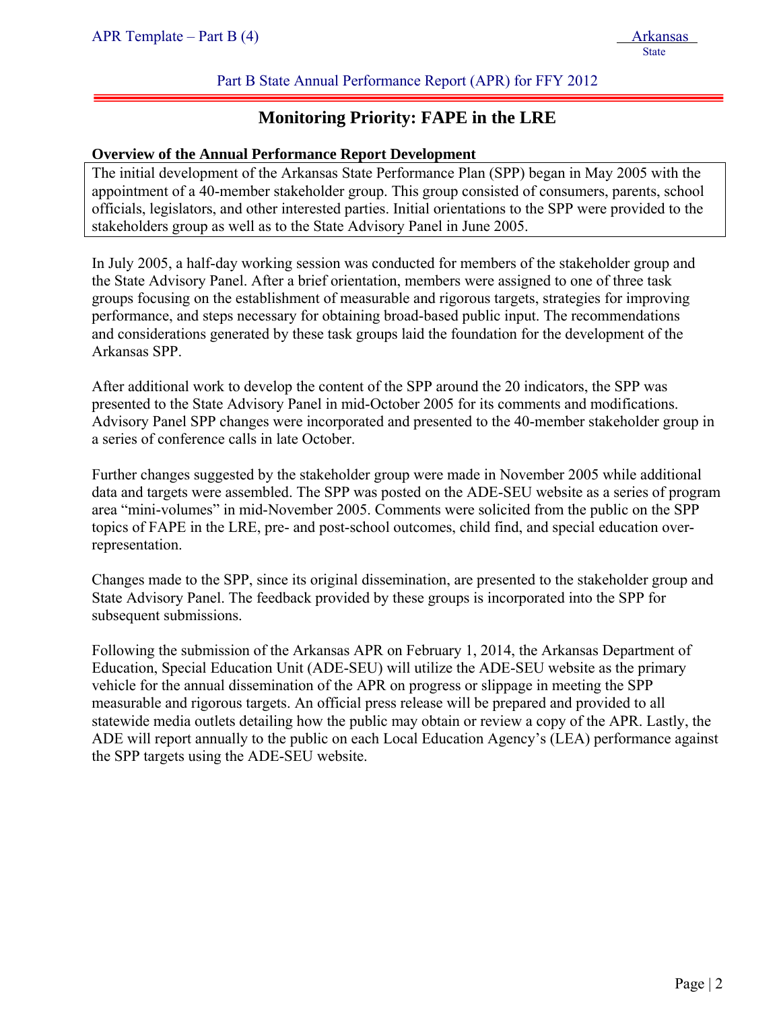# Part B State Annual Performance Report (APR) for FFY 2012

# **Monitoring Priority: FAPE in the LRE**

#### **Overview of the Annual Performance Report Development**

The initial development of the Arkansas State Performance Plan (SPP) began in May 2005 with the appointment of a 40-member stakeholder group. This group consisted of consumers, parents, school officials, legislators, and other interested parties. Initial orientations to the SPP were provided to the stakeholders group as well as to the State Advisory Panel in June 2005.

In July 2005, a half-day working session was conducted for members of the stakeholder group and the State Advisory Panel. After a brief orientation, members were assigned to one of three task groups focusing on the establishment of measurable and rigorous targets, strategies for improving performance, and steps necessary for obtaining broad-based public input. The recommendations and considerations generated by these task groups laid the foundation for the development of the Arkansas SPP.

After additional work to develop the content of the SPP around the 20 indicators, the SPP was presented to the State Advisory Panel in mid-October 2005 for its comments and modifications. Advisory Panel SPP changes were incorporated and presented to the 40-member stakeholder group in a series of conference calls in late October.

Further changes suggested by the stakeholder group were made in November 2005 while additional data and targets were assembled. The SPP was posted on the ADE-SEU website as a series of program area "mini-volumes" in mid-November 2005. Comments were solicited from the public on the SPP topics of FAPE in the LRE, pre- and post-school outcomes, child find, and special education overrepresentation.

Changes made to the SPP, since its original dissemination, are presented to the stakeholder group and State Advisory Panel. The feedback provided by these groups is incorporated into the SPP for subsequent submissions.

Following the submission of the Arkansas APR on February 1, 2014, the Arkansas Department of Education, Special Education Unit (ADE-SEU) will utilize the ADE-SEU website as the primary vehicle for the annual dissemination of the APR on progress or slippage in meeting the SPP measurable and rigorous targets. An official press release will be prepared and provided to all statewide media outlets detailing how the public may obtain or review a copy of the APR. Lastly, the ADE will report annually to the public on each Local Education Agency's (LEA) performance against the SPP targets using the ADE-SEU website.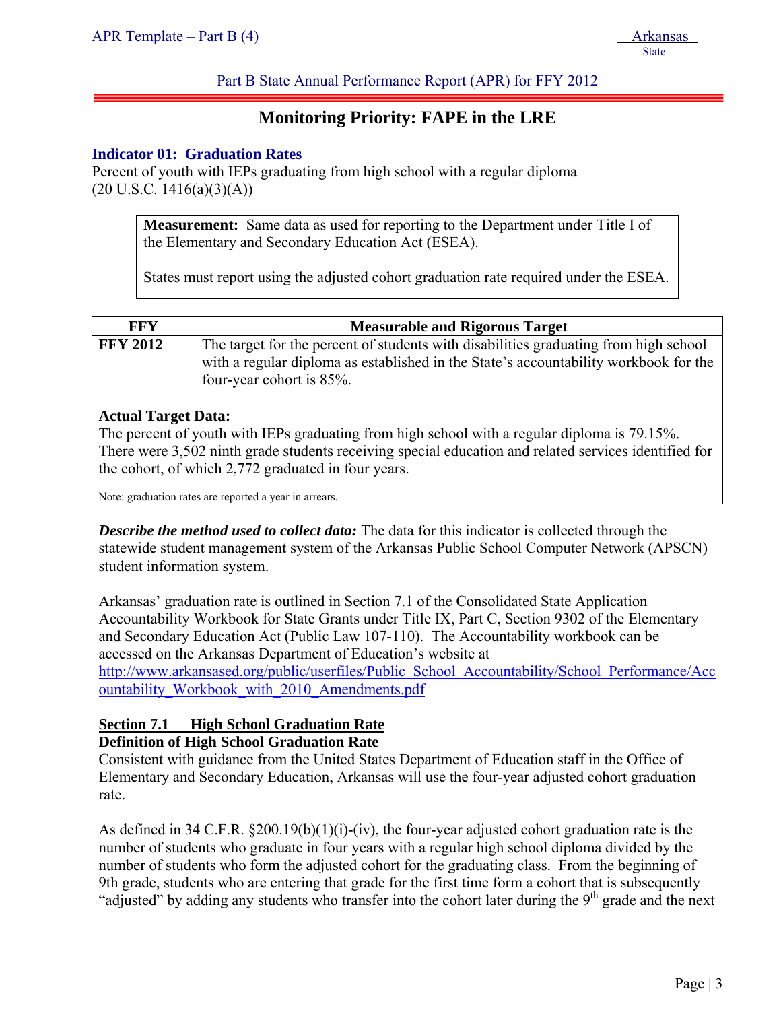Part B State Annual Performance Report (APR) for FFY 2012

# **Monitoring Priority: FAPE in the LRE**

#### **Indicator 01: Graduation Rates**

Percent of youth with IEPs graduating from high school with a regular diploma  $(20 \text{ U.S.C. } 1416(a)(3)(A))$ 

> **Measurement:** Same data as used for reporting to the Department under Title I of the Elementary and Secondary Education Act (ESEA).

States must report using the adjusted cohort graduation rate required under the ESEA.

| FFY             | <b>Measurable and Rigorous Target</b>                                                                                                                                                                    |
|-----------------|----------------------------------------------------------------------------------------------------------------------------------------------------------------------------------------------------------|
| <b>FFY 2012</b> | The target for the percent of students with disabilities graduating from high school<br>with a regular diploma as established in the State's accountability workbook for the<br>four-year cohort is 85%. |

# **Actual Target Data:**

The percent of youth with IEPs graduating from high school with a regular diploma is 79.15%. There were 3,502 ninth grade students receiving special education and related services identified for the cohort, of which 2,772 graduated in four years.

Note: graduation rates are reported a year in arrears.

*Describe the method used to collect data:* The data for this indicator is collected through the statewide student management system of the Arkansas Public School Computer Network (APSCN) student information system.

Arkansas' graduation rate is outlined in Section 7.1 of the Consolidated State Application Accountability Workbook for State Grants under Title IX, Part C, Section 9302 of the Elementary and Secondary Education Act (Public Law 107-110). The Accountability workbook can be accessed on the Arkansas Department of Education's website at http://www.arkansased.org/public/userfiles/Public\_School\_Accountability/School\_Performance/Acc ountability\_Workbook\_with\_2010\_Amendments.pdf

# **Section 7.1 High School Graduation Rate Definition of High School Graduation Rate**

Consistent with guidance from the United States Department of Education staff in the Office of Elementary and Secondary Education, Arkansas will use the four-year adjusted cohort graduation rate.

As defined in 34 C.F.R. §200.19(b)(1)(i)-(iv), the four-year adjusted cohort graduation rate is the number of students who graduate in four years with a regular high school diploma divided by the number of students who form the adjusted cohort for the graduating class. From the beginning of 9th grade, students who are entering that grade for the first time form a cohort that is subsequently "adjusted" by adding any students who transfer into the cohort later during the 9<sup>th</sup> grade and the next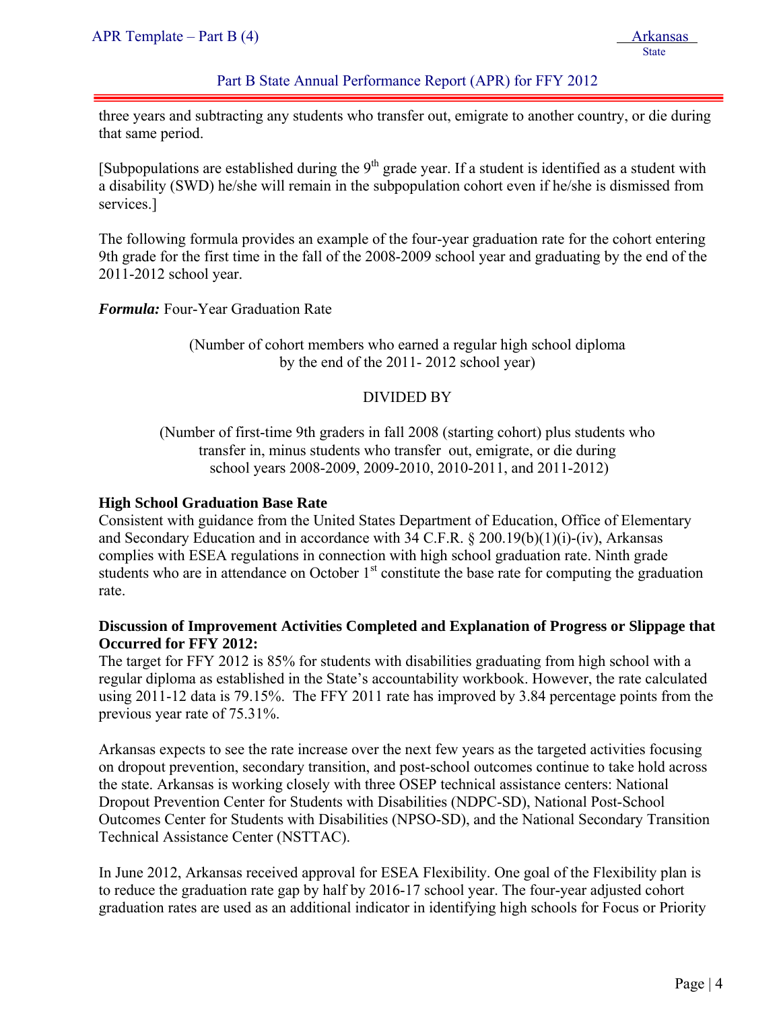# Part B State Annual Performance Report (APR) for FFY 2012

three years and subtracting any students who transfer out, emigrate to another country, or die during that same period.

[Subpopulations are established during the  $9<sup>th</sup>$  grade year. If a student is identified as a student with a disability (SWD) he/she will remain in the subpopulation cohort even if he/she is dismissed from services.]

The following formula provides an example of the four-year graduation rate for the cohort entering 9th grade for the first time in the fall of the 2008-2009 school year and graduating by the end of the 2011-2012 school year.

*Formula:* Four-Year Graduation Rate

(Number of cohort members who earned a regular high school diploma by the end of the 2011- 2012 school year)

# DIVIDED BY

(Number of first-time 9th graders in fall 2008 (starting cohort) plus students who transfer in, minus students who transfer out, emigrate, or die during school years 2008-2009, 2009-2010, 2010-2011, and 2011-2012)

#### **High School Graduation Base Rate**

Consistent with guidance from the United States Department of Education, Office of Elementary and Secondary Education and in accordance with 34 C.F.R. § 200.19(b)(1)(i)-(iv), Arkansas complies with ESEA regulations in connection with high school graduation rate. Ninth grade students who are in attendance on October 1<sup>st</sup> constitute the base rate for computing the graduation rate.

# **Discussion of Improvement Activities Completed and Explanation of Progress or Slippage that Occurred for FFY 2012:**

The target for FFY 2012 is 85% for students with disabilities graduating from high school with a regular diploma as established in the State's accountability workbook. However, the rate calculated using 2011-12 data is 79.15%. The FFY 2011 rate has improved by 3.84 percentage points from the previous year rate of 75.31%.

Arkansas expects to see the rate increase over the next few years as the targeted activities focusing on dropout prevention, secondary transition, and post-school outcomes continue to take hold across the state. Arkansas is working closely with three OSEP technical assistance centers: National Dropout Prevention Center for Students with Disabilities (NDPC-SD), National Post-School Outcomes Center for Students with Disabilities (NPSO-SD), and the National Secondary Transition Technical Assistance Center (NSTTAC).

In June 2012, Arkansas received approval for ESEA Flexibility. One goal of the Flexibility plan is to reduce the graduation rate gap by half by 2016-17 school year. The four-year adjusted cohort graduation rates are used as an additional indicator in identifying high schools for Focus or Priority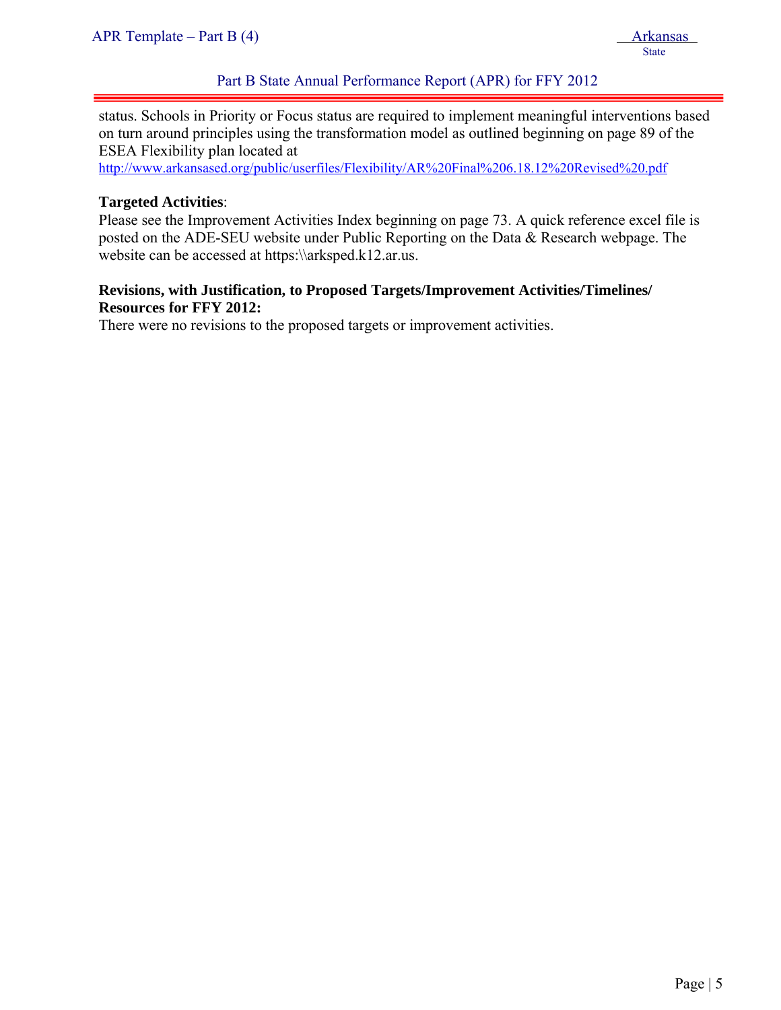status. Schools in Priority or Focus status are required to implement meaningful interventions based on turn around principles using the transformation model as outlined beginning on page 89 of the ESEA Flexibility plan located at

http://www.arkansased.org/public/userfiles/Flexibility/AR%20Final%206.18.12%20Revised%20.pdf

# **Targeted Activities**:

ļ

Please see the Improvement Activities Index beginning on page 73. A quick reference excel file is posted on the ADE-SEU website under Public Reporting on the Data & Research webpage. The website can be accessed at https:\\arksped.k12.ar.us.

# **Revisions, with Justification, to Proposed Targets/Improvement Activities/Timelines/ Resources for FFY 2012:**

There were no revisions to the proposed targets or improvement activities.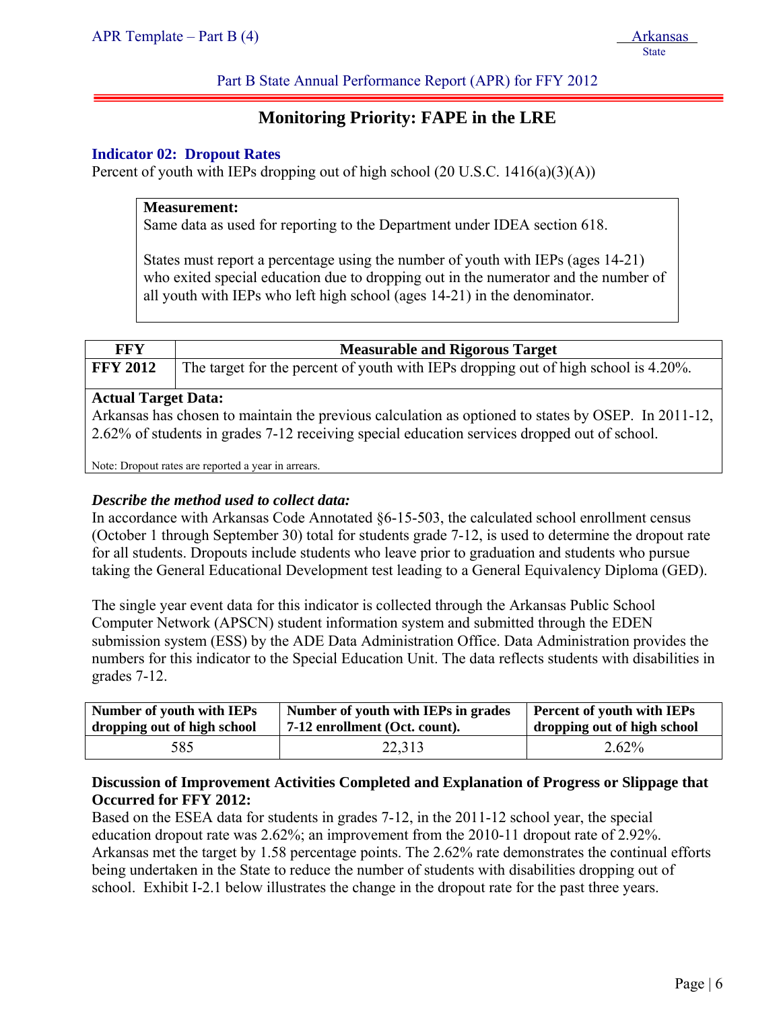Part B State Annual Performance Report (APR) for FFY 2012

# **Monitoring Priority: FAPE in the LRE**

#### **Indicator 02: Dropout Rates**

Percent of youth with IEPs dropping out of high school  $(20 \text{ U.S.C. } 1416(a)(3)(A))$ 

#### **Measurement:**

Same data as used for reporting to the Department under IDEA section 618.

States must report a percentage using the number of youth with IEPs (ages 14-21) who exited special education due to dropping out in the numerator and the number of all youth with IEPs who left high school (ages 14-21) in the denominator.

| <b>FFY</b>                 | <b>Measurable and Rigorous Target</b>                                                                                                                                                               |
|----------------------------|-----------------------------------------------------------------------------------------------------------------------------------------------------------------------------------------------------|
| <b>FFY 2012</b>            | The target for the percent of youth with IEPs dropping out of high school is 4.20%.                                                                                                                 |
| <b>Actual Target Data:</b> | Arkansas has chosen to maintain the previous calculation as optioned to states by OSEP. In 2011-12,<br>2.62% of students in grades 7-12 receiving special education services dropped out of school. |
|                            | Note: Dropout rates are reported a year in arrears.                                                                                                                                                 |

#### *Describe the method used to collect data:*

In accordance with Arkansas Code Annotated §6-15-503, the calculated school enrollment census (October 1 through September 30) total for students grade 7-12, is used to determine the dropout rate for all students. Dropouts include students who leave prior to graduation and students who pursue taking the General Educational Development test leading to a General Equivalency Diploma (GED).

The single year event data for this indicator is collected through the Arkansas Public School Computer Network (APSCN) student information system and submitted through the EDEN submission system (ESS) by the ADE Data Administration Office. Data Administration provides the numbers for this indicator to the Special Education Unit. The data reflects students with disabilities in grades 7-12.

| <b>Number of youth with IEPs</b> | Number of youth with IEPs in grades | Percent of youth with IEPs  |  |  |
|----------------------------------|-------------------------------------|-----------------------------|--|--|
| dropping out of high school      | 7-12 enrollment (Oct. count).       | dropping out of high school |  |  |
| 585                              | 22,313                              | 2.62%                       |  |  |

#### **Discussion of Improvement Activities Completed and Explanation of Progress or Slippage that Occurred for FFY 2012:**

Based on the ESEA data for students in grades 7-12, in the 2011-12 school year, the special education dropout rate was 2.62%; an improvement from the 2010-11 dropout rate of 2.92%. Arkansas met the target by 1.58 percentage points. The 2.62% rate demonstrates the continual efforts being undertaken in the State to reduce the number of students with disabilities dropping out of school. Exhibit I-2.1 below illustrates the change in the dropout rate for the past three years.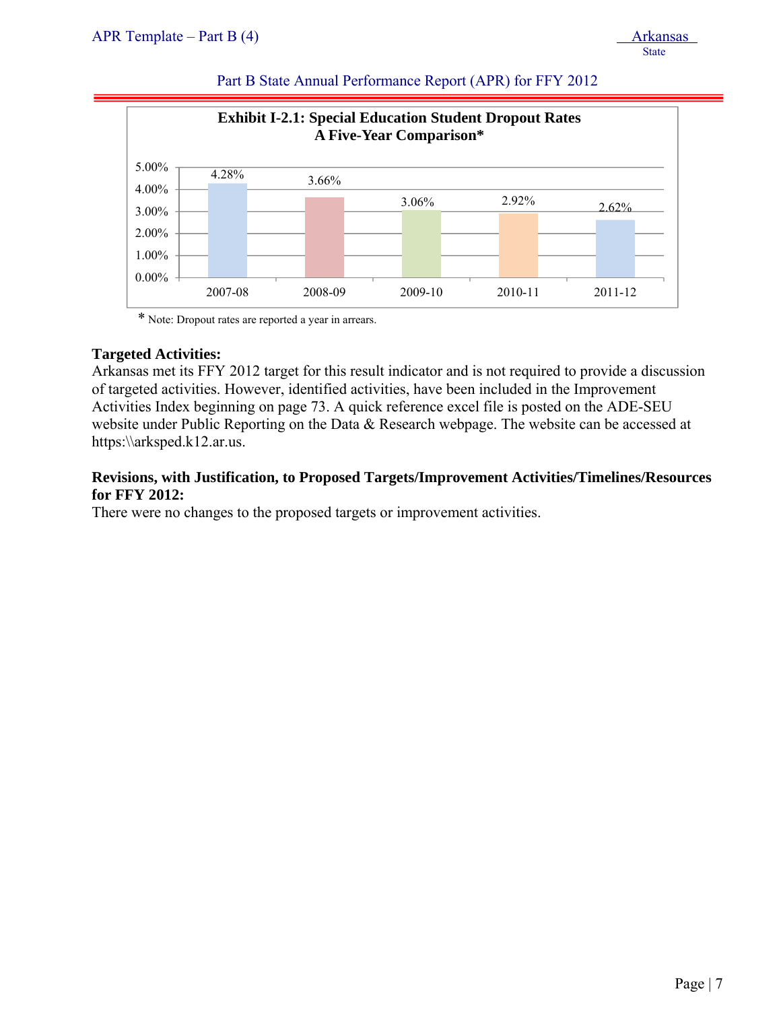| APR Template – Part B $(4)$ | Arkansas |
|-----------------------------|----------|
|                             | State    |



# Part B State Annual Performance Report (APR) for FFY 2012

\* Note: Dropout rates are reported a year in arrears.

#### **Targeted Activities:**

Arkansas met its FFY 2012 target for this result indicator and is not required to provide a discussion of targeted activities. However, identified activities, have been included in the Improvement Activities Index beginning on page 73. A quick reference excel file is posted on the ADE-SEU website under Public Reporting on the Data & Research webpage. The website can be accessed at https:\\arksped.k12.ar.us.

# **Revisions, with Justification, to Proposed Targets/Improvement Activities/Timelines/Resources for FFY 2012:**

There were no changes to the proposed targets or improvement activities.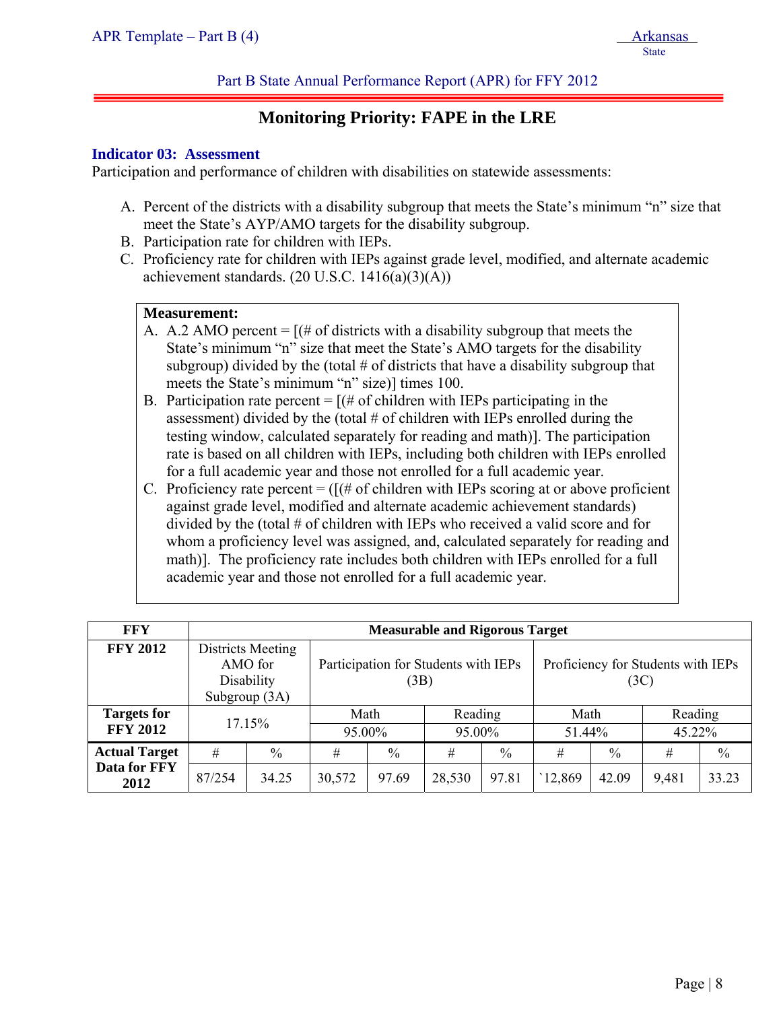# **Monitoring Priority: FAPE in the LRE**

#### **Indicator 03: Assessment**

ļ

Participation and performance of children with disabilities on statewide assessments:

- A. Percent of the districts with a disability subgroup that meets the State's minimum "n" size that meet the State's AYP/AMO targets for the disability subgroup.
- B. Participation rate for children with IEPs.
- C. Proficiency rate for children with IEPs against grade level, modified, and alternate academic achievement standards.  $(20 \text{ U.S.C. } 1416(a)(3)(A))$

#### **Measurement:**

- A. A.2 AMO percent  $=$   $[(# of \, \text{districts with a disability subgroup that meets the}]$ State's minimum "n" size that meet the State's AMO targets for the disability subgroup) divided by the (total  $\#$  of districts that have a disability subgroup that meets the State's minimum "n" size)] times 100.
- B. Participation rate percent  $=$   $[(# of children with IEPs participating in the$ assessment) divided by the (total  $#$  of children with IEPs enrolled during the testing window, calculated separately for reading and math)]. The participation rate is based on all children with IEPs, including both children with IEPs enrolled for a full academic year and those not enrolled for a full academic year.
- C. Proficiency rate percent  $=$  ( $[(# of children with IEPs scoring at or above proficient$ ) against grade level, modified and alternate academic achievement standards) divided by the (total # of children with IEPs who received a valid score and for whom a proficiency level was assigned, and, calculated separately for reading and math)]. The proficiency rate includes both children with IEPs enrolled for a full academic year and those not enrolled for a full academic year.

| <b>FFY</b>           |        | <b>Measurable and Rigorous Target</b>      |        |               |                                      |               |                                            |               |         |               |  |  |
|----------------------|--------|--------------------------------------------|--------|---------------|--------------------------------------|---------------|--------------------------------------------|---------------|---------|---------------|--|--|
| <b>FFY 2012</b>      |        | Districts Meeting<br>AMO for<br>Disability |        | (3B)          | Participation for Students with IEPs |               | Proficiency for Students with IEPs<br>(3C) |               |         |               |  |  |
|                      |        | Subgroup (3A)                              |        |               |                                      |               |                                            |               |         |               |  |  |
| <b>Targets for</b>   | 17.15% |                                            | Math   |               | Reading                              |               | Math                                       |               | Reading |               |  |  |
| <b>FFY 2012</b>      |        |                                            |        | 95.00%        |                                      | 95.00%        |                                            | 51.44%        |         | 45.22%        |  |  |
| <b>Actual Target</b> | #      | $\frac{0}{0}$                              | #      | $\frac{0}{0}$ | #                                    | $\frac{0}{0}$ | #                                          | $\frac{0}{0}$ | #       | $\frac{0}{0}$ |  |  |
| Data for FFY<br>2012 | 87/254 | 34.25                                      | 30,572 | 97.69         | 28,530                               | 97.81         | 12,869                                     | 42.09         | 9,481   | 33.23         |  |  |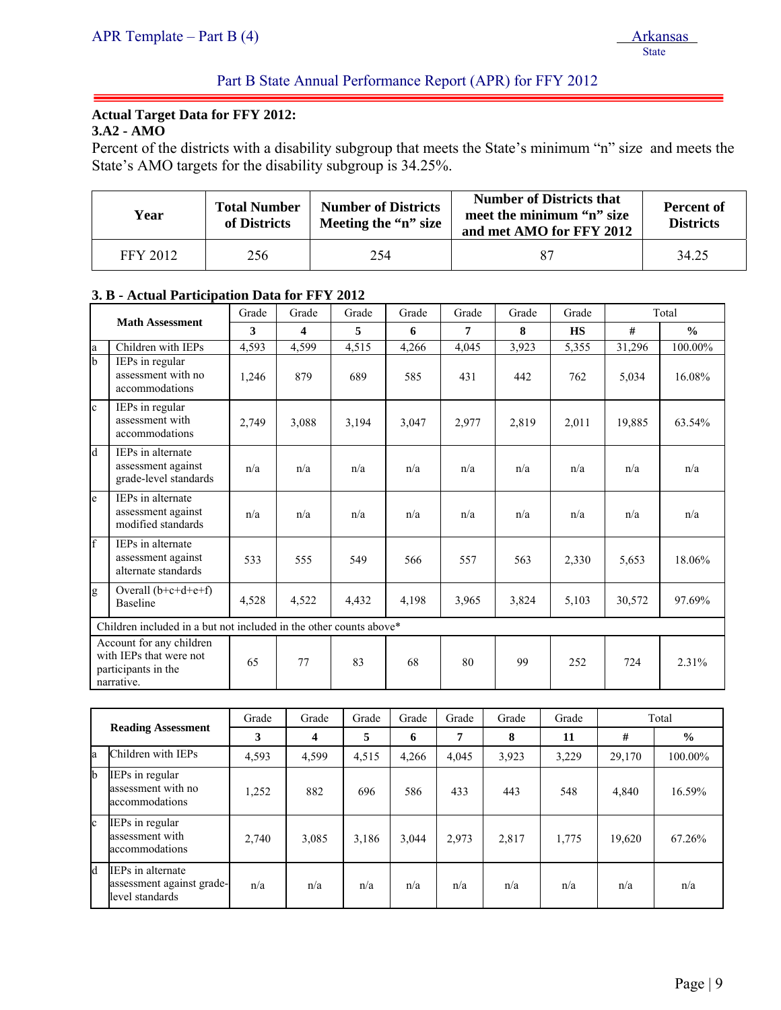# **Actual Target Data for FFY 2012:**

**3.A2 - AMO** 

ļ

Percent of the districts with a disability subgroup that meets the State's minimum "n" size and meets the State's AMO targets for the disability subgroup is 34.25%.

| <b>Number of Districts</b><br><b>Total Number</b><br>Year<br>Meeting the "n" size<br>of Districts |     | <b>Number of Districts that</b><br>meet the minimum "n" size<br>and met AMO for FFY 2012 | <b>Percent of</b><br><b>Districts</b> |       |
|---------------------------------------------------------------------------------------------------|-----|------------------------------------------------------------------------------------------|---------------------------------------|-------|
| <b>FFY 2012</b>                                                                                   | 256 | 254                                                                                      | 87                                    | 34.25 |

#### **3. B - Actual Participation Data for FFY 2012**

|                         |                                                                                          | Grade | Grade | Grade | Grade | Grade | Grade | Grade     |        | Total         |
|-------------------------|------------------------------------------------------------------------------------------|-------|-------|-------|-------|-------|-------|-----------|--------|---------------|
|                         | <b>Math Assessment</b>                                                                   | 3     | 4     | 5     | 6     | 7     | 8     | <b>HS</b> | #      | $\frac{0}{0}$ |
| a                       | Children with IEPs                                                                       | 4,593 | 4,599 | 4,515 | 4,266 | 4.045 | 3,923 | 5,355     | 31,296 | 100.00%       |
| $\mathbf b$             | IEPs in regular<br>assessment with no<br>accommodations                                  | 1,246 | 879   | 689   | 585   | 431   | 442   | 762       | 5,034  | 16.08%        |
| $\mathbf{c}$            | IEPs in regular<br>assessment with<br>accommodations                                     | 2,749 | 3,088 | 3,194 | 3,047 | 2,977 | 2,819 | 2,011     | 19,885 | 63.54%        |
| $\overline{\mathsf{d}}$ | IEPs in alternate<br>assessment against<br>grade-level standards                         | n/a   | n/a   | n/a   | n/a   | n/a   | n/a   | n/a       | n/a    | n/a           |
| e                       | IEPs in alternate<br>assessment against<br>modified standards                            | n/a   | n/a   | n/a   | n/a   | n/a   | n/a   | n/a       | n/a    | n/a           |
| $\mathbf{f}$            | IEPs in alternate<br>assessment against<br>alternate standards                           | 533   | 555   | 549   | 566   | 557   | 563   | 2,330     | 5,653  | 18.06%        |
| g                       | Overall $(b+c+d+e+f)$<br><b>Baseline</b>                                                 | 4,528 | 4,522 | 4,432 | 4,198 | 3,965 | 3,824 | 5,103     | 30,572 | 97.69%        |
|                         | Children included in a but not included in the other counts above*                       |       |       |       |       |       |       |           |        |               |
|                         | Account for any children<br>with IEPs that were not<br>participants in the<br>narrative. | 65    | 77    | 83    | 68    | 80    | 99    | 252       | 724    | 2.31%         |

|          |                                                                          | Grade | Grade                   | Grade<br>Grade<br>Grade<br>Grade<br>Grade |       | Total |       |       |        |               |
|----------|--------------------------------------------------------------------------|-------|-------------------------|-------------------------------------------|-------|-------|-------|-------|--------|---------------|
|          | <b>Reading Assessment</b>                                                | 3     | $\overline{\mathbf{4}}$ | 5                                         | 6     | 7     | 8     | 11    | #      | $\frac{0}{0}$ |
| a        | Children with IEPs                                                       | 4,593 | 4,599                   | 4,515                                     | 4,266 | 4,045 | 3,923 | 3,229 | 29,170 | 100.00%       |
| <b>b</b> | IEPs in regular<br>assessment with no<br>accommodations                  | 1,252 | 882                     | 696                                       | 586   | 433   | 443   | 548   | 4,840  | 16.59%        |
| lc.      | IEPs in regular<br>assessment with<br>accommodations                     | 2,740 | 3,085                   | 3,186                                     | 3,044 | 2,973 | 2,817 | 1,775 | 19,620 | 67.26%        |
| k        | <b>IEPs</b> in alternate<br>assessment against grade-<br>level standards | n/a   | n/a                     | n/a                                       | n/a   | n/a   | n/a   | n/a   | n/a    | n/a           |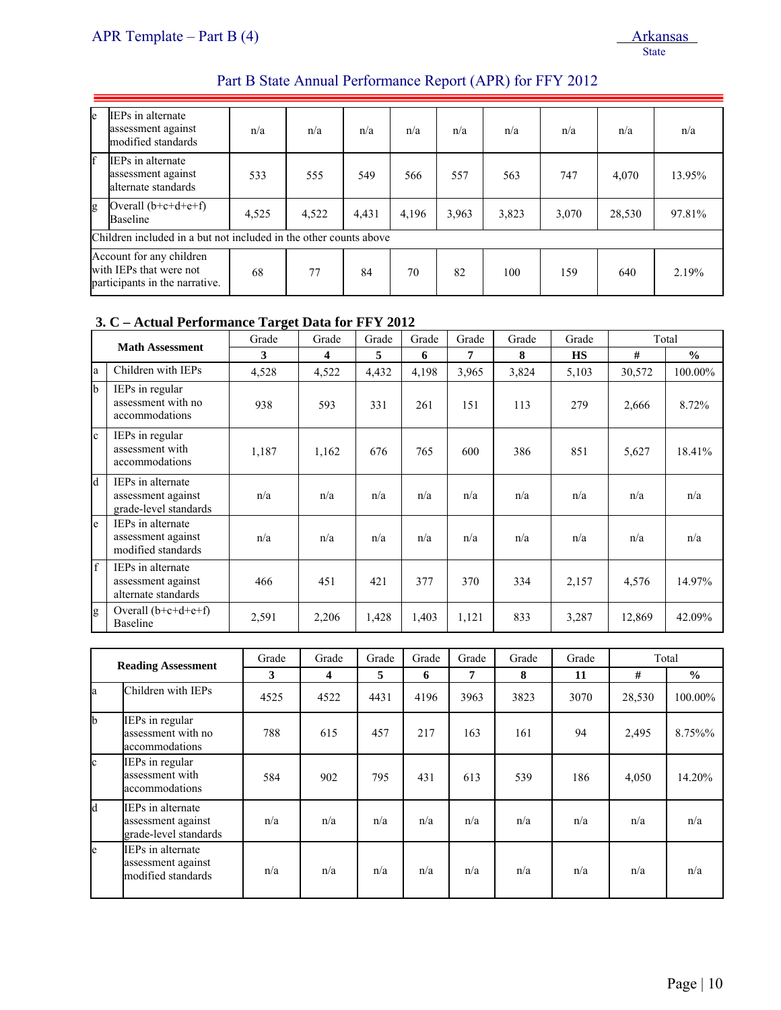| le                                                                                                                                                                                                            | IEPs in alternate<br>assessment against<br>modified standards  | n/a   | n/a   | n/a   | n/a   | n/a   | n/a   | n/a   | n/a    | n/a    |
|---------------------------------------------------------------------------------------------------------------------------------------------------------------------------------------------------------------|----------------------------------------------------------------|-------|-------|-------|-------|-------|-------|-------|--------|--------|
| f                                                                                                                                                                                                             | IEPs in alternate<br>assessment against<br>alternate standards | 533   | 555   | 549   | 566   | 557   | 563   | 747   | 4,070  | 13.95% |
| g                                                                                                                                                                                                             | Overall $(b+c+d+e+f)$<br><b>Baseline</b>                       | 4,525 | 4,522 | 4,431 | 4,196 | 3,963 | 3,823 | 3,070 | 28,530 | 97.81% |
|                                                                                                                                                                                                               |                                                                |       |       |       |       |       |       |       |        |        |
| Children included in a but not included in the other counts above<br>Account for any children<br>with IEPs that were not<br>77<br>84<br>70<br>82<br>68<br>100<br>159<br>640<br>participants in the narrative. |                                                                |       |       |       |       |       | 2.19% |       |        |        |

#### **3. C – Actual Performance Target Data for FFY 2012**

|              | <b>Math Assessment</b>                                           | Grade | Grade | Grade | Grade | Grade | Grade | Grade     |        | Total         |
|--------------|------------------------------------------------------------------|-------|-------|-------|-------|-------|-------|-----------|--------|---------------|
|              |                                                                  | 3     | 4     | 5     | 6     | 7     | 8     | <b>HS</b> | #      | $\frac{0}{0}$ |
| la           | Children with IEPs                                               | 4,528 | 4,522 | 4.432 | 4,198 | 3,965 | 3,824 | 5,103     | 30,572 | 100.00%       |
| $\mathbf{b}$ | IEPs in regular<br>assessment with no<br>accommodations          | 938   | 593   | 331   | 261   | 151   | 113   | 279       | 2,666  | 8.72%         |
| $\mathbf{c}$ | IEPs in regular<br>assessment with<br>accommodations             | 1,187 | 1,162 | 676   | 765   | 600   | 386   | 851       | 5,627  | 18.41%        |
| Id           | IEPs in alternate<br>assessment against<br>grade-level standards | n/a   | n/a   | n/a   | n/a   | n/a   | n/a   | n/a       | n/a    | n/a           |
| e            | IEPs in alternate<br>assessment against<br>modified standards    | n/a   | n/a   | n/a   | n/a   | n/a   | n/a   | n/a       | n/a    | n/a           |
| f            | IEPs in alternate<br>assessment against<br>alternate standards   | 466   | 451   | 421   | 377   | 370   | 334   | 2,157     | 4,576  | 14.97%        |
| g            | Overall $(b+c+d+e+f)$<br><b>Baseline</b>                         | 2,591 | 2,206 | 1,428 | 1,403 | 1,121 | 833   | 3,287     | 12,869 | 42.09%        |

|              | <b>Reading Assessment</b>                                        | Grade | Grade | Grade | Grade | Grade | Grade | Grade | Total  |               |
|--------------|------------------------------------------------------------------|-------|-------|-------|-------|-------|-------|-------|--------|---------------|
|              |                                                                  |       | 4     | 5     | 6     | 7     | 8     | 11    | #      | $\frac{0}{0}$ |
| la           | Children with IEPs                                               | 4525  | 4522  | 4431  | 4196  | 3963  | 3823  | 3070  | 28,530 | 100.00%       |
| $\mathbf{b}$ | IEPs in regular<br>assessment with no<br>accommodations          | 788   | 615   | 457   | 217   | 163   | 161   | 94    | 2,495  | 8.75%%        |
| $\mathbf{c}$ | IEPs in regular<br>assessment with<br>accommodations             | 584   | 902   | 795   | 431   | 613   | 539   | 186   | 4,050  | 14.20%        |
| <b>l</b> d   | IEPs in alternate<br>assessment against<br>grade-level standards | n/a   | n/a   | n/a   | n/a   | n/a   | n/a   | n/a   | n/a    | n/a           |
| le.          | IEPs in alternate<br>assessment against<br>modified standards    | n/a   | n/a   | n/a   | n/a   | n/a   | n/a   | n/a   | n/a    | n/a           |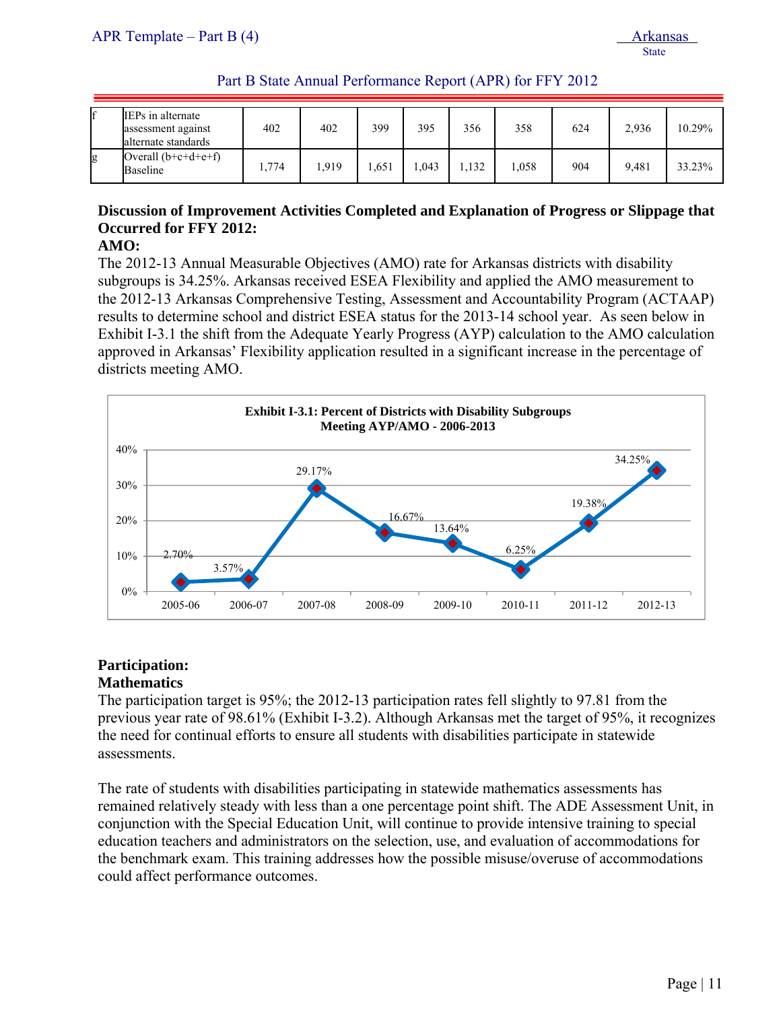| Part B State Annual Performance Report (APR) for FFY 2012 |  |
|-----------------------------------------------------------|--|
|-----------------------------------------------------------|--|

|   | IEPs in alternate<br>assessment against<br>alternate standards | 402   | 402  | 399  | 395  | 356  | 358  | 624 | 2,936 | 10.29% |
|---|----------------------------------------------------------------|-------|------|------|------|------|------|-----|-------|--------|
| g | Overall $(b+c+d+e+f)$<br>Baseline                              | 1,774 | .919 | .651 | .043 | .132 | .058 | 904 | 9.481 | 33.23% |

# **Discussion of Improvement Activities Completed and Explanation of Progress or Slippage that Occurred for FFY 2012:**

# **AMO:**

The 2012-13 Annual Measurable Objectives (AMO) rate for Arkansas districts with disability subgroups is 34.25%. Arkansas received ESEA Flexibility and applied the AMO measurement to the 2012-13 Arkansas Comprehensive Testing, Assessment and Accountability Program (ACTAAP) results to determine school and district ESEA status for the 2013-14 school year. As seen below in Exhibit I-3.1 the shift from the Adequate Yearly Progress (AYP) calculation to the AMO calculation approved in Arkansas' Flexibility application resulted in a significant increase in the percentage of districts meeting AMO.



#### **Participation: Mathematics**

The participation target is 95%; the 2012-13 participation rates fell slightly to 97.81 from the previous year rate of 98.61% (Exhibit I-3.2). Although Arkansas met the target of 95%, it recognizes the need for continual efforts to ensure all students with disabilities participate in statewide assessments.

The rate of students with disabilities participating in statewide mathematics assessments has remained relatively steady with less than a one percentage point shift. The ADE Assessment Unit, in conjunction with the Special Education Unit, will continue to provide intensive training to special education teachers and administrators on the selection, use, and evaluation of accommodations for the benchmark exam. This training addresses how the possible misuse/overuse of accommodations could affect performance outcomes.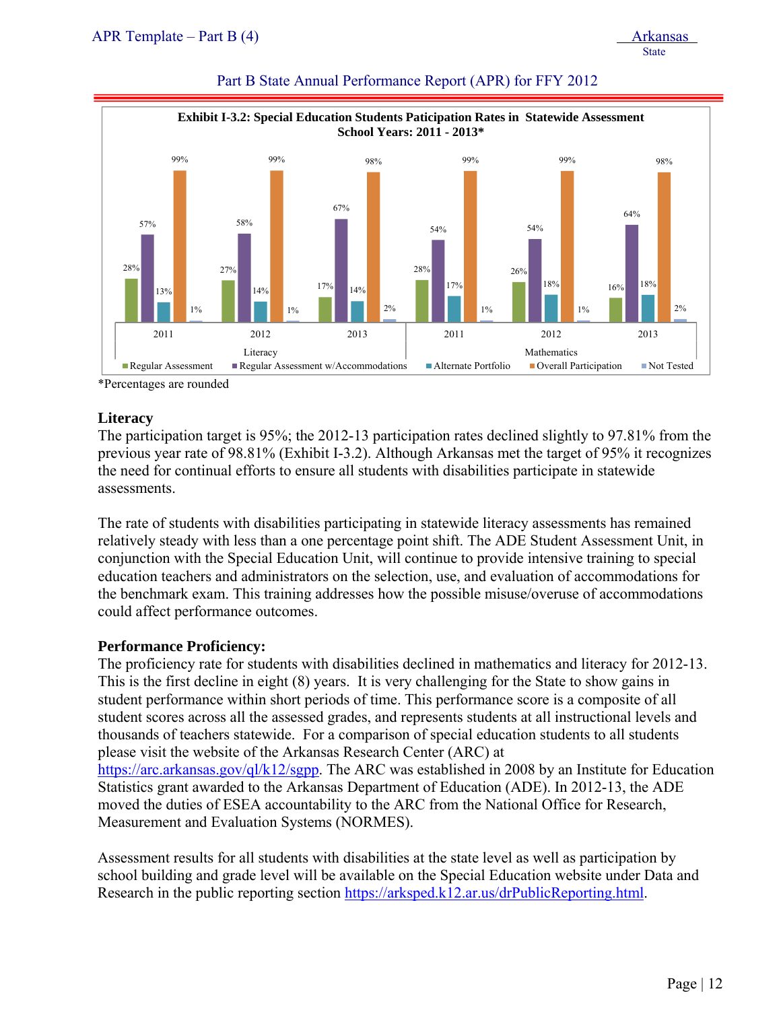|                     |                     |                                                    | School Years: 2011 - 2013* | <b>Exhibit I-3.2: Special Education Students Paticipation Rates in Statewide Assessment</b> |            |
|---------------------|---------------------|----------------------------------------------------|----------------------------|---------------------------------------------------------------------------------------------|------------|
| 99%                 | 99%                 | 98%                                                | 99%                        | 99%                                                                                         | 98%        |
| 57%                 | 58%                 | 67%                                                | 54%                        | 54%                                                                                         | 64%        |
| 28%<br>13%<br>$1\%$ | 27%<br>14%<br>$1\%$ | 17%<br>14%<br>$2\%$                                | 28%<br>17%<br>$1\%$        | 26%<br>18%<br>16%<br>$1\%$                                                                  | 18%<br>2%  |
| 2011                | 2012                | 2013                                               | 2011                       | 2012                                                                                        | 2013       |
| Regular Assessment  | Literacy            | $\blacksquare$ Regular Assessment w/Accommodations | ■ Alternate Portfolio      | Mathematics<br>Overall Participation                                                        | Not Tested |

#### Part B State Annual Performance Report (APR) for FFY 2012

\*Percentages are rounded

# **Literacy**

The participation target is 95%; the 2012-13 participation rates declined slightly to 97.81% from the previous year rate of 98.81% (Exhibit I-3.2). Although Arkansas met the target of 95% it recognizes the need for continual efforts to ensure all students with disabilities participate in statewide assessments.

The rate of students with disabilities participating in statewide literacy assessments has remained relatively steady with less than a one percentage point shift. The ADE Student Assessment Unit, in conjunction with the Special Education Unit, will continue to provide intensive training to special education teachers and administrators on the selection, use, and evaluation of accommodations for the benchmark exam. This training addresses how the possible misuse/overuse of accommodations could affect performance outcomes.

# **Performance Proficiency:**

The proficiency rate for students with disabilities declined in mathematics and literacy for 2012-13. This is the first decline in eight (8) years. It is very challenging for the State to show gains in student performance within short periods of time. This performance score is a composite of all student scores across all the assessed grades, and represents students at all instructional levels and thousands of teachers statewide. For a comparison of special education students to all students please visit the website of the Arkansas Research Center (ARC) at https://arc.arkansas.gov/ql/k12/sgpp. The ARC was established in 2008 by an Institute for Education Statistics grant awarded to the Arkansas Department of Education (ADE). In 2012-13, the ADE moved the duties of ESEA accountability to the ARC from the National Office for Research, Measurement and Evaluation Systems (NORMES).

Assessment results for all students with disabilities at the state level as well as participation by school building and grade level will be available on the Special Education website under Data and Research in the public reporting section https://arksped.k12.ar.us/drPublicReporting.html.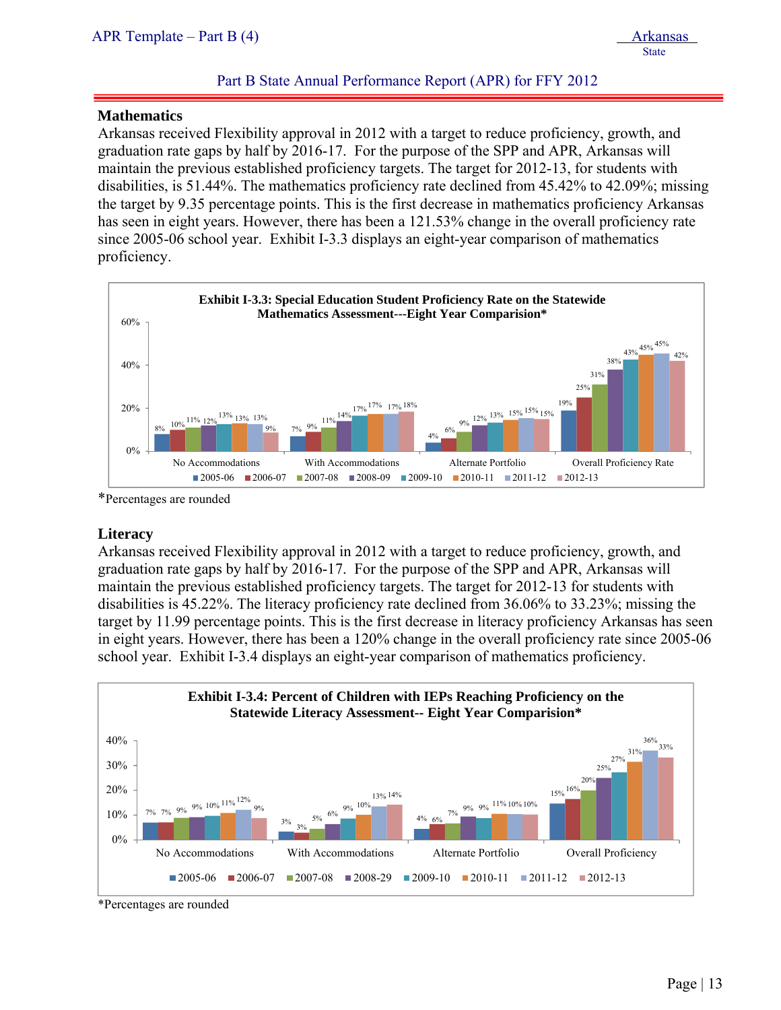#### **Mathematics**

ļ

Arkansas received Flexibility approval in 2012 with a target to reduce proficiency, growth, and graduation rate gaps by half by 2016-17. For the purpose of the SPP and APR, Arkansas will maintain the previous established proficiency targets. The target for 2012-13, for students with disabilities, is 51.44%. The mathematics proficiency rate declined from 45.42% to 42.09%; missing the target by 9.35 percentage points. This is the first decrease in mathematics proficiency Arkansas has seen in eight years. However, there has been a 121.53% change in the overall proficiency rate since 2005-06 school year. Exhibit I-3.3 displays an eight-year comparison of mathematics proficiency.



\*Percentages are rounded

# **Literacy**

Arkansas received Flexibility approval in 2012 with a target to reduce proficiency, growth, and graduation rate gaps by half by 2016-17. For the purpose of the SPP and APR, Arkansas will maintain the previous established proficiency targets. The target for 2012-13 for students with disabilities is 45.22%. The literacy proficiency rate declined from 36.06% to 33.23%; missing the target by 11.99 percentage points. This is the first decrease in literacy proficiency Arkansas has seen in eight years. However, there has been a 120% change in the overall proficiency rate since 2005-06 school year. Exhibit I-3.4 displays an eight-year comparison of mathematics proficiency.



\*Percentages are rounded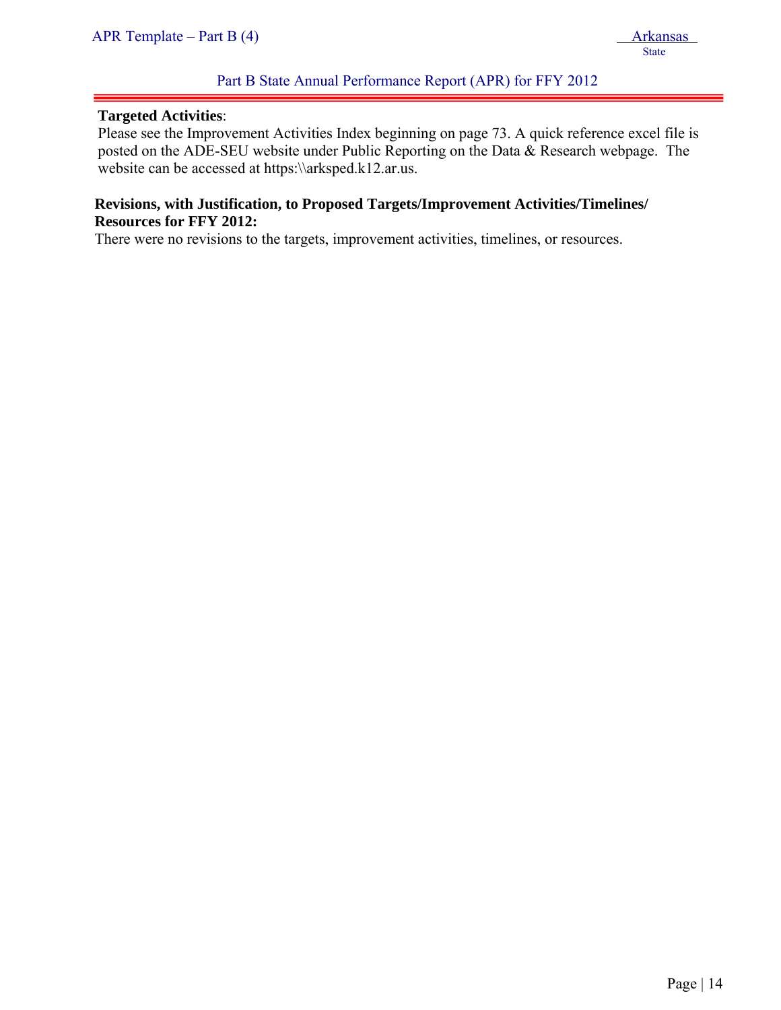#### **Targeted Activities**:

ļ

Please see the Improvement Activities Index beginning on page 73. A quick reference excel file is posted on the ADE-SEU website under Public Reporting on the Data & Research webpage. The website can be accessed at https:\\arksped.k12.ar.us.

# **Revisions, with Justification, to Proposed Targets/Improvement Activities/Timelines/ Resources for FFY 2012:**

There were no revisions to the targets, improvement activities, timelines, or resources.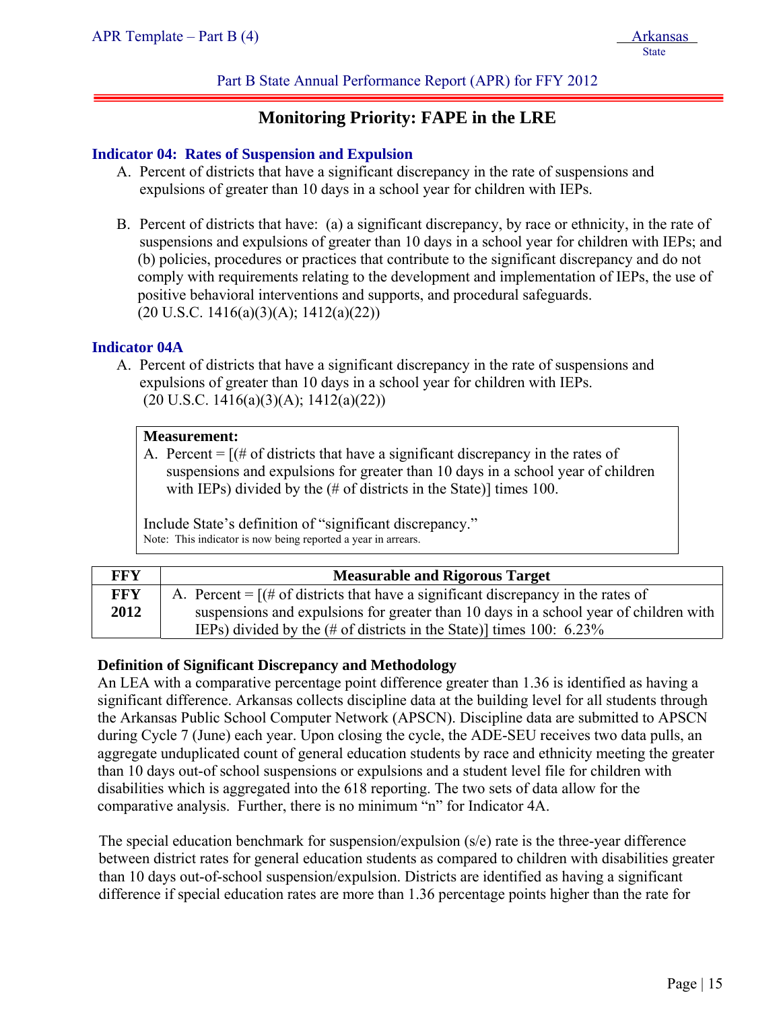# Part B State Annual Performance Report (APR) for FFY 2012

# **Monitoring Priority: FAPE in the LRE**

#### **Indicator 04: Rates of Suspension and Expulsion**

- A. Percent of districts that have a significant discrepancy in the rate of suspensions and expulsions of greater than 10 days in a school year for children with IEPs.
- B. Percent of districts that have: (a) a significant discrepancy, by race or ethnicity, in the rate of suspensions and expulsions of greater than 10 days in a school year for children with IEPs; and (b) policies, procedures or practices that contribute to the significant discrepancy and do not comply with requirements relating to the development and implementation of IEPs, the use of positive behavioral interventions and supports, and procedural safeguards.  $(20 \text{ U.S.C. } 1416(a)(3)(A); 1412(a)(22))$

# **Indicator 04A**

A. Percent of districts that have a significant discrepancy in the rate of suspensions and expulsions of greater than 10 days in a school year for children with IEPs.  $(20 \text{ U.S.C. } 1416(a)(3)(A); 1412(a)(22))$ 

#### **Measurement:**

A. Percent  $=$   $[(# of \, \text{districts} \, \text{that} \, \text{have a significant discrepancy} \, \text{in} \, \text{the rates of} \, \text{in} \, \text{at} \, \text{the rate of} \, \text{in} \, \text{the rate of} \, \text{in} \, \text{the rate of} \, \text{in} \, \text{the rate of} \, \text{in} \, \text{the rate of} \, \text{in} \, \text{the rate of} \, \text{the rate of} \, \text{the rate of} \, \text{the rate of} \, \text{the rate of} \, \text{the rate of} \, \text{the rate of} \, \$ suspensions and expulsions for greater than 10 days in a school year of children with IEPs) divided by the (# of districts in the State)] times 100.

Include State's definition of "significant discrepancy." Note: This indicator is now being reported a year in arrears.

| FFY  | <b>Measurable and Rigorous Target</b>                                                                         |
|------|---------------------------------------------------------------------------------------------------------------|
| FFY  | A. Percent = $[(# of \, \text{distributions} \, \text{that have a significant discrepancy in the rates of})]$ |
| 2012 | suspensions and expulsions for greater than 10 days in a school year of children with                         |
|      | IEPs) divided by the $(\# \text{ of districts in the State})$ times 100: 6.23%                                |

# **Definition of Significant Discrepancy and Methodology**

An LEA with a comparative percentage point difference greater than 1.36 is identified as having a significant difference. Arkansas collects discipline data at the building level for all students through the Arkansas Public School Computer Network (APSCN). Discipline data are submitted to APSCN during Cycle 7 (June) each year. Upon closing the cycle, the ADE-SEU receives two data pulls, an aggregate unduplicated count of general education students by race and ethnicity meeting the greater than 10 days out-of school suspensions or expulsions and a student level file for children with disabilities which is aggregated into the 618 reporting. The two sets of data allow for the comparative analysis. Further, there is no minimum "n" for Indicator 4A.

The special education benchmark for suspension/expulsion (s/e) rate is the three-year difference between district rates for general education students as compared to children with disabilities greater than 10 days out-of-school suspension/expulsion. Districts are identified as having a significant difference if special education rates are more than 1.36 percentage points higher than the rate for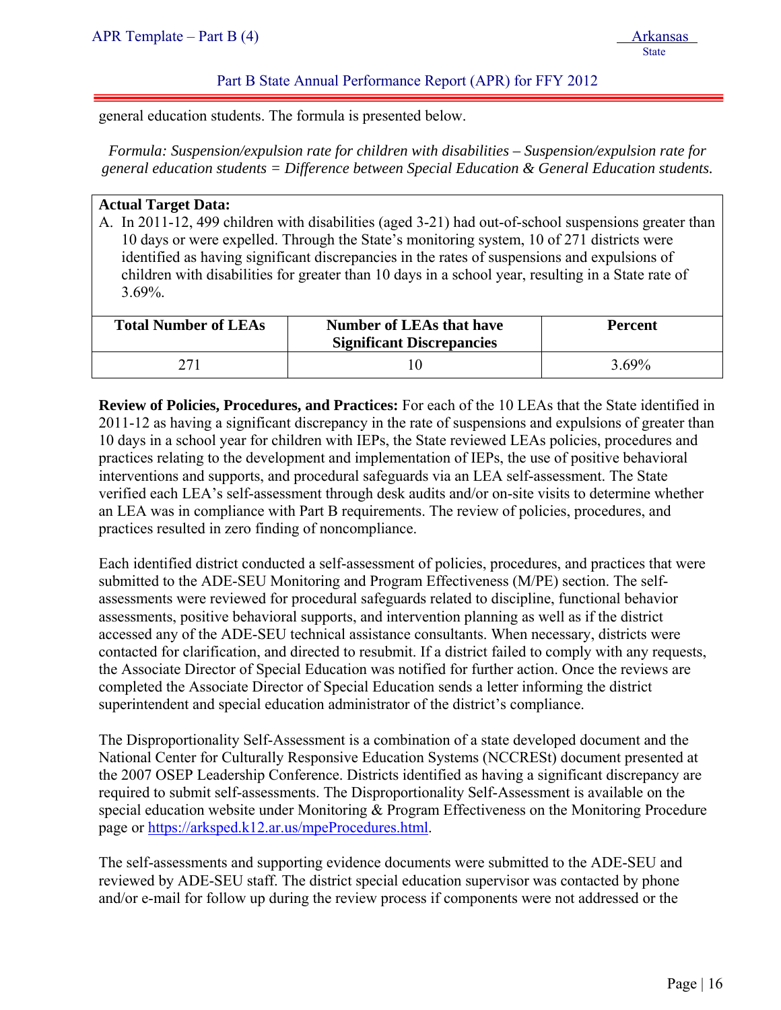general education students. The formula is presented below.

*Formula: Suspension/expulsion rate for children with disabilities – Suspension/expulsion rate for general education students = Difference between Special Education & General Education students.* 

# **Actual Target Data:**

ļ

A. In 2011-12, 499 children with disabilities (aged 3-21) had out-of-school suspensions greater than 10 days or were expelled. Through the State's monitoring system, 10 of 271 districts were identified as having significant discrepancies in the rates of suspensions and expulsions of children with disabilities for greater than 10 days in a school year, resulting in a State rate of 3.69%.

| <b>Total Number of LEAs</b> | <b>Number of LEAs that have</b><br><b>Significant Discrepancies</b> | <b>Percent</b> |
|-----------------------------|---------------------------------------------------------------------|----------------|
|                             |                                                                     | $3.69\%$       |

**Review of Policies, Procedures, and Practices:** For each of the 10 LEAs that the State identified in 2011-12 as having a significant discrepancy in the rate of suspensions and expulsions of greater than 10 days in a school year for children with IEPs, the State reviewed LEAs policies, procedures and practices relating to the development and implementation of IEPs, the use of positive behavioral interventions and supports, and procedural safeguards via an LEA self-assessment. The State verified each LEA's self-assessment through desk audits and/or on-site visits to determine whether an LEA was in compliance with Part B requirements. The review of policies, procedures, and practices resulted in zero finding of noncompliance.

Each identified district conducted a self-assessment of policies, procedures, and practices that were submitted to the ADE-SEU Monitoring and Program Effectiveness (M/PE) section. The selfassessments were reviewed for procedural safeguards related to discipline, functional behavior assessments, positive behavioral supports, and intervention planning as well as if the district accessed any of the ADE-SEU technical assistance consultants. When necessary, districts were contacted for clarification, and directed to resubmit. If a district failed to comply with any requests, the Associate Director of Special Education was notified for further action. Once the reviews are completed the Associate Director of Special Education sends a letter informing the district superintendent and special education administrator of the district's compliance.

The Disproportionality Self-Assessment is a combination of a state developed document and the National Center for Culturally Responsive Education Systems (NCCRESt) document presented at the 2007 OSEP Leadership Conference. Districts identified as having a significant discrepancy are required to submit self-assessments. The Disproportionality Self-Assessment is available on the special education website under Monitoring & Program Effectiveness on the Monitoring Procedure page or https://arksped.k12.ar.us/mpeProcedures.html.

The self-assessments and supporting evidence documents were submitted to the ADE-SEU and reviewed by ADE-SEU staff. The district special education supervisor was contacted by phone and/or e-mail for follow up during the review process if components were not addressed or the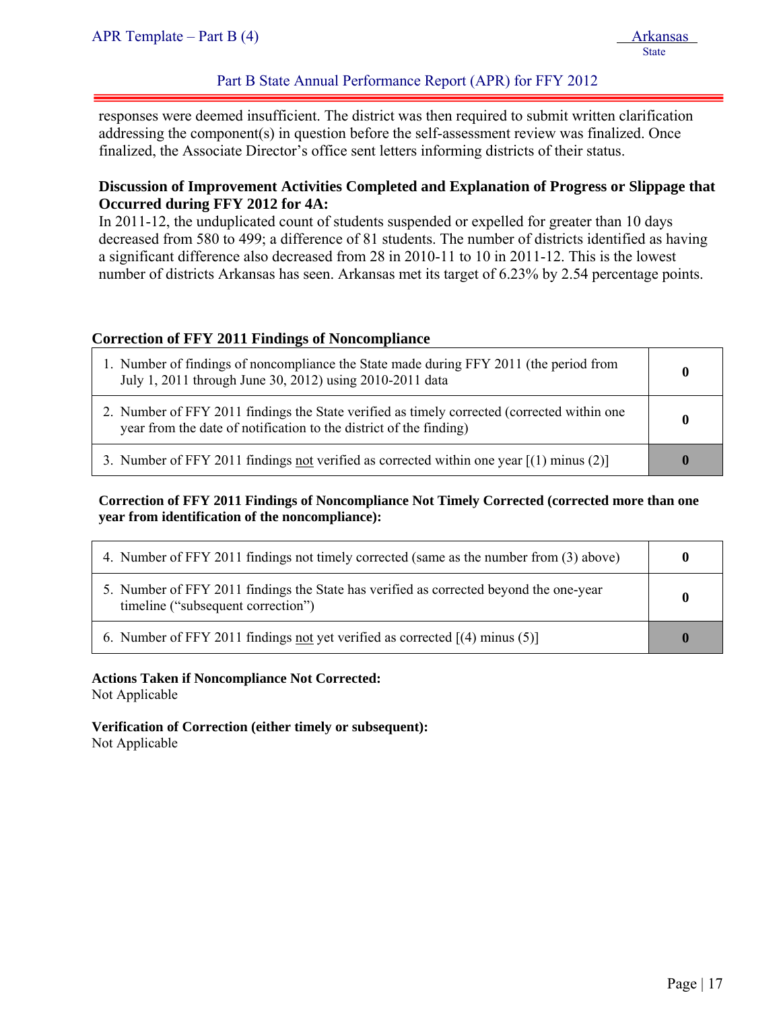# Part B State Annual Performance Report (APR) for FFY 2012

responses were deemed insufficient. The district was then required to submit written clarification addressing the component(s) in question before the self-assessment review was finalized. Once finalized, the Associate Director's office sent letters informing districts of their status.

# **Discussion of Improvement Activities Completed and Explanation of Progress or Slippage that Occurred during FFY 2012 for 4A:**

In 2011-12, the unduplicated count of students suspended or expelled for greater than 10 days decreased from 580 to 499; a difference of 81 students. The number of districts identified as having a significant difference also decreased from 28 in 2010-11 to 10 in 2011-12. This is the lowest number of districts Arkansas has seen. Arkansas met its target of 6.23% by 2.54 percentage points.

# **Correction of FFY 2011 Findings of Noncompliance**

| 1. Number of findings of noncompliance the State made during FFY 2011 (the period from<br>July 1, 2011 through June 30, 2012) using 2010-2011 data                | 0            |
|-------------------------------------------------------------------------------------------------------------------------------------------------------------------|--------------|
| 2. Number of FFY 2011 findings the State verified as timely corrected (corrected within one<br>year from the date of notification to the district of the finding) | $\mathbf{0}$ |
| 3. Number of FFY 2011 findings not verified as corrected within one year $[(1)$ minus (2)                                                                         | 0            |

#### **Correction of FFY 2011 Findings of Noncompliance Not Timely Corrected (corrected more than one year from identification of the noncompliance):**

| 4. Number of FFY 2011 findings not timely corrected (same as the number from (3) above)                                      | $\bf{0}$ |
|------------------------------------------------------------------------------------------------------------------------------|----------|
| 5. Number of FFY 2011 findings the State has verified as corrected beyond the one-year<br>timeline ("subsequent correction") | 0        |
| 6. Number of FFY 2011 findings not yet verified as corrected $[(4)$ minus $(5)]$                                             | O        |

**Actions Taken if Noncompliance Not Corrected:** Not Applicable

**Verification of Correction (either timely or subsequent):**  Not Applicable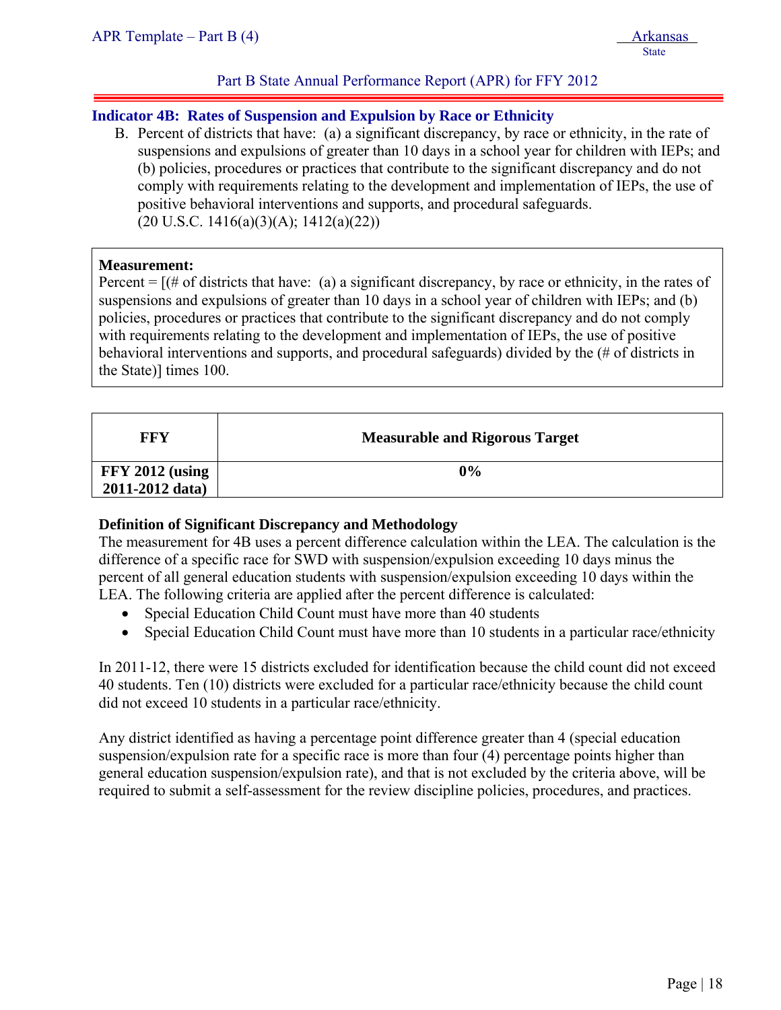# **Indicator 4B: Rates of Suspension and Expulsion by Race or Ethnicity**

B. Percent of districts that have: (a) a significant discrepancy, by race or ethnicity, in the rate of suspensions and expulsions of greater than 10 days in a school year for children with IEPs; and (b) policies, procedures or practices that contribute to the significant discrepancy and do not comply with requirements relating to the development and implementation of IEPs, the use of positive behavioral interventions and supports, and procedural safeguards.  $(20 \text{ U.S.C. } 1416(a)(3)(A); 1412(a)(22))$ 

#### **Measurement:**

ļ

Percent  $=$   $[$  (# of districts that have: (a) a significant discrepancy, by race or ethnicity, in the rates of suspensions and expulsions of greater than 10 days in a school year of children with IEPs; and (b) policies, procedures or practices that contribute to the significant discrepancy and do not comply with requirements relating to the development and implementation of IEPs, the use of positive behavioral interventions and supports, and procedural safeguards) divided by the (# of districts in the State)] times 100.

| FFY               | <b>Measurable and Rigorous Target</b> |
|-------------------|---------------------------------------|
| $FFY 2012$ (using | 0%                                    |
| 2011-2012 data)   |                                       |

# **Definition of Significant Discrepancy and Methodology**

The measurement for 4B uses a percent difference calculation within the LEA. The calculation is the difference of a specific race for SWD with suspension/expulsion exceeding 10 days minus the percent of all general education students with suspension/expulsion exceeding 10 days within the LEA. The following criteria are applied after the percent difference is calculated:

- Special Education Child Count must have more than 40 students
- Special Education Child Count must have more than 10 students in a particular race/ethnicity

In 2011-12, there were 15 districts excluded for identification because the child count did not exceed 40 students. Ten (10) districts were excluded for a particular race/ethnicity because the child count did not exceed 10 students in a particular race/ethnicity.

Any district identified as having a percentage point difference greater than 4 (special education suspension/expulsion rate for a specific race is more than four (4) percentage points higher than general education suspension/expulsion rate), and that is not excluded by the criteria above, will be required to submit a self-assessment for the review discipline policies, procedures, and practices.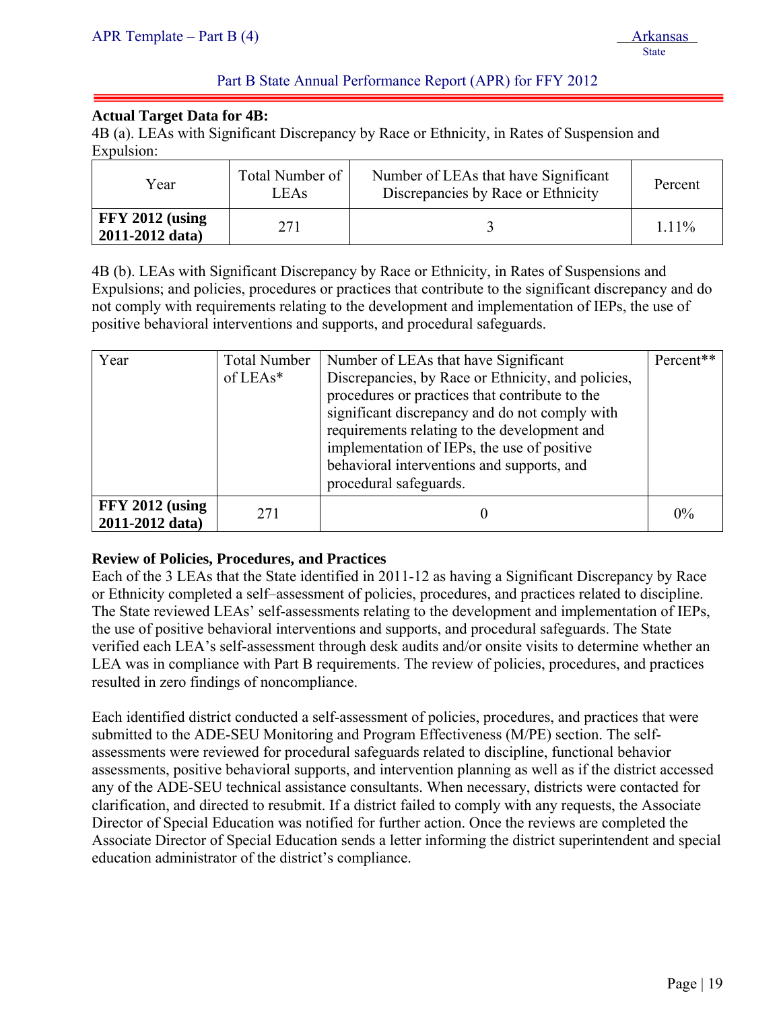# **Actual Target Data for 4B:**

ļ

4B (a). LEAs with Significant Discrepancy by Race or Ethnicity, in Rates of Suspension and Expulsion:

| Year                                 | Total Number of<br>LEA <sub>s</sub> | Number of LEAs that have Significant<br>Discrepancies by Race or Ethnicity | Percent |
|--------------------------------------|-------------------------------------|----------------------------------------------------------------------------|---------|
| $FFY 2012$ (using<br>2011-2012 data) | 271                                 |                                                                            | 1.11%   |

4B (b). LEAs with Significant Discrepancy by Race or Ethnicity, in Rates of Suspensions and Expulsions; and policies, procedures or practices that contribute to the significant discrepancy and do not comply with requirements relating to the development and implementation of IEPs, the use of positive behavioral interventions and supports, and procedural safeguards.

| Year                                 | <b>Total Number</b><br>of $LEAs*$ | Number of LEAs that have Significant<br>Discrepancies, by Race or Ethnicity, and policies,<br>procedures or practices that contribute to the<br>significant discrepancy and do not comply with<br>requirements relating to the development and<br>implementation of IEPs, the use of positive<br>behavioral interventions and supports, and<br>procedural safeguards. | Percent** |
|--------------------------------------|-----------------------------------|-----------------------------------------------------------------------------------------------------------------------------------------------------------------------------------------------------------------------------------------------------------------------------------------------------------------------------------------------------------------------|-----------|
| $FFY 2012$ (using<br>2011-2012 data) | 271                               |                                                                                                                                                                                                                                                                                                                                                                       | 0%        |

# **Review of Policies, Procedures, and Practices**

Each of the 3 LEAs that the State identified in 2011-12 as having a Significant Discrepancy by Race or Ethnicity completed a self–assessment of policies, procedures, and practices related to discipline. The State reviewed LEAs' self-assessments relating to the development and implementation of IEPs, the use of positive behavioral interventions and supports, and procedural safeguards. The State verified each LEA's self-assessment through desk audits and/or onsite visits to determine whether an LEA was in compliance with Part B requirements. The review of policies, procedures, and practices resulted in zero findings of noncompliance.

Each identified district conducted a self-assessment of policies, procedures, and practices that were submitted to the ADE-SEU Monitoring and Program Effectiveness (M/PE) section. The selfassessments were reviewed for procedural safeguards related to discipline, functional behavior assessments, positive behavioral supports, and intervention planning as well as if the district accessed any of the ADE-SEU technical assistance consultants. When necessary, districts were contacted for clarification, and directed to resubmit. If a district failed to comply with any requests, the Associate Director of Special Education was notified for further action. Once the reviews are completed the Associate Director of Special Education sends a letter informing the district superintendent and special education administrator of the district's compliance.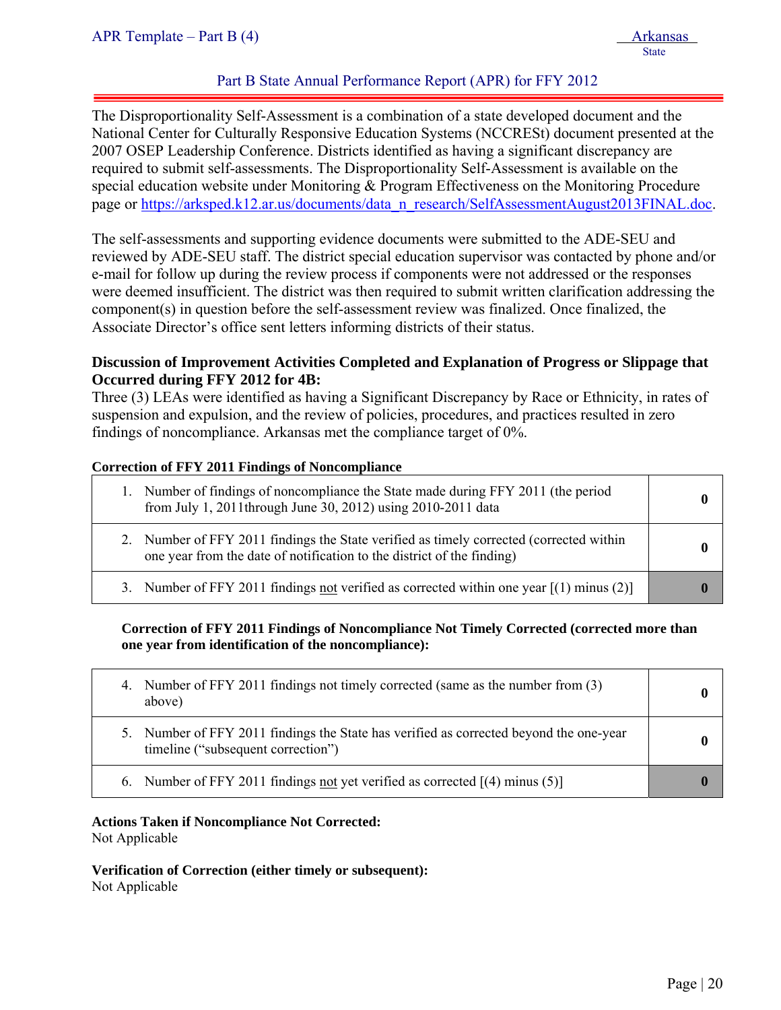ļ The Disproportionality Self-Assessment is a combination of a state developed document and the National Center for Culturally Responsive Education Systems (NCCRESt) document presented at the 2007 OSEP Leadership Conference. Districts identified as having a significant discrepancy are required to submit self-assessments. The Disproportionality Self-Assessment is available on the special education website under Monitoring & Program Effectiveness on the Monitoring Procedure page or https://arksped.k12.ar.us/documents/data\_n\_research/SelfAssessmentAugust2013FINAL.doc.

The self-assessments and supporting evidence documents were submitted to the ADE-SEU and reviewed by ADE-SEU staff. The district special education supervisor was contacted by phone and/or e-mail for follow up during the review process if components were not addressed or the responses were deemed insufficient. The district was then required to submit written clarification addressing the component(s) in question before the self-assessment review was finalized. Once finalized, the Associate Director's office sent letters informing districts of their status.

# **Discussion of Improvement Activities Completed and Explanation of Progress or Slippage that Occurred during FFY 2012 for 4B:**

Three (3) LEAs were identified as having a Significant Discrepancy by Race or Ethnicity, in rates of suspension and expulsion, and the review of policies, procedures, and practices resulted in zero findings of noncompliance. Arkansas met the compliance target of 0%.

#### **Correction of FFY 2011 Findings of Noncompliance**

| Number of findings of noncompliance the State made during FFY 2011 (the period<br>from July 1, 2011 through June 30, 2012) using 2010-2011 data                   |  |
|-------------------------------------------------------------------------------------------------------------------------------------------------------------------|--|
| 2. Number of FFY 2011 findings the State verified as timely corrected (corrected within<br>one year from the date of notification to the district of the finding) |  |
| 3. Number of FFY 2011 findings not verified as corrected within one year $[(1)$ minus (2)]                                                                        |  |

# **Correction of FFY 2011 Findings of Noncompliance Not Timely Corrected (corrected more than one year from identification of the noncompliance):**

| 4. Number of FFY 2011 findings not timely corrected (same as the number from (3)<br>above)                                   |  |
|------------------------------------------------------------------------------------------------------------------------------|--|
| 5. Number of FFY 2011 findings the State has verified as corrected beyond the one-year<br>timeline ("subsequent correction") |  |
| 6. Number of FFY 2011 findings not yet verified as corrected $[(4)$ minus (5)                                                |  |

# **Actions Taken if Noncompliance Not Corrected:**

Not Applicable

**Verification of Correction (either timely or subsequent):**  Not Applicable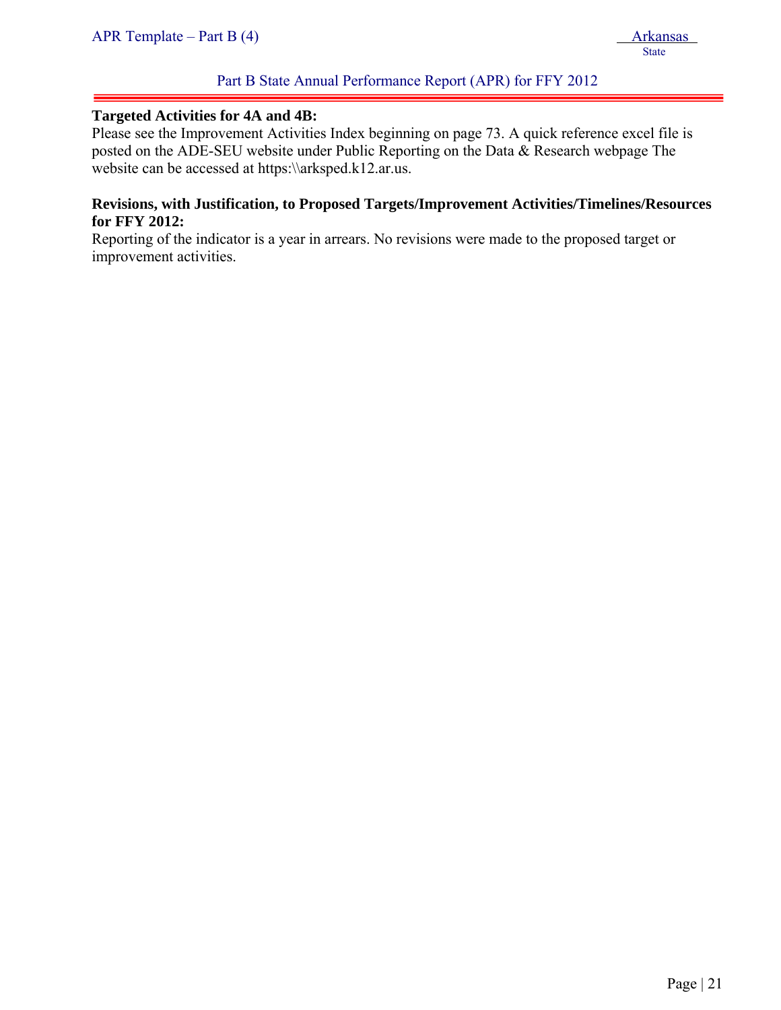# Part B State Annual Performance Report (APR) for FFY 2012

#### **Targeted Activities for 4A and 4B:**

Please see the Improvement Activities Index beginning on page 73. A quick reference excel file is posted on the ADE-SEU website under Public Reporting on the Data & Research webpage The website can be accessed at https:\\arksped.k12.ar.us.

#### **Revisions, with Justification, to Proposed Targets/Improvement Activities/Timelines/Resources for FFY 2012:**

Reporting of the indicator is a year in arrears. No revisions were made to the proposed target or improvement activities.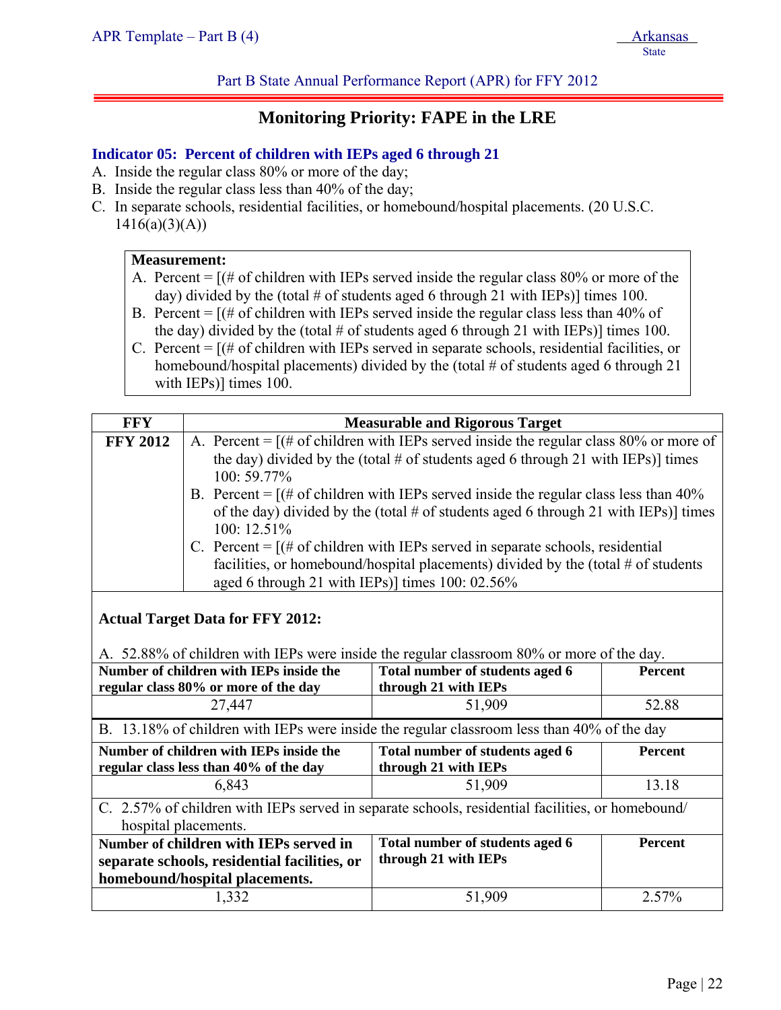Part B State Annual Performance Report (APR) for FFY 2012

# **Monitoring Priority: FAPE in the LRE**

# **Indicator 05: Percent of children with IEPs aged 6 through 21**

- A. Inside the regular class 80% or more of the day;
- B. Inside the regular class less than 40% of the day;
- C. In separate schools, residential facilities, or homebound/hospital placements. (20 U.S.C.  $1416(a)(3)(A))$

#### **Measurement:**

- A. Percent  $=$   $[(# of children with IEPs served inside the regular class 80% or more of the$ day) divided by the (total # of students aged 6 through 21 with IEPs)] times 100.
- B. Percent  $=$   $[(# of children with IEPs served inside the regular class less than 40% of$ the day) divided by the (total  $\#$  of students aged 6 through 21 with IEPs)] times 100.
- C. Percent  $=$   $[(# of children with IEPs served in separate schools, residual facilities, or$ homebound/hospital placements) divided by the (total # of students aged 6 through 21 with IEPs)] times 100.

| <b>FFY</b>                                                                                                                           |                                                                                                                                                                                                                                                                                                                                                                                                                                                                                                                                                                                                                                                                |                                                         |                |  |
|--------------------------------------------------------------------------------------------------------------------------------------|----------------------------------------------------------------------------------------------------------------------------------------------------------------------------------------------------------------------------------------------------------------------------------------------------------------------------------------------------------------------------------------------------------------------------------------------------------------------------------------------------------------------------------------------------------------------------------------------------------------------------------------------------------------|---------------------------------------------------------|----------------|--|
| <b>FFY 2012</b>                                                                                                                      | <b>Measurable and Rigorous Target</b><br>A. Percent = $[(# of children with IEPs served inside the regular class 80% or more of$<br>the day) divided by the (total # of students aged 6 through 21 with IEPs)] times<br>100:59.77%<br>B. Percent = $[(# of children with IEPs served inside the regular class less than 40%$<br>of the day) divided by the (total # of students aged 6 through 21 with IEPs)] times<br>100: 12.51%<br>C. Percent = $[(# of children with IEPs served in separate schools, residual]$<br>facilities, or homebound/hospital placements) divided by the (total $#$ of students<br>aged 6 through 21 with IEPs)] times 100: 02.56% |                                                         |                |  |
| <b>Actual Target Data for FFY 2012:</b><br>A. 52.88% of children with IEPs were inside the regular classroom 80% or more of the day. |                                                                                                                                                                                                                                                                                                                                                                                                                                                                                                                                                                                                                                                                |                                                         |                |  |
|                                                                                                                                      | Number of children with IEPs inside the<br>Total number of students aged 6<br><b>Percent</b><br>through 21 with IEPs<br>regular class 80% or more of the day                                                                                                                                                                                                                                                                                                                                                                                                                                                                                                   |                                                         |                |  |
| 27,447                                                                                                                               |                                                                                                                                                                                                                                                                                                                                                                                                                                                                                                                                                                                                                                                                | 51,909                                                  | 52.88          |  |
| B. 13.18% of children with IEPs were inside the regular classroom less than 40% of the day                                           |                                                                                                                                                                                                                                                                                                                                                                                                                                                                                                                                                                                                                                                                |                                                         |                |  |
| Number of children with IEPs inside the<br>regular class less than 40% of the day                                                    |                                                                                                                                                                                                                                                                                                                                                                                                                                                                                                                                                                                                                                                                | Total number of students aged 6<br>through 21 with IEPs | <b>Percent</b> |  |
| 6,843                                                                                                                                |                                                                                                                                                                                                                                                                                                                                                                                                                                                                                                                                                                                                                                                                | 51,909                                                  | 13.18          |  |
| C. 2.57% of children with IEPs served in separate schools, residential facilities, or homebound/<br>hospital placements.             |                                                                                                                                                                                                                                                                                                                                                                                                                                                                                                                                                                                                                                                                |                                                         |                |  |
| Number of children with IEPs served in                                                                                               |                                                                                                                                                                                                                                                                                                                                                                                                                                                                                                                                                                                                                                                                | Total number of students aged 6                         | <b>Percent</b> |  |
|                                                                                                                                      | separate schools, residential facilities, or                                                                                                                                                                                                                                                                                                                                                                                                                                                                                                                                                                                                                   | through 21 with IEPs                                    |                |  |
| homebound/hospital placements.                                                                                                       |                                                                                                                                                                                                                                                                                                                                                                                                                                                                                                                                                                                                                                                                |                                                         |                |  |
|                                                                                                                                      | 1,332                                                                                                                                                                                                                                                                                                                                                                                                                                                                                                                                                                                                                                                          | 51,909                                                  | 2.57%          |  |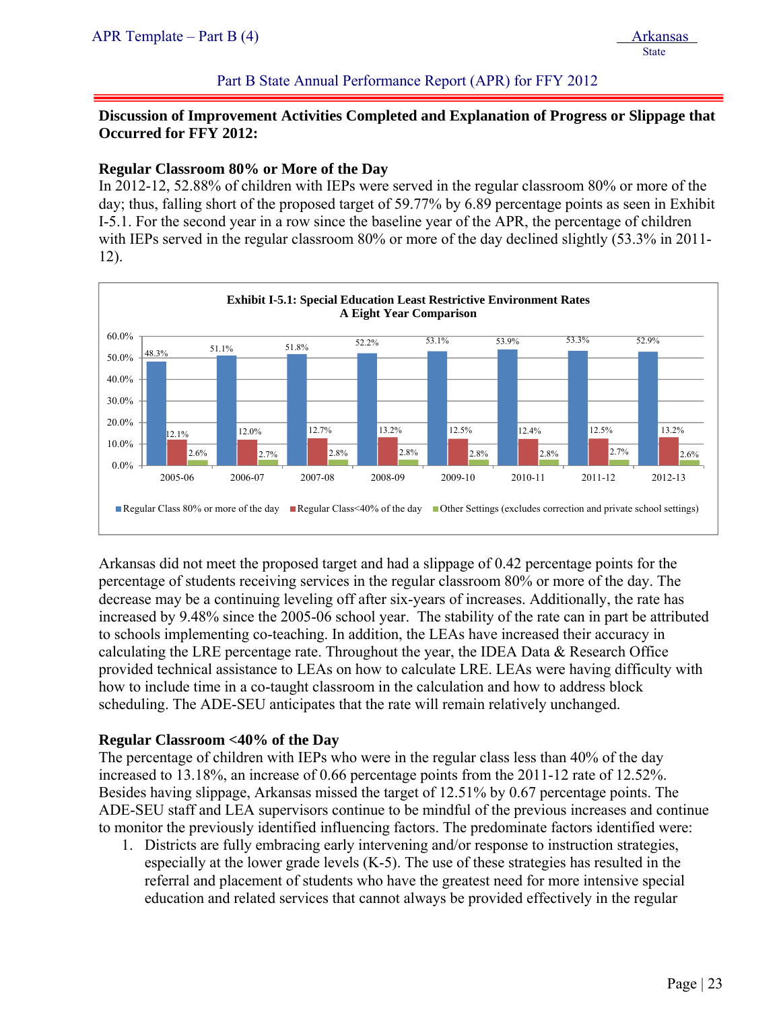#### Part B State Annual Performance Report (APR) for FFY 2012

# **Discussion of Improvement Activities Completed and Explanation of Progress or Slippage that Occurred for FFY 2012:**

#### **Regular Classroom 80% or More of the Day**

In 2012-12, 52.88% of children with IEPs were served in the regular classroom 80% or more of the day; thus, falling short of the proposed target of 59.77% by 6.89 percentage points as seen in Exhibit I-5.1. For the second year in a row since the baseline year of the APR, the percentage of children with IEPs served in the regular classroom 80% or more of the day declined slightly (53.3% in 2011-12).



Arkansas did not meet the proposed target and had a slippage of 0.42 percentage points for the percentage of students receiving services in the regular classroom 80% or more of the day. The decrease may be a continuing leveling off after six-years of increases. Additionally, the rate has increased by 9.48% since the 2005-06 school year. The stability of the rate can in part be attributed to schools implementing co-teaching. In addition, the LEAs have increased their accuracy in calculating the LRE percentage rate. Throughout the year, the IDEA Data & Research Office provided technical assistance to LEAs on how to calculate LRE. LEAs were having difficulty with how to include time in a co-taught classroom in the calculation and how to address block scheduling. The ADE-SEU anticipates that the rate will remain relatively unchanged.

# **Regular Classroom <40% of the Day**

The percentage of children with IEPs who were in the regular class less than 40% of the day increased to 13.18%, an increase of 0.66 percentage points from the 2011-12 rate of 12.52%. Besides having slippage, Arkansas missed the target of 12.51% by 0.67 percentage points. The ADE-SEU staff and LEA supervisors continue to be mindful of the previous increases and continue to monitor the previously identified influencing factors. The predominate factors identified were:

1. Districts are fully embracing early intervening and/or response to instruction strategies, especially at the lower grade levels (K-5). The use of these strategies has resulted in the referral and placement of students who have the greatest need for more intensive special education and related services that cannot always be provided effectively in the regular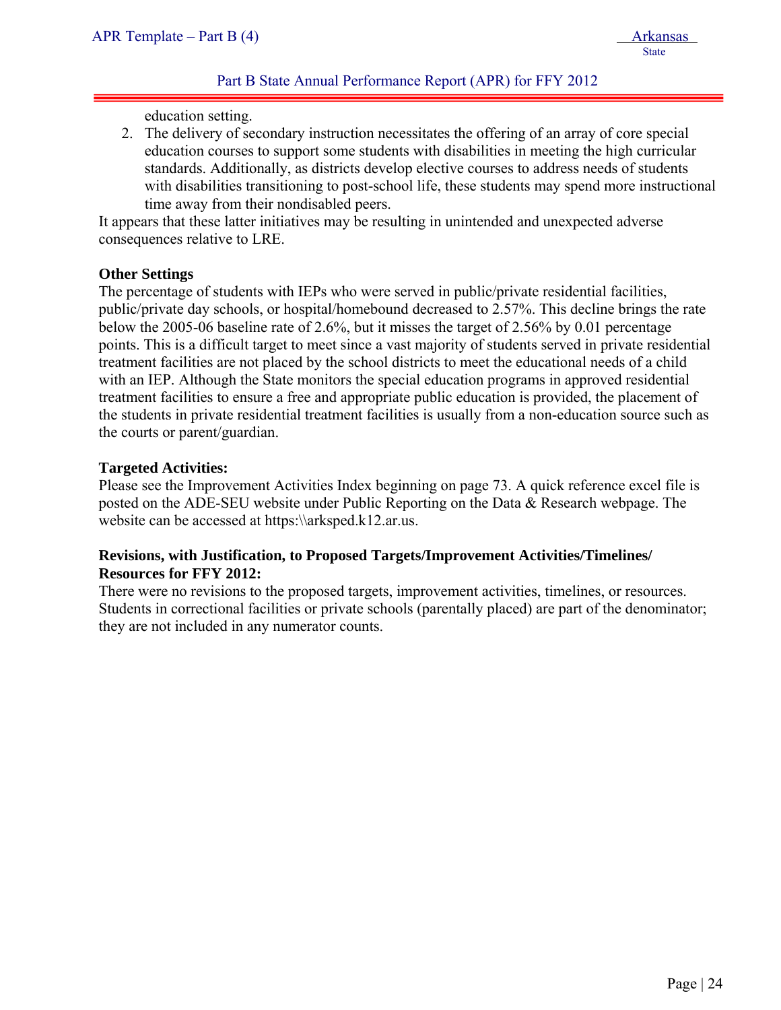<u>State</u>

# Part B State Annual Performance Report (APR) for FFY 2012

education setting.

2. The delivery of secondary instruction necessitates the offering of an array of core special education courses to support some students with disabilities in meeting the high curricular standards. Additionally, as districts develop elective courses to address needs of students with disabilities transitioning to post-school life, these students may spend more instructional time away from their nondisabled peers.

It appears that these latter initiatives may be resulting in unintended and unexpected adverse consequences relative to LRE.

#### **Other Settings**

ļ

The percentage of students with IEPs who were served in public/private residential facilities, public/private day schools, or hospital/homebound decreased to 2.57%. This decline brings the rate below the 2005-06 baseline rate of 2.6%, but it misses the target of 2.56% by 0.01 percentage points. This is a difficult target to meet since a vast majority of students served in private residential treatment facilities are not placed by the school districts to meet the educational needs of a child with an IEP. Although the State monitors the special education programs in approved residential treatment facilities to ensure a free and appropriate public education is provided, the placement of the students in private residential treatment facilities is usually from a non-education source such as the courts or parent/guardian.

#### **Targeted Activities:**

Please see the Improvement Activities Index beginning on page 73. A quick reference excel file is posted on the ADE-SEU website under Public Reporting on the Data & Research webpage. The website can be accessed at https:\\arksped.k12.ar.us.

# **Revisions, with Justification, to Proposed Targets/Improvement Activities/Timelines/ Resources for FFY 2012:**

There were no revisions to the proposed targets, improvement activities, timelines, or resources. Students in correctional facilities or private schools (parentally placed) are part of the denominator; they are not included in any numerator counts.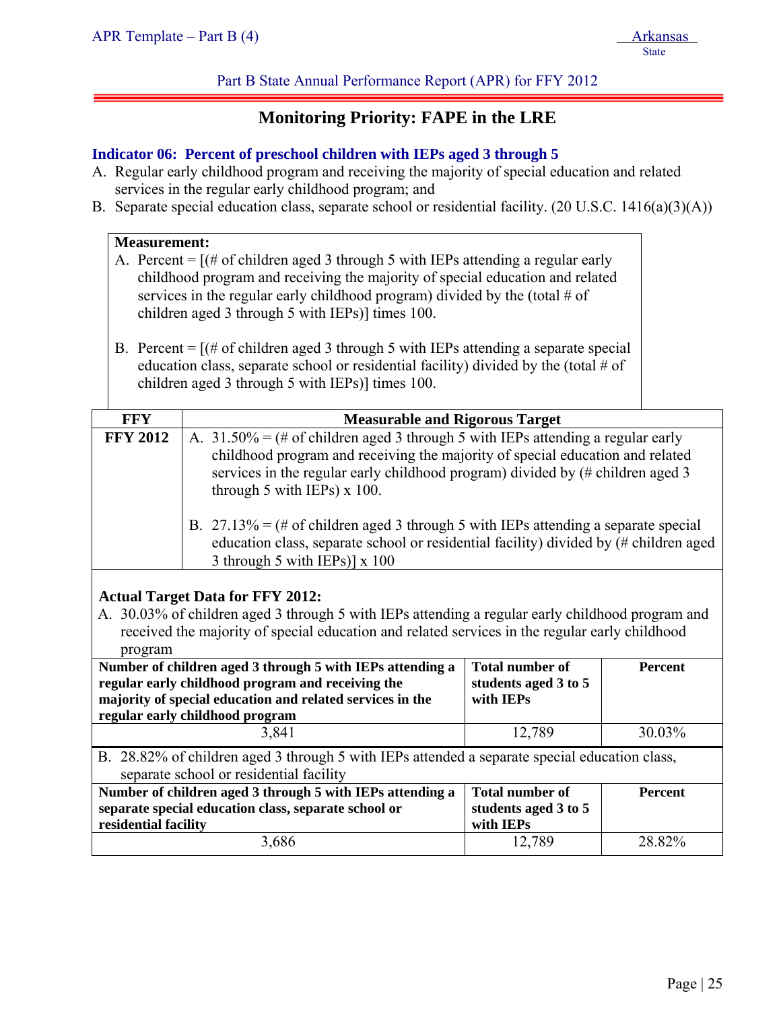Part B State Annual Performance Report (APR) for FFY 2012

# **Monitoring Priority: FAPE in the LRE**

# **Indicator 06: Percent of preschool children with IEPs aged 3 through 5**

- A. Regular early childhood program and receiving the majority of special education and related services in the regular early childhood program; and
- B. Separate special education class, separate school or residential facility. (20 U.S.C. 1416(a)(3)(A))

| <b>Measurement:</b><br>A. Percent = $[(# of children aged 3 through 5 with IEPs attending a regular early]$<br>childhood program and receiving the majority of special education and related<br>services in the regular early childhood program) divided by the (total # of<br>children aged 3 through 5 with IEPs)] times 100.<br>B. Percent = $[(# of children aged 3 through 5 with IEPs attending a separate special]$<br>education class, separate school or residential facility) divided by the (total $#$ of<br>children aged 3 through 5 with IEPs)] times 100.   |                                       |                                                             |                |  |
|----------------------------------------------------------------------------------------------------------------------------------------------------------------------------------------------------------------------------------------------------------------------------------------------------------------------------------------------------------------------------------------------------------------------------------------------------------------------------------------------------------------------------------------------------------------------------|---------------------------------------|-------------------------------------------------------------|----------------|--|
| <b>FFY</b>                                                                                                                                                                                                                                                                                                                                                                                                                                                                                                                                                                 | <b>Measurable and Rigorous Target</b> |                                                             |                |  |
| <b>FFY 2012</b><br>A. $31.50\% = (\# of children aged 3 through 5 with IEPs attending a regular early)$<br>childhood program and receiving the majority of special education and related<br>services in the regular early childhood program) divided by (# children aged 3<br>through 5 with IEPs) $x$ 100.<br>B. $27.13\% = (\# of children aged 3 through 5 with IEPs attending a separate special$<br>education class, separate school or residential facility) divided by (# children aged<br>3 through 5 with IEPs)] x 100<br><b>Actual Target Data for FFY 2012:</b> |                                       |                                                             |                |  |
| A. 30.03% of children aged 3 through 5 with IEPs attending a regular early childhood program and<br>received the majority of special education and related services in the regular early childhood                                                                                                                                                                                                                                                                                                                                                                         |                                       |                                                             |                |  |
| program                                                                                                                                                                                                                                                                                                                                                                                                                                                                                                                                                                    |                                       |                                                             |                |  |
| Number of children aged 3 through 5 with IEPs attending a<br><b>Total number of</b><br>Percent<br>regular early childhood program and receiving the<br>students aged 3 to 5<br>majority of special education and related services in the<br>with IEPs<br>regular early childhood program                                                                                                                                                                                                                                                                                   |                                       |                                                             |                |  |
|                                                                                                                                                                                                                                                                                                                                                                                                                                                                                                                                                                            | 3,841                                 | 12,789                                                      | 30.03%         |  |
| B. 28.82% of children aged 3 through 5 with IEPs attended a separate special education class,<br>separate school or residential facility                                                                                                                                                                                                                                                                                                                                                                                                                                   |                                       |                                                             |                |  |
| Number of children aged 3 through 5 with IEPs attending a<br>separate special education class, separate school or<br>residential facility                                                                                                                                                                                                                                                                                                                                                                                                                                  |                                       | <b>Total number of</b><br>students aged 3 to 5<br>with IEPs | <b>Percent</b> |  |
|                                                                                                                                                                                                                                                                                                                                                                                                                                                                                                                                                                            | 3,686                                 | 12,789                                                      | 28.82%         |  |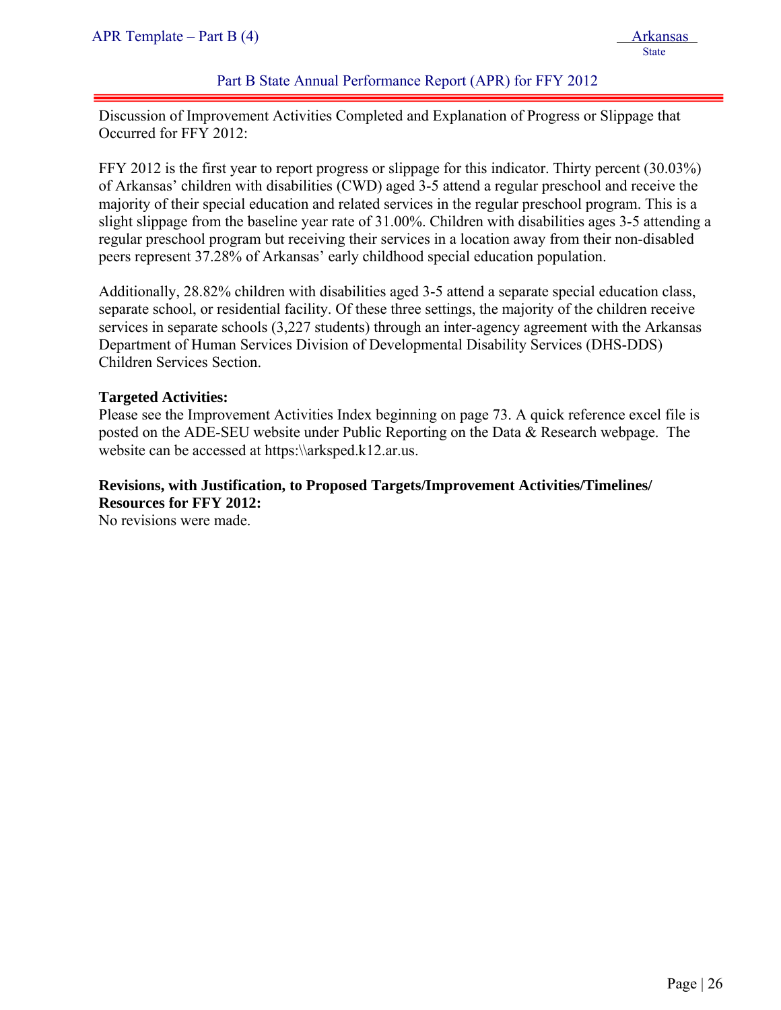# Part B State Annual Performance Report (APR) for FFY 2012

Discussion of Improvement Activities Completed and Explanation of Progress or Slippage that Occurred for FFY 2012:

FFY 2012 is the first year to report progress or slippage for this indicator. Thirty percent (30.03%) of Arkansas' children with disabilities (CWD) aged 3-5 attend a regular preschool and receive the majority of their special education and related services in the regular preschool program. This is a slight slippage from the baseline year rate of 31.00%. Children with disabilities ages 3-5 attending a regular preschool program but receiving their services in a location away from their non-disabled peers represent 37.28% of Arkansas' early childhood special education population.

Additionally, 28.82% children with disabilities aged 3-5 attend a separate special education class, separate school, or residential facility. Of these three settings, the majority of the children receive services in separate schools (3,227 students) through an inter-agency agreement with the Arkansas Department of Human Services Division of Developmental Disability Services (DHS-DDS) Children Services Section.

#### **Targeted Activities:**

Please see the Improvement Activities Index beginning on page 73. A quick reference excel file is posted on the ADE-SEU website under Public Reporting on the Data & Research webpage. The website can be accessed at https:\\arksped.k12.ar.us.

# **Revisions, with Justification, to Proposed Targets/Improvement Activities/Timelines/ Resources for FFY 2012:**

No revisions were made.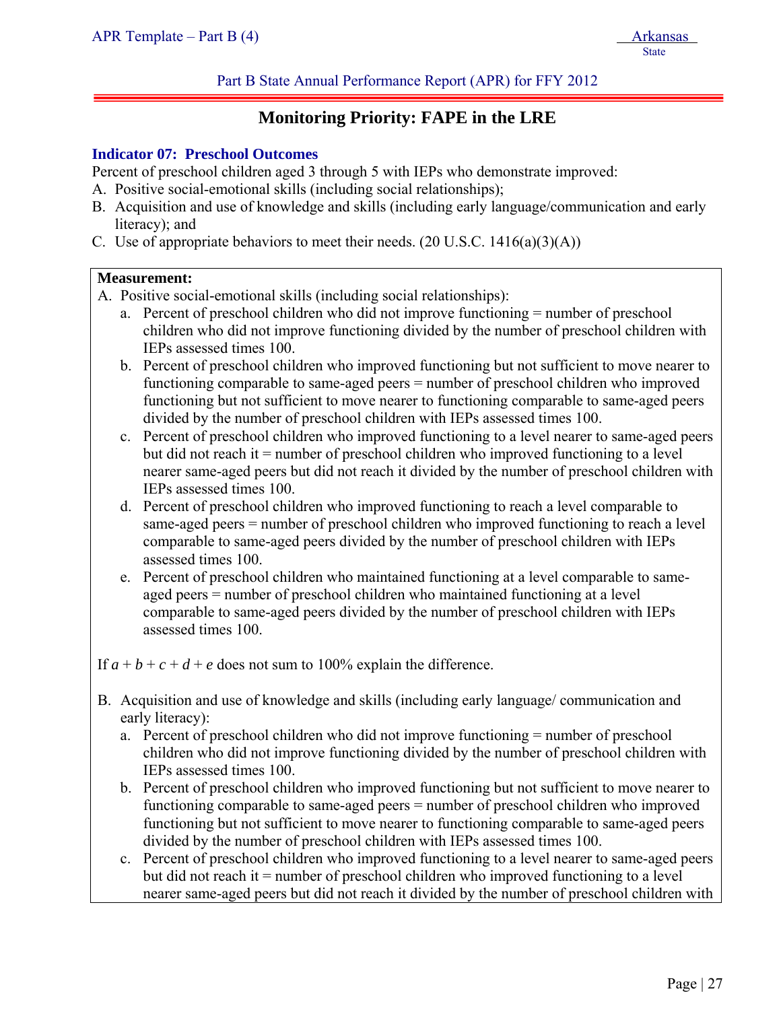# **Monitoring Priority: FAPE in the LRE**

#### **Indicator 07: Preschool Outcomes**

Percent of preschool children aged 3 through 5 with IEPs who demonstrate improved:

- A. Positive social-emotional skills (including social relationships);
- B. Acquisition and use of knowledge and skills (including early language/communication and early literacy); and
- C. Use of appropriate behaviors to meet their needs.  $(20 \text{ U.S.C. } 1416(a)(3)(\text{A}))$

#### **Measurement:**

ļ

- A. Positive social-emotional skills (including social relationships):
	- a. Percent of preschool children who did not improve functioning = number of preschool children who did not improve functioning divided by the number of preschool children with IEPs assessed times 100.
	- b. Percent of preschool children who improved functioning but not sufficient to move nearer to functioning comparable to same-aged peers = number of preschool children who improved functioning but not sufficient to move nearer to functioning comparable to same-aged peers divided by the number of preschool children with IEPs assessed times 100.
	- c. Percent of preschool children who improved functioning to a level nearer to same-aged peers but did not reach it = number of preschool children who improved functioning to a level nearer same-aged peers but did not reach it divided by the number of preschool children with IEPs assessed times 100.
	- d. Percent of preschool children who improved functioning to reach a level comparable to same-aged peers = number of preschool children who improved functioning to reach a level comparable to same-aged peers divided by the number of preschool children with IEPs assessed times 100.
	- e. Percent of preschool children who maintained functioning at a level comparable to sameaged peers = number of preschool children who maintained functioning at a level comparable to same-aged peers divided by the number of preschool children with IEPs assessed times 100.

If  $a + b + c + d + e$  does not sum to 100% explain the difference.

- B. Acquisition and use of knowledge and skills (including early language/ communication and early literacy):
	- a. Percent of preschool children who did not improve functioning = number of preschool children who did not improve functioning divided by the number of preschool children with IEPs assessed times 100.
	- b. Percent of preschool children who improved functioning but not sufficient to move nearer to functioning comparable to same-aged peers = number of preschool children who improved functioning but not sufficient to move nearer to functioning comparable to same-aged peers divided by the number of preschool children with IEPs assessed times 100.
	- c. Percent of preschool children who improved functioning to a level nearer to same-aged peers but did not reach it = number of preschool children who improved functioning to a level nearer same-aged peers but did not reach it divided by the number of preschool children with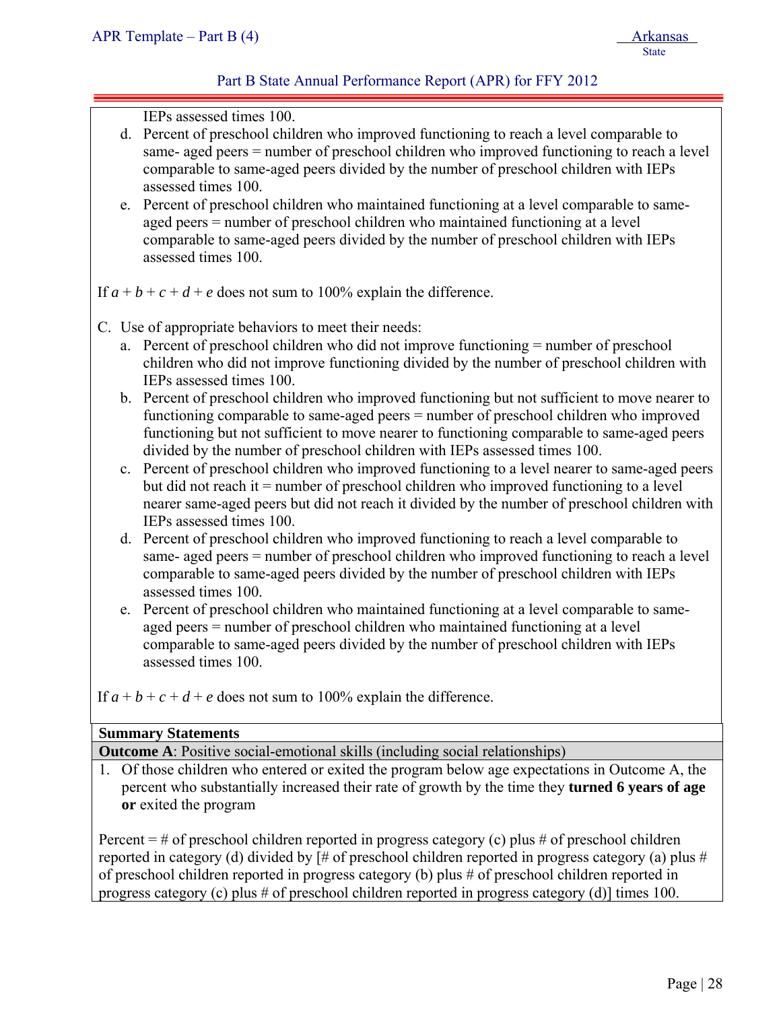# Part B State Annual Performance Report (APR) for FFY 2012

IEPs assessed times 100.

- d. Percent of preschool children who improved functioning to reach a level comparable to same- aged peers = number of preschool children who improved functioning to reach a level comparable to same-aged peers divided by the number of preschool children with IEPs assessed times 100.
- e. Percent of preschool children who maintained functioning at a level comparable to sameaged peers = number of preschool children who maintained functioning at a level comparable to same-aged peers divided by the number of preschool children with IEPs assessed times 100.

If  $a + b + c + d + e$  does not sum to 100% explain the difference.

- C. Use of appropriate behaviors to meet their needs:
	- a. Percent of preschool children who did not improve functioning = number of preschool children who did not improve functioning divided by the number of preschool children with IEPs assessed times 100.
	- b. Percent of preschool children who improved functioning but not sufficient to move nearer to functioning comparable to same-aged peers = number of preschool children who improved functioning but not sufficient to move nearer to functioning comparable to same-aged peers divided by the number of preschool children with IEPs assessed times 100.
	- c. Percent of preschool children who improved functioning to a level nearer to same-aged peers but did not reach it = number of preschool children who improved functioning to a level nearer same-aged peers but did not reach it divided by the number of preschool children with IEPs assessed times 100.
	- d. Percent of preschool children who improved functioning to reach a level comparable to same- aged peers = number of preschool children who improved functioning to reach a level comparable to same-aged peers divided by the number of preschool children with IEPs assessed times 100.
	- e. Percent of preschool children who maintained functioning at a level comparable to sameaged peers = number of preschool children who maintained functioning at a level comparable to same-aged peers divided by the number of preschool children with IEPs assessed times 100.

If  $a + b + c + d + e$  does not sum to 100% explain the difference.

# **Summary Statements**

**Outcome A**: Positive social-emotional skills (including social relationships)

1. Of those children who entered or exited the program below age expectations in Outcome A, the percent who substantially increased their rate of growth by the time they **turned 6 years of age or** exited the program

Percent  $=$  # of preschool children reported in progress category (c) plus # of preschool children reported in category (d) divided by [# of preschool children reported in progress category (a) plus # of preschool children reported in progress category (b) plus # of preschool children reported in progress category (c) plus # of preschool children reported in progress category (d)] times 100.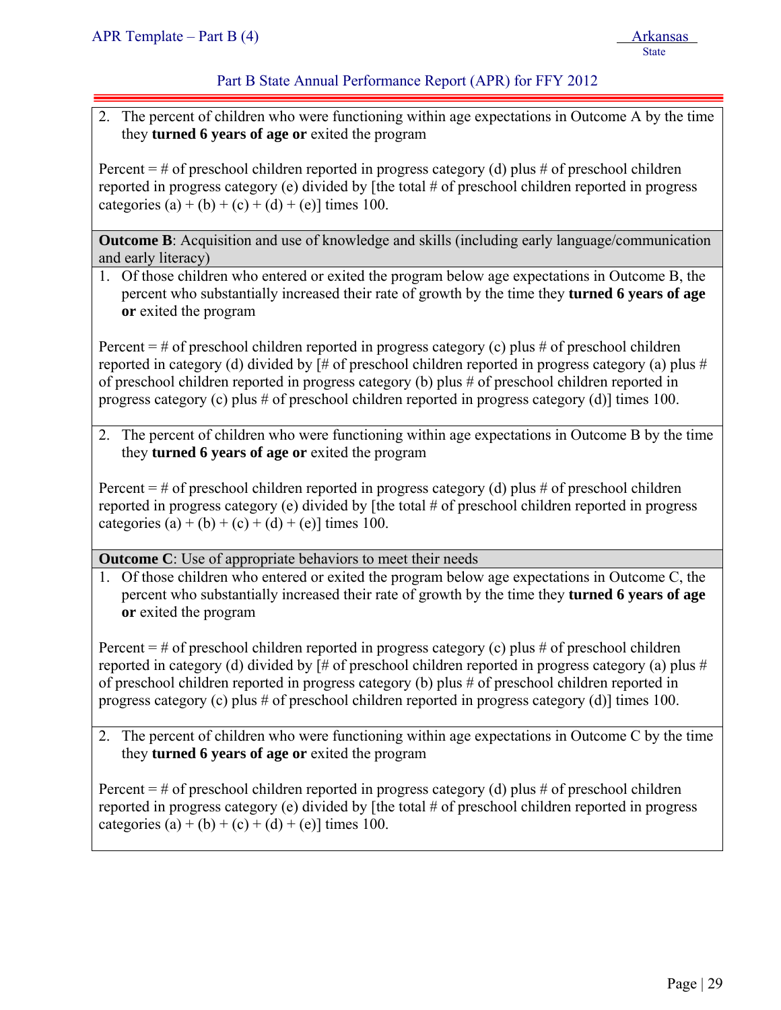# Part B State Annual Performance Report (APR) for FFY 2012

2. The percent of children who were functioning within age expectations in Outcome A by the time they **turned 6 years of age or** exited the program

Percent  $=$  # of preschool children reported in progress category (d) plus # of preschool children reported in progress category (e) divided by [the total # of preschool children reported in progress categories (a) + (b) + (c) + (d) + (e)] times 100.

**Outcome B**: Acquisition and use of knowledge and skills (including early language/communication and early literacy)

1. Of those children who entered or exited the program below age expectations in Outcome B, the percent who substantially increased their rate of growth by the time they **turned 6 years of age or** exited the program

Percent  $=$  # of preschool children reported in progress category (c) plus # of preschool children reported in category (d) divided by [# of preschool children reported in progress category (a) plus # of preschool children reported in progress category (b) plus # of preschool children reported in progress category (c) plus # of preschool children reported in progress category (d)] times 100.

2. The percent of children who were functioning within age expectations in Outcome B by the time they **turned 6 years of age or** exited the program

Percent  $=$  # of preschool children reported in progress category (d) plus # of preschool children reported in progress category (e) divided by [the total # of preschool children reported in progress categories (a) + (b) + (c) + (d) + (e)] times 100.

**Outcome C**: Use of appropriate behaviors to meet their needs

1. Of those children who entered or exited the program below age expectations in Outcome C, the percent who substantially increased their rate of growth by the time they **turned 6 years of age or** exited the program

Percent  $=$  # of preschool children reported in progress category (c) plus # of preschool children reported in category (d) divided by [# of preschool children reported in progress category (a) plus # of preschool children reported in progress category (b) plus # of preschool children reported in progress category (c) plus # of preschool children reported in progress category (d)] times 100.

2. The percent of children who were functioning within age expectations in Outcome C by the time they **turned 6 years of age or** exited the program

Percent  $=$  # of preschool children reported in progress category (d) plus # of preschool children reported in progress category (e) divided by [the total # of preschool children reported in progress categories (a) + (b) + (c) + (d) + (e)] times 100.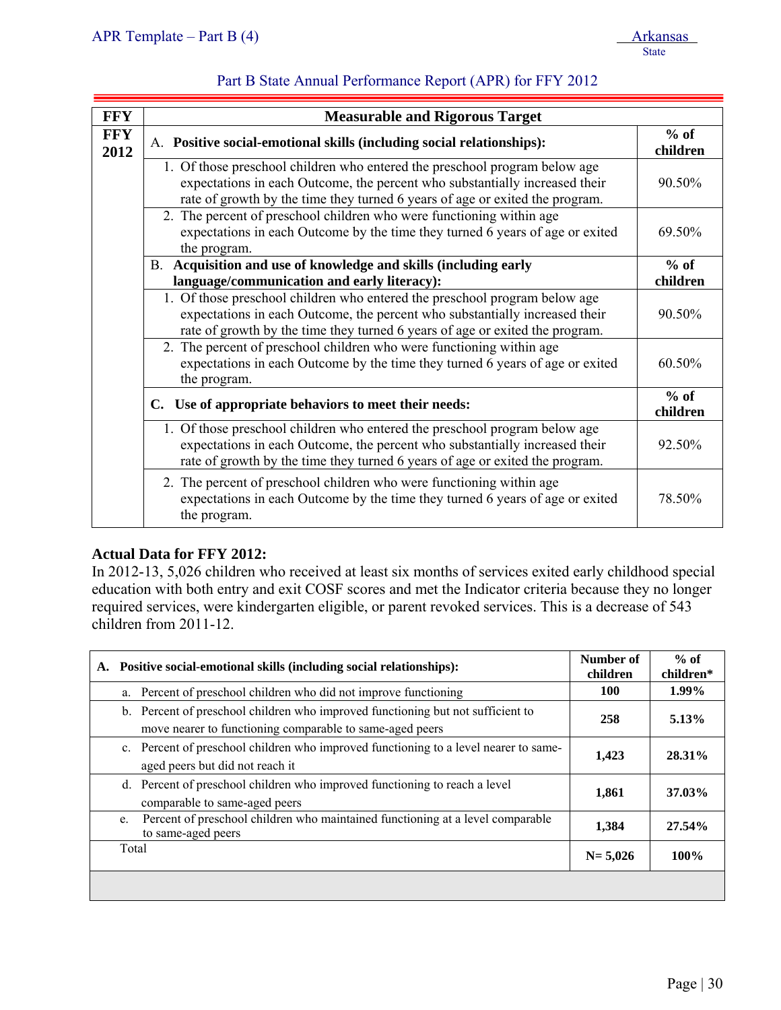| <b>FFY</b>         | <b>Measurable and Rigorous Target</b>                                                                                                                                                                                                     |        |  |
|--------------------|-------------------------------------------------------------------------------------------------------------------------------------------------------------------------------------------------------------------------------------------|--------|--|
| <b>FFY</b><br>2012 | A. Positive social-emotional skills (including social relationships):                                                                                                                                                                     |        |  |
|                    | 1. Of those preschool children who entered the preschool program below age<br>expectations in each Outcome, the percent who substantially increased their<br>rate of growth by the time they turned 6 years of age or exited the program. | 90.50% |  |
|                    | 2. The percent of preschool children who were functioning within age<br>expectations in each Outcome by the time they turned 6 years of age or exited<br>the program.                                                                     | 69.50% |  |
|                    | B. Acquisition and use of knowledge and skills (including early                                                                                                                                                                           | $%$ of |  |
|                    | language/communication and early literacy):                                                                                                                                                                                               |        |  |
|                    | 1. Of those preschool children who entered the preschool program below age<br>expectations in each Outcome, the percent who substantially increased their<br>rate of growth by the time they turned 6 years of age or exited the program. | 90.50% |  |
|                    | 2. The percent of preschool children who were functioning within age<br>expectations in each Outcome by the time they turned 6 years of age or exited<br>the program.                                                                     | 60.50% |  |
|                    | C. Use of appropriate behaviors to meet their needs:                                                                                                                                                                                      |        |  |
|                    | 1. Of those preschool children who entered the preschool program below age<br>expectations in each Outcome, the percent who substantially increased their<br>rate of growth by the time they turned 6 years of age or exited the program. | 92.50% |  |
|                    | 2. The percent of preschool children who were functioning within age<br>expectations in each Outcome by the time they turned 6 years of age or exited<br>the program.                                                                     | 78.50% |  |

# **Actual Data for FFY 2012:**

In 2012-13, 5,026 children who received at least six months of services exited early childhood special education with both entry and exit COSF scores and met the Indicator criteria because they no longer required services, were kindergarten eligible, or parent revoked services. This is a decrease of 543 children from 2011-12.

| А.    | Positive social-emotional skills (including social relationships):                                                                          | Number of<br>children | $%$ of<br>children* |
|-------|---------------------------------------------------------------------------------------------------------------------------------------------|-----------------------|---------------------|
|       | a. Percent of preschool children who did not improve functioning                                                                            | <b>100</b>            | 1.99%               |
|       | b. Percent of preschool children who improved functioning but not sufficient to<br>move nearer to functioning comparable to same-aged peers | 258                   | 5.13%               |
|       | c. Percent of preschool children who improved functioning to a level nearer to same-<br>aged peers but did not reach it                     | 1,423                 | 28.31%              |
|       | d. Percent of preschool children who improved functioning to reach a level<br>comparable to same-aged peers                                 | 1,861                 | 37.03%              |
|       | Percent of preschool children who maintained functioning at a level comparable<br>e.<br>to same-aged peers                                  | 1,384                 | 27.54%              |
| Total |                                                                                                                                             | $N = 5,026$           | $100\%$             |
|       |                                                                                                                                             |                       |                     |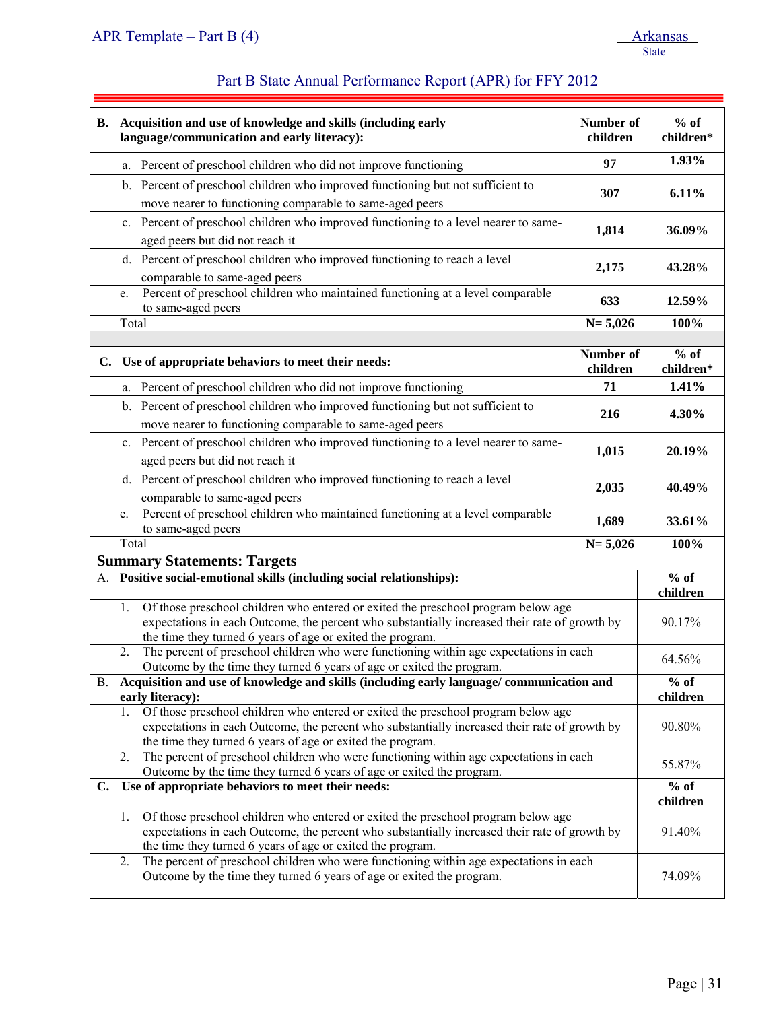# Part B State Annual Performance Report (APR) for FFY 2012

|                                                                                                                                                                                                                                                        | B. Acquisition and use of knowledge and skills (including early<br>language/communication and early literacy):                                                                                                                                         | Number of<br>children | $%$ of<br>children*                     |
|--------------------------------------------------------------------------------------------------------------------------------------------------------------------------------------------------------------------------------------------------------|--------------------------------------------------------------------------------------------------------------------------------------------------------------------------------------------------------------------------------------------------------|-----------------------|-----------------------------------------|
|                                                                                                                                                                                                                                                        | a. Percent of preschool children who did not improve functioning                                                                                                                                                                                       | 97                    | 1.93%                                   |
|                                                                                                                                                                                                                                                        | b. Percent of preschool children who improved functioning but not sufficient to                                                                                                                                                                        | 307                   | 6.11%                                   |
|                                                                                                                                                                                                                                                        | move nearer to functioning comparable to same-aged peers                                                                                                                                                                                               |                       |                                         |
|                                                                                                                                                                                                                                                        | c. Percent of preschool children who improved functioning to a level nearer to same-<br>aged peers but did not reach it                                                                                                                                | 1,814                 | 36.09%                                  |
|                                                                                                                                                                                                                                                        | d. Percent of preschool children who improved functioning to reach a level<br>comparable to same-aged peers                                                                                                                                            | 2,175                 | 43.28%                                  |
|                                                                                                                                                                                                                                                        | Percent of preschool children who maintained functioning at a level comparable<br>e.<br>to same-aged peers                                                                                                                                             | 633                   | 12.59%                                  |
|                                                                                                                                                                                                                                                        | Total                                                                                                                                                                                                                                                  | $N = 5,026$           | 100%                                    |
|                                                                                                                                                                                                                                                        |                                                                                                                                                                                                                                                        |                       |                                         |
|                                                                                                                                                                                                                                                        | C. Use of appropriate behaviors to meet their needs:                                                                                                                                                                                                   | Number of<br>children | $%$ of<br>children*                     |
|                                                                                                                                                                                                                                                        | a. Percent of preschool children who did not improve functioning                                                                                                                                                                                       | 71                    | 1.41%                                   |
|                                                                                                                                                                                                                                                        | b. Percent of preschool children who improved functioning but not sufficient to                                                                                                                                                                        |                       |                                         |
|                                                                                                                                                                                                                                                        | move nearer to functioning comparable to same-aged peers                                                                                                                                                                                               | 216                   | 4.30%                                   |
|                                                                                                                                                                                                                                                        | c. Percent of preschool children who improved functioning to a level nearer to same-                                                                                                                                                                   |                       |                                         |
|                                                                                                                                                                                                                                                        | aged peers but did not reach it                                                                                                                                                                                                                        | 1,015                 | 20.19%                                  |
|                                                                                                                                                                                                                                                        | d. Percent of preschool children who improved functioning to reach a level                                                                                                                                                                             | 2,035                 | 40.49%                                  |
|                                                                                                                                                                                                                                                        | comparable to same-aged peers                                                                                                                                                                                                                          |                       |                                         |
|                                                                                                                                                                                                                                                        | Percent of preschool children who maintained functioning at a level comparable<br>e.<br>to same-aged peers                                                                                                                                             | 1,689                 | 33.61%                                  |
|                                                                                                                                                                                                                                                        | Total                                                                                                                                                                                                                                                  | $N = 5,026$           | 100%                                    |
|                                                                                                                                                                                                                                                        | <b>Summary Statements: Targets</b>                                                                                                                                                                                                                     |                       |                                         |
|                                                                                                                                                                                                                                                        | A. Positive social-emotional skills (including social relationships):                                                                                                                                                                                  |                       | $\overline{\frac{9}{6}}$ of<br>children |
|                                                                                                                                                                                                                                                        | Of those preschool children who entered or exited the preschool program below age<br>1.<br>expectations in each Outcome, the percent who substantially increased their rate of growth by<br>the time they turned 6 years of age or exited the program. |                       | 90.17%                                  |
|                                                                                                                                                                                                                                                        | The percent of preschool children who were functioning within age expectations in each<br>2.<br>Outcome by the time they turned 6 years of age or exited the program.                                                                                  |                       |                                         |
| Acquisition and use of knowledge and skills (including early language/ communication and<br>B.<br>early literacy):                                                                                                                                     |                                                                                                                                                                                                                                                        |                       | $%$ of<br>children                      |
|                                                                                                                                                                                                                                                        | Of those preschool children who entered or exited the preschool program below age<br>1.<br>expectations in each Outcome, the percent who substantially increased their rate of growth by<br>the time they turned 6 years of age or exited the program. |                       | 90.80%                                  |
|                                                                                                                                                                                                                                                        | The percent of preschool children who were functioning within age expectations in each<br>2.<br>Outcome by the time they turned 6 years of age or exited the program.                                                                                  |                       | 55.87%                                  |
| Use of appropriate behaviors to meet their needs:<br>C.                                                                                                                                                                                                |                                                                                                                                                                                                                                                        |                       | $%$ of<br>children                      |
|                                                                                                                                                                                                                                                        |                                                                                                                                                                                                                                                        |                       |                                         |
| Of those preschool children who entered or exited the preschool program below age<br>1.<br>expectations in each Outcome, the percent who substantially increased their rate of growth by<br>the time they turned 6 years of age or exited the program. |                                                                                                                                                                                                                                                        |                       | 91.40%                                  |
|                                                                                                                                                                                                                                                        | The percent of preschool children who were functioning within age expectations in each<br>2.<br>Outcome by the time they turned 6 years of age or exited the program.                                                                                  |                       | 74.09%                                  |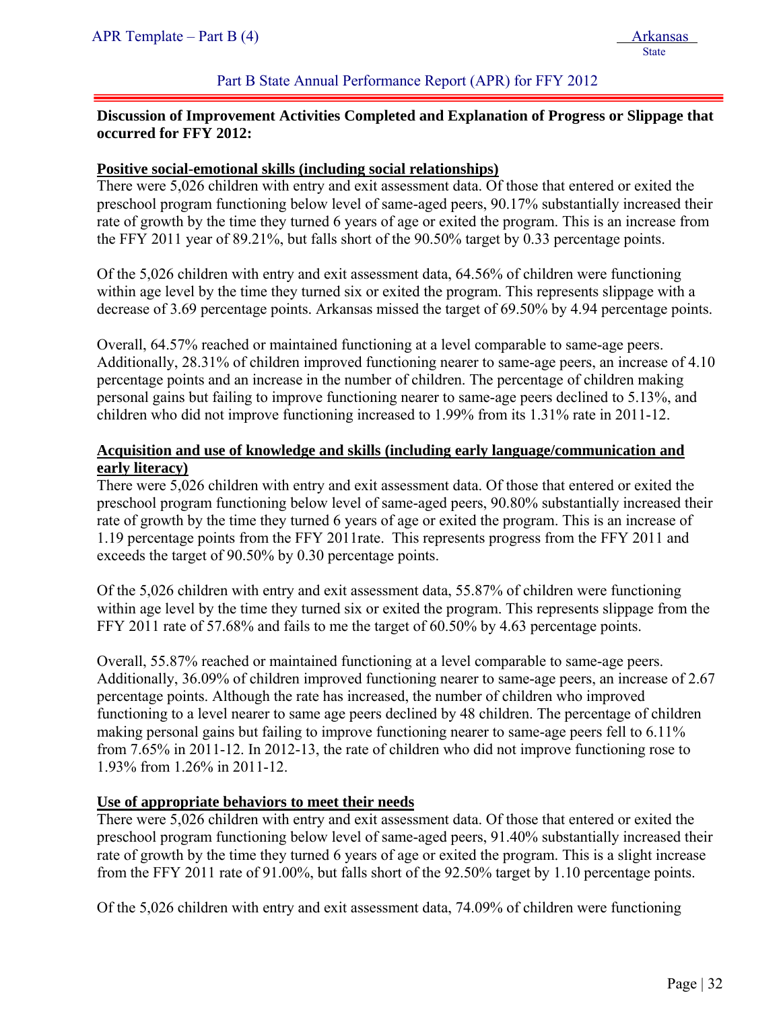#### Part B State Annual Performance Report (APR) for FFY 2012

# **Discussion of Improvement Activities Completed and Explanation of Progress or Slippage that occurred for FFY 2012:**

#### **Positive social-emotional skills (including social relationships)**

There were 5,026 children with entry and exit assessment data. Of those that entered or exited the preschool program functioning below level of same-aged peers, 90.17% substantially increased their rate of growth by the time they turned 6 years of age or exited the program. This is an increase from the FFY 2011 year of 89.21%, but falls short of the 90.50% target by 0.33 percentage points.

Of the 5,026 children with entry and exit assessment data, 64.56% of children were functioning within age level by the time they turned six or exited the program. This represents slippage with a decrease of 3.69 percentage points. Arkansas missed the target of 69.50% by 4.94 percentage points.

Overall, 64.57% reached or maintained functioning at a level comparable to same-age peers. Additionally, 28.31% of children improved functioning nearer to same-age peers, an increase of 4.10 percentage points and an increase in the number of children. The percentage of children making personal gains but failing to improve functioning nearer to same-age peers declined to 5.13%, and children who did not improve functioning increased to 1.99% from its 1.31% rate in 2011-12.

# **Acquisition and use of knowledge and skills (including early language/communication and early literacy)**

There were 5,026 children with entry and exit assessment data. Of those that entered or exited the preschool program functioning below level of same-aged peers, 90.80% substantially increased their rate of growth by the time they turned 6 years of age or exited the program. This is an increase of 1.19 percentage points from the FFY 2011rate. This represents progress from the FFY 2011 and exceeds the target of 90.50% by 0.30 percentage points.

Of the 5,026 children with entry and exit assessment data, 55.87% of children were functioning within age level by the time they turned six or exited the program. This represents slippage from the FFY 2011 rate of 57.68% and fails to me the target of 60.50% by 4.63 percentage points.

Overall, 55.87% reached or maintained functioning at a level comparable to same-age peers. Additionally, 36.09% of children improved functioning nearer to same-age peers, an increase of 2.67 percentage points. Although the rate has increased, the number of children who improved functioning to a level nearer to same age peers declined by 48 children. The percentage of children making personal gains but failing to improve functioning nearer to same-age peers fell to 6.11% from 7.65% in 2011-12. In 2012-13, the rate of children who did not improve functioning rose to 1.93% from 1.26% in 2011-12.

# **Use of appropriate behaviors to meet their needs**

There were 5,026 children with entry and exit assessment data. Of those that entered or exited the preschool program functioning below level of same-aged peers, 91.40% substantially increased their rate of growth by the time they turned 6 years of age or exited the program. This is a slight increase from the FFY 2011 rate of 91.00%, but falls short of the 92.50% target by 1.10 percentage points.

Of the 5,026 children with entry and exit assessment data, 74.09% of children were functioning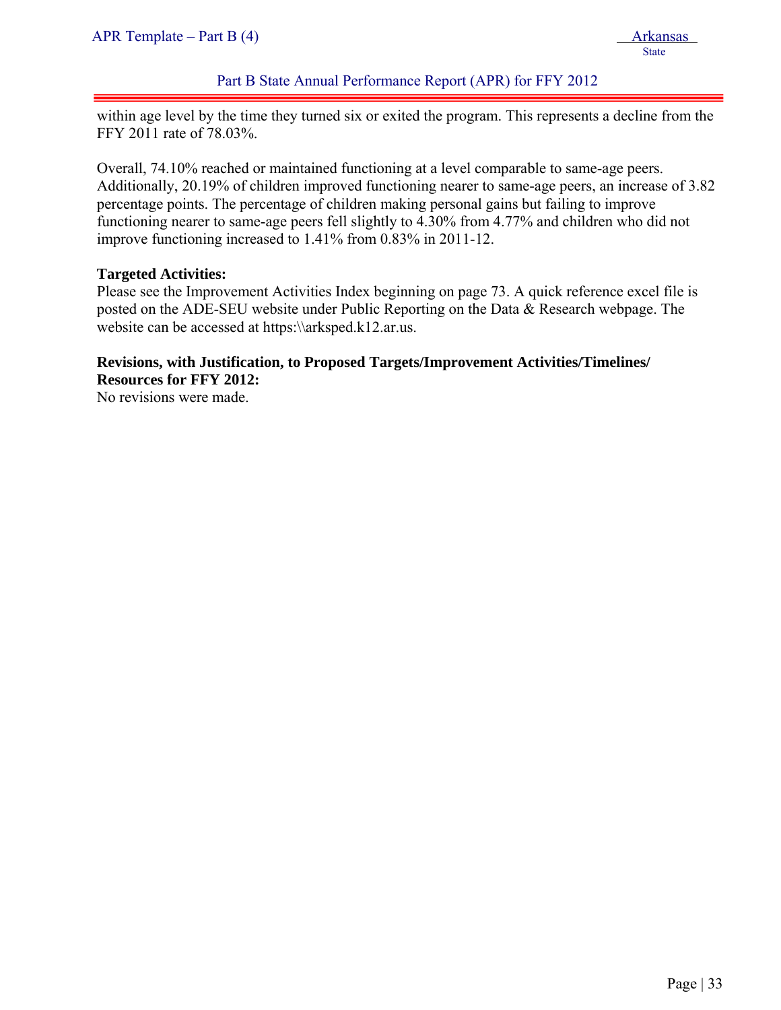# Part B State Annual Performance Report (APR) for FFY 2012

within age level by the time they turned six or exited the program. This represents a decline from the FFY 2011 rate of 78.03%.

Overall, 74.10% reached or maintained functioning at a level comparable to same-age peers. Additionally, 20.19% of children improved functioning nearer to same-age peers, an increase of 3.82 percentage points. The percentage of children making personal gains but failing to improve functioning nearer to same-age peers fell slightly to 4.30% from 4.77% and children who did not improve functioning increased to 1.41% from 0.83% in 2011-12.

#### **Targeted Activities:**

Please see the Improvement Activities Index beginning on page 73. A quick reference excel file is posted on the ADE-SEU website under Public Reporting on the Data & Research webpage. The website can be accessed at https:\\arksped.k12.ar.us.

# **Revisions, with Justification, to Proposed Targets/Improvement Activities/Timelines/ Resources for FFY 2012:**

No revisions were made.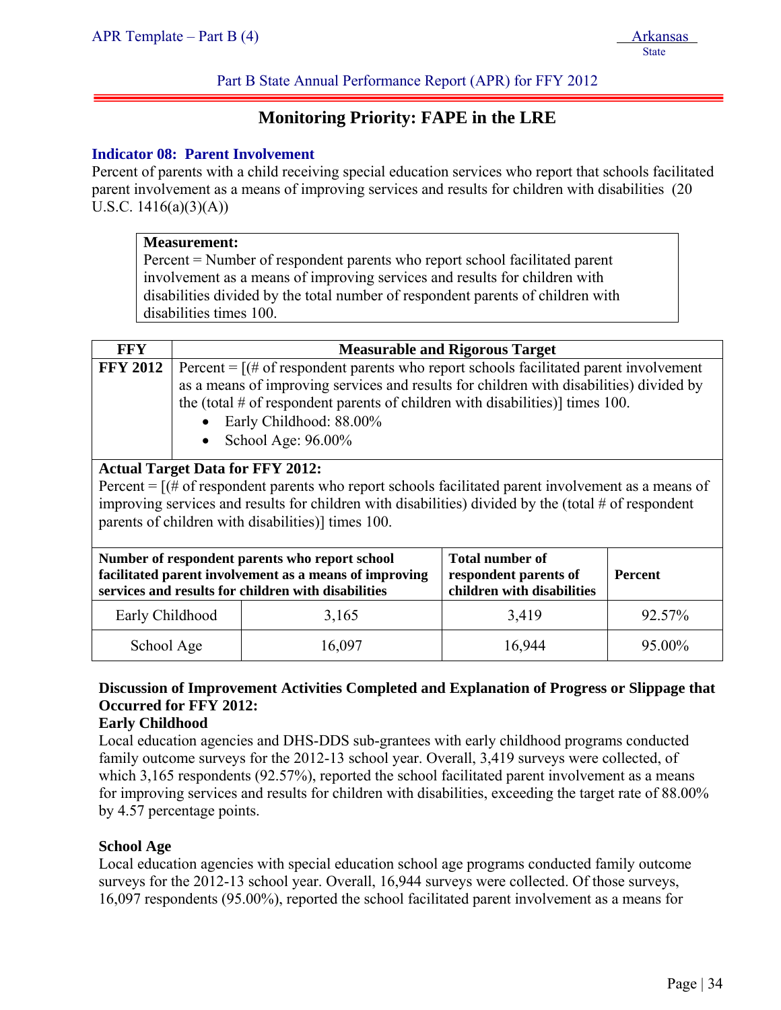Part B State Annual Performance Report (APR) for FFY 2012

# **Monitoring Priority: FAPE in the LRE**

# **Indicator 08: Parent Involvement**

Percent of parents with a child receiving special education services who report that schools facilitated parent involvement as a means of improving services and results for children with disabilities (20 U.S.C.  $1416(a)(3)(A)$ 

|                                                                                                                                                                                                                                                                                                                                                                                                                                                                                                                                                                                                                                                                                                         | <b>Measurement:</b><br>disabilities times 100. | Percent = Number of respondent parents who report school facilitated parent<br>involvement as a means of improving services and results for children with<br>disabilities divided by the total number of respondent parents of children with |        |        |
|---------------------------------------------------------------------------------------------------------------------------------------------------------------------------------------------------------------------------------------------------------------------------------------------------------------------------------------------------------------------------------------------------------------------------------------------------------------------------------------------------------------------------------------------------------------------------------------------------------------------------------------------------------------------------------------------------------|------------------------------------------------|----------------------------------------------------------------------------------------------------------------------------------------------------------------------------------------------------------------------------------------------|--------|--------|
| <b>FFY</b>                                                                                                                                                                                                                                                                                                                                                                                                                                                                                                                                                                                                                                                                                              |                                                |                                                                                                                                                                                                                                              |        |        |
| <b>Measurable and Rigorous Target</b><br><b>FFY 2012</b><br>Percent = $[(# of respondent parents who report schools facilitated parent involvement$<br>as a means of improving services and results for children with disabilities) divided by<br>the (total $\#$ of respondent parents of children with disabilities)] times 100.<br>Early Childhood: 88.00%<br>School Age: 96.00%<br><b>Actual Target Data for FFY 2012:</b><br>Percent = $[(# of respondent parents who report schools facilitated parent involvement as a means of$<br>improving services and results for children with disabilities) divided by the (total $#$ of respondent<br>parents of children with disabilities)] times 100. |                                                |                                                                                                                                                                                                                                              |        |        |
| <b>Total number of</b><br>Number of respondent parents who report school<br>facilitated parent involvement as a means of improving<br><b>Percent</b><br>respondent parents of<br>children with disabilities<br>services and results for children with disabilities                                                                                                                                                                                                                                                                                                                                                                                                                                      |                                                |                                                                                                                                                                                                                                              |        |        |
|                                                                                                                                                                                                                                                                                                                                                                                                                                                                                                                                                                                                                                                                                                         | Early Childhood                                | 3,165                                                                                                                                                                                                                                        | 3,419  | 92.57% |
| School Age                                                                                                                                                                                                                                                                                                                                                                                                                                                                                                                                                                                                                                                                                              |                                                | 16,097                                                                                                                                                                                                                                       | 16,944 | 95.00% |

# **Discussion of Improvement Activities Completed and Explanation of Progress or Slippage that Occurred for FFY 2012:**

# **Early Childhood**

Local education agencies and DHS-DDS sub-grantees with early childhood programs conducted family outcome surveys for the 2012-13 school year. Overall, 3,419 surveys were collected, of which 3,165 respondents (92.57%), reported the school facilitated parent involvement as a means for improving services and results for children with disabilities, exceeding the target rate of 88.00% by 4.57 percentage points.

# **School Age**

Local education agencies with special education school age programs conducted family outcome surveys for the 2012-13 school year. Overall, 16,944 surveys were collected. Of those surveys, 16,097 respondents (95.00%), reported the school facilitated parent involvement as a means for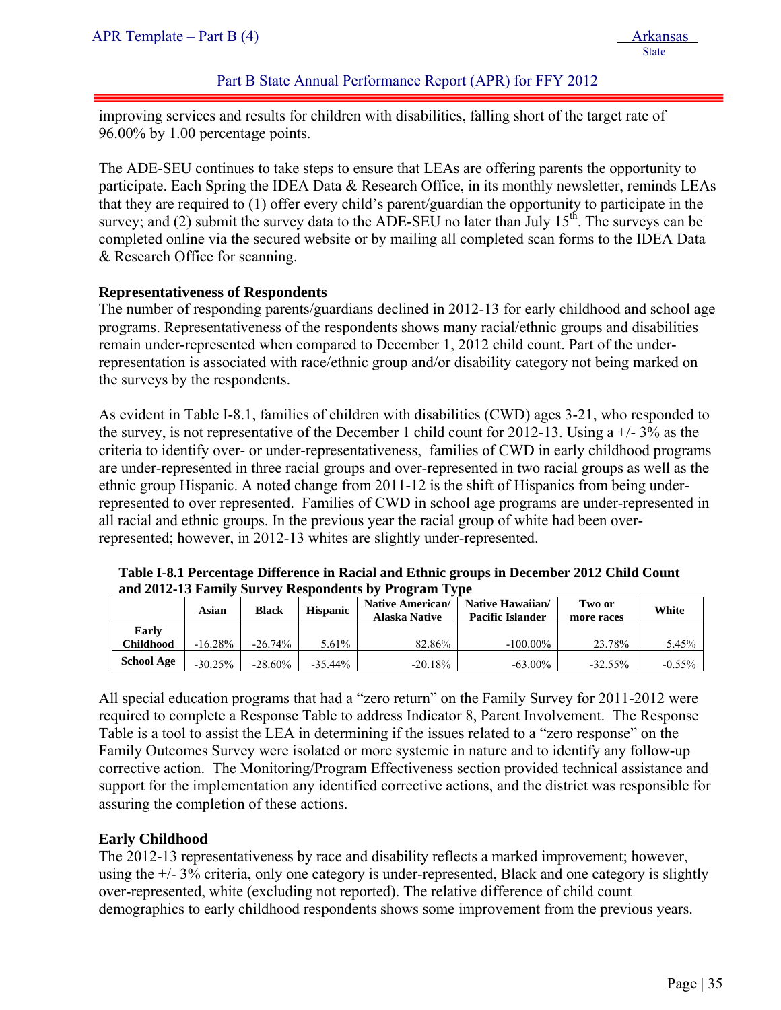Part B State Annual Performance Report (APR) for FFY 2012

improving services and results for children with disabilities, falling short of the target rate of 96.00% by 1.00 percentage points.

The ADE-SEU continues to take steps to ensure that LEAs are offering parents the opportunity to participate. Each Spring the IDEA Data & Research Office, in its monthly newsletter, reminds LEAs that they are required to (1) offer every child's parent/guardian the opportunity to participate in the survey; and (2) submit the survey data to the ADE-SEU no later than July  $15<sup>th</sup>$ . The surveys can be completed online via the secured website or by mailing all completed scan forms to the IDEA Data & Research Office for scanning.

#### **Representativeness of Respondents**

The number of responding parents/guardians declined in 2012-13 for early childhood and school age programs. Representativeness of the respondents shows many racial/ethnic groups and disabilities remain under-represented when compared to December 1, 2012 child count. Part of the underrepresentation is associated with race/ethnic group and/or disability category not being marked on the surveys by the respondents.

As evident in Table I-8.1, families of children with disabilities (CWD) ages 3-21, who responded to the survey, is not representative of the December 1 child count for 2012-13. Using  $a +/- 3\%$  as the criteria to identify over- or under-representativeness, families of CWD in early childhood programs are under-represented in three racial groups and over-represented in two racial groups as well as the ethnic group Hispanic. A noted change from 2011-12 is the shift of Hispanics from being underrepresented to over represented. Families of CWD in school age programs are under-represented in all racial and ethnic groups. In the previous year the racial group of white had been overrepresented; however, in 2012-13 whites are slightly under-represented.

|                    | Asian      | Black      | <b>Hispanic</b> | <b>Native American/</b><br><b>Alaska Native</b> | Native Hawaiian/<br>Pacific Islander | Two or<br>more races | White    |
|--------------------|------------|------------|-----------------|-------------------------------------------------|--------------------------------------|----------------------|----------|
| Early<br>Childhood | $-16.28\%$ | $-26.74\%$ | 5.61%           | 82.86%                                          | $-100.00\%$                          | 23.78%               | 5.45%    |
| <b>School Age</b>  | $-30.25%$  | $-28.60\%$ | $-35.44\%$      | $-20.18%$                                       | $-63.00\%$                           | $-32.55\%$           | $-0.55%$ |

**Table I-8.1 Percentage Difference in Racial and Ethnic groups in December 2012 Child Count and 2012-13 Family Survey Respondents by Program Type** 

All special education programs that had a "zero return" on the Family Survey for 2011-2012 were required to complete a Response Table to address Indicator 8, Parent Involvement. The Response Table is a tool to assist the LEA in determining if the issues related to a "zero response" on the Family Outcomes Survey were isolated or more systemic in nature and to identify any follow-up corrective action. The Monitoring/Program Effectiveness section provided technical assistance and support for the implementation any identified corrective actions, and the district was responsible for assuring the completion of these actions.

#### **Early Childhood**

The 2012-13 representativeness by race and disability reflects a marked improvement; however, using the +/- 3% criteria, only one category is under-represented, Black and one category is slightly over-represented, white (excluding not reported). The relative difference of child count demographics to early childhood respondents shows some improvement from the previous years.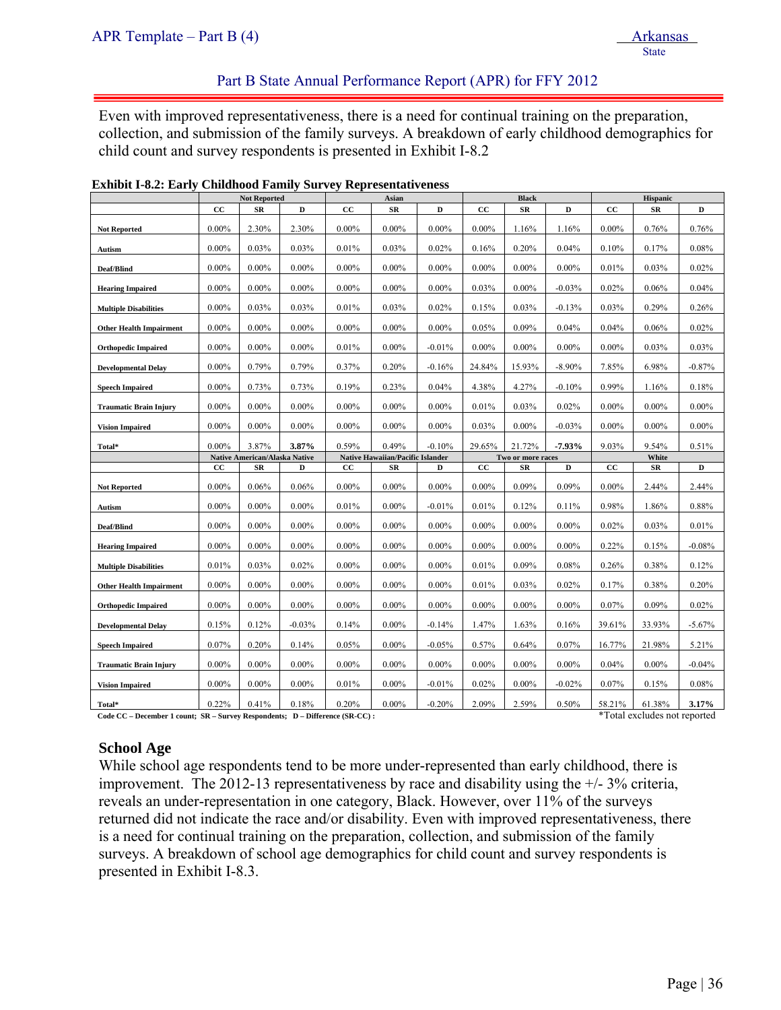State State State State State State State State State State State State State State State State State State State State State State State State State State State State State State State State State State State State State

#### Part B State Annual Performance Report (APR) for FFY 2012

Even with improved representativeness, there is a need for continual training on the preparation, collection, and submission of the family surveys. A breakdown of early childhood demographics for child count and survey respondents is presented in Exhibit I-8.2

|                                | <b>Not Reported</b> |                               |          | Asian    |                                         |          | <b>Black</b> |                   | Hispanic  |          |            |           |
|--------------------------------|---------------------|-------------------------------|----------|----------|-----------------------------------------|----------|--------------|-------------------|-----------|----------|------------|-----------|
|                                | cc                  | SR                            | D        | cc       | SR                                      | D        | cc           | SR                | D         | cc       | SR         | D         |
| <b>Not Reported</b>            | $0.00\%$            | 2.30%                         | 2.30%    | $0.00\%$ | $0.00\%$                                | $0.00\%$ | $0.00\%$     | 1.16%             | 1.16%     | $0.00\%$ | 0.76%      | 0.76%     |
| Autism                         | $0.00\%$            | 0.03%                         | 0.03%    | 0.01%    | 0.03%                                   | 0.02%    | 0.16%        | 0.20%             | 0.04%     | 0.10%    | 0.17%      | 0.08%     |
| Deaf/Blind                     | $0.00\%$            | $0.00\%$                      | $0.00\%$ | $0.00\%$ | $0.00\%$                                | $0.00\%$ | $0.00\%$     | $0.00\%$          | $0.00\%$  | 0.01%    | $0.03\%$   | 0.02%     |
| <b>Hearing Impaired</b>        | $0.00\%$            | $0.00\%$                      | $0.00\%$ | $0.00\%$ | $0.00\%$                                | $0.00\%$ | 0.03%        | $0.00\%$          | $-0.03%$  | 0.02%    | 0.06%      | 0.04%     |
| <b>Multiple Disabilities</b>   | $0.00\%$            | 0.03%                         | 0.03%    | 0.01%    | 0.03%                                   | 0.02%    | 0.15%        | 0.03%             | $-0.13%$  | 0.03%    | 0.29%      | 0.26%     |
| <b>Other Health Impairment</b> | $0.00\%$            | $0.00\%$                      | $0.00\%$ | $0.00\%$ | $0.00\%$                                | $0.00\%$ | 0.05%        | 0.09%             | 0.04%     | 0.04%    | 0.06%      | 0.02%     |
| <b>Orthopedic Impaired</b>     | $0.00\%$            | $0.00\%$                      | $0.00\%$ | 0.01%    | $0.00\%$                                | $-0.01%$ | $0.00\%$     | $0.00\%$          | $0.00\%$  | $0.00\%$ | $0.03\%$   | 0.03%     |
| <b>Developmental Delay</b>     | $0.00\%$            | 0.79%                         | 0.79%    | 0.37%    | 0.20%                                   | $-0.16%$ | 24.84%       | 15.93%            | $-8.90\%$ | 7.85%    | 6.98%      | $-0.87%$  |
| <b>Speech Impaired</b>         | $0.00\%$            | 0.73%                         | 0.73%    | 0.19%    | 0.23%                                   | 0.04%    | 4.38%        | 4.27%             | $-0.10%$  | 0.99%    | 1.16%      | 0.18%     |
| <b>Traumatic Brain Injury</b>  | $0.00\%$            | $0.00\%$                      | $0.00\%$ | $0.00\%$ | $0.00\%$                                | $0.00\%$ | 0.01%        | $0.03\%$          | 0.02%     | $0.00\%$ | $0.00\%$   | $0.00\%$  |
| <b>Vision Impaired</b>         | $0.00\%$            | $0.00\%$                      | $0.00\%$ | $0.00\%$ | $0.00\%$                                | $0.00\%$ | 0.03%        | $0.00\%$          | $-0.03%$  | $0.00\%$ | $0.00\%$   | $0.00\%$  |
| Total*                         | $0.00\%$            | 3.87%                         | 3.87%    | 0.59%    | 0.49%                                   | $-0.10%$ | 29.65%       | 21.72%            | $-7.93%$  | 9.03%    | 9.54%      | 0.51%     |
|                                |                     | Native American/Alaska Native |          |          | <b>Native Hawaiian/Pacific Islander</b> |          |              | Two or more races |           |          | White      | D         |
|                                | cc                  | SR                            | D        | cc       | SR                                      | D        | $_{\rm CC}$  | SR                | D         | cc       | ${\bf SR}$ |           |
| <b>Not Reported</b>            | $0.00\%$            | 0.06%                         | 0.06%    | $0.00\%$ | $0.00\%$                                | $0.00\%$ | $0.00\%$     | 0.09%             | 0.09%     | $0.00\%$ | 2.44%      | 2.44%     |
| Autism                         | $0.00\%$            | $0.00\%$                      | $0.00\%$ | 0.01%    | $0.00\%$                                | $-0.01%$ | 0.01%        | 0.12%             | 0.11%     | 0.98%    | 1.86%      | 0.88%     |
| Deaf/Blind                     | $0.00\%$            | $0.00\%$                      | $0.00\%$ | $0.00\%$ | $0.00\%$                                | $0.00\%$ | $0.00\%$     | $0.00\%$          | $0.00\%$  | 0.02%    | 0.03%      | 0.01%     |
| <b>Hearing Impaired</b>        | $0.00\%$            | $0.00\%$                      | $0.00\%$ | $0.00\%$ | $0.00\%$                                | $0.00\%$ | $0.00\%$     | $0.00\%$          | $0.00\%$  | 0.22%    | 0.15%      | $-0.08%$  |
| <b>Multiple Disabilities</b>   | 0.01%               | 0.03%                         | 0.02%    | $0.00\%$ | $0.00\%$                                | $0.00\%$ | 0.01%        | $0.09\%$          | 0.08%     | 0.26%    | 0.38%      | 0.12%     |
| <b>Other Health Impairment</b> | $0.00\%$            | $0.00\%$                      | $0.00\%$ | $0.00\%$ | $0.00\%$                                | $0.00\%$ | 0.01%        | 0.03%             | 0.02%     | 0.17%    | 0.38%      | 0.20%     |
| <b>Orthopedic Impaired</b>     | $0.00\%$            | $0.00\%$                      | $0.00\%$ | $0.00\%$ | $0.00\%$                                | $0.00\%$ | $0.00\%$     | $0.00\%$          | $0.00\%$  | 0.07%    | 0.09%      | 0.02%     |
| <b>Developmental Delay</b>     | 0.15%               | 0.12%                         | $-0.03%$ | 0.14%    | $0.00\%$                                | $-0.14%$ | 1.47%        | 1.63%             | 0.16%     | 39.61%   | 33.93%     | $-5.67\%$ |
| <b>Speech Impaired</b>         | 0.07%               | 0.20%                         | 0.14%    | 0.05%    | $0.00\%$                                | $-0.05%$ | 0.57%        | 0.64%             | 0.07%     | 16.77%   | 21.98%     | 5.21%     |
| <b>Traumatic Brain Injury</b>  | $0.00\%$            | $0.00\%$                      | $0.00\%$ | $0.00\%$ | $0.00\%$                                | $0.00\%$ | $0.00\%$     | $0.00\%$          | $0.00\%$  | 0.04%    | $0.00\%$   | $-0.04%$  |
| <b>Vision Impaired</b>         | $0.00\%$            | $0.00\%$                      | $0.00\%$ | 0.01%    | $0.00\%$                                | $-0.01%$ | 0.02%        | $0.00\%$          | $-0.02%$  | 0.07%    | 0.15%      | 0.08%     |
| Total*                         | 0.22%               | 0.41%                         | 0.18%    | 0.20%    | $0.00\%$                                | $-0.20%$ | 2.09%        | 2.59%             | 0.50%     | 58.21%   | 61.38%     | 3.17%     |

|  | <b>Exhibit I-8.2: Early Childhood Family Survey Representativeness</b> |  |  |
|--|------------------------------------------------------------------------|--|--|
|--|------------------------------------------------------------------------|--|--|

Code CC – December 1 count; SR – Survey Respondents; D – Difference (SR-CC) : <sup>\*</sup>Total excludes not reported

### **School Age**

While school age respondents tend to be more under-represented than early childhood, there is improvement. The 2012-13 representativeness by race and disability using the  $+/-3\%$  criteria, reveals an under-representation in one category, Black. However, over 11% of the surveys returned did not indicate the race and/or disability. Even with improved representativeness, there is a need for continual training on the preparation, collection, and submission of the family surveys. A breakdown of school age demographics for child count and survey respondents is presented in Exhibit I-8.3.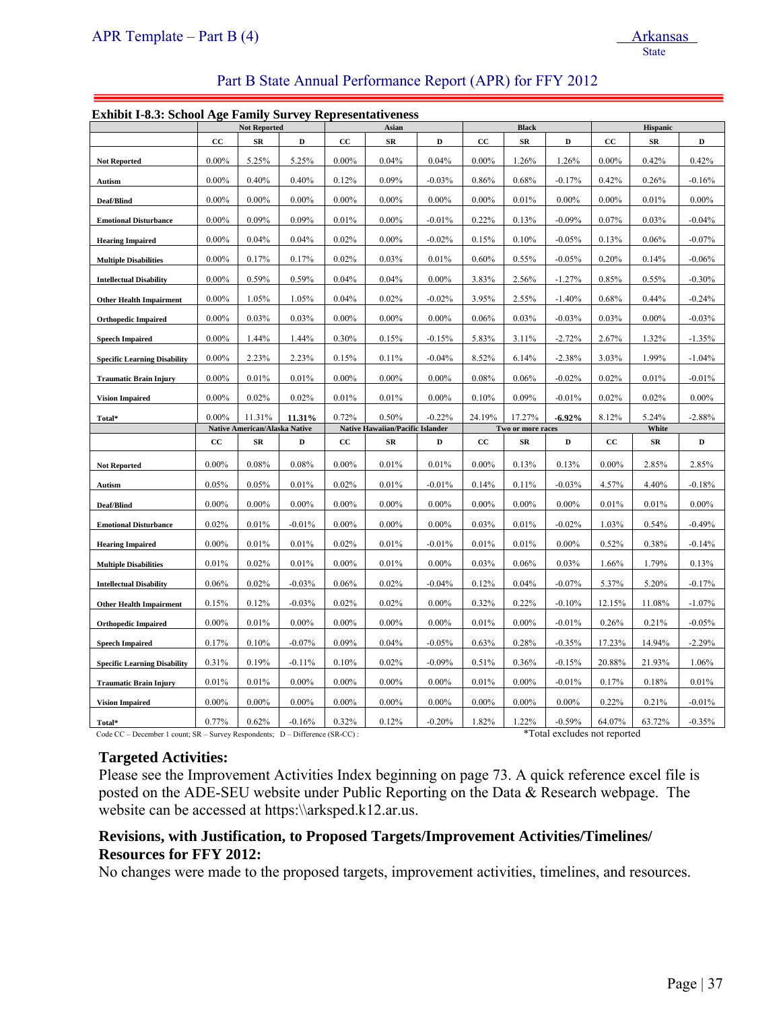#### Part B State Annual Performance Report (APR) for FFY 2012

#### **Exhibit I-8.3: School Age Family Survey Representativeness**

| ехнили 1-0.5. эсноог жес в аннгу эш vey кергезентан veness |          | <b>Not Reported</b>                  |             |             | Asian                                   |          |             | <b>Black</b>      |           |             | Hispanic   |           |
|------------------------------------------------------------|----------|--------------------------------------|-------------|-------------|-----------------------------------------|----------|-------------|-------------------|-----------|-------------|------------|-----------|
|                                                            | cc       | SR                                   | D           | СC          | SR                                      | D        | $_{\rm CC}$ | $_{\rm SR}$       | D         | CС          | SR         | D         |
| <b>Not Reported</b>                                        | $0.00\%$ | 5.25%                                | 5.25%       | $0.00\%$    | 0.04%                                   | 0.04%    | $0.00\%$    | 1.26%             | 1.26%     | $0.00\%$    | 0.42%      | 0.42%     |
| Autism                                                     | $0.00\%$ | 0.40%                                | 0.40%       | 0.12%       | 0.09%                                   | $-0.03%$ | 0.86%       | 0.68%             | $-0.17%$  | 0.42%       | 0.26%      | $-0.16%$  |
| Deaf/Blind                                                 | $0.00\%$ | $0.00\%$                             | $0.00\%$    | $0.00\%$    | $0.00\%$                                | $0.00\%$ | $0.00\%$    | 0.01%             | $0.00\%$  | $0.00\%$    | 0.01%      | $0.00\%$  |
| <b>Emotional Disturbance</b>                               | $0.00\%$ | 0.09%                                | 0.09%       | 0.01%       | $0.00\%$                                | $-0.01%$ | 0.22%       | 0.13%             | $-0.09%$  | 0.07%       | 0.03%      | $-0.04%$  |
| <b>Hearing Impaired</b>                                    | $0.00\%$ | 0.04%                                | 0.04%       | 0.02%       | $0.00\%$                                | $-0.02%$ | 0.15%       | 0.10%             | $-0.05%$  | 0.13%       | $0.06\%$   | $-0.07\%$ |
| <b>Multiple Disabilities</b>                               | $0.00\%$ | 0.17%                                | 0.17%       | 0.02%       | 0.03%                                   | 0.01%    | 0.60%       | 0.55%             | $-0.05%$  | 0.20%       | 0.14%      | $-0.06%$  |
| <b>Intellectual Disability</b>                             | $0.00\%$ | 0.59%                                | 0.59%       | 0.04%       | 0.04%                                   | $0.00\%$ | 3.83%       | 2.56%             | $-1.27%$  | 0.85%       | 0.55%      | $-0.30%$  |
| <b>Other Health Impairment</b>                             | $0.00\%$ | 1.05%                                | 1.05%       | 0.04%       | 0.02%                                   | $-0.02%$ | 3.95%       | 2.55%             | $-1.40%$  | 0.68%       | 0.44%      | $-0.24%$  |
| <b>Orthopedic Impaired</b>                                 | $0.00\%$ | 0.03%                                | 0.03%       | $0.00\%$    | $0.00\%$                                | $0.00\%$ | 0.06%       | 0.03%             | $-0.03%$  | 0.03%       | $0.00\%$   | $-0.03%$  |
| <b>Speech Impaired</b>                                     | $0.00\%$ | 1.44%                                | 1.44%       | 0.30%       | 0.15%                                   | $-0.15%$ | 5.83%       | 3.11%             | $-2.72%$  | 2.67%       | 1.32%      | $-1.35%$  |
| <b>Specific Learning Disability</b>                        | $0.00\%$ | 2.23%                                | 2.23%       | 0.15%       | 0.11%                                   | $-0.04%$ | 8.52%       | 6.14%             | $-2.38%$  | 3.03%       | 1.99%      | $-1.04%$  |
| <b>Traumatic Brain Injury</b>                              | $0.00\%$ | 0.01%                                | 0.01%       | $0.00\%$    | $0.00\%$                                | $0.00\%$ | 0.08%       | 0.06%             | $-0.02%$  | 0.02%       | 0.01%      | $-0.01%$  |
| <b>Vision Impaired</b>                                     | $0.00\%$ | 0.02%                                | 0.02%       | 0.01%       | 0.01%                                   | $0.00\%$ | 0.10%       | 0.09%             | $-0.01%$  | 0.02%       | 0.02%      | $0.00\%$  |
| Total*                                                     | $0.00\%$ | 11.31%                               | 11.31%      | 0.72%       | 0.50%                                   | $-0.22%$ | 24.19%      | 17.27%            | $-6.92\%$ | 8.12%       | 5.24%      | $-2.88%$  |
|                                                            |          | <b>Native American/Alaska Native</b> |             |             | <b>Native Hawaiian/Pacific Islander</b> |          |             | Two or more races |           |             | White      |           |
|                                                            | cc       | SR                                   | $\mathbf D$ | $_{\rm CC}$ | ${\bf SR}$                              | D        | cc          | $_{SR}$           | D         | $_{\rm CC}$ | ${\bf SR}$ | D         |
|                                                            |          |                                      |             |             |                                         |          |             |                   |           |             |            |           |
| <b>Not Reported</b>                                        | $0.00\%$ | 0.08%                                | 0.08%       | $0.00\%$    | 0.01%                                   | 0.01%    | $0.00\%$    | 0.13%             | 0.13%     | $0.00\%$    | 2.85%      | 2.85%     |
| Autism                                                     | 0.05%    | 0.05%                                | 0.01%       | 0.02%       | 0.01%                                   | $-0.01%$ | 0.14%       | 0.11%             | $-0.03%$  | 4.57%       | 4.40%      | $-0.18%$  |
| Deaf/Blind                                                 | $0.00\%$ | $0.00\%$                             | $0.00\%$    | $0.00\%$    | $0.00\%$                                | $0.00\%$ | $0.00\%$    | $0.00\%$          | $0.00\%$  | 0.01%       | 0.01%      | $0.00\%$  |
| <b>Emotional Disturbance</b>                               | 0.02%    | 0.01%                                | $-0.01%$    | $0.00\%$    | $0.00\%$                                | $0.00\%$ | 0.03%       | 0.01%             | $-0.02%$  | 1.03%       | 0.54%      | $-0.49%$  |
| <b>Hearing Impaired</b>                                    | $0.00\%$ | 0.01%                                | 0.01%       | $0.02\%$    | 0.01%                                   | $-0.01%$ | 0.01%       | 0.01%             | $0.00\%$  | 0.52%       | 0.38%      | $-0.14%$  |
| <b>Multiple Disabilities</b>                               | 0.01%    | $0.02\%$                             | 0.01%       | $0.00\%$    | 0.01%                                   | $0.00\%$ | 0.03%       | 0.06%             | 0.03%     | 1.66%       | 1.79%      | 0.13%     |
| <b>Intellectual Disability</b>                             | 0.06%    | 0.02%                                | $-0.03%$    | $0.06\%$    | 0.02%                                   | $-0.04%$ | 0.12%       | 0.04%             | $-0.07%$  | 5.37%       | 5.20%      | $-0.17%$  |
| <b>Other Health Impairment</b>                             | 0.15%    | 0.12%                                | $-0.03%$    | 0.02%       | 0.02%                                   | $0.00\%$ | 0.32%       | 0.22%             | $-0.10%$  | 12.15%      | 11.08%     | $-1.07%$  |
| <b>Orthopedic Impaired</b>                                 | $0.00\%$ | 0.01%                                | $0.00\%$    | $0.00\%$    | $0.00\%$                                | $0.00\%$ | 0.01%       | $0.00\%$          | $-0.01%$  | 0.26%       | 0.21%      | $-0.05%$  |
| <b>Speech Impaired</b>                                     | 0.17%    | 0.10%                                | $-0.07%$    | 0.09%       | 0.04%                                   | $-0.05%$ | 0.63%       | 0.28%             | $-0.35%$  | 17.23%      | 14.94%     | $-2.29%$  |
| <b>Specific Learning Disability</b>                        | 0.31%    | 0.19%                                | $-0.11%$    | 0.10%       | 0.02%                                   | $-0.09%$ | 0.51%       | 0.36%             | $-0.15%$  | 20.88%      | 21.93%     | 1.06%     |
| <b>Traumatic Brain Injury</b>                              | 0.01%    | 0.01%                                | $0.00\%$    | $0.00\%$    | $0.00\%$                                | $0.00\%$ | 0.01%       | $0.00\%$          | $-0.01%$  | 0.17%       | 0.18%      | 0.01%     |
| <b>Vision Impaired</b>                                     | $0.00\%$ | $0.00\%$                             | $0.00\%$    | $0.00\%$    | $0.00\%$                                | $0.00\%$ | $0.00\%$    | $0.00\%$          | $0.00\%$  | 0.22%       | 0.21%      | $-0.01%$  |

Code CC – December 1 count; SR – Survey Respondents; D – Difference (SR-CC) : \*\* Total excludes not reported

#### **Targeted Activities:**

Please see the Improvement Activities Index beginning on page 73. A quick reference excel file is posted on the ADE-SEU website under Public Reporting on the Data & Research webpage. The website can be accessed at https:\\arksped.k12.ar.us.

#### **Revisions, with Justification, to Proposed Targets/Improvement Activities/Timelines/ Resources for FFY 2012:**

No changes were made to the proposed targets, improvement activities, timelines, and resources.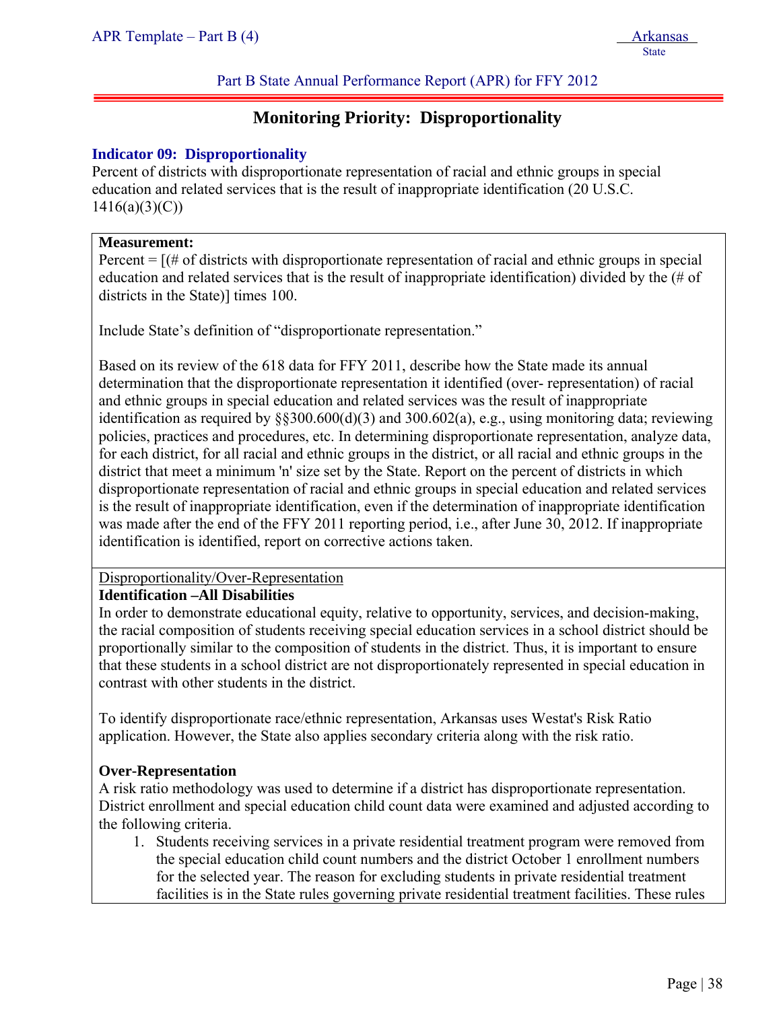# **Monitoring Priority: Disproportionality**

#### **Indicator 09: Disproportionality**

Percent of districts with disproportionate representation of racial and ethnic groups in special education and related services that is the result of inappropriate identification (20 U.S.C.  $1416(a)(3)(C)$ 

#### **Measurement:**

ļ

Percent  $=$   $[(# of \, \text{districts with} \, \text{disproportionate representation of \, \text{racial} \, \text{and} \, \text{ethnic groups} \, \text{in special} \, \text{or} \, \text{rightharpoonup \text{rightharpoonup} \, \text{or} \, \text{rightharpoonup \text{rightharpoonup} \, \text{or} \, \text{rightharpoonup \text{rightharpoonup} \, \text{or} \, \text{rightharpoonup \text{rightharpoonup} \, \text{or} \, \text{rightharpoonup \text{rightharpoonup} \, \text{or} \, \text{rightharpoonup \text{righth$ education and related services that is the result of inappropriate identification) divided by the (# of districts in the State)] times 100.

Include State's definition of "disproportionate representation."

Based on its review of the 618 data for FFY 2011, describe how the State made its annual determination that the disproportionate representation it identified (over- representation) of racial and ethnic groups in special education and related services was the result of inappropriate identification as required by  $\S 300.600(d)(3)$  and  $300.602(a)$ , e.g., using monitoring data; reviewing policies, practices and procedures, etc. In determining disproportionate representation, analyze data, for each district, for all racial and ethnic groups in the district, or all racial and ethnic groups in the district that meet a minimum 'n' size set by the State. Report on the percent of districts in which disproportionate representation of racial and ethnic groups in special education and related services is the result of inappropriate identification, even if the determination of inappropriate identification was made after the end of the FFY 2011 reporting period, i.e., after June 30, 2012. If inappropriate identification is identified, report on corrective actions taken.

#### Disproportionality/Over-Representation

#### **Identification –All Disabilities**

In order to demonstrate educational equity, relative to opportunity, services, and decision-making, the racial composition of students receiving special education services in a school district should be proportionally similar to the composition of students in the district. Thus, it is important to ensure that these students in a school district are not disproportionately represented in special education in contrast with other students in the district.

To identify disproportionate race/ethnic representation, Arkansas uses Westat's Risk Ratio application. However, the State also applies secondary criteria along with the risk ratio.

### **Over-Representation**

A risk ratio methodology was used to determine if a district has disproportionate representation. District enrollment and special education child count data were examined and adjusted according to the following criteria.

1. Students receiving services in a private residential treatment program were removed from the special education child count numbers and the district October 1 enrollment numbers for the selected year. The reason for excluding students in private residential treatment facilities is in the State rules governing private residential treatment facilities. These rules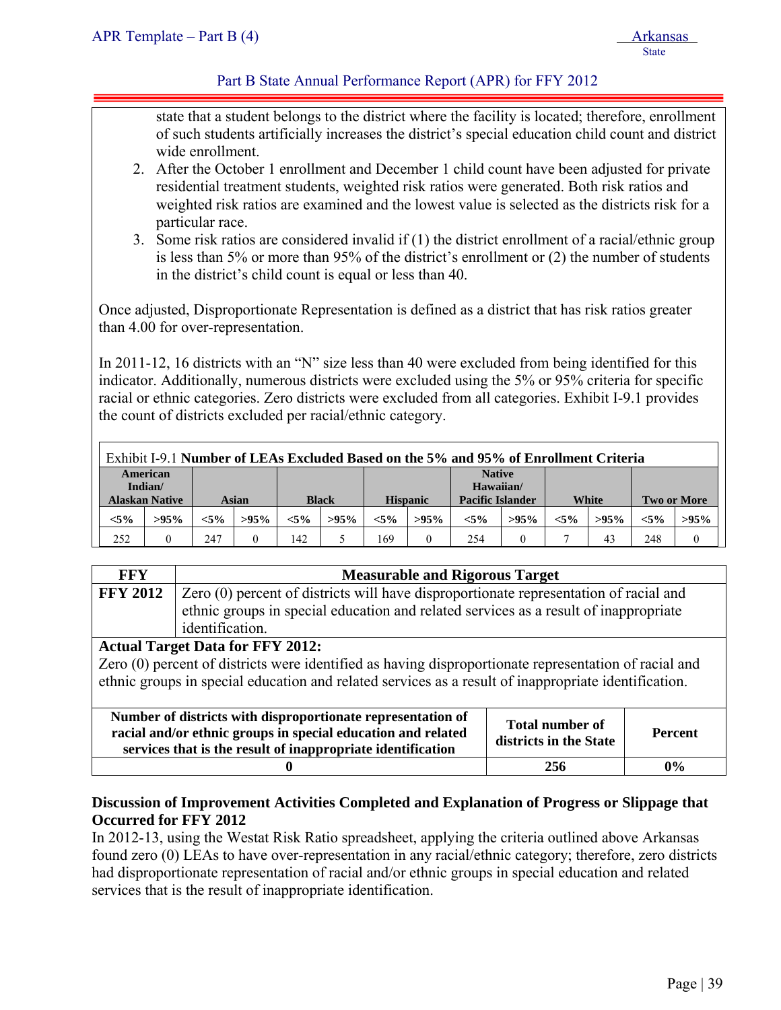#### Part B State Annual Performance Report (APR) for FFY 2012

state that a student belongs to the district where the facility is located; therefore, enrollment of such students artificially increases the district's special education child count and district wide enrollment.

- 2. After the October 1 enrollment and December 1 child count have been adjusted for private residential treatment students, weighted risk ratios were generated. Both risk ratios and weighted risk ratios are examined and the lowest value is selected as the districts risk for a particular race.
- 3. Some risk ratios are considered invalid if (1) the district enrollment of a racial/ethnic group is less than 5% or more than 95% of the district's enrollment or (2) the number of students in the district's child count is equal or less than 40.

Once adjusted, Disproportionate Representation is defined as a district that has risk ratios greater than 4.00 for over-representation.

In 2011-12, 16 districts with an "N" size less than 40 were excluded from being identified for this indicator. Additionally, numerous districts were excluded using the 5% or 95% criteria for specific racial or ethnic categories. Zero districts were excluded from all categories. Exhibit I-9.1 provides the count of districts excluded per racial/ethnic category.

| Exhibit I-9.1 Number of LEAs Excluded Based on the 5% and 95% of Enrollment Criteria |                       |         |         |              |         |                 |         |                         |         |         |         |         |                |
|--------------------------------------------------------------------------------------|-----------------------|---------|---------|--------------|---------|-----------------|---------|-------------------------|---------|---------|---------|---------|----------------|
|                                                                                      | American              |         |         |              |         |                 |         | <b>Native</b>           |         |         |         |         |                |
|                                                                                      | Indian/               |         |         |              |         |                 |         | Hawaiian/               |         |         |         |         |                |
|                                                                                      | <b>Alaskan Native</b> |         | Asian   | <b>Black</b> |         | <b>Hispanic</b> |         | <b>Pacific Islander</b> |         |         | White   |         | Two or More    |
| $< 5\%$                                                                              | $>95\%$               | $< 5\%$ | $>95\%$ | $< 5\%$      | $>95\%$ | $< 5\%$         | $>95\%$ | $< 5\%$                 | $>95\%$ | $< 5\%$ | $>95\%$ | $< 5\%$ | $>95\%$        |
| 252                                                                                  |                       | 247     |         | 142          |         | 169             |         | 254                     |         |         | 43      | 248     | $\overline{0}$ |

| <b>FFY</b>      | <b>Measurable and Rigorous Target</b>                                                                                       |                        |                |  |  |  |  |  |
|-----------------|-----------------------------------------------------------------------------------------------------------------------------|------------------------|----------------|--|--|--|--|--|
| <b>FFY 2012</b> | Zero (0) percent of districts will have disproportionate representation of racial and                                       |                        |                |  |  |  |  |  |
|                 | ethnic groups in special education and related services as a result of inappropriate                                        |                        |                |  |  |  |  |  |
|                 | identification.                                                                                                             |                        |                |  |  |  |  |  |
|                 | <b>Actual Target Data for FFY 2012:</b>                                                                                     |                        |                |  |  |  |  |  |
|                 | Zero (0) percent of districts were identified as having disproportionate representation of racial and                       |                        |                |  |  |  |  |  |
|                 | ethnic groups in special education and related services as a result of inappropriate identification.                        |                        |                |  |  |  |  |  |
|                 |                                                                                                                             |                        |                |  |  |  |  |  |
|                 | Number of districts with disproportionate representation of                                                                 | Total number of        |                |  |  |  |  |  |
|                 | racial and/or ethnic groups in special education and related<br>services that is the result of inappropriate identification | districts in the State | <b>Percent</b> |  |  |  |  |  |
|                 | 256                                                                                                                         | $0\%$                  |                |  |  |  |  |  |

#### **Discussion of Improvement Activities Completed and Explanation of Progress or Slippage that Occurred for FFY 2012**

In 2012-13, using the Westat Risk Ratio spreadsheet, applying the criteria outlined above Arkansas found zero (0) LEAs to have over-representation in any racial/ethnic category; therefore, zero districts had disproportionate representation of racial and/or ethnic groups in special education and related services that is the result of inappropriate identification.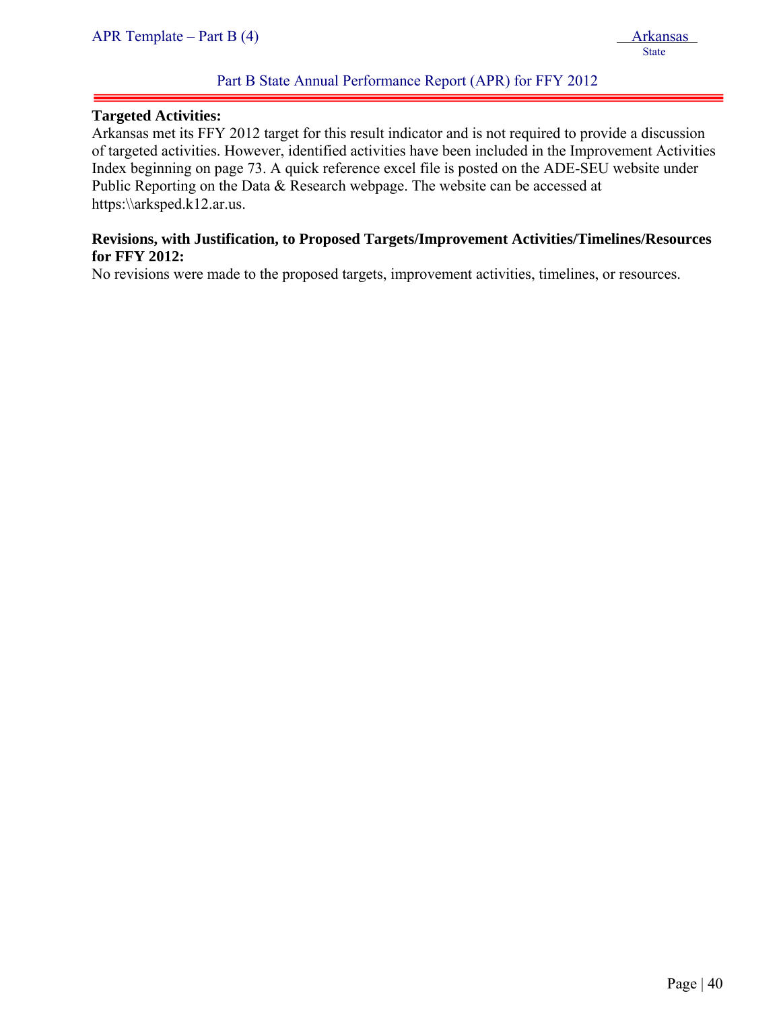#### **Targeted Activities:**

ļ

Arkansas met its FFY 2012 target for this result indicator and is not required to provide a discussion of targeted activities. However, identified activities have been included in the Improvement Activities Index beginning on page 73. A quick reference excel file is posted on the ADE-SEU website under Public Reporting on the Data & Research webpage. The website can be accessed at https:\\arksped.k12.ar.us.

#### **Revisions, with Justification, to Proposed Targets/Improvement Activities/Timelines/Resources for FFY 2012:**

No revisions were made to the proposed targets, improvement activities, timelines, or resources.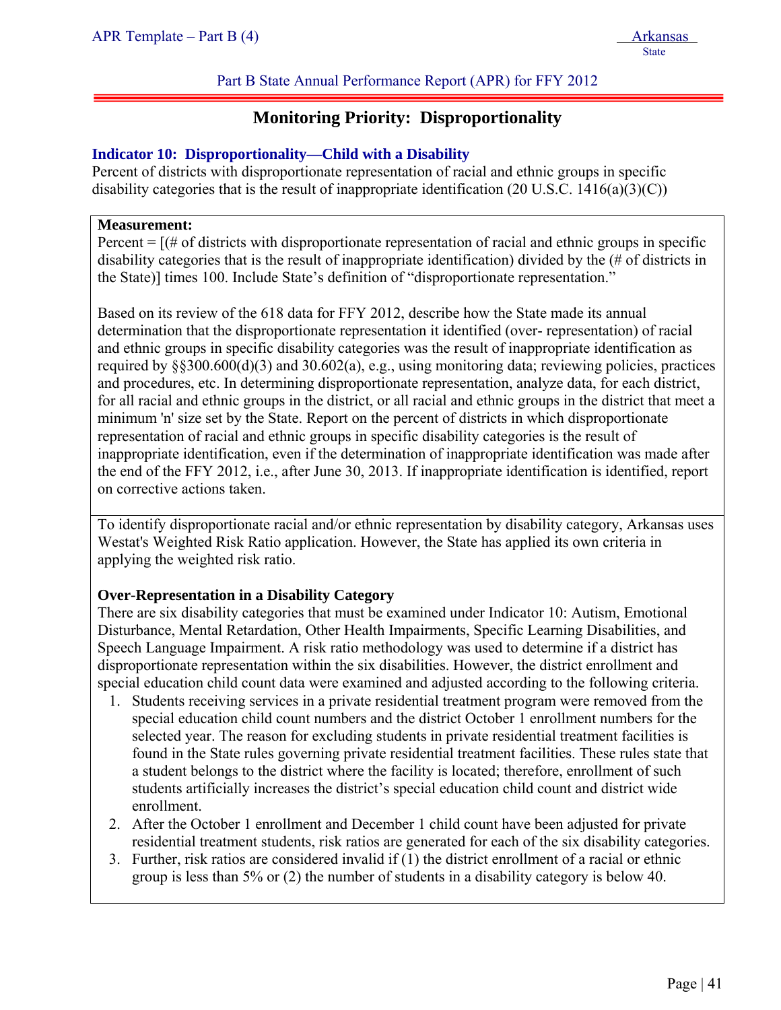## **Monitoring Priority: Disproportionality**

#### **Indicator 10: Disproportionality—Child with a Disability**

Percent of districts with disproportionate representation of racial and ethnic groups in specific disability categories that is the result of inappropriate identification  $(20 \text{ U.S.C. } 1416(a)(3)(C))$ 

#### **Measurement:**

ļ

Percent  $=$   $[(# of \, \text{districts with} \, \text{disproportionate representation of } \, \text{racial and} \, \text{ethnic groups in specific}]$ disability categories that is the result of inappropriate identification) divided by the (# of districts in the State)] times 100. Include State's definition of "disproportionate representation."

Based on its review of the 618 data for FFY 2012, describe how the State made its annual determination that the disproportionate representation it identified (over- representation) of racial and ethnic groups in specific disability categories was the result of inappropriate identification as required by §§300.600(d)(3) and 30.602(a), e.g., using monitoring data; reviewing policies, practices and procedures, etc. In determining disproportionate representation, analyze data, for each district, for all racial and ethnic groups in the district, or all racial and ethnic groups in the district that meet a minimum 'n' size set by the State. Report on the percent of districts in which disproportionate representation of racial and ethnic groups in specific disability categories is the result of inappropriate identification, even if the determination of inappropriate identification was made after the end of the FFY 2012, i.e., after June 30, 2013. If inappropriate identification is identified, report on corrective actions taken.

To identify disproportionate racial and/or ethnic representation by disability category, Arkansas uses Westat's Weighted Risk Ratio application. However, the State has applied its own criteria in applying the weighted risk ratio.

#### **Over-Representation in a Disability Category**

There are six disability categories that must be examined under Indicator 10: Autism, Emotional Disturbance, Mental Retardation, Other Health Impairments, Specific Learning Disabilities, and Speech Language Impairment. A risk ratio methodology was used to determine if a district has disproportionate representation within the six disabilities. However, the district enrollment and special education child count data were examined and adjusted according to the following criteria.

- 1. Students receiving services in a private residential treatment program were removed from the special education child count numbers and the district October 1 enrollment numbers for the selected year. The reason for excluding students in private residential treatment facilities is found in the State rules governing private residential treatment facilities. These rules state that a student belongs to the district where the facility is located; therefore, enrollment of such students artificially increases the district's special education child count and district wide enrollment.
- 2. After the October 1 enrollment and December 1 child count have been adjusted for private residential treatment students, risk ratios are generated for each of the six disability categories.
- 3. Further, risk ratios are considered invalid if (1) the district enrollment of a racial or ethnic group is less than 5% or (2) the number of students in a disability category is below 40.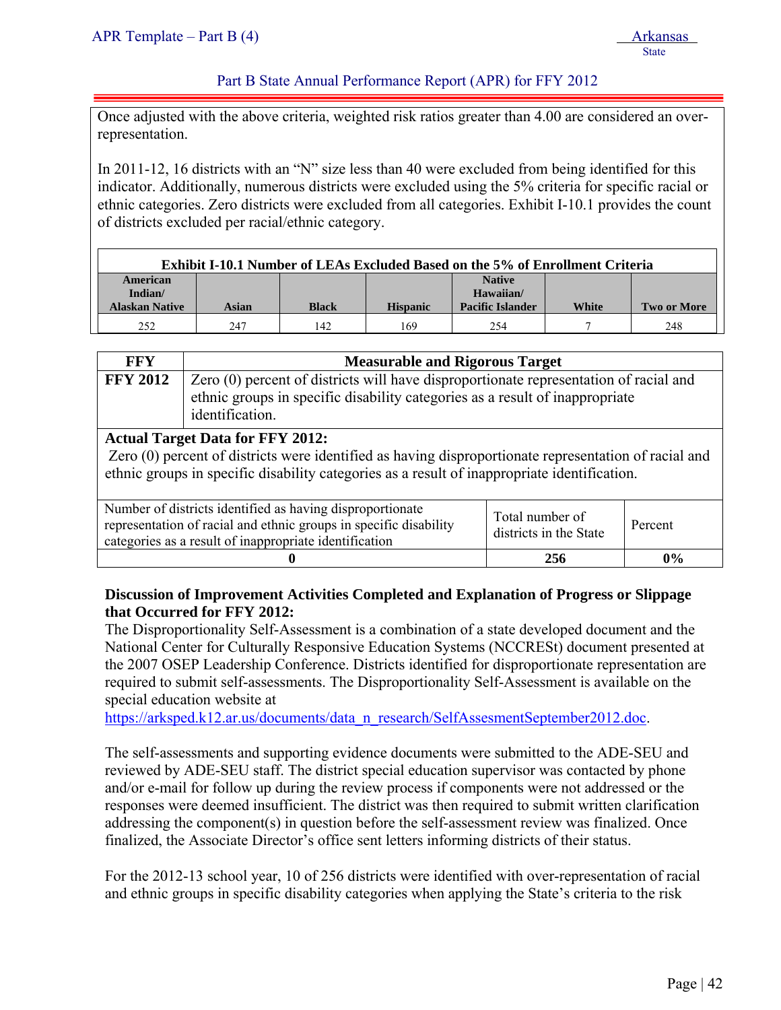#### Part B State Annual Performance Report (APR) for FFY 2012

Once adjusted with the above criteria, weighted risk ratios greater than 4.00 are considered an overrepresentation.

In 2011-12, 16 districts with an "N" size less than 40 were excluded from being identified for this indicator. Additionally, numerous districts were excluded using the 5% criteria for specific racial or ethnic categories. Zero districts were excluded from all categories. Exhibit I-10.1 provides the count of districts excluded per racial/ethnic category.

| <b>Exhibit I-10.1 Number of LEAs Excluded Based on the 5% of Enrollment Criteria</b> |       |              |                 |                                      |       |                    |  |  |
|--------------------------------------------------------------------------------------|-------|--------------|-----------------|--------------------------------------|-------|--------------------|--|--|
| American                                                                             |       |              |                 | <b>Native</b>                        |       |                    |  |  |
| Indian/<br><b>Alaskan Native</b>                                                     | Asian | <b>Black</b> | <b>Hispanic</b> | Hawaiian/<br><b>Pacific Islander</b> | White | <b>Two or More</b> |  |  |
| 252                                                                                  | 247   | 142          | 169             | 254                                  |       | 248                |  |  |

| FFY             | <b>Measurable and Rigorous Target</b>                                                                                                                                                    |
|-----------------|------------------------------------------------------------------------------------------------------------------------------------------------------------------------------------------|
| <b>FFY 2012</b> | Zero (0) percent of districts will have disproportionate representation of racial and<br>ethnic groups in specific disability categories as a result of inappropriate<br>identification. |
|                 |                                                                                                                                                                                          |

#### **Actual Target Data for FFY 2012:**

Zero (0) percent of districts were identified as having disproportionate representation of racial and ethnic groups in specific disability categories as a result of inappropriate identification.

| Number of districts identified as having disproportionate<br>representation of racial and ethnic groups in specific disability<br>categories as a result of inappropriate identification | Total number of<br>districts in the State | Percent |
|------------------------------------------------------------------------------------------------------------------------------------------------------------------------------------------|-------------------------------------------|---------|
|                                                                                                                                                                                          | 256                                       | $0\%$   |

#### **Discussion of Improvement Activities Completed and Explanation of Progress or Slippage that Occurred for FFY 2012:**

The Disproportionality Self-Assessment is a combination of a state developed document and the National Center for Culturally Responsive Education Systems (NCCRESt) document presented at the 2007 OSEP Leadership Conference. Districts identified for disproportionate representation are required to submit self-assessments. The Disproportionality Self-Assessment is available on the special education website at

https://arksped.k12.ar.us/documents/data\_n\_research/SelfAssesmentSeptember2012.doc.

The self-assessments and supporting evidence documents were submitted to the ADE-SEU and reviewed by ADE-SEU staff. The district special education supervisor was contacted by phone and/or e-mail for follow up during the review process if components were not addressed or the responses were deemed insufficient. The district was then required to submit written clarification addressing the component(s) in question before the self-assessment review was finalized. Once finalized, the Associate Director's office sent letters informing districts of their status.

For the 2012-13 school year, 10 of 256 districts were identified with over-representation of racial and ethnic groups in specific disability categories when applying the State's criteria to the risk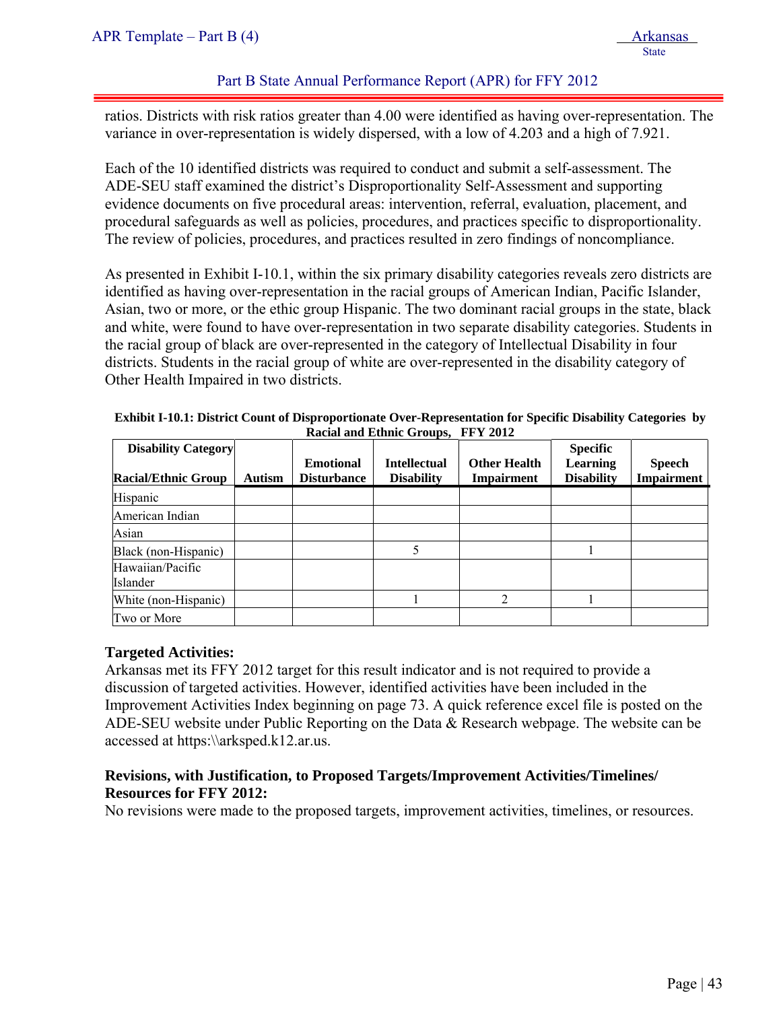#### Part B State Annual Performance Report (APR) for FFY 2012

ratios. Districts with risk ratios greater than 4.00 were identified as having over-representation. The variance in over-representation is widely dispersed, with a low of 4.203 and a high of 7.921.

Each of the 10 identified districts was required to conduct and submit a self-assessment. The ADE-SEU staff examined the district's Disproportionality Self-Assessment and supporting evidence documents on five procedural areas: intervention, referral, evaluation, placement, and procedural safeguards as well as policies, procedures, and practices specific to disproportionality. The review of policies, procedures, and practices resulted in zero findings of noncompliance.

As presented in Exhibit I-10.1, within the six primary disability categories reveals zero districts are identified as having over-representation in the racial groups of American Indian, Pacific Islander, Asian, two or more, or the ethic group Hispanic. The two dominant racial groups in the state, black and white, were found to have over-representation in two separate disability categories. Students in the racial group of black are over-represented in the category of Intellectual Disability in four districts. Students in the racial group of white are over-represented in the disability category of Other Health Impaired in two districts.

| <b>Disability Category</b>   |               | <b>Emotional</b>   | <b>Intellectual</b> | <b>Other Health</b> | <b>Specific</b><br><b>Learning</b> | <b>Speech</b>     |
|------------------------------|---------------|--------------------|---------------------|---------------------|------------------------------------|-------------------|
| <b>Racial/Ethnic Group</b>   | <b>Autism</b> | <b>Disturbance</b> | <b>Disability</b>   | <b>Impairment</b>   | <b>Disability</b>                  | <b>Impairment</b> |
| Hispanic                     |               |                    |                     |                     |                                    |                   |
| American Indian              |               |                    |                     |                     |                                    |                   |
| Asian                        |               |                    |                     |                     |                                    |                   |
| Black (non-Hispanic)         |               |                    |                     |                     |                                    |                   |
| Hawaiian/Pacific<br>Islander |               |                    |                     |                     |                                    |                   |
| White (non-Hispanic)         |               |                    |                     |                     |                                    |                   |
| Two or More                  |               |                    |                     |                     |                                    |                   |

**Exhibit I-10.1: District Count of Disproportionate Over-Representation for Specific Disability Categories by Racial and Ethnic Groups, FFY 2012** 

#### **Targeted Activities:**

Arkansas met its FFY 2012 target for this result indicator and is not required to provide a discussion of targeted activities. However, identified activities have been included in the Improvement Activities Index beginning on page 73. A quick reference excel file is posted on the ADE-SEU website under Public Reporting on the Data & Research webpage. The website can be accessed at https:\\arksped.k12.ar.us.

### **Revisions, with Justification, to Proposed Targets/Improvement Activities/Timelines/ Resources for FFY 2012:**

No revisions were made to the proposed targets, improvement activities, timelines, or resources.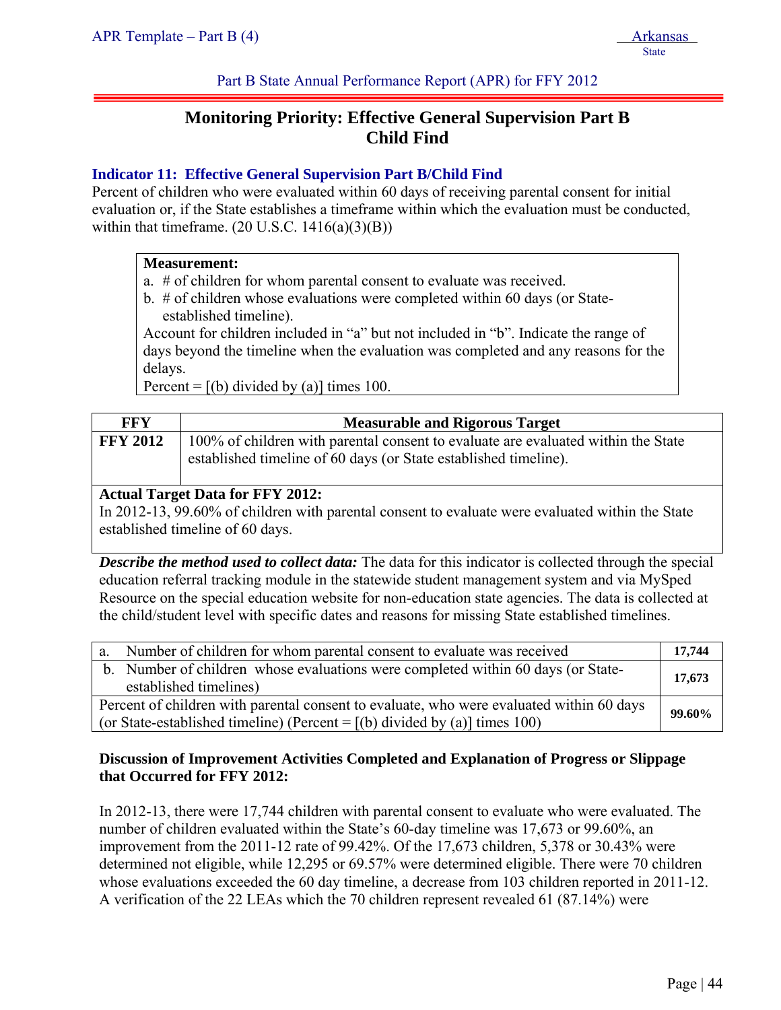Part B State Annual Performance Report (APR) for FFY 2012

# **Monitoring Priority: Effective General Supervision Part B Child Find**

### **Indicator 11: Effective General Supervision Part B/Child Find**

Percent of children who were evaluated within 60 days of receiving parental consent for initial evaluation or, if the State establishes a timeframe within which the evaluation must be conducted, within that timeframe.  $(20 \text{ U.S.C. } 1416(a)(3)(B))$ 

#### **Measurement:**

- a. # of children for whom parental consent to evaluate was received.
- b. # of children whose evaluations were completed within 60 days (or Stateestablished timeline).

Account for children included in "a" but not included in "b". Indicate the range of days beyond the timeline when the evaluation was completed and any reasons for the delays.

Percent =  $[(b)$  divided by (a)] times 100.

| FFY             | <b>Measurable and Rigorous Target</b>                                                                                                                 |
|-----------------|-------------------------------------------------------------------------------------------------------------------------------------------------------|
| <b>FFY 2012</b> | 100% of children with parental consent to evaluate are evaluated within the State<br>established timeline of 60 days (or State established timeline). |

#### **Actual Target Data for FFY 2012:**

In 2012-13, 99.60% of children with parental consent to evaluate were evaluated within the State established timeline of 60 days.

*Describe the method used to collect data:* The data for this indicator is collected through the special education referral tracking module in the statewide student management system and via MySped Resource on the special education website for non-education state agencies. The data is collected at the child/student level with specific dates and reasons for missing State established timelines.

| a. Number of children for whom parental consent to evaluate was received                                                                                                 | 17,744 |
|--------------------------------------------------------------------------------------------------------------------------------------------------------------------------|--------|
| b. Number of children whose evaluations were completed within 60 days (or State-<br>established timelines)                                                               | 17,673 |
| Percent of children with parental consent to evaluate, who were evaluated within 60 days<br>(or State-established timeline) (Percent = $[(b)$ divided by (a)] times 100) | 99.60% |

#### **Discussion of Improvement Activities Completed and Explanation of Progress or Slippage that Occurred for FFY 2012:**

In 2012-13, there were 17,744 children with parental consent to evaluate who were evaluated. The number of children evaluated within the State's 60-day timeline was 17,673 or 99.60%, an improvement from the 2011-12 rate of 99.42%. Of the 17,673 children, 5,378 or 30.43% were determined not eligible, while 12,295 or 69.57% were determined eligible. There were 70 children whose evaluations exceeded the 60 day timeline, a decrease from 103 children reported in 2011-12. A verification of the 22 LEAs which the 70 children represent revealed 61 (87.14%) were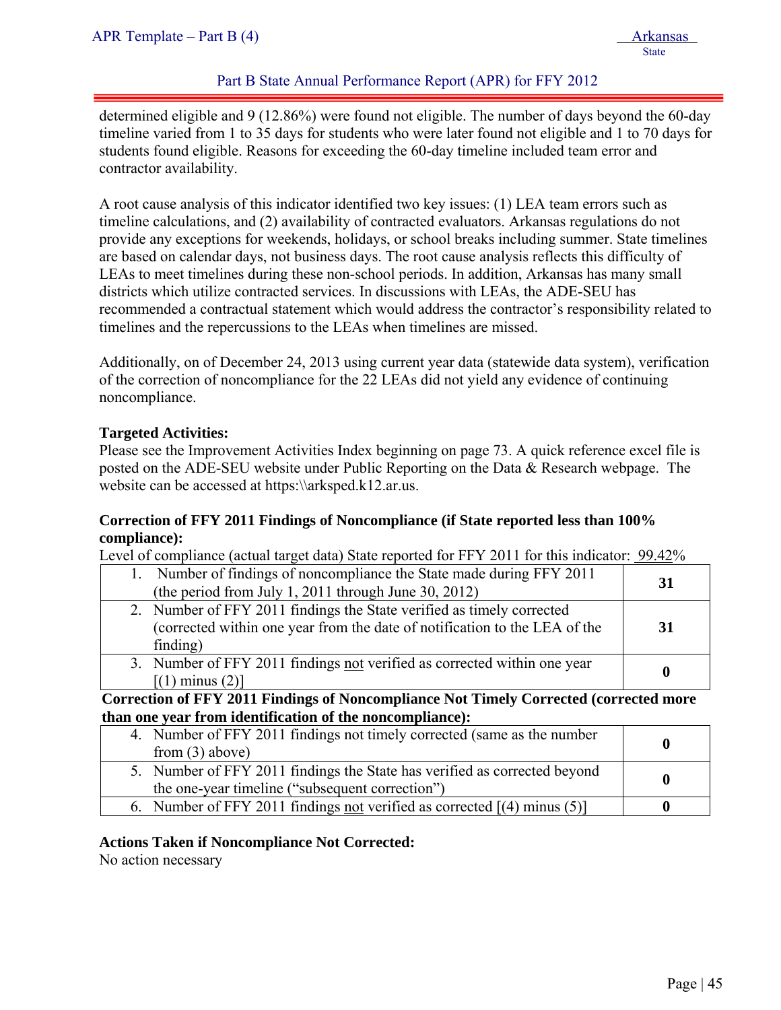#### Part B State Annual Performance Report (APR) for FFY 2012

determined eligible and 9 (12.86%) were found not eligible. The number of days beyond the 60-day timeline varied from 1 to 35 days for students who were later found not eligible and 1 to 70 days for students found eligible. Reasons for exceeding the 60-day timeline included team error and contractor availability.

A root cause analysis of this indicator identified two key issues: (1) LEA team errors such as timeline calculations, and (2) availability of contracted evaluators. Arkansas regulations do not provide any exceptions for weekends, holidays, or school breaks including summer. State timelines are based on calendar days, not business days. The root cause analysis reflects this difficulty of LEAs to meet timelines during these non-school periods. In addition, Arkansas has many small districts which utilize contracted services. In discussions with LEAs, the ADE-SEU has recommended a contractual statement which would address the contractor's responsibility related to timelines and the repercussions to the LEAs when timelines are missed.

Additionally, on of December 24, 2013 using current year data (statewide data system), verification of the correction of noncompliance for the 22 LEAs did not yield any evidence of continuing noncompliance.

#### **Targeted Activities:**

Please see the Improvement Activities Index beginning on page 73. A quick reference excel file is posted on the ADE-SEU website under Public Reporting on the Data & Research webpage. The website can be accessed at https:\\arksped.k12.ar.us.

#### **Correction of FFY 2011 Findings of Noncompliance (if State reported less than 100% compliance):**

Level of compliance (actual target data) State reported for FFY 2011 for this indicator: 99.42%

| 1. Number of findings of noncompliance the State made during FFY 2011<br>(the period from July 1, 2011 through June 30, 2012)                                   | 31 |
|-----------------------------------------------------------------------------------------------------------------------------------------------------------------|----|
| 2. Number of FFY 2011 findings the State verified as timely corrected<br>(corrected within one year from the date of notification to the LEA of the<br>finding) | 31 |
| 3. Number of FFY 2011 findings not verified as corrected within one year<br>$[(1)$ minus $(2)]$                                                                 |    |

**Correction of FFY 2011 Findings of Noncompliance Not Timely Corrected (corrected more than one year from identification of the noncompliance):** 

| 4. Number of FFY 2011 findings not timely corrected (same as the number   |  |
|---------------------------------------------------------------------------|--|
| from $(3)$ above)                                                         |  |
| 5. Number of FFY 2011 findings the State has verified as corrected beyond |  |
| the one-year timeline ("subsequent correction")                           |  |
| 6. Number of FFY 2011 findings not verified as corrected $[(4)$ minus (5) |  |

#### **Actions Taken if Noncompliance Not Corrected:**

No action necessary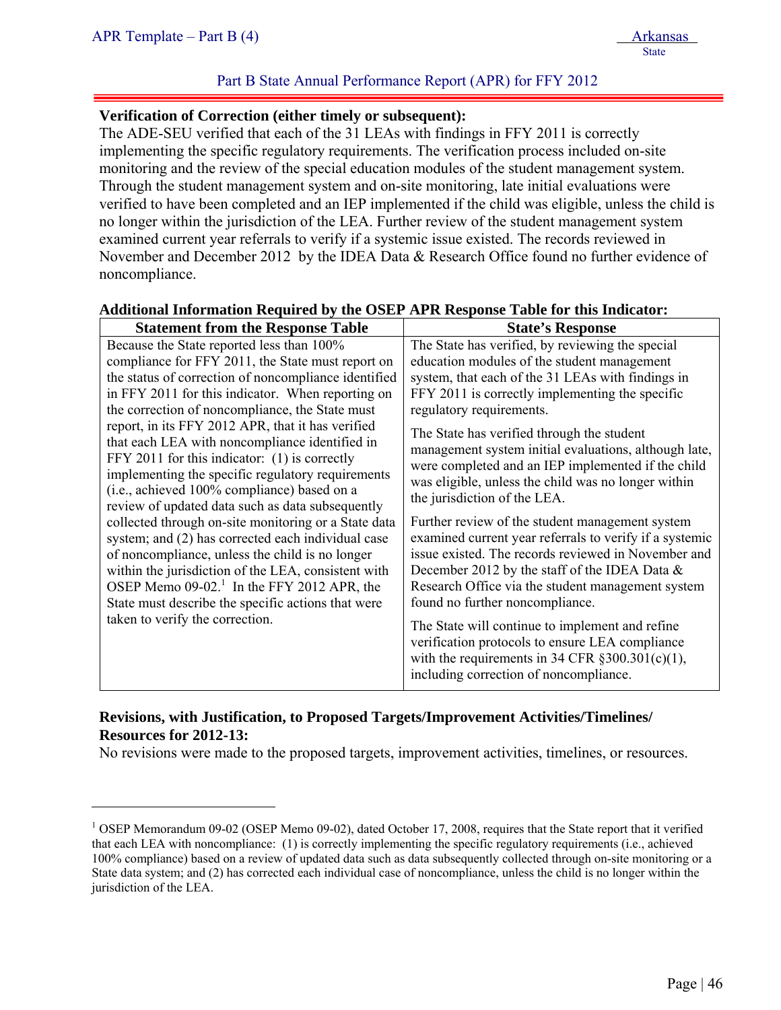$\overline{a}$ 

#### Part B State Annual Performance Report (APR) for FFY 2012

#### **Verification of Correction (either timely or subsequent):**

The ADE-SEU verified that each of the 31 LEAs with findings in FFY 2011 is correctly implementing the specific regulatory requirements. The verification process included on-site monitoring and the review of the special education modules of the student management system. Through the student management system and on-site monitoring, late initial evaluations were verified to have been completed and an IEP implemented if the child was eligible, unless the child is no longer within the jurisdiction of the LEA. Further review of the student management system examined current year referrals to verify if a systemic issue existed. The records reviewed in November and December 2012 by the IDEA Data & Research Office found no further evidence of noncompliance.

|                                                         | <b>State's Response</b>                                 |
|---------------------------------------------------------|---------------------------------------------------------|
| Because the State reported less than 100%               | The State has verified, by reviewing the special        |
| compliance for FFY 2011, the State must report on       | education modules of the student management             |
| the status of correction of noncompliance identified    | system, that each of the 31 LEAs with findings in       |
| in FFY 2011 for this indicator. When reporting on       | FFY 2011 is correctly implementing the specific         |
| the correction of noncompliance, the State must         | The State has verified through the student              |
| regulatory requirements.                                | management system initial evaluations, although late,   |
| report, in its FFY 2012 APR, that it has verified       | were completed and an IEP implemented if the child      |
| that each LEA with noncompliance identified in          | was eligible, unless the child was no longer within     |
| FFY 2011 for this indicator: (1) is correctly           | the jurisdiction of the LEA.                            |
| implementing the specific regulatory requirements       | Further review of the student management system         |
| (i.e., achieved 100% compliance) based on a             | examined current year referrals to verify if a systemic |
| review of updated data such as data subsequently        | issue existed. The records reviewed in November and     |
| collected through on-site monitoring or a State data    | December 2012 by the staff of the IDEA Data $\&$        |
| system; and (2) has corrected each individual case      | Research Office via the student management system       |
| of noncompliance, unless the child is no longer         | found no further noncompliance.                         |
| within the jurisdiction of the LEA, consistent with     | The State will continue to implement and refine         |
| OSEP Memo $09-02$ <sup>1</sup> In the FFY 2012 APR, the | verification protocols to ensure LEA compliance         |
| State must describe the specific actions that were      | with the requirements in 34 CFR $\S 300.301(c)(1)$ ,    |
| taken to verify the correction.                         | including correction of noncompliance.                  |

#### **Additional Information Required by the OSEP APR Response Table for this Indicator:**

#### **Revisions, with Justification, to Proposed Targets/Improvement Activities/Timelines/ Resources for 2012-13:**

No revisions were made to the proposed targets, improvement activities, timelines, or resources.

<sup>&</sup>lt;sup>1</sup> OSEP Memorandum 09-02 (OSEP Memo 09-02), dated October 17, 2008, requires that the State report that it verified that each LEA with noncompliance: (1) is correctly implementing the specific regulatory requirements (i.e., achieved 100% compliance) based on a review of updated data such as data subsequently collected through on-site monitoring or a State data system; and (2) has corrected each individual case of noncompliance, unless the child is no longer within the jurisdiction of the LEA.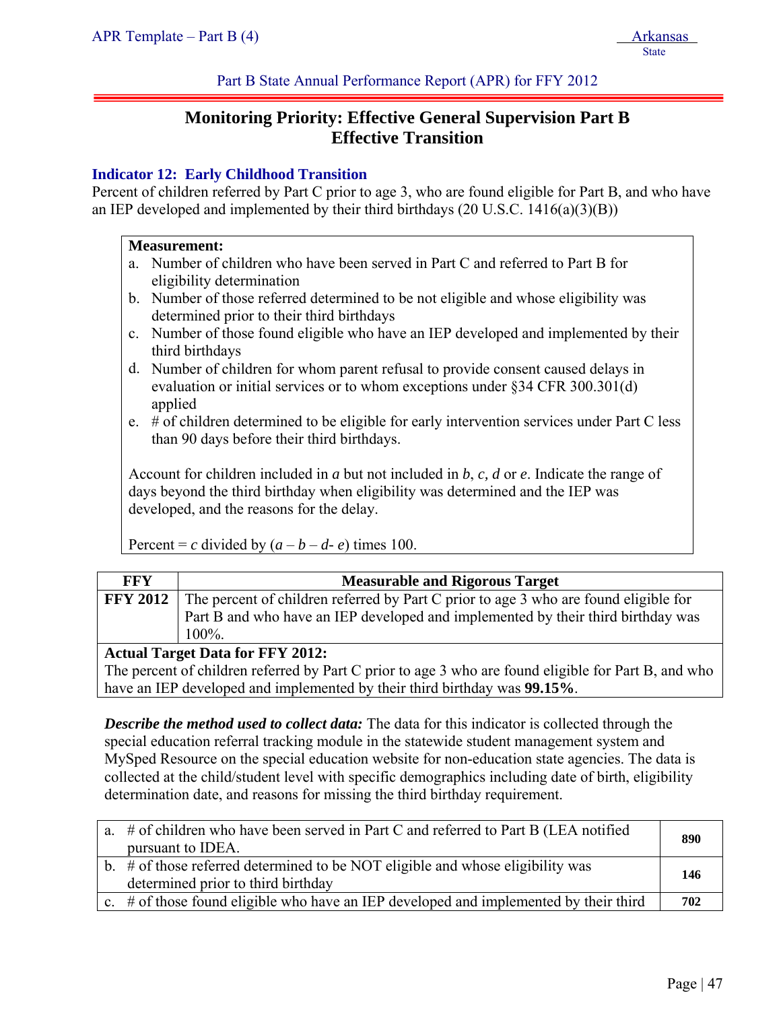Part B State Annual Performance Report (APR) for FFY 2012

# **Monitoring Priority: Effective General Supervision Part B Effective Transition**

### **Indicator 12: Early Childhood Transition**

Percent of children referred by Part C prior to age 3, who are found eligible for Part B, and who have an IEP developed and implemented by their third birthdays (20 U.S.C. 1416(a)(3)(B))

#### **Measurement:**

- a. Number of children who have been served in Part C and referred to Part B for eligibility determination
- b. Number of those referred determined to be not eligible and whose eligibility was determined prior to their third birthdays
- c. Number of those found eligible who have an IEP developed and implemented by their third birthdays
- d. Number of children for whom parent refusal to provide consent caused delays in evaluation or initial services or to whom exceptions under §34 CFR 300.301(d) applied
- e. # of children determined to be eligible for early intervention services under Part C less than 90 days before their third birthdays.

Account for children included in *a* but not included in *b*, *c, d* or *e*. Indicate the range of days beyond the third birthday when eligibility was determined and the IEP was developed, and the reasons for the delay.

Percent = *c* divided by  $(a - b - d - e)$  times 100.

| FFY | <b>Measurable and Rigorous Target</b>                                                         |  |
|-----|-----------------------------------------------------------------------------------------------|--|
|     | FFY 2012 The percent of children referred by Part C prior to age 3 who are found eligible for |  |
|     | Part B and who have an IEP developed and implemented by their third birthday was              |  |
|     | $100\%$ .                                                                                     |  |
|     | <b>Actual Target Data for FFY 2012:</b>                                                       |  |

The percent of children referred by Part C prior to age 3 who are found eligible for Part B, and who have an IEP developed and implemented by their third birthday was **99.15%**.

*Describe the method used to collect data:* The data for this indicator is collected through the special education referral tracking module in the statewide student management system and MySped Resource on the special education website for non-education state agencies. The data is collected at the child/student level with specific demographics including date of birth, eligibility determination date, and reasons for missing the third birthday requirement.

| a. # of children who have been served in Part C and referred to Part B (LEA notified     | 890 |
|------------------------------------------------------------------------------------------|-----|
| pursuant to IDEA.                                                                        |     |
| b. # of those referred determined to be NOT eligible and whose eligibility was           | 146 |
| determined prior to third birthday                                                       |     |
| c. $\#$ of those found eligible who have an IEP developed and implemented by their third | 702 |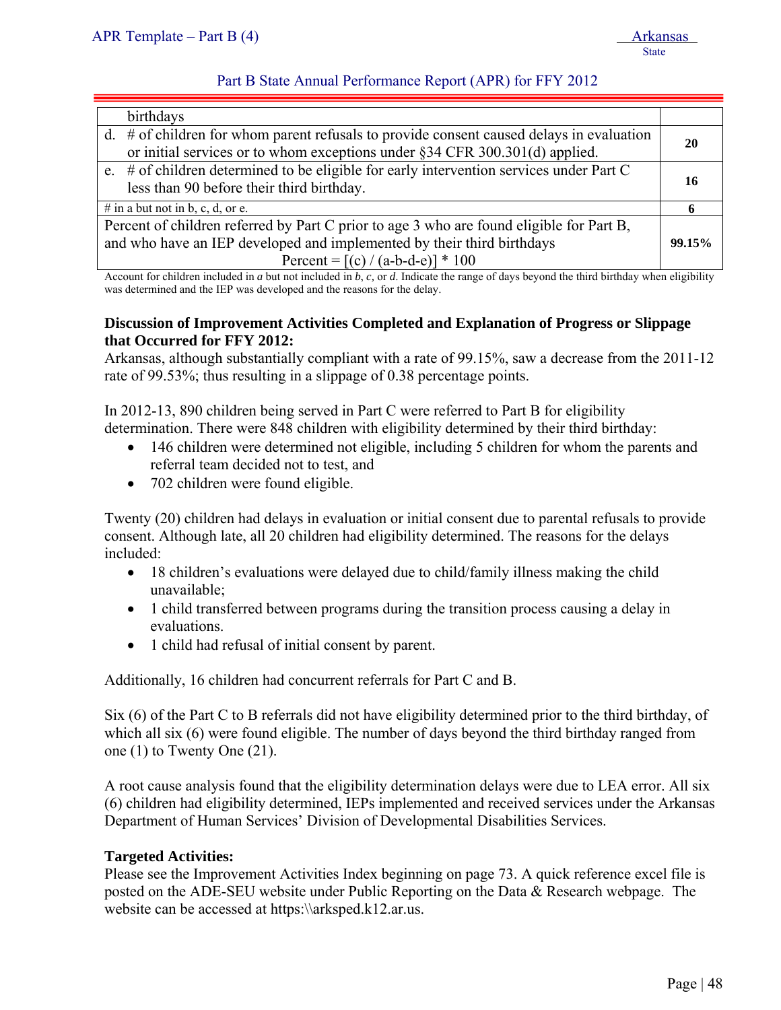#### Part B State Annual Performance Report (APR) for FFY 2012

| birthdays                                                                                                                                                                     |           |
|-------------------------------------------------------------------------------------------------------------------------------------------------------------------------------|-----------|
| $d.$ # of children for whom parent refusals to provide consent caused delays in evaluation<br>or initial services or to whom exceptions under $\S 34$ CFR 300.301(d) applied. | <b>20</b> |
| e. # of children determined to be eligible for early intervention services under Part C<br>less than 90 before their third birthday.                                          | -16       |
| # in a but not in b, c, d, or e.                                                                                                                                              | -6        |
| Percent of children referred by Part C prior to age 3 who are found eligible for Part B,                                                                                      |           |
| and who have an IEP developed and implemented by their third birthdays                                                                                                        | 99.15%    |
| Percent = $[(c) / (a-b-d-e)] * 100$                                                                                                                                           |           |

Account for children included in *a* but not included in *b*, *c,* or *d*. Indicate the range of days beyond the third birthday when eligibility was determined and the IEP was developed and the reasons for the delay.

#### **Discussion of Improvement Activities Completed and Explanation of Progress or Slippage that Occurred for FFY 2012:**

Arkansas, although substantially compliant with a rate of 99.15%, saw a decrease from the 2011-12 rate of 99.53%; thus resulting in a slippage of 0.38 percentage points.

In 2012-13, 890 children being served in Part C were referred to Part B for eligibility determination. There were 848 children with eligibility determined by their third birthday:

- 146 children were determined not eligible, including 5 children for whom the parents and referral team decided not to test, and
- 702 children were found eligible.

Twenty (20) children had delays in evaluation or initial consent due to parental refusals to provide consent. Although late, all 20 children had eligibility determined. The reasons for the delays included:

- 18 children's evaluations were delayed due to child/family illness making the child unavailable;
- 1 child transferred between programs during the transition process causing a delay in evaluations.
- 1 child had refusal of initial consent by parent.

Additionally, 16 children had concurrent referrals for Part C and B.

Six (6) of the Part C to B referrals did not have eligibility determined prior to the third birthday, of which all six (6) were found eligible. The number of days beyond the third birthday ranged from one (1) to Twenty One (21).

A root cause analysis found that the eligibility determination delays were due to LEA error. All six (6) children had eligibility determined, IEPs implemented and received services under the Arkansas Department of Human Services' Division of Developmental Disabilities Services.

### **Targeted Activities:**

Please see the Improvement Activities Index beginning on page 73. A quick reference excel file is posted on the ADE-SEU website under Public Reporting on the Data & Research webpage. The website can be accessed at https:\\arksped.k12.ar.us.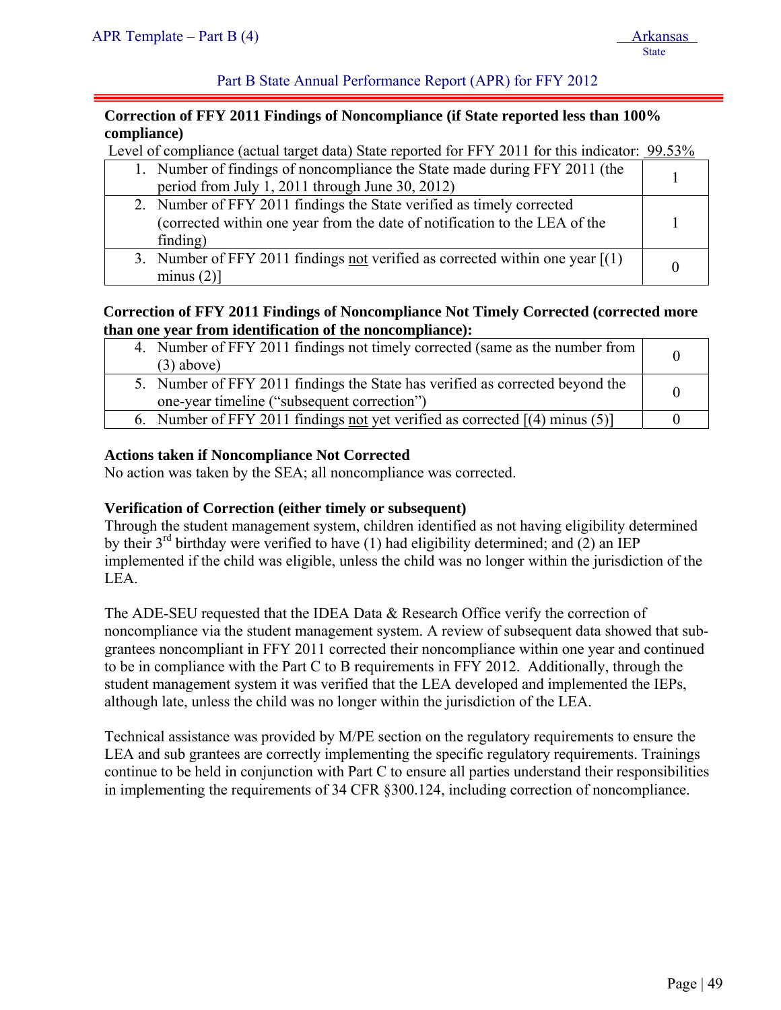Part B State Annual Performance Report (APR) for FFY 2012

#### **Correction of FFY 2011 Findings of Noncompliance (if State reported less than 100% compliance)**

Level of compliance (actual target data) State reported for FFY 2011 for this indicator: 99.53%

| 1. Number of findings of noncompliance the State made during FFY 2011 (the<br>period from July 1, 2011 through June 30, 2012)                                   |  |
|-----------------------------------------------------------------------------------------------------------------------------------------------------------------|--|
| 2. Number of FFY 2011 findings the State verified as timely corrected<br>(corrected within one year from the date of notification to the LEA of the<br>finding) |  |
| 3. Number of FFY 2011 findings not verified as corrected within one year $[(1)$<br>minus $(2)$ ]                                                                |  |

#### **Correction of FFY 2011 Findings of Noncompliance Not Timely Corrected (corrected more than one year from identification of the noncompliance):**

| 4. Number of FFY 2011 findings not timely corrected (same as the number from<br>$(3)$ above)                                 |  |
|------------------------------------------------------------------------------------------------------------------------------|--|
| 5. Number of FFY 2011 findings the State has verified as corrected beyond the<br>one-year timeline ("subsequent correction") |  |
| 6. Number of FFY 2011 findings not yet verified as corrected $[(4)$ minus (5)]                                               |  |

#### **Actions taken if Noncompliance Not Corrected**

No action was taken by the SEA; all noncompliance was corrected.

#### **Verification of Correction (either timely or subsequent)**

Through the student management system, children identified as not having eligibility determined by their  $3^{rd}$  birthday were verified to have (1) had eligibility determined; and (2) an IEP implemented if the child was eligible, unless the child was no longer within the jurisdiction of the LEA.

The ADE-SEU requested that the IDEA Data & Research Office verify the correction of noncompliance via the student management system. A review of subsequent data showed that subgrantees noncompliant in FFY 2011 corrected their noncompliance within one year and continued to be in compliance with the Part C to B requirements in FFY 2012. Additionally, through the student management system it was verified that the LEA developed and implemented the IEPs, although late, unless the child was no longer within the jurisdiction of the LEA.

Technical assistance was provided by M/PE section on the regulatory requirements to ensure the LEA and sub grantees are correctly implementing the specific regulatory requirements. Trainings continue to be held in conjunction with Part C to ensure all parties understand their responsibilities in implementing the requirements of 34 CFR §300.124, including correction of noncompliance.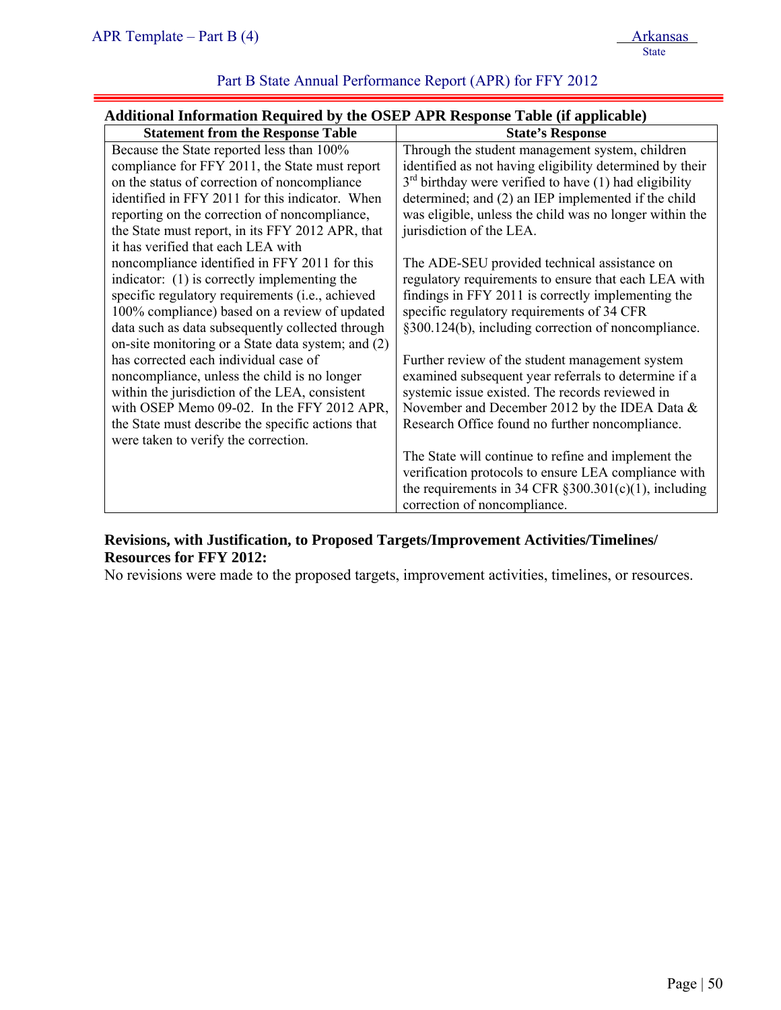## Part B State Annual Performance Report (APR) for FFY 2012

| Additional Information Required by the OSEP APR Response Table (if applicable) |  |  |
|--------------------------------------------------------------------------------|--|--|
|                                                                                |  |  |

| <b>Statement from the Response Table</b>           | <b>State's Response</b>                                   |
|----------------------------------------------------|-----------------------------------------------------------|
| Because the State reported less than 100%          | Through the student management system, children           |
| compliance for FFY 2011, the State must report     | identified as not having eligibility determined by their  |
| on the status of correction of noncompliance       | $3rd$ birthday were verified to have (1) had eligibility  |
| identified in FFY 2011 for this indicator. When    | determined; and (2) an IEP implemented if the child       |
| reporting on the correction of noncompliance,      | was eligible, unless the child was no longer within the   |
| the State must report, in its FFY 2012 APR, that   | jurisdiction of the LEA.                                  |
| it has verified that each LEA with                 |                                                           |
| noncompliance identified in FFY 2011 for this      | The ADE-SEU provided technical assistance on              |
| indicator: (1) is correctly implementing the       | regulatory requirements to ensure that each LEA with      |
| specific regulatory requirements (i.e., achieved   | findings in FFY 2011 is correctly implementing the        |
| 100% compliance) based on a review of updated      | specific regulatory requirements of 34 CFR                |
| data such as data subsequently collected through   | §300.124(b), including correction of noncompliance.       |
| on-site monitoring or a State data system; and (2) |                                                           |
| has corrected each individual case of              | Further review of the student management system           |
| noncompliance, unless the child is no longer       | examined subsequent year referrals to determine if a      |
| within the jurisdiction of the LEA, consistent     | systemic issue existed. The records reviewed in           |
| with OSEP Memo 09-02. In the FFY 2012 APR,         | November and December 2012 by the IDEA Data $\&$          |
| the State must describe the specific actions that  | Research Office found no further noncompliance.           |
| were taken to verify the correction.               |                                                           |
|                                                    | The State will continue to refine and implement the       |
|                                                    | verification protocols to ensure LEA compliance with      |
|                                                    | the requirements in 34 CFR $\S 300.301(c)(1)$ , including |
|                                                    | correction of noncompliance.                              |

#### **Revisions, with Justification, to Proposed Targets/Improvement Activities/Timelines/ Resources for FFY 2012:**

No revisions were made to the proposed targets, improvement activities, timelines, or resources.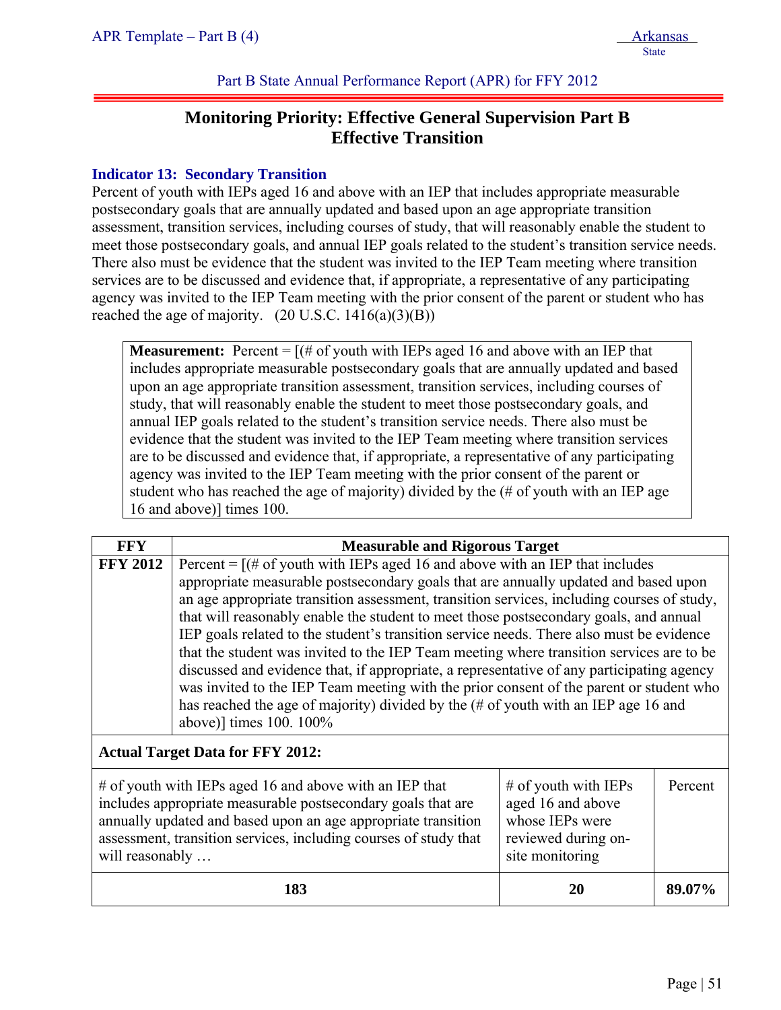Part B State Annual Performance Report (APR) for FFY 2012

# **Monitoring Priority: Effective General Supervision Part B Effective Transition**

### **Indicator 13: Secondary Transition**

Percent of youth with IEPs aged 16 and above with an IEP that includes appropriate measurable postsecondary goals that are annually updated and based upon an age appropriate transition assessment, transition services, including courses of study, that will reasonably enable the student to meet those postsecondary goals, and annual IEP goals related to the student's transition service needs. There also must be evidence that the student was invited to the IEP Team meeting where transition services are to be discussed and evidence that, if appropriate, a representative of any participating agency was invited to the IEP Team meeting with the prior consent of the parent or student who has reached the age of majority.  $(20 \text{ U.S.C. } 1416(a)(3)(B))$ 

**Measurement:** Percent  $=$   $[(# of youth with IEPs aged 16 and above with an IEP that$ includes appropriate measurable postsecondary goals that are annually updated and based upon an age appropriate transition assessment, transition services, including courses of study, that will reasonably enable the student to meet those postsecondary goals, and annual IEP goals related to the student's transition service needs. There also must be evidence that the student was invited to the IEP Team meeting where transition services are to be discussed and evidence that, if appropriate, a representative of any participating agency was invited to the IEP Team meeting with the prior consent of the parent or student who has reached the age of majority) divided by the (# of youth with an IEP age 16 and above)] times 100.

| <b>FFY</b>                                                                                                                                                                                                                                                                                                                                                                                     | <b>Measurable and Rigorous Target</b>                                                                                                                                                                                                                                                                                                                                                                                                                                                                                                                                                                                                                                                                                                                                                                                                                         |    |         |
|------------------------------------------------------------------------------------------------------------------------------------------------------------------------------------------------------------------------------------------------------------------------------------------------------------------------------------------------------------------------------------------------|---------------------------------------------------------------------------------------------------------------------------------------------------------------------------------------------------------------------------------------------------------------------------------------------------------------------------------------------------------------------------------------------------------------------------------------------------------------------------------------------------------------------------------------------------------------------------------------------------------------------------------------------------------------------------------------------------------------------------------------------------------------------------------------------------------------------------------------------------------------|----|---------|
| <b>FFY 2012</b>                                                                                                                                                                                                                                                                                                                                                                                | Percent = $[(# of youth with IEPs aged 16 and above with an IEP that includes$<br>appropriate measurable postsecondary goals that are annually updated and based upon<br>an age appropriate transition assessment, transition services, including courses of study,<br>that will reasonably enable the student to meet those postsecondary goals, and annual<br>IEP goals related to the student's transition service needs. There also must be evidence<br>that the student was invited to the IEP Team meeting where transition services are to be<br>discussed and evidence that, if appropriate, a representative of any participating agency<br>was invited to the IEP Team meeting with the prior consent of the parent or student who<br>has reached the age of majority) divided by the (# of youth with an IEP age 16 and<br>above)] times 100. 100% |    |         |
|                                                                                                                                                                                                                                                                                                                                                                                                | <b>Actual Target Data for FFY 2012:</b>                                                                                                                                                                                                                                                                                                                                                                                                                                                                                                                                                                                                                                                                                                                                                                                                                       |    |         |
| $\#$ of youth with IEPs aged 16 and above with an IEP that<br>$#$ of youth with IEPs<br>includes appropriate measurable postsecondary goals that are<br>aged 16 and above<br>annually updated and based upon an age appropriate transition<br>whose IEPs were<br>assessment, transition services, including courses of study that<br>reviewed during on-<br>will reasonably<br>site monitoring |                                                                                                                                                                                                                                                                                                                                                                                                                                                                                                                                                                                                                                                                                                                                                                                                                                                               |    | Percent |
|                                                                                                                                                                                                                                                                                                                                                                                                | 183                                                                                                                                                                                                                                                                                                                                                                                                                                                                                                                                                                                                                                                                                                                                                                                                                                                           | 20 | 89.07%  |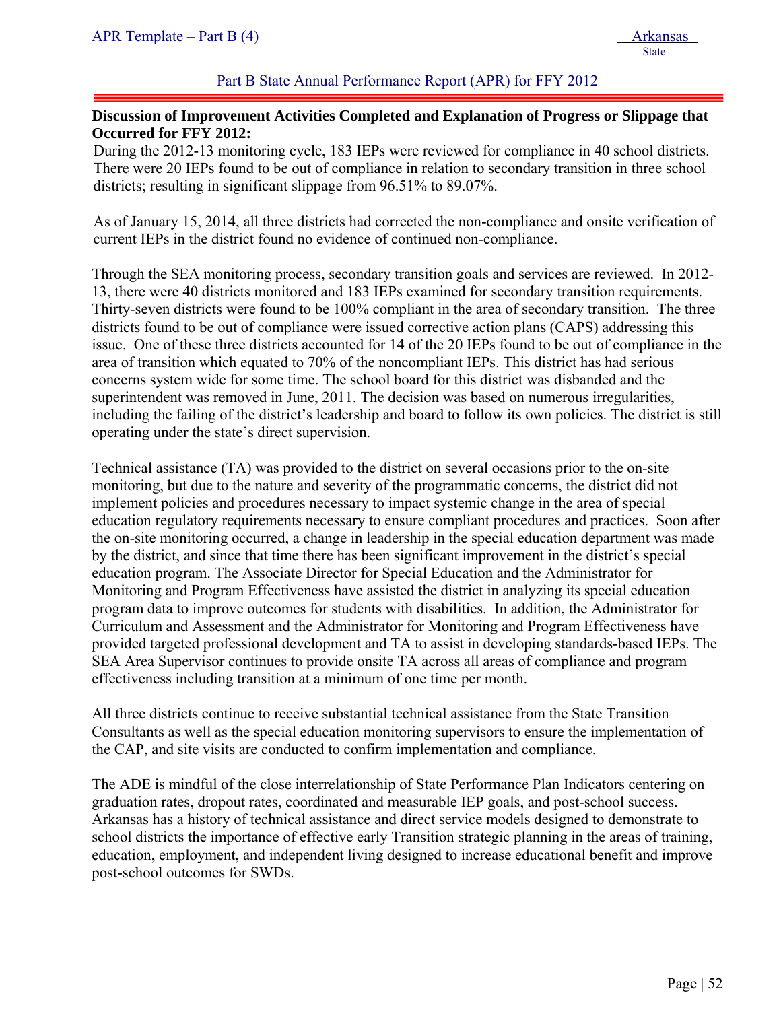#### Part B State Annual Performance Report (APR) for FFY 2012

#### **Discussion of Improvement Activities Completed and Explanation of Progress or Slippage that Occurred for FFY 2012:**

During the 2012-13 monitoring cycle, 183 IEPs were reviewed for compliance in 40 school districts. There were 20 IEPs found to be out of compliance in relation to secondary transition in three school districts; resulting in significant slippage from 96.51% to 89.07%.

As of January 15, 2014, all three districts had corrected the non-compliance and onsite verification of current IEPs in the district found no evidence of continued non-compliance.

Through the SEA monitoring process, secondary transition goals and services are reviewed. In 2012- 13, there were 40 districts monitored and 183 IEPs examined for secondary transition requirements. Thirty-seven districts were found to be 100% compliant in the area of secondary transition. The three districts found to be out of compliance were issued corrective action plans (CAPS) addressing this issue. One of these three districts accounted for 14 of the 20 IEPs found to be out of compliance in the area of transition which equated to 70% of the noncompliant IEPs. This district has had serious concerns system wide for some time. The school board for this district was disbanded and the superintendent was removed in June, 2011. The decision was based on numerous irregularities, including the failing of the district's leadership and board to follow its own policies. The district is still operating under the state's direct supervision.

Technical assistance (TA) was provided to the district on several occasions prior to the on-site monitoring, but due to the nature and severity of the programmatic concerns, the district did not implement policies and procedures necessary to impact systemic change in the area of special education regulatory requirements necessary to ensure compliant procedures and practices. Soon after the on-site monitoring occurred, a change in leadership in the special education department was made by the district, and since that time there has been significant improvement in the district's special education program. The Associate Director for Special Education and the Administrator for Monitoring and Program Effectiveness have assisted the district in analyzing its special education program data to improve outcomes for students with disabilities. In addition, the Administrator for Curriculum and Assessment and the Administrator for Monitoring and Program Effectiveness have provided targeted professional development and TA to assist in developing standards-based IEPs. The SEA Area Supervisor continues to provide onsite TA across all areas of compliance and program effectiveness including transition at a minimum of one time per month.

All three districts continue to receive substantial technical assistance from the State Transition Consultants as well as the special education monitoring supervisors to ensure the implementation of the CAP, and site visits are conducted to confirm implementation and compliance.

The ADE is mindful of the close interrelationship of State Performance Plan Indicators centering on graduation rates, dropout rates, coordinated and measurable IEP goals, and post-school success. Arkansas has a history of technical assistance and direct service models designed to demonstrate to school districts the importance of effective early Transition strategic planning in the areas of training, education, employment, and independent living designed to increase educational benefit and improve post-school outcomes for SWDs.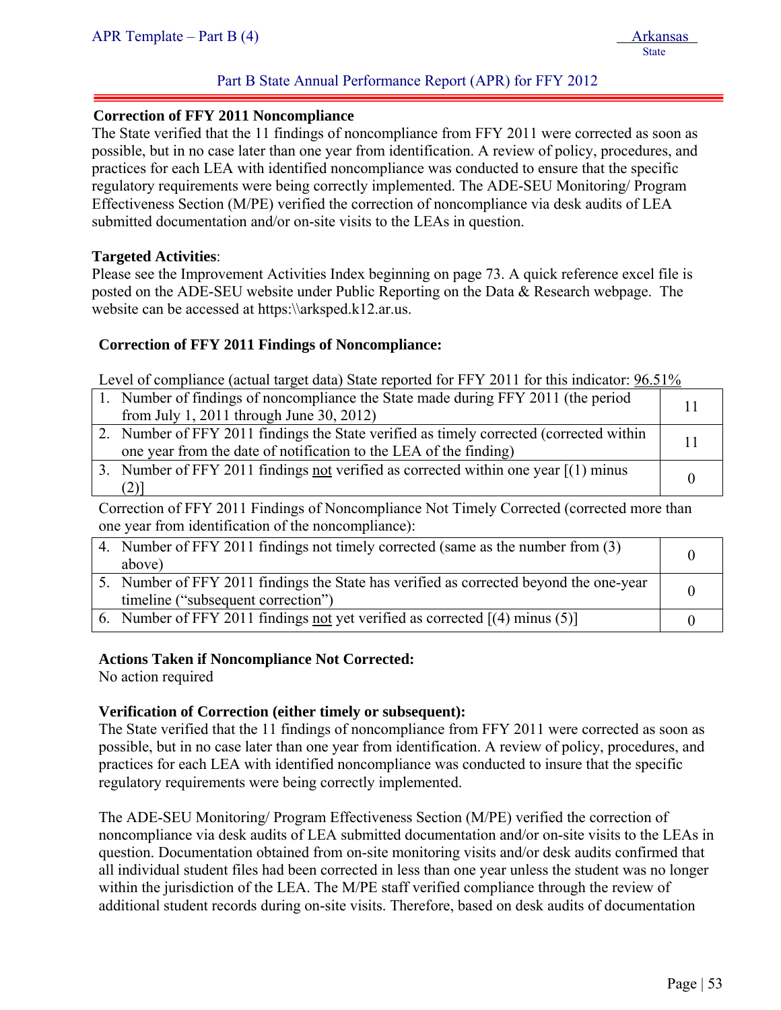#### **Correction of FFY 2011 Noncompliance**

The State verified that the 11 findings of noncompliance from FFY 2011 were corrected as soon as possible, but in no case later than one year from identification. A review of policy, procedures, and practices for each LEA with identified noncompliance was conducted to ensure that the specific regulatory requirements were being correctly implemented. The ADE-SEU Monitoring/ Program Effectiveness Section (M/PE) verified the correction of noncompliance via desk audits of LEA submitted documentation and/or on-site visits to the LEAs in question.

#### **Targeted Activities**:

ļ

Please see the Improvement Activities Index beginning on page 73. A quick reference excel file is posted on the ADE-SEU website under Public Reporting on the Data & Research webpage. The website can be accessed at https:\\arksped.k12.ar.us.

#### **Correction of FFY 2011 Findings of Noncompliance:**

Level of compliance (actual target data) State reported for FFY 2011 for this indicator: 96.51%

| 1. Number of findings of noncompliance the State made during FFY 2011 (the period<br>from July 1, 2011 through June 30, 2012)                                |  |
|--------------------------------------------------------------------------------------------------------------------------------------------------------------|--|
| 2. Number of FFY 2011 findings the State verified as timely corrected (corrected within<br>one year from the date of notification to the LEA of the finding) |  |
| 3. Number of FFY 2011 findings not verified as corrected within one year $[(1)$ minus                                                                        |  |

Correction of FFY 2011 Findings of Noncompliance Not Timely Corrected (corrected more than one year from identification of the noncompliance):

| 4. Number of FFY 2011 findings not timely corrected (same as the number from (3)       |  |
|----------------------------------------------------------------------------------------|--|
| above)                                                                                 |  |
| 5. Number of FFY 2011 findings the State has verified as corrected beyond the one-year |  |
| timeline ("subsequent correction")                                                     |  |
| 6. Number of FFY 2011 findings not yet verified as corrected $[(4)$ minus (5)          |  |

#### **Actions Taken if Noncompliance Not Corrected:**

No action required

#### **Verification of Correction (either timely or subsequent):**

The State verified that the 11 findings of noncompliance from FFY 2011 were corrected as soon as possible, but in no case later than one year from identification. A review of policy, procedures, and practices for each LEA with identified noncompliance was conducted to insure that the specific regulatory requirements were being correctly implemented.

The ADE-SEU Monitoring/ Program Effectiveness Section (M/PE) verified the correction of noncompliance via desk audits of LEA submitted documentation and/or on-site visits to the LEAs in question. Documentation obtained from on-site monitoring visits and/or desk audits confirmed that all individual student files had been corrected in less than one year unless the student was no longer within the jurisdiction of the LEA. The M/PE staff verified compliance through the review of additional student records during on-site visits. Therefore, based on desk audits of documentation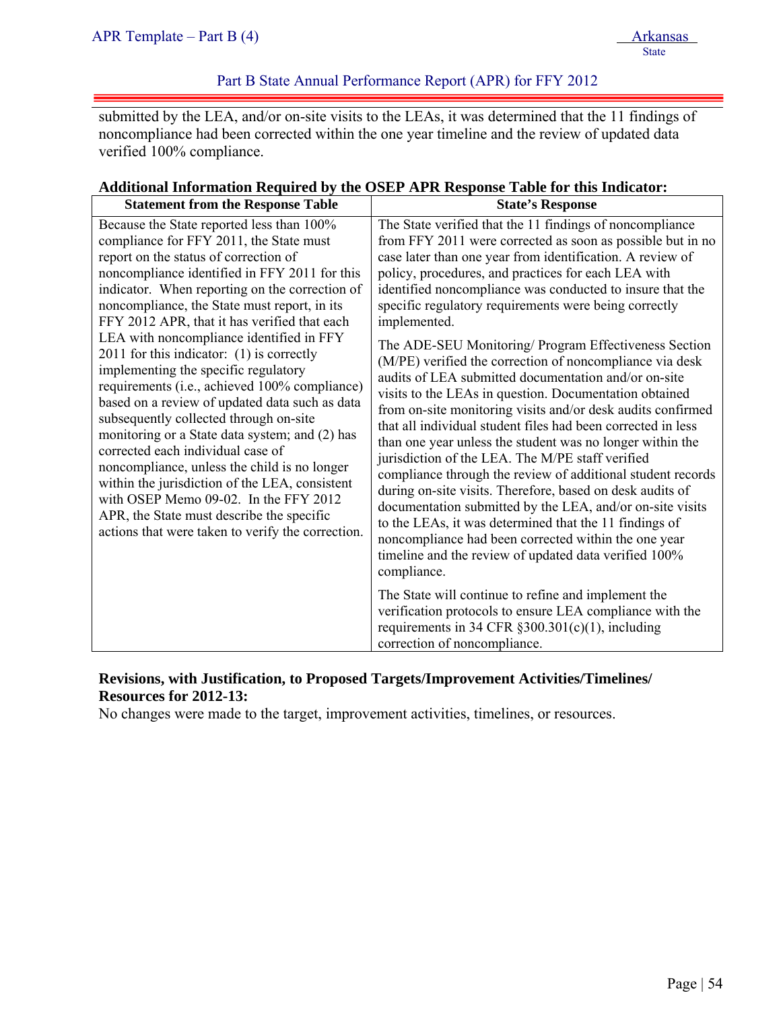### Part B State Annual Performance Report (APR) for FFY 2012

submitted by the LEA, and/or on-site visits to the LEAs, it was determined that the 11 findings of noncompliance had been corrected within the one year timeline and the review of updated data verified 100% compliance.

#### **Additional Information Required by the OSEP APR Response Table for this Indicator:**

| <b>Statement from the Response Table</b>                                                                                                                                                                                                                                                                                                                                                                                                                                                                                                                                                                                                                                                                                                                                                                                                                                                                                                             | <b>State's Response</b>                                                                                                                                                                                                                                                                                                                                                                                                                                                                                                                                                                                                                                                                                                                                                                                                                                                                                                                                                                                                                                                                                                                                                                                                                                                                                                                                                                                                                                                |
|------------------------------------------------------------------------------------------------------------------------------------------------------------------------------------------------------------------------------------------------------------------------------------------------------------------------------------------------------------------------------------------------------------------------------------------------------------------------------------------------------------------------------------------------------------------------------------------------------------------------------------------------------------------------------------------------------------------------------------------------------------------------------------------------------------------------------------------------------------------------------------------------------------------------------------------------------|------------------------------------------------------------------------------------------------------------------------------------------------------------------------------------------------------------------------------------------------------------------------------------------------------------------------------------------------------------------------------------------------------------------------------------------------------------------------------------------------------------------------------------------------------------------------------------------------------------------------------------------------------------------------------------------------------------------------------------------------------------------------------------------------------------------------------------------------------------------------------------------------------------------------------------------------------------------------------------------------------------------------------------------------------------------------------------------------------------------------------------------------------------------------------------------------------------------------------------------------------------------------------------------------------------------------------------------------------------------------------------------------------------------------------------------------------------------------|
| Because the State reported less than 100%<br>compliance for FFY 2011, the State must<br>report on the status of correction of<br>noncompliance identified in FFY 2011 for this<br>indicator. When reporting on the correction of<br>noncompliance, the State must report, in its<br>FFY 2012 APR, that it has verified that each<br>LEA with noncompliance identified in FFY<br>$2011$ for this indicator: (1) is correctly<br>implementing the specific regulatory<br>requirements (i.e., achieved 100% compliance)<br>based on a review of updated data such as data<br>subsequently collected through on-site<br>monitoring or a State data system; and (2) has<br>corrected each individual case of<br>noncompliance, unless the child is no longer<br>within the jurisdiction of the LEA, consistent<br>with OSEP Memo 09-02. In the FFY 2012<br>APR, the State must describe the specific<br>actions that were taken to verify the correction. | The State verified that the 11 findings of noncompliance<br>from FFY 2011 were corrected as soon as possible but in no<br>case later than one year from identification. A review of<br>policy, procedures, and practices for each LEA with<br>identified noncompliance was conducted to insure that the<br>specific regulatory requirements were being correctly<br>implemented.<br>The ADE-SEU Monitoring/ Program Effectiveness Section<br>(M/PE) verified the correction of noncompliance via desk<br>audits of LEA submitted documentation and/or on-site<br>visits to the LEAs in question. Documentation obtained<br>from on-site monitoring visits and/or desk audits confirmed<br>that all individual student files had been corrected in less<br>than one year unless the student was no longer within the<br>jurisdiction of the LEA. The M/PE staff verified<br>compliance through the review of additional student records<br>during on-site visits. Therefore, based on desk audits of<br>documentation submitted by the LEA, and/or on-site visits<br>to the LEAs, it was determined that the 11 findings of<br>noncompliance had been corrected within the one year<br>timeline and the review of updated data verified 100%<br>compliance.<br>The State will continue to refine and implement the<br>verification protocols to ensure LEA compliance with the<br>requirements in 34 CFR $\S 300.301(c)(1)$ , including<br>correction of noncompliance. |

#### **Revisions, with Justification, to Proposed Targets/Improvement Activities/Timelines/ Resources for 2012-13:**

No changes were made to the target, improvement activities, timelines, or resources.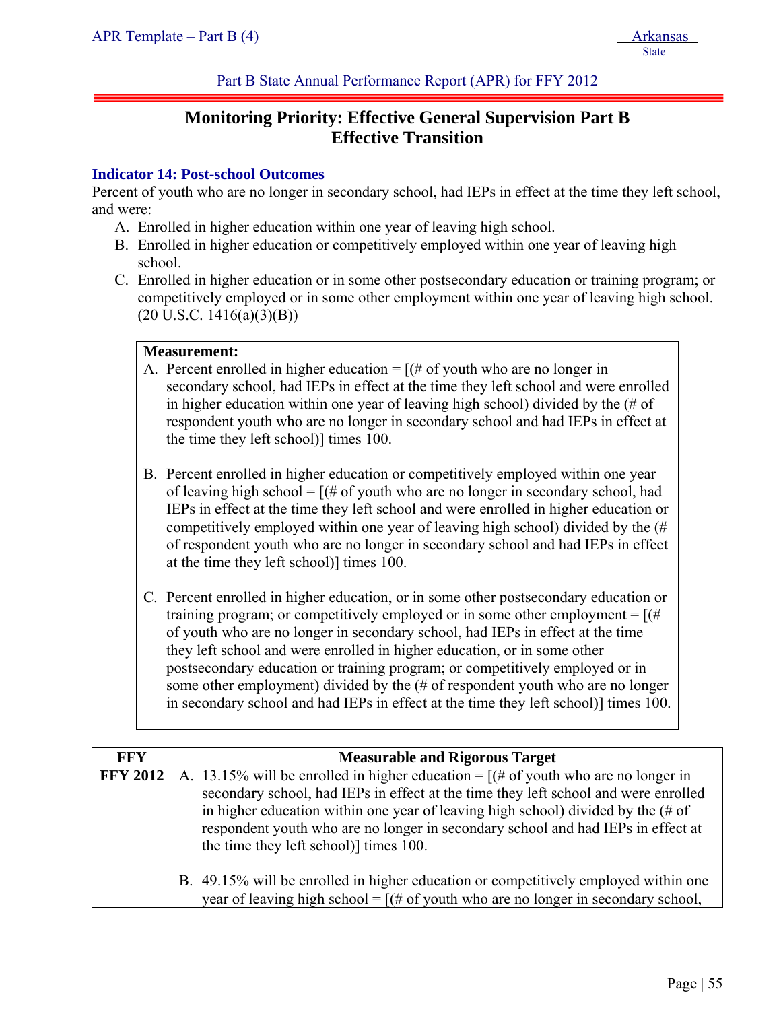Part B State Annual Performance Report (APR) for FFY 2012

# **Monitoring Priority: Effective General Supervision Part B Effective Transition**

#### **Indicator 14: Post-school Outcomes**

Percent of youth who are no longer in secondary school, had IEPs in effect at the time they left school, and were:

- A. Enrolled in higher education within one year of leaving high school.
- B. Enrolled in higher education or competitively employed within one year of leaving high school.
- C. Enrolled in higher education or in some other postsecondary education or training program; or competitively employed or in some other employment within one year of leaving high school.  $(20 \text{ U.S.C. } 1416(a)(3)(B))$

#### **Measurement:**

- A. Percent enrolled in higher education  $=$  [(# of youth who are no longer in secondary school, had IEPs in effect at the time they left school and were enrolled in higher education within one year of leaving high school) divided by the (# of respondent youth who are no longer in secondary school and had IEPs in effect at the time they left school)] times 100.
- B. Percent enrolled in higher education or competitively employed within one year of leaving high school =  $[(# of$  youth who are no longer in secondary school, had IEPs in effect at the time they left school and were enrolled in higher education or competitively employed within one year of leaving high school) divided by the (# of respondent youth who are no longer in secondary school and had IEPs in effect at the time they left school)] times 100.
- C. Percent enrolled in higher education, or in some other postsecondary education or training program; or competitively employed or in some other employment =  $[(#$ of youth who are no longer in secondary school, had IEPs in effect at the time they left school and were enrolled in higher education, or in some other postsecondary education or training program; or competitively employed or in some other employment) divided by the (# of respondent youth who are no longer in secondary school and had IEPs in effect at the time they left school)] times 100.

| <b>FFY</b>      | <b>Measurable and Rigorous Target</b>                                                                                                                                                                                                                                                                                                                                                                     |  |  |  |
|-----------------|-----------------------------------------------------------------------------------------------------------------------------------------------------------------------------------------------------------------------------------------------------------------------------------------------------------------------------------------------------------------------------------------------------------|--|--|--|
| <b>FFY 2012</b> | A. 13.15% will be enrolled in higher education = $[(# of youth who are no longer in$<br>secondary school, had IEPs in effect at the time they left school and were enrolled<br>in higher education within one year of leaving high school) divided by the $(\# \text{ of }$<br>respondent youth who are no longer in secondary school and had IEPs in effect at<br>the time they left school)] times 100. |  |  |  |
|                 | B. 49.15% will be enrolled in higher education or competitively employed within one<br>year of leaving high school = $[(# of youth who are no longer in secondary school,$                                                                                                                                                                                                                                |  |  |  |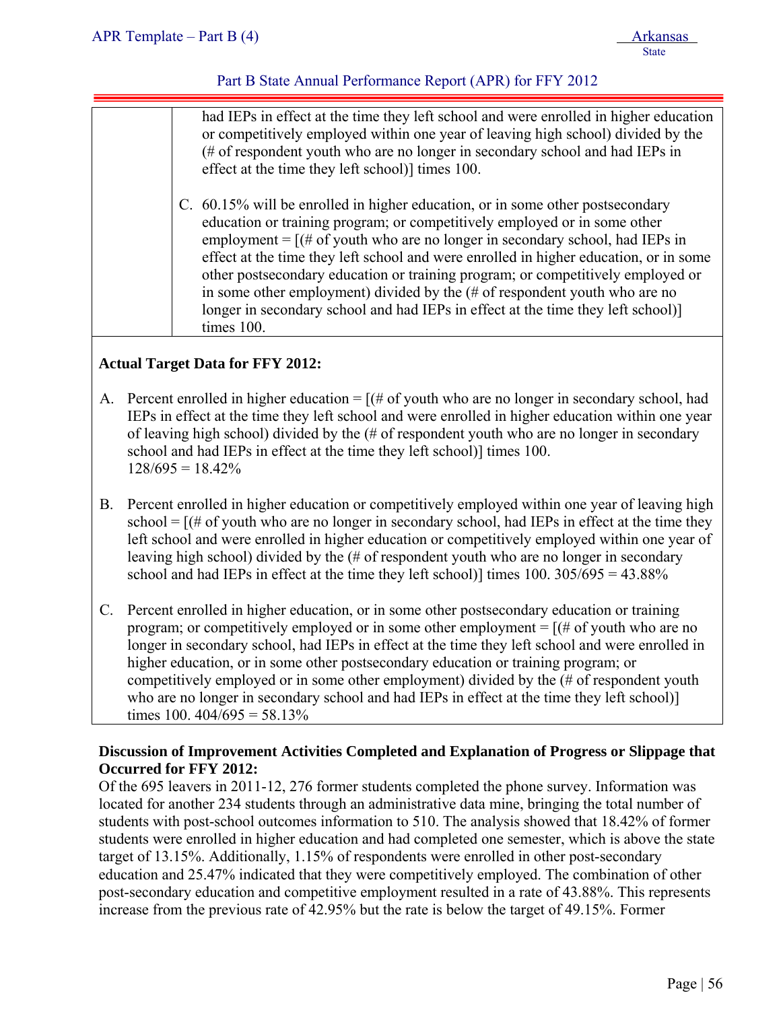| had IEPs in effect at the time they left school and were enrolled in higher education<br>or competitively employed within one year of leaving high school) divided by the<br>(# of respondent youth who are no longer in secondary school and had IEPs in<br>effect at the time they left school)] times 100.<br>C. 60.15% will be enrolled in higher education, or in some other postsecondary<br>education or training program; or competitively employed or in some other<br>employment = $[(# of youth who are no longer in secondary school, had IEPs in]$<br>effect at the time they left school and were enrolled in higher education, or in some |
|----------------------------------------------------------------------------------------------------------------------------------------------------------------------------------------------------------------------------------------------------------------------------------------------------------------------------------------------------------------------------------------------------------------------------------------------------------------------------------------------------------------------------------------------------------------------------------------------------------------------------------------------------------|
| other postsecondary education or training program; or competitively employed or<br>in some other employment) divided by the $#$ of respondent youth who are no<br>longer in secondary school and had IEPs in effect at the time they left school)<br>times 100.                                                                                                                                                                                                                                                                                                                                                                                          |
|                                                                                                                                                                                                                                                                                                                                                                                                                                                                                                                                                                                                                                                          |

#### **Actual Target Data for FFY 2012:**

- A. Percent enrolled in higher education  $=$   $[(# of youth who are no longer in secondary school, had$ IEPs in effect at the time they left school and were enrolled in higher education within one year of leaving high school) divided by the (# of respondent youth who are no longer in secondary school and had IEPs in effect at the time they left school)] times 100.  $128/695 = 18.42\%$
- B. Percent enrolled in higher education or competitively employed within one year of leaving high school  $=$   $[(# of youth who are no longer in secondary school, had IEPs in effect at the time they$ left school and were enrolled in higher education or competitively employed within one year of leaving high school) divided by the (# of respondent youth who are no longer in secondary school and had IEPs in effect at the time they left school)] times  $100. 305/695 = 43.88\%$
- C. Percent enrolled in higher education, or in some other postsecondary education or training program; or competitively employed or in some other employment  $=$  [ $#$  of youth who are no longer in secondary school, had IEPs in effect at the time they left school and were enrolled in higher education, or in some other postsecondary education or training program; or competitively employed or in some other employment) divided by the (# of respondent youth who are no longer in secondary school and had IEPs in effect at the time they left school) times 100.  $404/695 = 58.13\%$

### **Discussion of Improvement Activities Completed and Explanation of Progress or Slippage that Occurred for FFY 2012:**

Of the 695 leavers in 2011-12, 276 former students completed the phone survey. Information was located for another 234 students through an administrative data mine, bringing the total number of students with post-school outcomes information to 510. The analysis showed that 18.42% of former students were enrolled in higher education and had completed one semester, which is above the state target of 13.15%. Additionally, 1.15% of respondents were enrolled in other post-secondary education and 25.47% indicated that they were competitively employed. The combination of other post-secondary education and competitive employment resulted in a rate of 43.88%. This represents increase from the previous rate of 42.95% but the rate is below the target of 49.15%. Former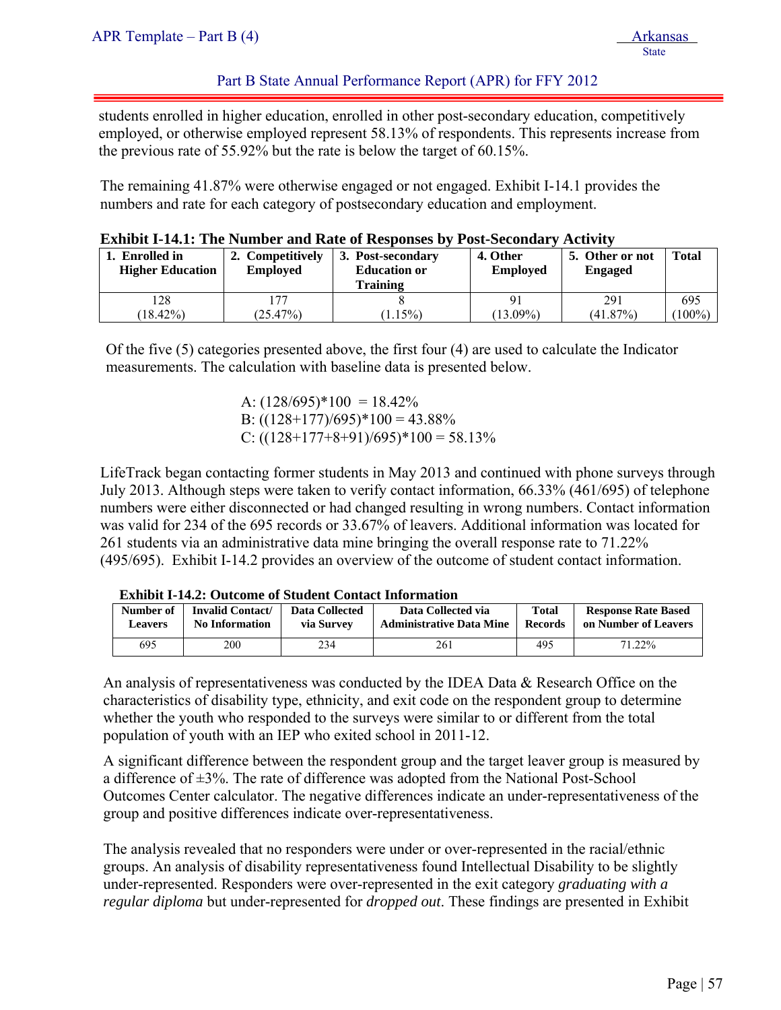#### Part B State Annual Performance Report (APR) for FFY 2012

students enrolled in higher education, enrolled in other post-secondary education, competitively employed, or otherwise employed represent 58.13% of respondents. This represents increase from the previous rate of 55.92% but the rate is below the target of 60.15%.

The remaining 41.87% were otherwise engaged or not engaged. Exhibit I-14.1 provides the numbers and rate for each category of postsecondary education and employment.

| 1. Enrolled in<br><b>Higher Education</b> | 2. Competitively<br><b>Employed</b> | 3. Post-secondary<br><b>Education or</b><br>Training | 4. Other<br><b>Employed</b> | 5. Other or not<br><b>Engaged</b> | <b>Total</b> |
|-------------------------------------------|-------------------------------------|------------------------------------------------------|-----------------------------|-----------------------------------|--------------|
| 128                                       | 177                                 |                                                      |                             | 291                               | 695          |
| $18.42\%)$                                | (25.47%)                            | $1.15\%)$                                            | $13.09\%$                   | (41.87%)                          | $100\%$      |

|  |  | <b>Exhibit I-14.1: The Number and Rate of Responses by Post-Secondary Activity</b> |  |
|--|--|------------------------------------------------------------------------------------|--|
|  |  |                                                                                    |  |

Of the five (5) categories presented above, the first four (4) are used to calculate the Indicator measurements. The calculation with baseline data is presented below.

> A:  $(128/695)*100 = 18.42%$ B:  $((128+177)/695)*100 = 43.88\%$ C:  $((128+177+8+91)/695)*100 = 58.13%$

LifeTrack began contacting former students in May 2013 and continued with phone surveys through July 2013. Although steps were taken to verify contact information, 66.33% (461/695) of telephone numbers were either disconnected or had changed resulting in wrong numbers. Contact information was valid for 234 of the 695 records or 33.67% of leavers. Additional information was located for 261 students via an administrative data mine bringing the overall response rate to 71.22% (495/695). Exhibit I-14.2 provides an overview of the outcome of student contact information.

|                                                                          | LAMAVIV A A INST O WEVOLILE OF DEMOGRAFI COMERNE AMAVITANCHI |                              |                                                       |                                |                                                    |  |  |  |  |  |  |
|--------------------------------------------------------------------------|--------------------------------------------------------------|------------------------------|-------------------------------------------------------|--------------------------------|----------------------------------------------------|--|--|--|--|--|--|
| <b>Invalid Contact/</b><br>Number of<br>No Information<br><b>Leavers</b> |                                                              | Data Collected<br>via Survey | Data Collected via<br><b>Administrative Data Mine</b> | <b>Total</b><br><b>Records</b> | <b>Response Rate Based</b><br>on Number of Leavers |  |  |  |  |  |  |
| 695                                                                      | 200                                                          | 234                          | 261                                                   | 495                            | 71.22%                                             |  |  |  |  |  |  |
|                                                                          |                                                              |                              |                                                       |                                |                                                    |  |  |  |  |  |  |

**Exhibit I-14.2: Outcome of Student Contact Information** 

An analysis of representativeness was conducted by the IDEA Data  $\&$  Research Office on the characteristics of disability type, ethnicity, and exit code on the respondent group to determine whether the youth who responded to the surveys were similar to or different from the total population of youth with an IEP who exited school in 2011-12.

A significant difference between the respondent group and the target leaver group is measured by a difference of  $\pm 3\%$ . The rate of difference was adopted from the National Post-School Outcomes Center calculator. The negative differences indicate an under-representativeness of the group and positive differences indicate over-representativeness.

The analysis revealed that no responders were under or over-represented in the racial/ethnic groups. An analysis of disability representativeness found Intellectual Disability to be slightly under-represented. Responders were over-represented in the exit category *graduating with a regular diploma* but under-represented for *dropped out*. These findings are presented in Exhibit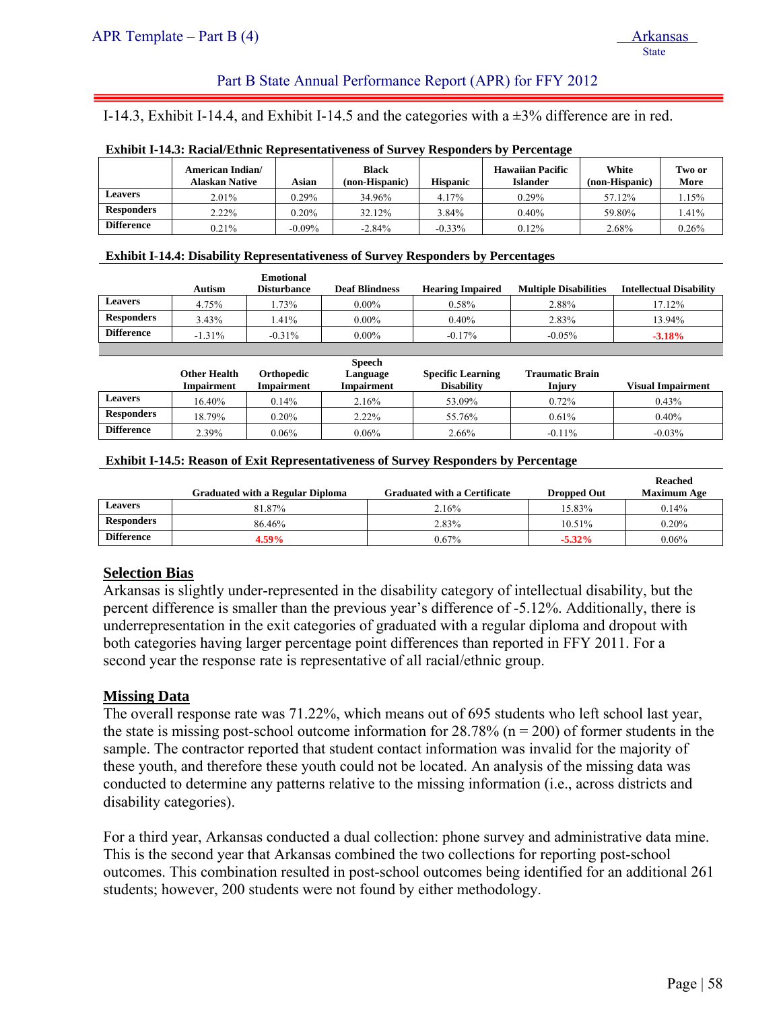#### Part B State Annual Performance Report (APR) for FFY 2012

I-14.3, Exhibit I-14.4, and Exhibit I-14.5 and the categories with a ±3% difference are in red.

|                   |                                    |          |                                | -               |                                            |                         |                |
|-------------------|------------------------------------|----------|--------------------------------|-----------------|--------------------------------------------|-------------------------|----------------|
|                   | American Indian/<br>Alaskan Native | Asian    | <b>Black</b><br>(non-Hispanic) | <b>Hispanic</b> | <b>Hawaiian Pacific</b><br><b>Islander</b> | White<br>(non-Hispanic) | Two or<br>More |
| Leavers           | 2.01%                              | 0.29%    | 34.96%                         | 4.17%           | $0.29\%$                                   | 57.12%                  | .15%           |
| <b>Responders</b> | 2.22%                              | 0.20%    | 32.12%                         | 3.84%           | $0.40\%$                                   | 59.80%                  | .41%           |
| <b>Difference</b> | 0.21%                              | $-0.09%$ | $-2.84%$                       | $-0.33%$        | $0.12\%$                                   | 2.68%                   | 0.26%          |

#### **Exhibit I-14.3: Racial/Ethnic Representativeness of Survey Responders by Percentage**

#### **Exhibit I-14.4: Disability Representativeness of Survey Responders by Percentages**

| Autism   | <b>Emotional</b><br><b>Disturbance</b> | <b>Deaf Blindness</b> | <b>Hearing Impaired</b> | <b>Multiple Disabilities</b> | <b>Intellectual Disability</b> |
|----------|----------------------------------------|-----------------------|-------------------------|------------------------------|--------------------------------|
| 4.75%    | .73%                                   | $0.00\%$              | $0.58\%$                | 2.88%                        | 17.12%                         |
| 3.43%    | .41%                                   | $0.00\%$              | $0.40\%$                | 2.83%                        | 13.94%                         |
| $-1.31%$ | $-0.31\%$                              | $0.00\%$              | $-0.17\%$               | $-0.05%$                     | $-3.18%$                       |
|          |                                        |                       |                         |                              |                                |

|                   | <b>Other Health</b><br><b>Impairment</b> | Orthopedic<br>Impairment | <b>Speech</b><br>Language<br><b>Impairment</b> | <b>Specific Learning</b><br><b>Disability</b> | <b>Traumatic Brain</b><br>Injury | <b>Visual Impairment</b> |
|-------------------|------------------------------------------|--------------------------|------------------------------------------------|-----------------------------------------------|----------------------------------|--------------------------|
| <b>Leavers</b>    | 16.40%                                   | 0.14%                    | 2.16%                                          | 53.09%                                        | $0.72\%$                         | 0.43%                    |
| <b>Responders</b> | 18.79%                                   | 0.20%                    | $2.22\%$                                       | 55.76%                                        | 0.61%                            | $0.40\%$                 |
| <b>Difference</b> | 2.39%                                    | 0.06%                    | $0.06\%$                                       | 2.66%                                         | $-0.11%$                         | $-0.03\%$                |

#### **Exhibit I-14.5: Reason of Exit Representativeness of Survey Responders by Percentage**

|                   | <b>Graduated with a Regular Diploma</b> | <b>Graduated with a Certificate</b> | <b>Dropped Out</b> | <b>Reached</b><br><b>Maximum Age</b> |
|-------------------|-----------------------------------------|-------------------------------------|--------------------|--------------------------------------|
| <b>Leavers</b>    | 81.87%                                  | 2.16%                               | 15.83%             | 0.14%                                |
| <b>Responders</b> | 86.46%                                  | 2.83%                               | $10.51\%$          | $0.20\%$                             |
| <b>Difference</b> | 4.59%                                   | 0.67%                               | $-5.32\%$          | $0.06\%$                             |

#### **Selection Bias**

Arkansas is slightly under-represented in the disability category of intellectual disability, but the percent difference is smaller than the previous year's difference of -5.12%. Additionally, there is underrepresentation in the exit categories of graduated with a regular diploma and dropout with both categories having larger percentage point differences than reported in FFY 2011. For a second year the response rate is representative of all racial/ethnic group.

#### **Missing Data**

The overall response rate was 71.22%, which means out of 695 students who left school last year, the state is missing post-school outcome information for  $28.78\%$  (n = 200) of former students in the sample. The contractor reported that student contact information was invalid for the majority of these youth, and therefore these youth could not be located. An analysis of the missing data was conducted to determine any patterns relative to the missing information (i.e., across districts and disability categories).

For a third year, Arkansas conducted a dual collection: phone survey and administrative data mine. This is the second year that Arkansas combined the two collections for reporting post-school outcomes. This combination resulted in post-school outcomes being identified for an additional 261 students; however, 200 students were not found by either methodology.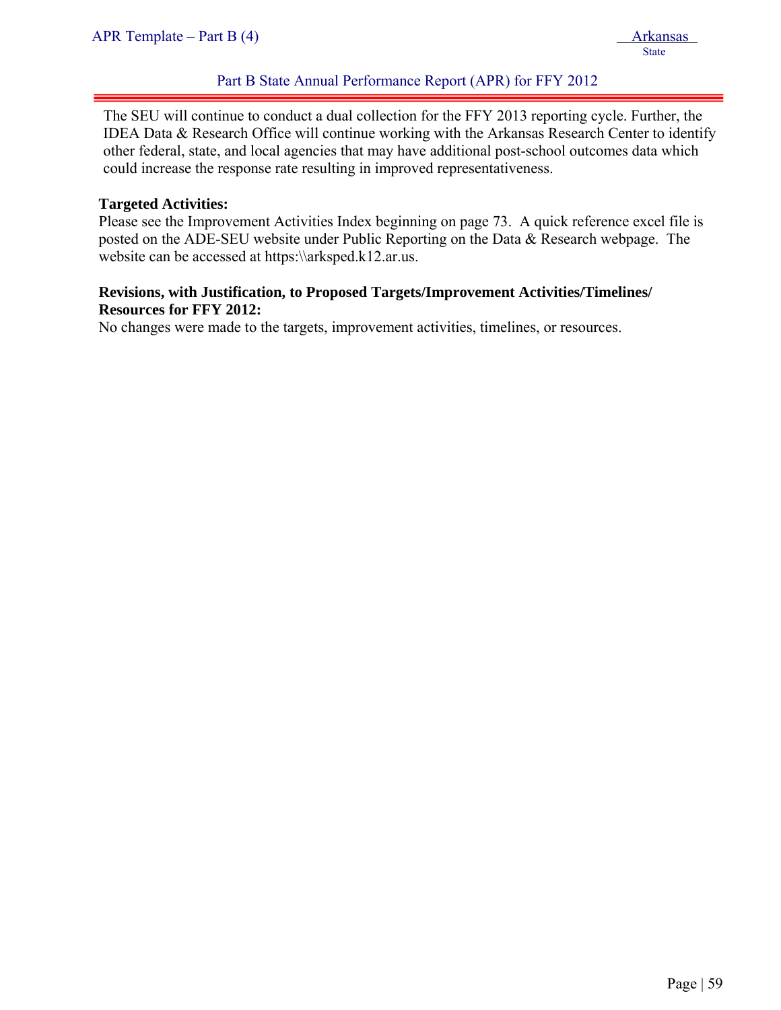The SEU will continue to conduct a dual collection for the FFY 2013 reporting cycle. Further, the IDEA Data & Research Office will continue working with the Arkansas Research Center to identify other federal, state, and local agencies that may have additional post-school outcomes data which could increase the response rate resulting in improved representativeness.

#### **Targeted Activities:**

ļ

Please see the Improvement Activities Index beginning on page 73. A quick reference excel file is posted on the ADE-SEU website under Public Reporting on the Data & Research webpage. The website can be accessed at https:\\arksped.k12.ar.us.

#### **Revisions, with Justification, to Proposed Targets/Improvement Activities/Timelines/ Resources for FFY 2012:**

No changes were made to the targets, improvement activities, timelines, or resources.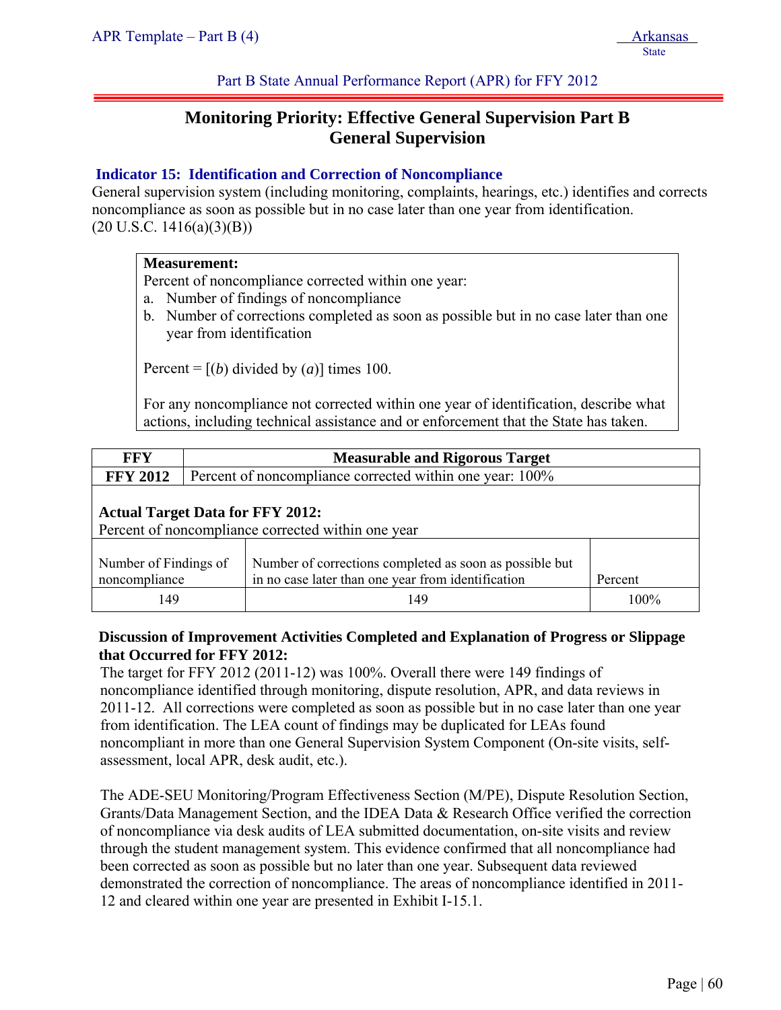Part B State Annual Performance Report (APR) for FFY 2012

# **Monitoring Priority: Effective General Supervision Part B General Supervision**

#### **Indicator 15: Identification and Correction of Noncompliance**

General supervision system (including monitoring, complaints, hearings, etc.) identifies and corrects noncompliance as soon as possible but in no case later than one year from identification.  $(20 U.S.C. 1416(a)(3)(B))$ 

#### **Measurement:**

Percent of noncompliance corrected within one year:

- a. Number of findings of noncompliance
- b. Number of corrections completed as soon as possible but in no case later than one year from identification

Percent =  $[(b)$  divided by  $(a)$ ] times 100.

For any noncompliance not corrected within one year of identification, describe what actions, including technical assistance and or enforcement that the State has taken.

| <b>FFY</b>      | <b>Measurable and Rigorous Target</b>                                                                                                                              |     |         |  |  |  |  |
|-----------------|--------------------------------------------------------------------------------------------------------------------------------------------------------------------|-----|---------|--|--|--|--|
| <b>FFY 2012</b> | Percent of noncompliance corrected within one year: 100%                                                                                                           |     |         |  |  |  |  |
|                 | <b>Actual Target Data for FFY 2012:</b><br>Percent of noncompliance corrected within one year                                                                      |     |         |  |  |  |  |
|                 | Number of corrections completed as soon as possible but<br>Number of Findings of<br>in no case later than one year from identification<br>noncompliance<br>Percent |     |         |  |  |  |  |
| 149             |                                                                                                                                                                    | 149 | $100\%$ |  |  |  |  |

#### **Discussion of Improvement Activities Completed and Explanation of Progress or Slippage that Occurred for FFY 2012:**

The target for FFY 2012 (2011-12) was 100%. Overall there were 149 findings of noncompliance identified through monitoring, dispute resolution, APR, and data reviews in 2011-12. All corrections were completed as soon as possible but in no case later than one year from identification. The LEA count of findings may be duplicated for LEAs found noncompliant in more than one General Supervision System Component (On-site visits, selfassessment, local APR, desk audit, etc.).

The ADE-SEU Monitoring/Program Effectiveness Section (M/PE), Dispute Resolution Section, Grants/Data Management Section, and the IDEA Data & Research Office verified the correction of noncompliance via desk audits of LEA submitted documentation, on-site visits and review through the student management system. This evidence confirmed that all noncompliance had been corrected as soon as possible but no later than one year. Subsequent data reviewed demonstrated the correction of noncompliance. The areas of noncompliance identified in 2011- 12 and cleared within one year are presented in Exhibit I-15.1.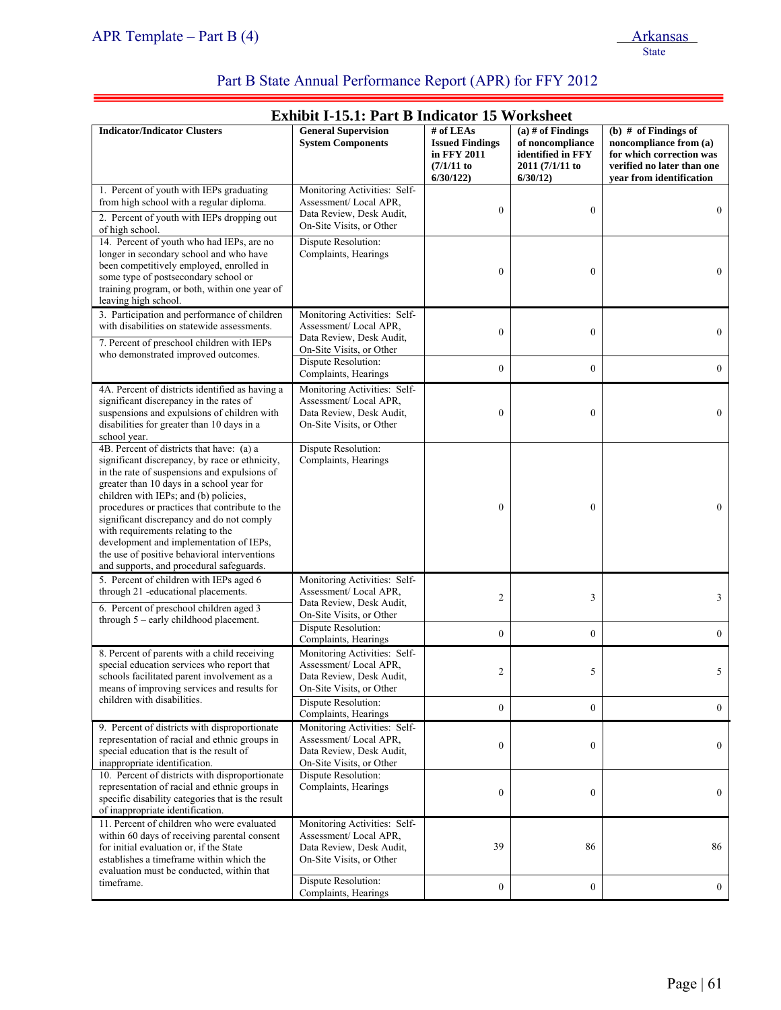ī

# Part B State Annual Performance Report (APR) for FFY 2012

| <b>Exhibit I-15.1: Part B Indicator 15 Worksheet</b>                                                                                                                                                                                                                                                                                                                                                                                                                                                         |                                                                                                               |                                                                                   |                                                                                            |                                                                                                                                        |
|--------------------------------------------------------------------------------------------------------------------------------------------------------------------------------------------------------------------------------------------------------------------------------------------------------------------------------------------------------------------------------------------------------------------------------------------------------------------------------------------------------------|---------------------------------------------------------------------------------------------------------------|-----------------------------------------------------------------------------------|--------------------------------------------------------------------------------------------|----------------------------------------------------------------------------------------------------------------------------------------|
| <b>Indicator/Indicator Clusters</b>                                                                                                                                                                                                                                                                                                                                                                                                                                                                          | <b>General Supervision</b><br><b>System Components</b>                                                        | # of $LEAs$<br><b>Issued Findings</b><br>in FFY 2011<br>$(7/1/11)$ to<br>6/30/122 | $(a)$ # of Findings<br>of noncompliance<br>identified in FFY<br>2011 (7/1/11 to<br>6/30/12 | (b) $#$ of Findings of<br>noncompliance from (a)<br>for which correction was<br>verified no later than one<br>year from identification |
| 1. Percent of youth with IEPs graduating<br>from high school with a regular diploma.<br>2. Percent of youth with IEPs dropping out<br>of high school.                                                                                                                                                                                                                                                                                                                                                        | Monitoring Activities: Self-<br>Assessment/Local APR,<br>Data Review, Desk Audit,<br>On-Site Visits, or Other | $\boldsymbol{0}$                                                                  | $\boldsymbol{0}$                                                                           | $\mathbf{0}$                                                                                                                           |
| 14. Percent of youth who had IEPs, are no<br>longer in secondary school and who have<br>been competitively employed, enrolled in<br>some type of postsecondary school or<br>training program, or both, within one year of<br>leaving high school.                                                                                                                                                                                                                                                            | Dispute Resolution:<br>Complaints, Hearings                                                                   | $\boldsymbol{0}$                                                                  | $\boldsymbol{0}$                                                                           | $\overline{0}$                                                                                                                         |
| 3. Participation and performance of children<br>with disabilities on statewide assessments.<br>7. Percent of preschool children with IEPs                                                                                                                                                                                                                                                                                                                                                                    | Monitoring Activities: Self-<br>Assessment/Local APR,<br>Data Review, Desk Audit,                             | $\mathbf{0}$                                                                      | $\boldsymbol{0}$                                                                           | $\mathbf{0}$                                                                                                                           |
| who demonstrated improved outcomes.                                                                                                                                                                                                                                                                                                                                                                                                                                                                          | On-Site Visits, or Other<br>Dispute Resolution:<br>Complaints, Hearings                                       | $\boldsymbol{0}$                                                                  | $\boldsymbol{0}$                                                                           | $\mathbf{0}$                                                                                                                           |
| 4A. Percent of districts identified as having a<br>significant discrepancy in the rates of<br>suspensions and expulsions of children with<br>disabilities for greater than 10 days in a<br>school year.                                                                                                                                                                                                                                                                                                      | Monitoring Activities: Self-<br>Assessment/Local APR,<br>Data Review, Desk Audit,<br>On-Site Visits, or Other | $\boldsymbol{0}$                                                                  | $\boldsymbol{0}$                                                                           | $\boldsymbol{0}$                                                                                                                       |
| 4B. Percent of districts that have: (a) a<br>significant discrepancy, by race or ethnicity,<br>in the rate of suspensions and expulsions of<br>greater than 10 days in a school year for<br>children with IEPs; and (b) policies,<br>procedures or practices that contribute to the<br>significant discrepancy and do not comply<br>with requirements relating to the<br>development and implementation of IEPs,<br>the use of positive behavioral interventions<br>and supports, and procedural safeguards. | Dispute Resolution:<br>Complaints, Hearings                                                                   | $\mathbf{0}$                                                                      | $\mathbf{0}$                                                                               | $\overline{0}$                                                                                                                         |
| 5. Percent of children with IEPs aged 6<br>through 21 -educational placements.<br>6. Percent of preschool children aged 3                                                                                                                                                                                                                                                                                                                                                                                    | Monitoring Activities: Self-<br>Assessment/Local APR,<br>Data Review, Desk Audit,<br>On-Site Visits, or Other | 2                                                                                 | 3                                                                                          | 3                                                                                                                                      |
| through $5$ – early childhood placement.                                                                                                                                                                                                                                                                                                                                                                                                                                                                     | Dispute Resolution:<br>Complaints, Hearings                                                                   | $\mathbf{0}$                                                                      | $\mathbf{0}$                                                                               | $\boldsymbol{0}$                                                                                                                       |
| 8. Percent of parents with a child receiving<br>special education services who report that<br>schools facilitated parent involvement as a<br>means of improving services and results for                                                                                                                                                                                                                                                                                                                     | Monitoring Activities: Self-<br>Assessment/Local APR,<br>Data Review, Desk Audit,<br>On-Site Visits, or Other | 2                                                                                 | 5                                                                                          | 5                                                                                                                                      |
| children with disabilities.                                                                                                                                                                                                                                                                                                                                                                                                                                                                                  | Dispute Resolution:<br>Complaints, Hearings                                                                   | $\boldsymbol{0}$                                                                  | $\boldsymbol{0}$                                                                           | $\mathbf{0}$                                                                                                                           |
| 9. Percent of districts with disproportionate<br>representation of racial and ethnic groups in<br>special education that is the result of<br>inappropriate identification.                                                                                                                                                                                                                                                                                                                                   | Monitoring Activities: Self-<br>Assessment/Local APR,<br>Data Review, Desk Audit,<br>On-Site Visits, or Other | $\boldsymbol{0}$                                                                  | $\boldsymbol{0}$                                                                           | $\mathbf{0}$                                                                                                                           |
| 10. Percent of districts with disproportionate<br>representation of racial and ethnic groups in<br>specific disability categories that is the result<br>of inappropriate identification.                                                                                                                                                                                                                                                                                                                     | Dispute Resolution:<br>Complaints, Hearings                                                                   | $\boldsymbol{0}$                                                                  | $\boldsymbol{0}$                                                                           | $\overline{0}$                                                                                                                         |
| 11. Percent of children who were evaluated<br>within 60 days of receiving parental consent<br>for initial evaluation or, if the State<br>establishes a timeframe within which the<br>evaluation must be conducted, within that                                                                                                                                                                                                                                                                               | Monitoring Activities: Self-<br>Assessment/Local APR.<br>Data Review, Desk Audit,<br>On-Site Visits, or Other | 39                                                                                | 86                                                                                         | 86                                                                                                                                     |
| timeframe.                                                                                                                                                                                                                                                                                                                                                                                                                                                                                                   | Dispute Resolution:<br>Complaints, Hearings                                                                   | $\boldsymbol{0}$                                                                  | $\boldsymbol{0}$                                                                           | $\boldsymbol{0}$                                                                                                                       |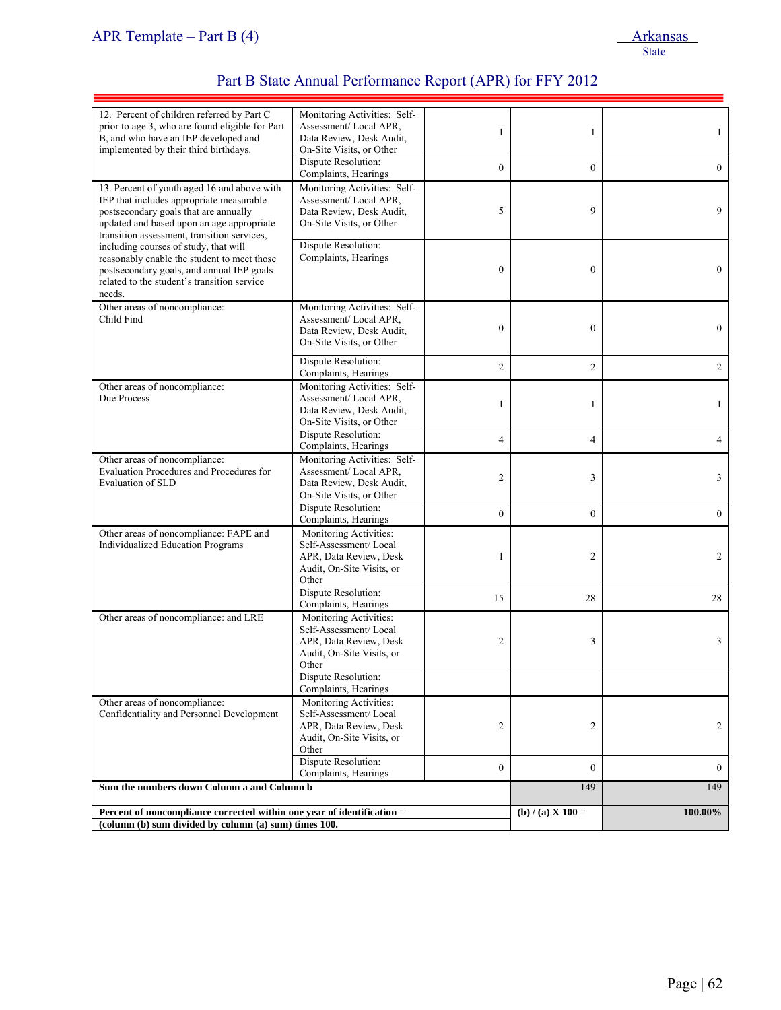| 12. Percent of children referred by Part C<br>prior to age 3, who are found eligible for Part<br>B, and who have an IEP developed and<br>implemented by their third birthdays.                                               | Monitoring Activities: Self-<br>Assessment/Local APR,<br>Data Review, Desk Audit,<br>On-Site Visits, or Other   | 1                | 1                   | $\mathbf{1}$   |
|------------------------------------------------------------------------------------------------------------------------------------------------------------------------------------------------------------------------------|-----------------------------------------------------------------------------------------------------------------|------------------|---------------------|----------------|
|                                                                                                                                                                                                                              | Dispute Resolution:<br>Complaints, Hearings                                                                     | $\boldsymbol{0}$ | $\overline{0}$      | $\overline{0}$ |
| 13. Percent of youth aged 16 and above with<br>IEP that includes appropriate measurable<br>postsecondary goals that are annually<br>updated and based upon an age appropriate<br>transition assessment, transition services, | Monitoring Activities: Self-<br>Assessment/Local APR.<br>Data Review, Desk Audit,<br>On-Site Visits, or Other   | 5                | 9                   | 9              |
| including courses of study, that will<br>reasonably enable the student to meet those<br>postsecondary goals, and annual IEP goals<br>related to the student's transition service<br>needs.                                   | Dispute Resolution:<br>Complaints, Hearings                                                                     | $\boldsymbol{0}$ | $\boldsymbol{0}$    | $\overline{0}$ |
| Other areas of noncompliance:<br>Child Find                                                                                                                                                                                  | Monitoring Activities: Self-<br>Assessment/Local APR,<br>Data Review, Desk Audit,<br>On-Site Visits, or Other   | $\mathbf{0}$     | $\mathbf{0}$        | $\overline{0}$ |
|                                                                                                                                                                                                                              | Dispute Resolution:<br>Complaints, Hearings                                                                     | $\overline{c}$   | $\overline{c}$      | $\overline{2}$ |
| Other areas of noncompliance:<br>Due Process                                                                                                                                                                                 | Monitoring Activities: Self-<br>Assessment/Local APR.<br>Data Review, Desk Audit,<br>On-Site Visits, or Other   | 1                | 1                   | $\mathbf{1}$   |
|                                                                                                                                                                                                                              | Dispute Resolution:<br>Complaints, Hearings                                                                     | 4                | 4                   | 4              |
| Other areas of noncompliance:<br>Evaluation Procedures and Procedures for<br>Evaluation of SLD                                                                                                                               | Monitoring Activities: Self-<br>Assessment/Local APR,<br>Data Review, Desk Audit,<br>On-Site Visits, or Other   | $\mathfrak{2}$   | 3                   | 3              |
|                                                                                                                                                                                                                              | Dispute Resolution:<br>Complaints, Hearings                                                                     | $\overline{0}$   | $\theta$            | $\overline{0}$ |
| Other areas of noncompliance: FAPE and<br>Individualized Education Programs                                                                                                                                                  | Monitoring Activities:<br>Self-Assessment/Local<br>APR, Data Review, Desk<br>Audit, On-Site Visits, or<br>Other | 1                | 2                   | 2              |
|                                                                                                                                                                                                                              | Dispute Resolution:<br>Complaints, Hearings                                                                     | 15               | 28                  | 28             |
| Other areas of noncompliance: and LRE                                                                                                                                                                                        | Monitoring Activities:<br>Self-Assessment/Local<br>APR, Data Review, Desk<br>Audit, On-Site Visits, or<br>Other | 2                | 3                   | 3              |
|                                                                                                                                                                                                                              | Dispute Resolution:<br>Complaints, Hearings                                                                     |                  |                     |                |
| Other areas of noncompliance:<br>Confidentiality and Personnel Development                                                                                                                                                   | Monitoring Activities:<br>Self-Assessment/Local<br>APR, Data Review, Desk<br>Audit, On-Site Visits, or<br>Other | 2                | 2                   | $\overline{2}$ |
|                                                                                                                                                                                                                              | Dispute Resolution:<br>Complaints, Hearings                                                                     | $\boldsymbol{0}$ | $\mathbf{0}$        | $\mathbf{0}$   |
| Sum the numbers down Column a and Column b                                                                                                                                                                                   |                                                                                                                 |                  | 149                 | 149            |
| Percent of noncompliance corrected within one year of identification =<br>(column (b) sum divided by column (a) sum) times 100.                                                                                              |                                                                                                                 |                  | (b) $/$ (a) X 100 = | 100.00%        |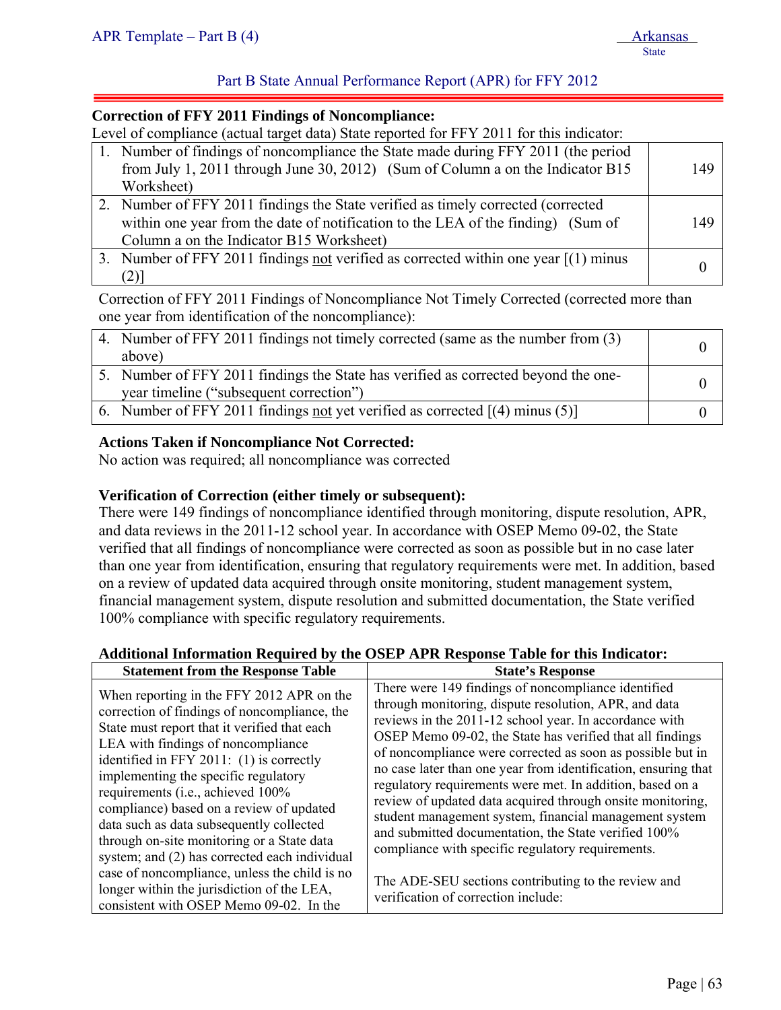### Part B State Annual Performance Report (APR) for FFY 2012

#### **Correction of FFY 2011 Findings of Noncompliance:**

Level of compliance (actual target data) State reported for FFY 2011 for this indicator:

| 1. Number of findings of noncompliance the State made during FFY 2011 (the period     |     |
|---------------------------------------------------------------------------------------|-----|
| from July 1, 2011 through June 30, 2012) (Sum of Column a on the Indicator B15        | 149 |
| Worksheet)                                                                            |     |
| 2. Number of FFY 2011 findings the State verified as timely corrected (corrected)     |     |
| within one year from the date of notification to the LEA of the finding) (Sum of      | 149 |
| Column a on the Indicator B15 Worksheet)                                              |     |
| 3. Number of FFY 2011 findings not verified as corrected within one year $[(1)$ minus |     |
| $(2)$ ]                                                                               |     |

Correction of FFY 2011 Findings of Noncompliance Not Timely Corrected (corrected more than one year from identification of the noncompliance):

| 4. Number of FFY 2011 findings not timely corrected (same as the number from (3)   |  |
|------------------------------------------------------------------------------------|--|
| above)                                                                             |  |
| 5. Number of FFY 2011 findings the State has verified as corrected beyond the one- |  |
| year timeline ("subsequent correction")                                            |  |
| 6. Number of FFY 2011 findings not yet verified as corrected $[(4)$ minus (5)      |  |

#### **Actions Taken if Noncompliance Not Corrected:**

No action was required; all noncompliance was corrected

#### **Verification of Correction (either timely or subsequent):**

There were 149 findings of noncompliance identified through monitoring, dispute resolution, APR, and data reviews in the 2011-12 school year. In accordance with OSEP Memo 09-02, the State verified that all findings of noncompliance were corrected as soon as possible but in no case later than one year from identification, ensuring that regulatory requirements were met. In addition, based on a review of updated data acquired through onsite monitoring, student management system, financial management system, dispute resolution and submitted documentation, the State verified 100% compliance with specific regulatory requirements.

#### **Additional Information Required by the OSEP APR Response Table for this Indicator:**

|                                                                                                                                                                                                                                                                                                                                                                                                                                              | <b>State's Response</b>                                                                                                                                                                                                                                                                                                                                                                                                                                                                                                                                  |
|----------------------------------------------------------------------------------------------------------------------------------------------------------------------------------------------------------------------------------------------------------------------------------------------------------------------------------------------------------------------------------------------------------------------------------------------|----------------------------------------------------------------------------------------------------------------------------------------------------------------------------------------------------------------------------------------------------------------------------------------------------------------------------------------------------------------------------------------------------------------------------------------------------------------------------------------------------------------------------------------------------------|
| <b>Statement from the Response Table</b><br>When reporting in the FFY 2012 APR on the<br>correction of findings of noncompliance, the<br>State must report that it verified that each<br>LEA with findings of noncompliance<br>identified in FFY 2011: (1) is correctly<br>implementing the specific regulatory<br>requirements (i.e., achieved 100%<br>compliance) based on a review of updated<br>data such as data subsequently collected | There were 149 findings of noncompliance identified<br>through monitoring, dispute resolution, APR, and data<br>reviews in the 2011-12 school year. In accordance with<br>OSEP Memo 09-02, the State has verified that all findings<br>of noncompliance were corrected as soon as possible but in<br>no case later than one year from identification, ensuring that<br>regulatory requirements were met. In addition, based on a<br>review of updated data acquired through onsite monitoring,<br>student management system, financial management system |
| through on-site monitoring or a State data                                                                                                                                                                                                                                                                                                                                                                                                   | and submitted documentation, the State verified 100%<br>compliance with specific regulatory requirements.                                                                                                                                                                                                                                                                                                                                                                                                                                                |
| system; and (2) has corrected each individual<br>case of noncompliance, unless the child is no<br>longer within the jurisdiction of the LEA,<br>consistent with OSEP Memo 09-02. In the                                                                                                                                                                                                                                                      | The ADE-SEU sections contributing to the review and<br>verification of correction include:                                                                                                                                                                                                                                                                                                                                                                                                                                                               |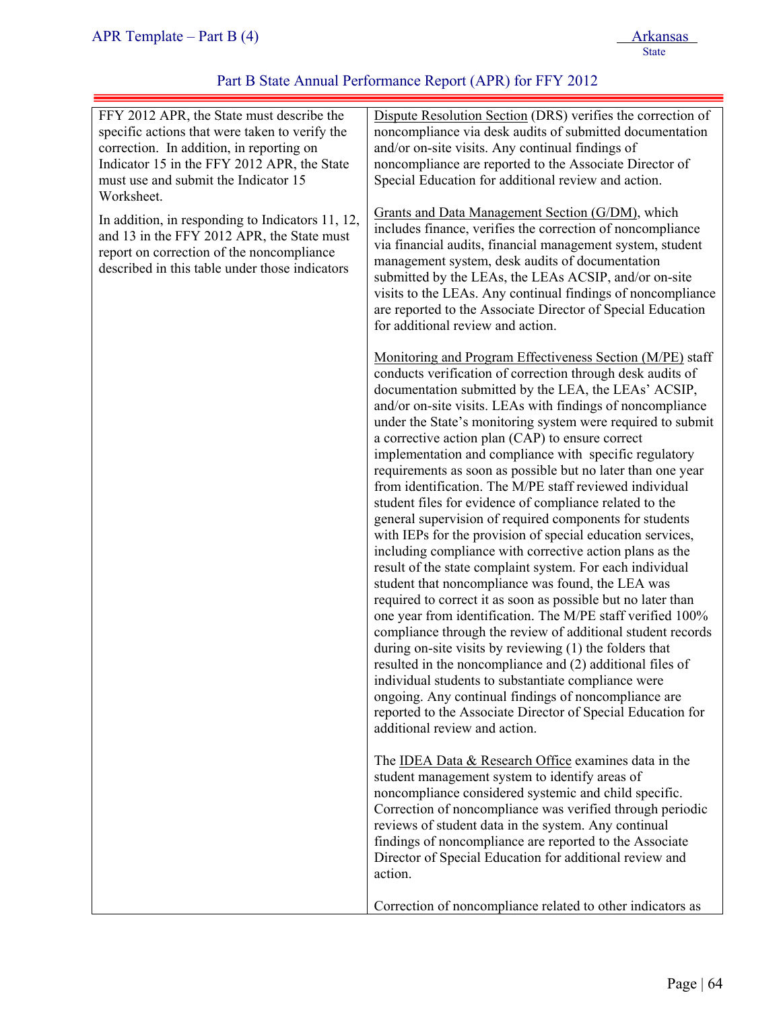| FFY 2012 APR, the State must describe the<br>specific actions that were taken to verify the<br>correction. In addition, in reporting on<br>Indicator 15 in the FFY 2012 APR, the State<br>must use and submit the Indicator 15<br>Worksheet. | Dispute Resolution Section (DRS) verifies the correction of<br>noncompliance via desk audits of submitted documentation<br>and/or on-site visits. Any continual findings of<br>noncompliance are reported to the Associate Director of<br>Special Education for additional review and action.                                                                                                                                                                                                                                                                                                                                                                                                                                                                                                                                                                                                                                                                                                                                                                                                                                                                                                                                                                                                                                                                                                                                                              |
|----------------------------------------------------------------------------------------------------------------------------------------------------------------------------------------------------------------------------------------------|------------------------------------------------------------------------------------------------------------------------------------------------------------------------------------------------------------------------------------------------------------------------------------------------------------------------------------------------------------------------------------------------------------------------------------------------------------------------------------------------------------------------------------------------------------------------------------------------------------------------------------------------------------------------------------------------------------------------------------------------------------------------------------------------------------------------------------------------------------------------------------------------------------------------------------------------------------------------------------------------------------------------------------------------------------------------------------------------------------------------------------------------------------------------------------------------------------------------------------------------------------------------------------------------------------------------------------------------------------------------------------------------------------------------------------------------------------|
| In addition, in responding to Indicators 11, 12,<br>and 13 in the FFY 2012 APR, the State must<br>report on correction of the noncompliance<br>described in this table under those indicators                                                | Grants and Data Management Section (G/DM), which<br>includes finance, verifies the correction of noncompliance<br>via financial audits, financial management system, student<br>management system, desk audits of documentation<br>submitted by the LEAs, the LEAs ACSIP, and/or on-site<br>visits to the LEAs. Any continual findings of noncompliance<br>are reported to the Associate Director of Special Education<br>for additional review and action.                                                                                                                                                                                                                                                                                                                                                                                                                                                                                                                                                                                                                                                                                                                                                                                                                                                                                                                                                                                                |
|                                                                                                                                                                                                                                              | Monitoring and Program Effectiveness Section (M/PE) staff<br>conducts verification of correction through desk audits of<br>documentation submitted by the LEA, the LEAs' ACSIP,<br>and/or on-site visits. LEAs with findings of noncompliance<br>under the State's monitoring system were required to submit<br>a corrective action plan (CAP) to ensure correct<br>implementation and compliance with specific regulatory<br>requirements as soon as possible but no later than one year<br>from identification. The M/PE staff reviewed individual<br>student files for evidence of compliance related to the<br>general supervision of required components for students<br>with IEPs for the provision of special education services,<br>including compliance with corrective action plans as the<br>result of the state complaint system. For each individual<br>student that noncompliance was found, the LEA was<br>required to correct it as soon as possible but no later than<br>one year from identification. The M/PE staff verified 100%<br>compliance through the review of additional student records<br>during on-site visits by reviewing (1) the folders that<br>resulted in the noncompliance and (2) additional files of<br>individual students to substantiate compliance were<br>ongoing. Any continual findings of noncompliance are<br>reported to the Associate Director of Special Education for<br>additional review and action. |
|                                                                                                                                                                                                                                              | The IDEA Data & Research Office examines data in the<br>student management system to identify areas of<br>noncompliance considered systemic and child specific.<br>Correction of noncompliance was verified through periodic<br>reviews of student data in the system. Any continual<br>findings of noncompliance are reported to the Associate<br>Director of Special Education for additional review and<br>action.                                                                                                                                                                                                                                                                                                                                                                                                                                                                                                                                                                                                                                                                                                                                                                                                                                                                                                                                                                                                                                      |
|                                                                                                                                                                                                                                              | Correction of noncompliance related to other indicators as                                                                                                                                                                                                                                                                                                                                                                                                                                                                                                                                                                                                                                                                                                                                                                                                                                                                                                                                                                                                                                                                                                                                                                                                                                                                                                                                                                                                 |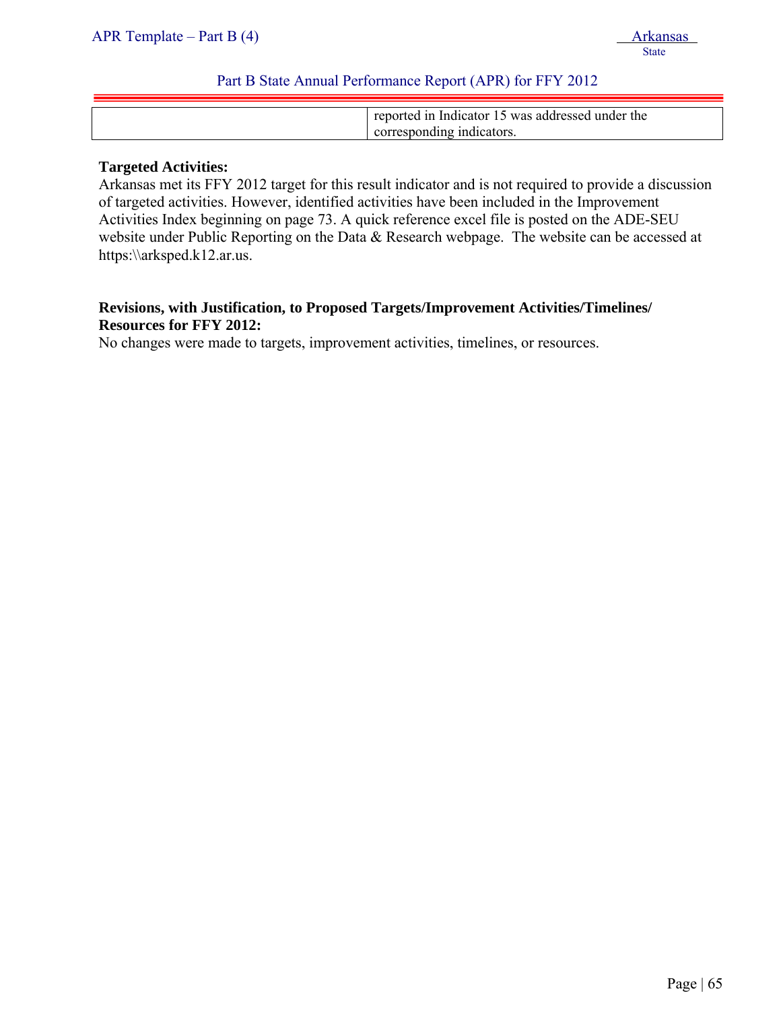| reported in Indicator 15 was addressed under the |
|--------------------------------------------------|
|                                                  |
| corresponding indicators.                        |

#### **Targeted Activities:**

Arkansas met its FFY 2012 target for this result indicator and is not required to provide a discussion of targeted activities. However, identified activities have been included in the Improvement Activities Index beginning on page 73. A quick reference excel file is posted on the ADE-SEU website under Public Reporting on the Data & Research webpage. The website can be accessed at https:\\arksped.k12.ar.us.

### **Revisions, with Justification, to Proposed Targets/Improvement Activities/Timelines/ Resources for FFY 2012:**

No changes were made to targets, improvement activities, timelines, or resources.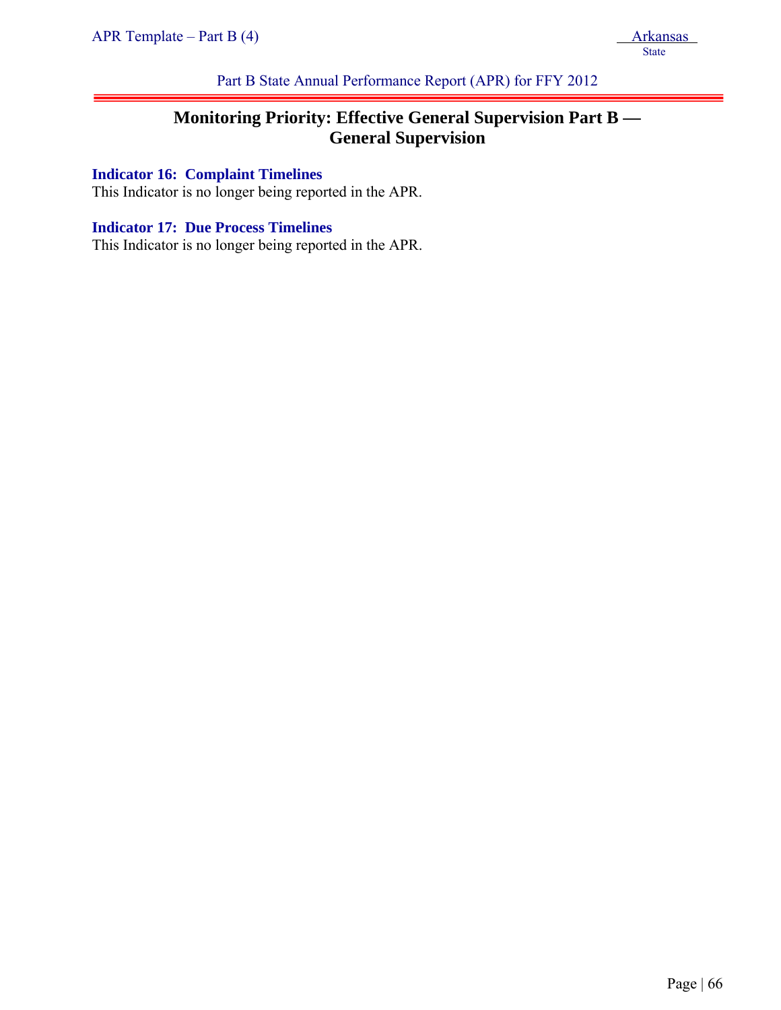Part B State Annual Performance Report (APR) for FFY 2012

# **Monitoring Priority: Effective General Supervision Part B — General Supervision**

## **Indicator 16: Complaint Timelines**

This Indicator is no longer being reported in the APR.

#### **Indicator 17: Due Process Timelines**

This Indicator is no longer being reported in the APR.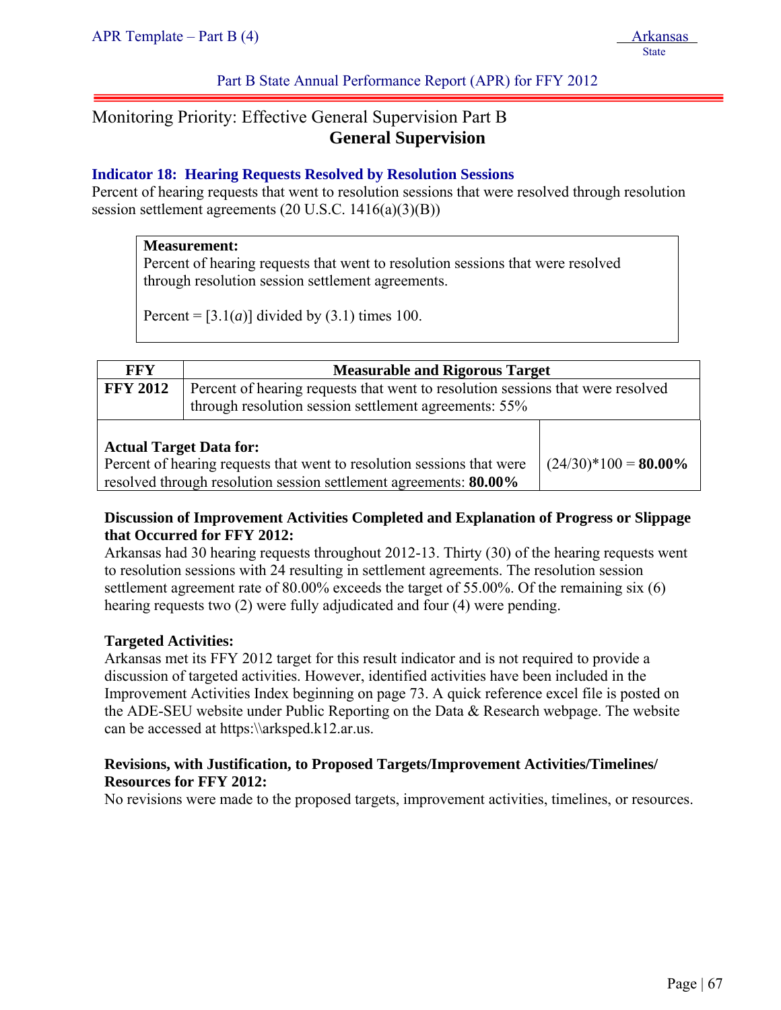#### Part B State Annual Performance Report (APR) for FFY 2012

# Monitoring Priority: Effective General Supervision Part B **General Supervision**

#### **Indicator 18: Hearing Requests Resolved by Resolution Sessions**

Percent of hearing requests that went to resolution sessions that were resolved through resolution session settlement agreements (20 U.S.C. 1416(a)(3)(B))

#### **Measurement:**

Percent of hearing requests that went to resolution sessions that were resolved through resolution session settlement agreements.

Percent =  $[3.1(a)]$  divided by  $(3.1)$  times 100.

| <b>FFY</b>                                                                                                                                                                    | <b>Measurable and Rigorous Target</b>                                                                                                    |                         |  |
|-------------------------------------------------------------------------------------------------------------------------------------------------------------------------------|------------------------------------------------------------------------------------------------------------------------------------------|-------------------------|--|
| <b>FFY 2012</b>                                                                                                                                                               | Percent of hearing requests that went to resolution sessions that were resolved<br>through resolution session settlement agreements: 55% |                         |  |
| <b>Actual Target Data for:</b><br>Percent of hearing requests that went to resolution sessions that were<br>resolved through resolution session settlement agreements: 80.00% |                                                                                                                                          | $(24/30)*100 = 80.00\%$ |  |

#### **Discussion of Improvement Activities Completed and Explanation of Progress or Slippage that Occurred for FFY 2012:**

Arkansas had 30 hearing requests throughout 2012-13. Thirty (30) of the hearing requests went to resolution sessions with 24 resulting in settlement agreements. The resolution session settlement agreement rate of 80.00% exceeds the target of 55.00%. Of the remaining six (6) hearing requests two (2) were fully adjudicated and four (4) were pending.

#### **Targeted Activities:**

Arkansas met its FFY 2012 target for this result indicator and is not required to provide a discussion of targeted activities. However, identified activities have been included in the Improvement Activities Index beginning on page 73. A quick reference excel file is posted on the ADE-SEU website under Public Reporting on the Data & Research webpage. The website can be accessed at https:\\arksped.k12.ar.us.

#### **Revisions, with Justification, to Proposed Targets/Improvement Activities/Timelines/ Resources for FFY 2012:**

No revisions were made to the proposed targets, improvement activities, timelines, or resources.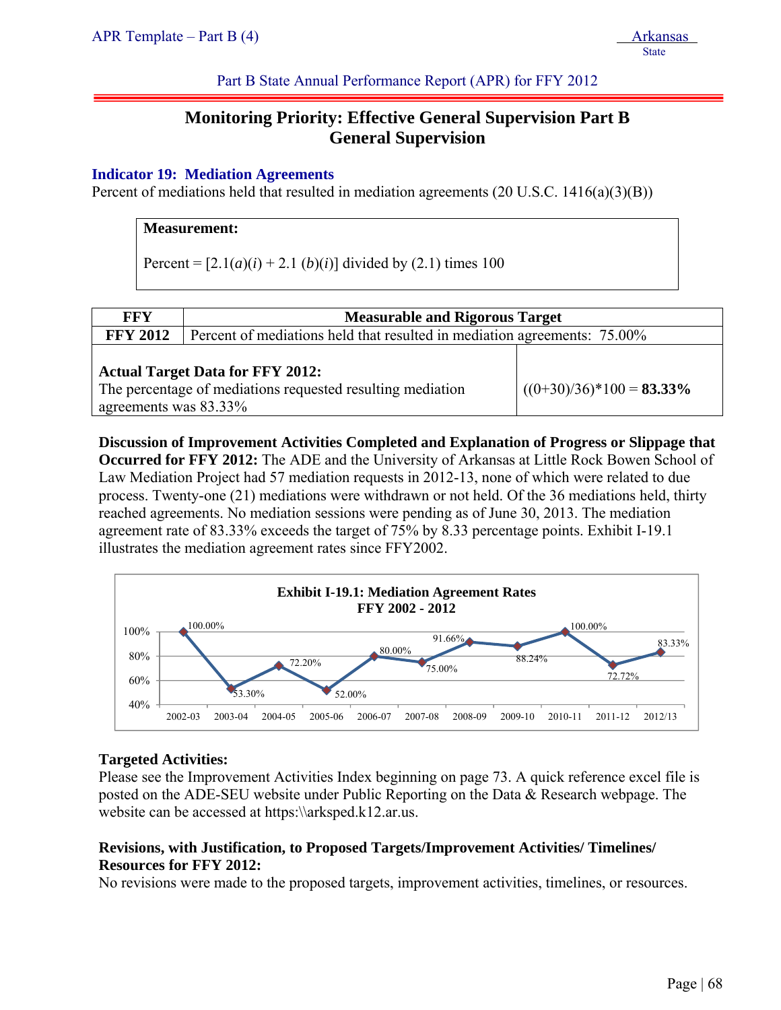<u>State</u>

Part B State Annual Performance Report (APR) for FFY 2012

# **Monitoring Priority: Effective General Supervision Part B General Supervision**

#### **Indicator 19: Mediation Agreements**

Percent of mediations held that resulted in mediation agreements (20 U.S.C. 1416(a)(3)(B))

#### **Measurement:**

Percent =  $[2.1(a)(i) + 2.1(b)(i)]$  divided by (2.1) times 100

| <b>FFY</b>                                                                                                                     | <b>Measurable and Rigorous Target</b>                                    |                             |  |
|--------------------------------------------------------------------------------------------------------------------------------|--------------------------------------------------------------------------|-----------------------------|--|
| <b>FFY 2012</b>                                                                                                                | Percent of mediations held that resulted in mediation agreements: 75.00% |                             |  |
| <b>Actual Target Data for FFY 2012:</b><br>The percentage of mediations requested resulting mediation<br>agreements was 83.33% |                                                                          | $((0+30)/36)*100 = 83.33\%$ |  |

**Discussion of Improvement Activities Completed and Explanation of Progress or Slippage that Occurred for FFY 2012:** The ADE and the University of Arkansas at Little Rock Bowen School of Law Mediation Project had 57 mediation requests in 2012-13, none of which were related to due process. Twenty-one (21) mediations were withdrawn or not held. Of the 36 mediations held, thirty reached agreements. No mediation sessions were pending as of June 30, 2013. The mediation agreement rate of 83.33% exceeds the target of 75% by 8.33 percentage points. Exhibit I-19.1 illustrates the mediation agreement rates since FFY2002.



#### **Targeted Activities:**

Please see the Improvement Activities Index beginning on page 73. A quick reference excel file is posted on the ADE-SEU website under Public Reporting on the Data & Research webpage. The website can be accessed at https:\\arksped.k12.ar.us.

#### **Revisions, with Justification, to Proposed Targets/Improvement Activities/ Timelines/ Resources for FFY 2012:**

No revisions were made to the proposed targets, improvement activities, timelines, or resources.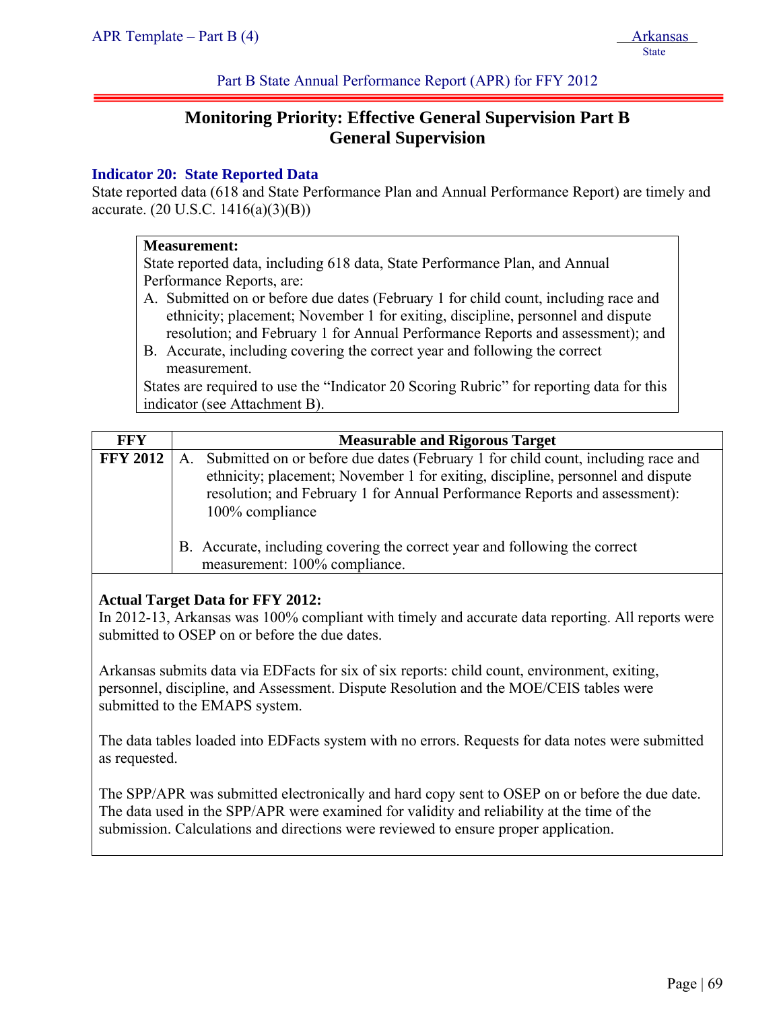Part B State Annual Performance Report (APR) for FFY 2012

# **Monitoring Priority: Effective General Supervision Part B General Supervision**

#### **Indicator 20: State Reported Data**

State reported data (618 and State Performance Plan and Annual Performance Report) are timely and accurate. (20 U.S.C. 1416(a)(3)(B))

#### **Measurement:**

State reported data, including 618 data, State Performance Plan, and Annual Performance Reports, are:

- A. Submitted on or before due dates (February 1 for child count, including race and ethnicity; placement; November 1 for exiting, discipline, personnel and dispute resolution; and February 1 for Annual Performance Reports and assessment); and
- B. Accurate, including covering the correct year and following the correct measurement.

States are required to use the "Indicator 20 Scoring Rubric" for reporting data for this indicator (see Attachment B).

| FFY             | <b>Measurable and Rigorous Target</b>                                                                                                                                                                                                                                      |
|-----------------|----------------------------------------------------------------------------------------------------------------------------------------------------------------------------------------------------------------------------------------------------------------------------|
| <b>FFY 2012</b> | Submitted on or before due dates (February 1 for child count, including race and<br>Α.<br>ethnicity; placement; November 1 for exiting, discipline, personnel and dispute<br>resolution; and February 1 for Annual Performance Reports and assessment):<br>100% compliance |
|                 | B. Accurate, including covering the correct year and following the correct<br>measurement: 100% compliance.                                                                                                                                                                |

#### **Actual Target Data for FFY 2012:**

In 2012-13, Arkansas was 100% compliant with timely and accurate data reporting. All reports were submitted to OSEP on or before the due dates.

Arkansas submits data via EDFacts for six of six reports: child count, environment, exiting, personnel, discipline, and Assessment. Dispute Resolution and the MOE/CEIS tables were submitted to the EMAPS system.

The data tables loaded into EDFacts system with no errors. Requests for data notes were submitted as requested.

The SPP/APR was submitted electronically and hard copy sent to OSEP on or before the due date. The data used in the SPP/APR were examined for validity and reliability at the time of the submission. Calculations and directions were reviewed to ensure proper application.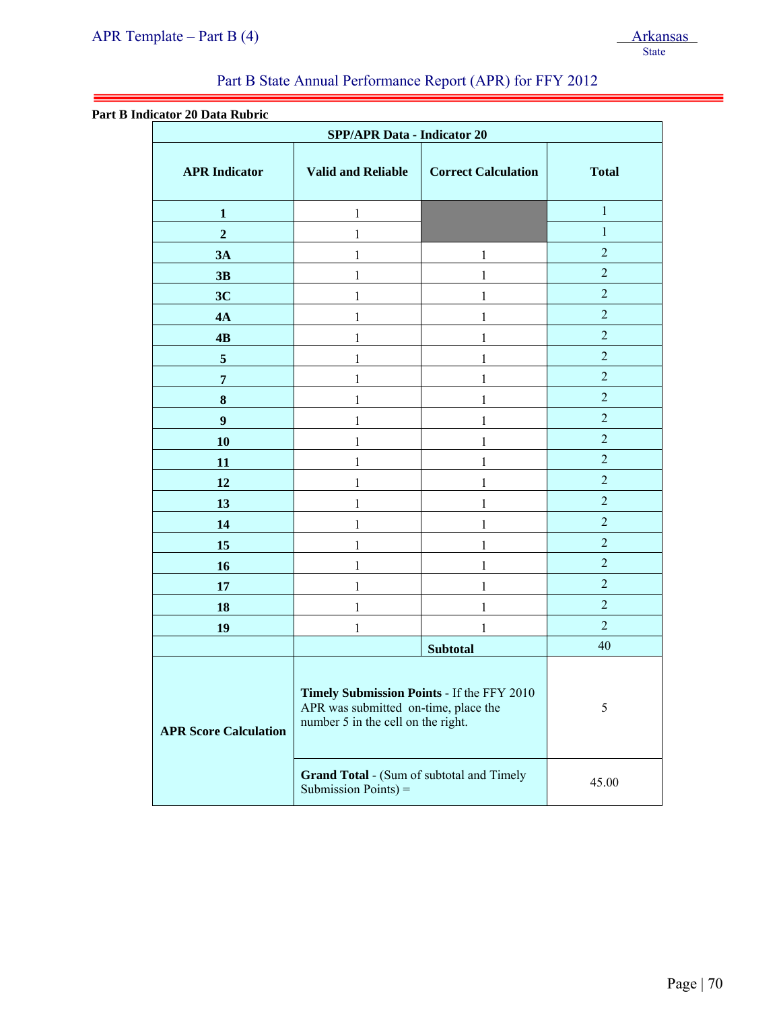#### **Part B Indicator 20 Data Rubric**

ļ

| <b>SPP/APR Data - Indicator 20</b> |                                                                                                                          |                            |                |
|------------------------------------|--------------------------------------------------------------------------------------------------------------------------|----------------------------|----------------|
| <b>APR</b> Indicator               | <b>Valid and Reliable</b>                                                                                                | <b>Correct Calculation</b> | <b>Total</b>   |
| 1                                  | 1                                                                                                                        |                            | $\mathbf{1}$   |
| $\overline{2}$                     | 1                                                                                                                        |                            | $\mathbf{1}$   |
| 3A                                 | 1                                                                                                                        | 1                          | $\overline{2}$ |
| 3B                                 | 1                                                                                                                        | 1                          | $\overline{2}$ |
| 3C                                 | 1                                                                                                                        | 1                          | $\overline{2}$ |
| 4A                                 | 1                                                                                                                        | 1                          | $\overline{2}$ |
| 4B                                 | 1                                                                                                                        | 1                          | $\overline{2}$ |
| $\overline{\mathbf{5}}$            | 1                                                                                                                        | 1                          | $\overline{2}$ |
| $\overline{7}$                     | 1                                                                                                                        | 1                          | $\overline{2}$ |
| $\boldsymbol{8}$                   | 1                                                                                                                        | 1                          | $\overline{2}$ |
| $\boldsymbol{9}$                   | 1                                                                                                                        | 1                          | $\overline{2}$ |
| 10                                 | 1                                                                                                                        | 1                          | $\overline{2}$ |
| 11                                 | 1                                                                                                                        | 1                          | $\overline{2}$ |
| 12                                 | 1                                                                                                                        | 1                          | $\overline{2}$ |
| 13                                 | 1                                                                                                                        | 1                          | $\overline{2}$ |
| 14                                 | 1                                                                                                                        | 1                          | $\overline{2}$ |
| 15                                 | 1                                                                                                                        | 1                          | $\overline{2}$ |
| 16                                 | 1                                                                                                                        | 1                          | $\overline{2}$ |
| 17                                 | 1                                                                                                                        |                            | $\overline{2}$ |
| 18                                 | 1                                                                                                                        |                            | $\overline{2}$ |
| 19                                 | 1                                                                                                                        | 1                          | $\overline{2}$ |
|                                    | <b>Subtotal</b>                                                                                                          |                            | 40             |
| <b>APR Score Calculation</b>       | Timely Submission Points - If the FFY 2010<br>APR was submitted on-time, place the<br>number 5 in the cell on the right. |                            | 5              |
|                                    | <b>Grand Total - (Sum of subtotal and Timely</b><br>Submission Points) =                                                 |                            | 45.00          |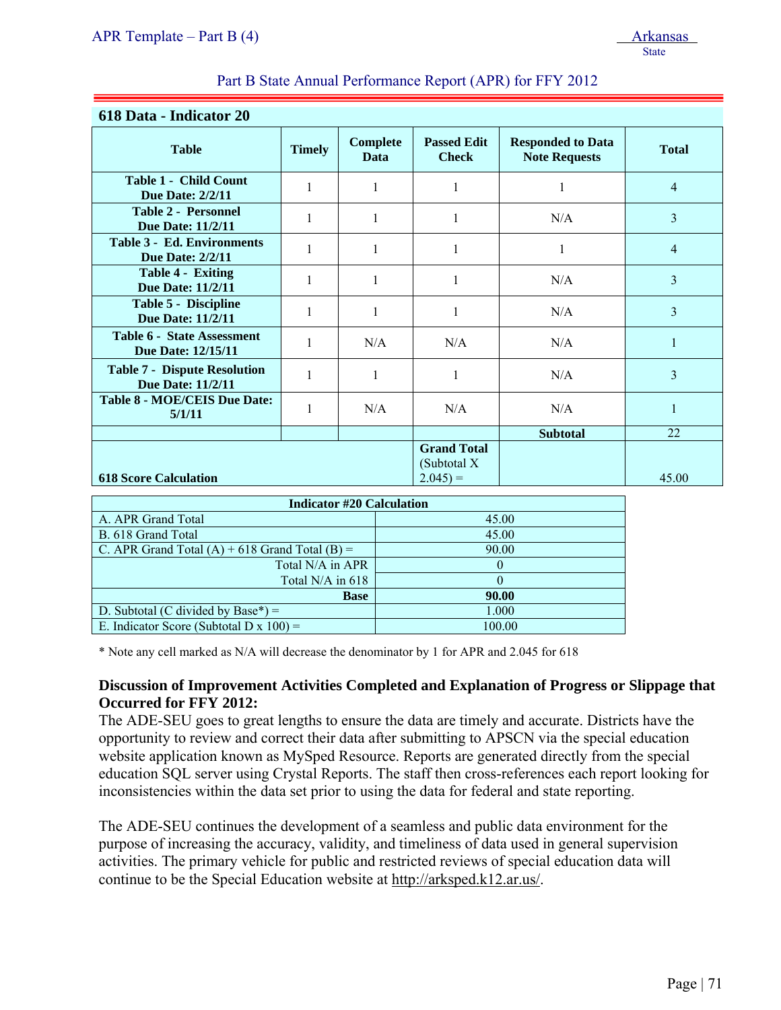| 618 Data - Indicator 20                                         |               |                         |                                                |                                                  |                |
|-----------------------------------------------------------------|---------------|-------------------------|------------------------------------------------|--------------------------------------------------|----------------|
| <b>Table</b>                                                    | <b>Timely</b> | <b>Complete</b><br>Data | <b>Passed Edit</b><br><b>Check</b>             | <b>Responded to Data</b><br><b>Note Requests</b> | <b>Total</b>   |
| <b>Table 1 - Child Count</b><br><b>Due Date: 2/2/11</b>         | $\mathbf{1}$  | 1                       | 1                                              | 1                                                | $\overline{4}$ |
| <b>Table 2 - Personnel</b><br>Due Date: 11/2/11                 | $\mathbf{1}$  | 1                       |                                                | N/A                                              | $\overline{3}$ |
| <b>Table 3 - Ed. Environments</b><br><b>Due Date: 2/2/11</b>    | 1             | 1                       | 1                                              | 1                                                | $\overline{4}$ |
| Table 4 - Exiting<br><b>Due Date: 11/2/11</b>                   | 1             | 1                       |                                                | N/A                                              | 3              |
| <b>Table 5 - Discipline</b><br><b>Due Date: 11/2/11</b>         |               |                         |                                                | N/A                                              | $\overline{3}$ |
| <b>Table 6 - State Assessment</b><br><b>Due Date: 12/15/11</b>  |               | N/A                     | N/A                                            | N/A                                              | $\mathbf{1}$   |
| <b>Table 7 - Dispute Resolution</b><br><b>Due Date: 11/2/11</b> | $\mathbf{1}$  | 1                       | 1                                              | N/A                                              | $\overline{3}$ |
| <b>Table 8 - MOE/CEIS Due Date:</b><br>5/1/11                   |               | N/A                     | N/A                                            | N/A                                              | 1              |
|                                                                 |               |                         |                                                | <b>Subtotal</b>                                  | 22             |
| <b>618 Score Calculation</b>                                    |               |                         | <b>Grand Total</b><br>(Subtotal X<br>$2.045 =$ |                                                  | 45.00          |

| <b>Indicator #20 Calculation</b>                   |        |  |  |
|----------------------------------------------------|--------|--|--|
| A. APR Grand Total                                 | 45.00  |  |  |
| B. 618 Grand Total                                 | 45.00  |  |  |
| C. APR Grand Total $(A)$ + 618 Grand Total $(B)$ = | 90.00  |  |  |
| Total N/A in APR                                   |        |  |  |
| Total $N/A$ in 618                                 |        |  |  |
| <b>Base</b>                                        | 90.00  |  |  |
| D. Subtotal (C divided by Base*) $=$               | 1.000  |  |  |
| E. Indicator Score (Subtotal D x $100$ ) =         | 100.00 |  |  |

\* Note any cell marked as N/A will decrease the denominator by 1 for APR and 2.045 for 618

#### **Discussion of Improvement Activities Completed and Explanation of Progress or Slippage that Occurred for FFY 2012:**

The ADE-SEU goes to great lengths to ensure the data are timely and accurate. Districts have the opportunity to review and correct their data after submitting to APSCN via the special education website application known as MySped Resource. Reports are generated directly from the special education SQL server using Crystal Reports. The staff then cross-references each report looking for inconsistencies within the data set prior to using the data for federal and state reporting.

The ADE-SEU continues the development of a seamless and public data environment for the purpose of increasing the accuracy, validity, and timeliness of data used in general supervision activities. The primary vehicle for public and restricted reviews of special education data will continue to be the Special Education website at http://arksped.k12.ar.us/.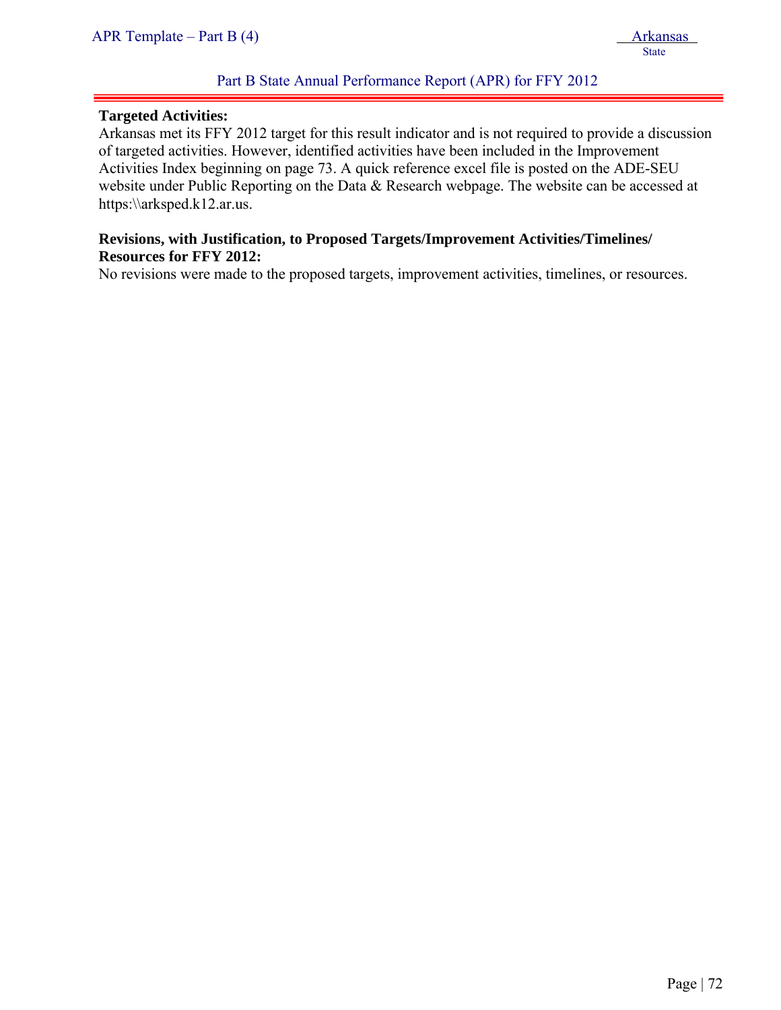#### **Targeted Activities:**

ļ

Arkansas met its FFY 2012 target for this result indicator and is not required to provide a discussion of targeted activities. However, identified activities have been included in the Improvement Activities Index beginning on page 73. A quick reference excel file is posted on the ADE-SEU website under Public Reporting on the Data & Research webpage. The website can be accessed at https:\\arksped.k12.ar.us.

#### **Revisions, with Justification, to Proposed Targets/Improvement Activities/Timelines/ Resources for FFY 2012:**

No revisions were made to the proposed targets, improvement activities, timelines, or resources.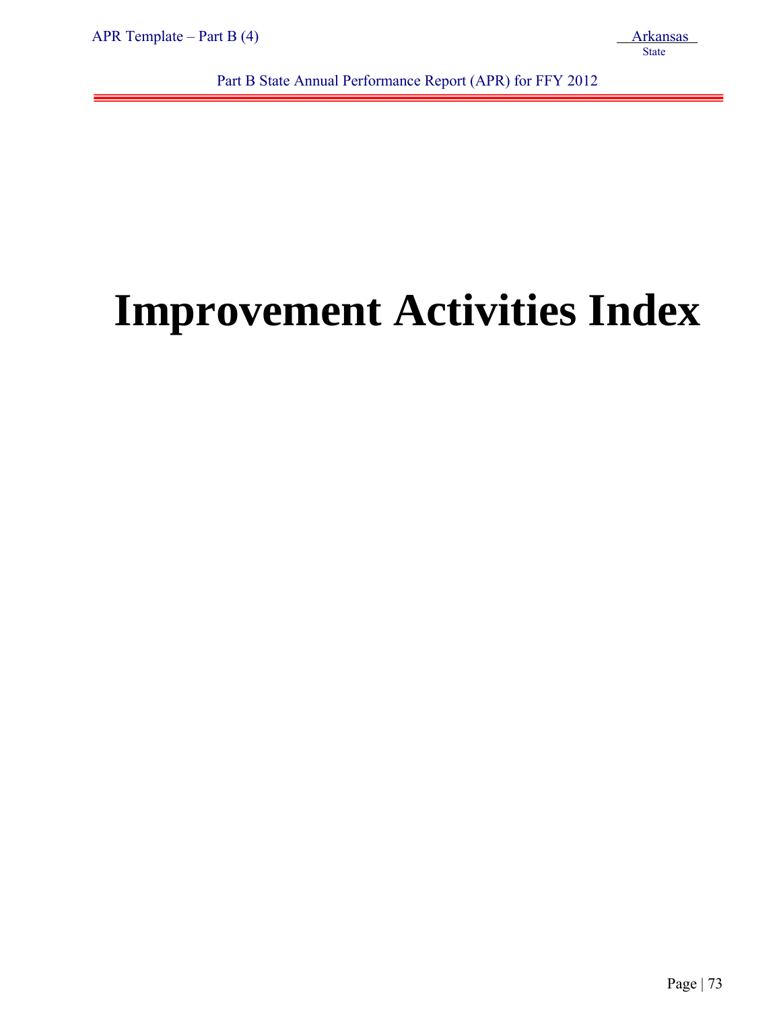ļ

Part B State Annual Performance Report (APR) for FFY 2012

# **Improvement Activities Index**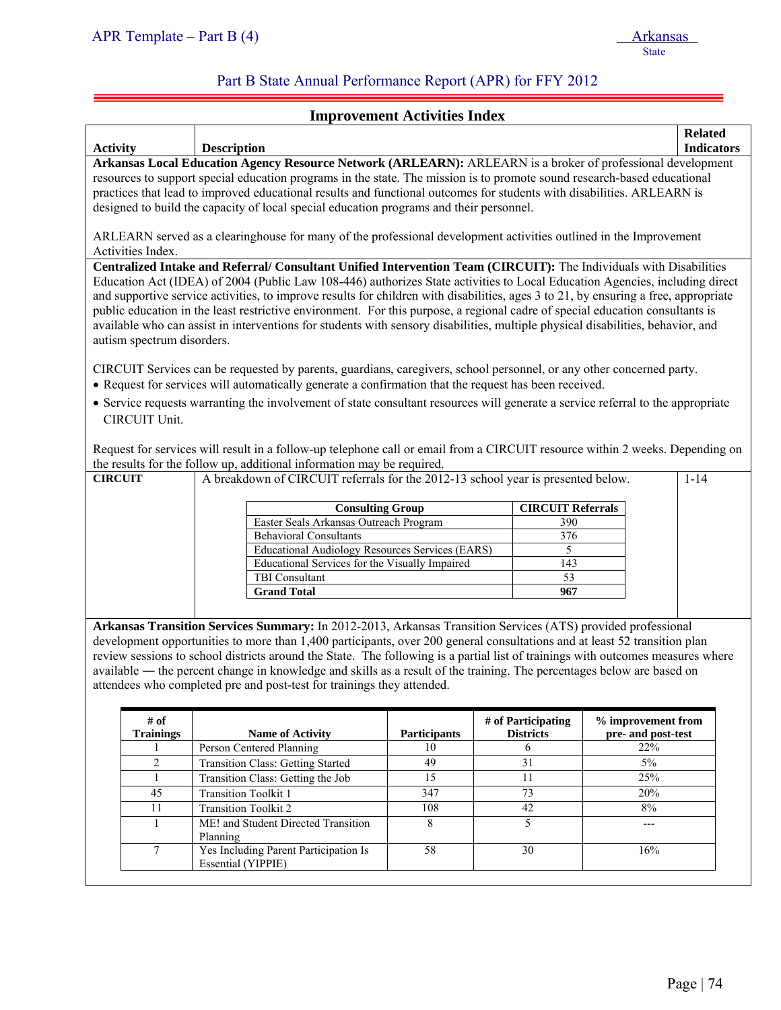ļ

## Part B State Annual Performance Report (APR) for FFY 2012

## **Improvement Activities Index**

|                 |                                                                                                                                                                                                                                                                                                                                                                                                                                                              |                                                                                                                                                                                                                                                                                                                                                                                                                                                                                                                                                                                                                                                              |                                                 |  |                          |                    | <b>Related</b>    |
|-----------------|--------------------------------------------------------------------------------------------------------------------------------------------------------------------------------------------------------------------------------------------------------------------------------------------------------------------------------------------------------------------------------------------------------------------------------------------------------------|--------------------------------------------------------------------------------------------------------------------------------------------------------------------------------------------------------------------------------------------------------------------------------------------------------------------------------------------------------------------------------------------------------------------------------------------------------------------------------------------------------------------------------------------------------------------------------------------------------------------------------------------------------------|-------------------------------------------------|--|--------------------------|--------------------|-------------------|
| <b>Activity</b> |                                                                                                                                                                                                                                                                                                                                                                                                                                                              | <b>Description</b>                                                                                                                                                                                                                                                                                                                                                                                                                                                                                                                                                                                                                                           |                                                 |  |                          |                    | <b>Indicators</b> |
|                 | Arkansas Local Education Agency Resource Network (ARLEARN): ARLEARN is a broker of professional development<br>resources to support special education programs in the state. The mission is to promote sound research-based educational<br>practices that lead to improved educational results and functional outcomes for students with disabilities. ARLEARN is<br>designed to build the capacity of local special education programs and their personnel. |                                                                                                                                                                                                                                                                                                                                                                                                                                                                                                                                                                                                                                                              |                                                 |  |                          |                    |                   |
|                 | Activities Index.                                                                                                                                                                                                                                                                                                                                                                                                                                            | ARLEARN served as a clearinghouse for many of the professional development activities outlined in the Improvement                                                                                                                                                                                                                                                                                                                                                                                                                                                                                                                                            |                                                 |  |                          |                    |                   |
|                 | autism spectrum disorders.                                                                                                                                                                                                                                                                                                                                                                                                                                   | Centralized Intake and Referral/ Consultant Unified Intervention Team (CIRCUIT): The Individuals with Disabilities<br>Education Act (IDEA) of 2004 (Public Law 108-446) authorizes State activities to Local Education Agencies, including direct<br>and supportive service activities, to improve results for children with disabilities, ages 3 to 21, by ensuring a free, appropriate<br>public education in the least restrictive environment. For this purpose, a regional cadre of special education consultants is<br>available who can assist in interventions for students with sensory disabilities, multiple physical disabilities, behavior, and |                                                 |  |                          |                    |                   |
|                 |                                                                                                                                                                                                                                                                                                                                                                                                                                                              | CIRCUIT Services can be requested by parents, guardians, caregivers, school personnel, or any other concerned party.<br>• Request for services will automatically generate a confirmation that the request has been received.                                                                                                                                                                                                                                                                                                                                                                                                                                |                                                 |  |                          |                    |                   |
|                 | CIRCUIT Unit.                                                                                                                                                                                                                                                                                                                                                                                                                                                | • Service requests warranting the involvement of state consultant resources will generate a service referral to the appropriate                                                                                                                                                                                                                                                                                                                                                                                                                                                                                                                              |                                                 |  |                          |                    |                   |
|                 |                                                                                                                                                                                                                                                                                                                                                                                                                                                              | Request for services will result in a follow-up telephone call or email from a CIRCUIT resource within 2 weeks. Depending on<br>the results for the follow up, additional information may be required.                                                                                                                                                                                                                                                                                                                                                                                                                                                       |                                                 |  |                          |                    |                   |
| <b>CIRCUIT</b>  |                                                                                                                                                                                                                                                                                                                                                                                                                                                              | A breakdown of CIRCUIT referrals for the 2012-13 school year is presented below.                                                                                                                                                                                                                                                                                                                                                                                                                                                                                                                                                                             |                                                 |  |                          |                    | $1 - 14$          |
|                 |                                                                                                                                                                                                                                                                                                                                                                                                                                                              |                                                                                                                                                                                                                                                                                                                                                                                                                                                                                                                                                                                                                                                              |                                                 |  |                          |                    |                   |
|                 |                                                                                                                                                                                                                                                                                                                                                                                                                                                              | <b>Consulting Group</b>                                                                                                                                                                                                                                                                                                                                                                                                                                                                                                                                                                                                                                      |                                                 |  | <b>CIRCUIT Referrals</b> |                    |                   |
|                 |                                                                                                                                                                                                                                                                                                                                                                                                                                                              | Easter Seals Arkansas Outreach Program                                                                                                                                                                                                                                                                                                                                                                                                                                                                                                                                                                                                                       |                                                 |  | 390                      |                    |                   |
|                 |                                                                                                                                                                                                                                                                                                                                                                                                                                                              | <b>Behavioral Consultants</b>                                                                                                                                                                                                                                                                                                                                                                                                                                                                                                                                                                                                                                |                                                 |  | 376                      |                    |                   |
|                 |                                                                                                                                                                                                                                                                                                                                                                                                                                                              |                                                                                                                                                                                                                                                                                                                                                                                                                                                                                                                                                                                                                                                              | Educational Audiology Resources Services (EARS) |  | 5                        |                    |                   |
|                 |                                                                                                                                                                                                                                                                                                                                                                                                                                                              |                                                                                                                                                                                                                                                                                                                                                                                                                                                                                                                                                                                                                                                              | Educational Services for the Visually Impaired  |  | 143                      |                    |                   |
|                 |                                                                                                                                                                                                                                                                                                                                                                                                                                                              | <b>TBI</b> Consultant                                                                                                                                                                                                                                                                                                                                                                                                                                                                                                                                                                                                                                        |                                                 |  | 53                       |                    |                   |
|                 |                                                                                                                                                                                                                                                                                                                                                                                                                                                              | <b>Grand Total</b>                                                                                                                                                                                                                                                                                                                                                                                                                                                                                                                                                                                                                                           |                                                 |  | 967                      |                    |                   |
|                 |                                                                                                                                                                                                                                                                                                                                                                                                                                                              |                                                                                                                                                                                                                                                                                                                                                                                                                                                                                                                                                                                                                                                              |                                                 |  |                          |                    |                   |
|                 |                                                                                                                                                                                                                                                                                                                                                                                                                                                              | Arkansas Transition Services Summary: In 2012-2013, Arkansas Transition Services (ATS) provided professional                                                                                                                                                                                                                                                                                                                                                                                                                                                                                                                                                 |                                                 |  |                          |                    |                   |
|                 |                                                                                                                                                                                                                                                                                                                                                                                                                                                              | development opportunities to more than 1,400 participants, over 200 general consultations and at least 52 transition plan                                                                                                                                                                                                                                                                                                                                                                                                                                                                                                                                    |                                                 |  |                          |                    |                   |
|                 |                                                                                                                                                                                                                                                                                                                                                                                                                                                              | review sessions to school districts around the State. The following is a partial list of trainings with outcomes measures where                                                                                                                                                                                                                                                                                                                                                                                                                                                                                                                              |                                                 |  |                          |                    |                   |
|                 |                                                                                                                                                                                                                                                                                                                                                                                                                                                              |                                                                                                                                                                                                                                                                                                                                                                                                                                                                                                                                                                                                                                                              |                                                 |  |                          |                    |                   |
|                 |                                                                                                                                                                                                                                                                                                                                                                                                                                                              | available — the percent change in knowledge and skills as a result of the training. The percentages below are based on                                                                                                                                                                                                                                                                                                                                                                                                                                                                                                                                       |                                                 |  |                          |                    |                   |
|                 |                                                                                                                                                                                                                                                                                                                                                                                                                                                              | attendees who completed pre and post-test for trainings they attended.                                                                                                                                                                                                                                                                                                                                                                                                                                                                                                                                                                                       |                                                 |  |                          |                    |                   |
|                 |                                                                                                                                                                                                                                                                                                                                                                                                                                                              |                                                                                                                                                                                                                                                                                                                                                                                                                                                                                                                                                                                                                                                              |                                                 |  |                          |                    |                   |
|                 | $\#$ of                                                                                                                                                                                                                                                                                                                                                                                                                                                      |                                                                                                                                                                                                                                                                                                                                                                                                                                                                                                                                                                                                                                                              |                                                 |  | # of Participating       | % improvement from |                   |
|                 | <b>Trainings</b>                                                                                                                                                                                                                                                                                                                                                                                                                                             | <b>Name of Activity</b>                                                                                                                                                                                                                                                                                                                                                                                                                                                                                                                                                                                                                                      | <b>Participants</b>                             |  | <b>Districts</b>         | pre- and post-test |                   |
|                 |                                                                                                                                                                                                                                                                                                                                                                                                                                                              | Person Centered Planning                                                                                                                                                                                                                                                                                                                                                                                                                                                                                                                                                                                                                                     | 10                                              |  | 6                        | 22%                |                   |
|                 | $\overline{c}$                                                                                                                                                                                                                                                                                                                                                                                                                                               | <b>Transition Class: Getting Started</b>                                                                                                                                                                                                                                                                                                                                                                                                                                                                                                                                                                                                                     | 49                                              |  | $\overline{31}$          | 5%                 |                   |
|                 | $\mathbf{1}$                                                                                                                                                                                                                                                                                                                                                                                                                                                 | Transition Class: Getting the Job                                                                                                                                                                                                                                                                                                                                                                                                                                                                                                                                                                                                                            | 15                                              |  | 11                       | 25%                |                   |
|                 | $\overline{45}$                                                                                                                                                                                                                                                                                                                                                                                                                                              | <b>Transition Toolkit 1</b>                                                                                                                                                                                                                                                                                                                                                                                                                                                                                                                                                                                                                                  | 347                                             |  | 73                       | 20%                |                   |
|                 | $\overline{11}$                                                                                                                                                                                                                                                                                                                                                                                                                                              | <b>Transition Toolkit 2</b>                                                                                                                                                                                                                                                                                                                                                                                                                                                                                                                                                                                                                                  | 108                                             |  | 42                       | 8%                 |                   |
|                 | 1                                                                                                                                                                                                                                                                                                                                                                                                                                                            | ME! and Student Directed Transition<br>Planning                                                                                                                                                                                                                                                                                                                                                                                                                                                                                                                                                                                                              | 8                                               |  | 5                        | $---$              |                   |
|                 | $\tau$                                                                                                                                                                                                                                                                                                                                                                                                                                                       | Yes Including Parent Participation Is<br>Essential (YIPPIE)                                                                                                                                                                                                                                                                                                                                                                                                                                                                                                                                                                                                  | $\overline{58}$                                 |  | 30                       | 16%                |                   |
|                 |                                                                                                                                                                                                                                                                                                                                                                                                                                                              |                                                                                                                                                                                                                                                                                                                                                                                                                                                                                                                                                                                                                                                              |                                                 |  |                          |                    |                   |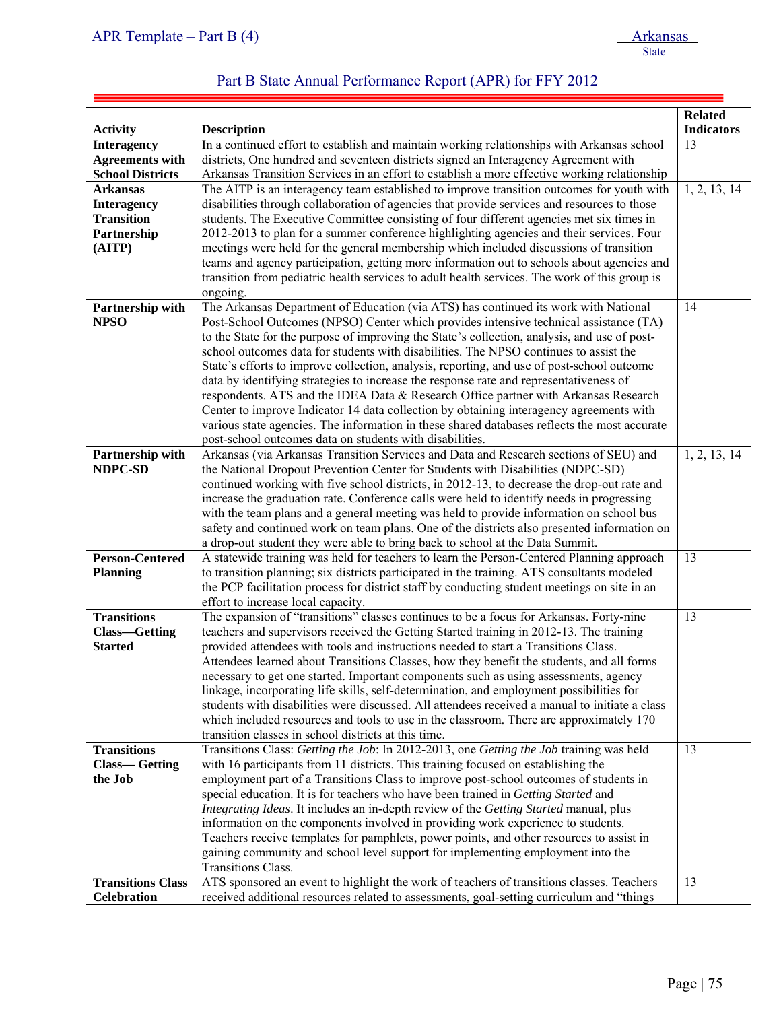| APR Template – Part B $(4)$ | Arkansas |
|-----------------------------|----------|
|                             | State    |

| Part B State Annual Performance Report (APR) for FFY 2012 |  |
|-----------------------------------------------------------|--|
|-----------------------------------------------------------|--|

| <b>Activity</b>                 | <b>Description</b>                                                                                                                                                                    | <b>Related</b><br><b>Indicators</b> |
|---------------------------------|---------------------------------------------------------------------------------------------------------------------------------------------------------------------------------------|-------------------------------------|
| <b>Interagency</b>              | In a continued effort to establish and maintain working relationships with Arkansas school                                                                                            | 13                                  |
| <b>Agreements with</b>          | districts, One hundred and seventeen districts signed an Interagency Agreement with                                                                                                   |                                     |
| <b>School Districts</b>         | Arkansas Transition Services in an effort to establish a more effective working relationship                                                                                          |                                     |
| <b>Arkansas</b>                 | The AITP is an interagency team established to improve transition outcomes for youth with                                                                                             | 1, 2, 13, 14                        |
| <b>Interagency</b>              | disabilities through collaboration of agencies that provide services and resources to those                                                                                           |                                     |
| <b>Transition</b>               | students. The Executive Committee consisting of four different agencies met six times in                                                                                              |                                     |
| Partnership                     | 2012-2013 to plan for a summer conference highlighting agencies and their services. Four                                                                                              |                                     |
| (AITP)                          | meetings were held for the general membership which included discussions of transition                                                                                                |                                     |
|                                 | teams and agency participation, getting more information out to schools about agencies and                                                                                            |                                     |
|                                 | transition from pediatric health services to adult health services. The work of this group is                                                                                         |                                     |
|                                 | ongoing.                                                                                                                                                                              |                                     |
|                                 | The Arkansas Department of Education (via ATS) has continued its work with National                                                                                                   | 14                                  |
| Partnership with<br><b>NPSO</b> | Post-School Outcomes (NPSO) Center which provides intensive technical assistance (TA)                                                                                                 |                                     |
|                                 |                                                                                                                                                                                       |                                     |
|                                 | to the State for the purpose of improving the State's collection, analysis, and use of post-<br>school outcomes data for students with disabilities. The NPSO continues to assist the |                                     |
|                                 |                                                                                                                                                                                       |                                     |
|                                 | State's efforts to improve collection, analysis, reporting, and use of post-school outcome<br>data by identifying strategies to increase the response rate and representativeness of  |                                     |
|                                 | respondents. ATS and the IDEA Data & Research Office partner with Arkansas Research                                                                                                   |                                     |
|                                 | Center to improve Indicator 14 data collection by obtaining interagency agreements with                                                                                               |                                     |
|                                 | various state agencies. The information in these shared databases reflects the most accurate                                                                                          |                                     |
|                                 | post-school outcomes data on students with disabilities.                                                                                                                              |                                     |
| Partnership with                | Arkansas (via Arkansas Transition Services and Data and Research sections of SEU) and                                                                                                 | 1, 2, 13, 14                        |
| NDPC-SD                         | the National Dropout Prevention Center for Students with Disabilities (NDPC-SD)                                                                                                       |                                     |
|                                 | continued working with five school districts, in 2012-13, to decrease the drop-out rate and                                                                                           |                                     |
|                                 | increase the graduation rate. Conference calls were held to identify needs in progressing                                                                                             |                                     |
|                                 | with the team plans and a general meeting was held to provide information on school bus                                                                                               |                                     |
|                                 | safety and continued work on team plans. One of the districts also presented information on                                                                                           |                                     |
|                                 | a drop-out student they were able to bring back to school at the Data Summit.                                                                                                         |                                     |
| <b>Person-Centered</b>          | A statewide training was held for teachers to learn the Person-Centered Planning approach                                                                                             | 13                                  |
| <b>Planning</b>                 | to transition planning; six districts participated in the training. ATS consultants modeled                                                                                           |                                     |
|                                 | the PCP facilitation process for district staff by conducting student meetings on site in an                                                                                          |                                     |
|                                 | effort to increase local capacity.                                                                                                                                                    |                                     |
| <b>Transitions</b>              | The expansion of "transitions" classes continues to be a focus for Arkansas. Forty-nine                                                                                               | 13                                  |
| <b>Class-Getting</b>            | teachers and supervisors received the Getting Started training in 2012-13. The training                                                                                               |                                     |
| <b>Started</b>                  | provided attendees with tools and instructions needed to start a Transitions Class.                                                                                                   |                                     |
|                                 | Attendees learned about Transitions Classes, how they benefit the students, and all forms                                                                                             |                                     |
|                                 | necessary to get one started. Important components such as using assessments, agency                                                                                                  |                                     |
|                                 | linkage, incorporating life skills, self-determination, and employment possibilities for                                                                                              |                                     |
|                                 | students with disabilities were discussed. All attendees received a manual to initiate a class                                                                                        |                                     |
|                                 | which included resources and tools to use in the classroom. There are approximately 170                                                                                               |                                     |
|                                 | transition classes in school districts at this time.                                                                                                                                  |                                     |
| <b>Transitions</b>              | Transitions Class: Getting the Job: In 2012-2013, one Getting the Job training was held                                                                                               | 13                                  |
| <b>Class—Getting</b>            | with 16 participants from 11 districts. This training focused on establishing the                                                                                                     |                                     |
| the Job                         | employment part of a Transitions Class to improve post-school outcomes of students in                                                                                                 |                                     |
|                                 | special education. It is for teachers who have been trained in Getting Started and                                                                                                    |                                     |
|                                 | Integrating Ideas. It includes an in-depth review of the Getting Started manual, plus                                                                                                 |                                     |
|                                 | information on the components involved in providing work experience to students.                                                                                                      |                                     |
|                                 | Teachers receive templates for pamphlets, power points, and other resources to assist in                                                                                              |                                     |
|                                 | gaining community and school level support for implementing employment into the                                                                                                       |                                     |
|                                 | Transitions Class.                                                                                                                                                                    |                                     |
| <b>Transitions Class</b>        | ATS sponsored an event to highlight the work of teachers of transitions classes. Teachers                                                                                             | 13                                  |
| <b>Celebration</b>              | received additional resources related to assessments, goal-setting curriculum and "things"                                                                                            |                                     |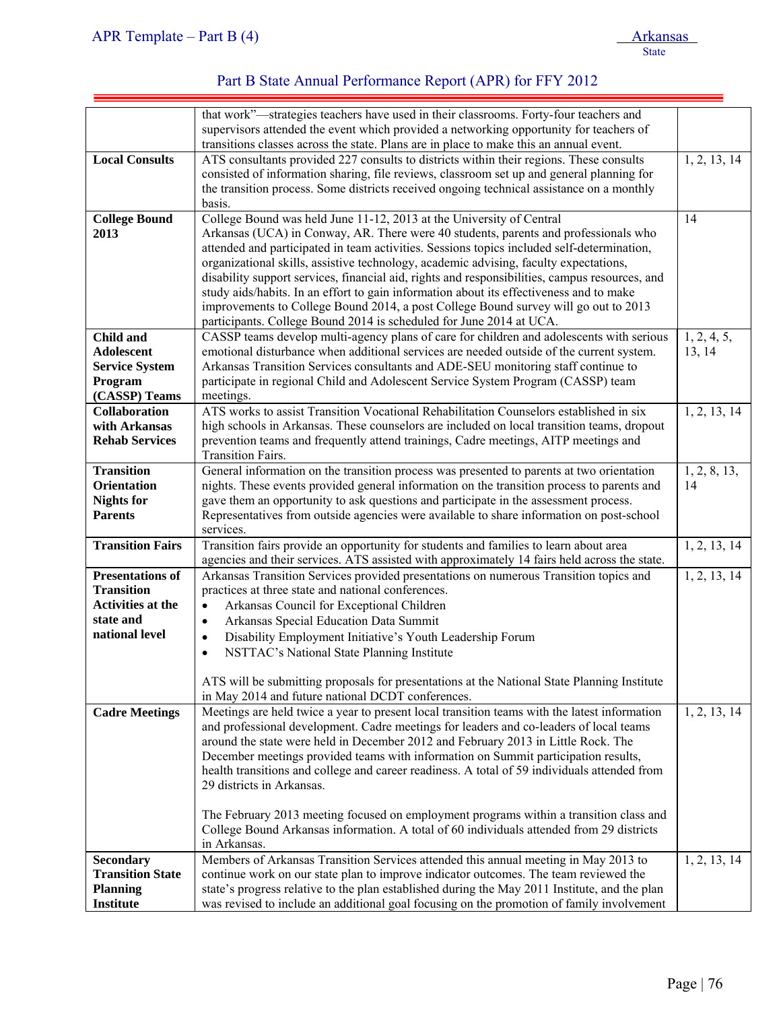|                          | that work"-strategies teachers have used in their classrooms. Forty-four teachers and          |              |
|--------------------------|------------------------------------------------------------------------------------------------|--------------|
|                          | supervisors attended the event which provided a networking opportunity for teachers of         |              |
|                          | transitions classes across the state. Plans are in place to make this an annual event.         |              |
| <b>Local Consults</b>    | ATS consultants provided 227 consults to districts within their regions. These consults        | 1, 2, 13, 14 |
|                          | consisted of information sharing, file reviews, classroom set up and general planning for      |              |
|                          |                                                                                                |              |
|                          | the transition process. Some districts received ongoing technical assistance on a monthly      |              |
|                          | basis.                                                                                         |              |
| <b>College Bound</b>     | College Bound was held June 11-12, 2013 at the University of Central                           | 14           |
| 2013                     | Arkansas (UCA) in Conway, AR. There were 40 students, parents and professionals who            |              |
|                          | attended and participated in team activities. Sessions topics included self-determination,     |              |
|                          | organizational skills, assistive technology, academic advising, faculty expectations,          |              |
|                          | disability support services, financial aid, rights and responsibilities, campus resources, and |              |
|                          | study aids/habits. In an effort to gain information about its effectiveness and to make        |              |
|                          | improvements to College Bound 2014, a post College Bound survey will go out to 2013            |              |
|                          | participants. College Bound 2014 is scheduled for June 2014 at UCA.                            |              |
| <b>Child and</b>         | CASSP teams develop multi-agency plans of care for children and adolescents with serious       | 1, 2, 4, 5,  |
| <b>Adolescent</b>        | emotional disturbance when additional services are needed outside of the current system.       | 13, 14       |
| <b>Service System</b>    | Arkansas Transition Services consultants and ADE-SEU monitoring staff continue to              |              |
| Program                  | participate in regional Child and Adolescent Service System Program (CASSP) team               |              |
| (CASSP) Teams            | meetings.                                                                                      |              |
| <b>Collaboration</b>     | ATS works to assist Transition Vocational Rehabilitation Counselors established in six         | 1, 2, 13, 14 |
| with Arkansas            | high schools in Arkansas. These counselors are included on local transition teams, dropout     |              |
| <b>Rehab Services</b>    | prevention teams and frequently attend trainings, Cadre meetings, AITP meetings and            |              |
|                          | <b>Transition Fairs.</b>                                                                       |              |
|                          |                                                                                                |              |
| <b>Transition</b>        | General information on the transition process was presented to parents at two orientation      | 1, 2, 8, 13, |
| <b>Orientation</b>       | nights. These events provided general information on the transition process to parents and     | 14           |
| <b>Nights for</b>        | gave them an opportunity to ask questions and participate in the assessment process.           |              |
| <b>Parents</b>           | Representatives from outside agencies were available to share information on post-school       |              |
|                          | services.                                                                                      |              |
| <b>Transition Fairs</b>  | Transition fairs provide an opportunity for students and families to learn about area          | 1, 2, 13, 14 |
|                          | agencies and their services. ATS assisted with approximately 14 fairs held across the state.   |              |
| <b>Presentations of</b>  | Arkansas Transition Services provided presentations on numerous Transition topics and          | 1, 2, 13, 14 |
| <b>Transition</b>        | practices at three state and national conferences.                                             |              |
| <b>Activities at the</b> | Arkansas Council for Exceptional Children<br>$\bullet$                                         |              |
| state and                | Arkansas Special Education Data Summit<br>$\bullet$                                            |              |
| national level           | Disability Employment Initiative's Youth Leadership Forum<br>$\bullet$                         |              |
|                          | NSTTAC's National State Planning Institute<br>$\bullet$                                        |              |
|                          |                                                                                                |              |
|                          | ATS will be submitting proposals for presentations at the National State Planning Institute    |              |
|                          | in May 2014 and future national DCDT conferences.                                              |              |
| <b>Cadre Meetings</b>    | Meetings are held twice a year to present local transition teams with the latest information   | 1, 2, 13, 14 |
|                          |                                                                                                |              |
|                          | and professional development. Cadre meetings for leaders and co-leaders of local teams         |              |
|                          | around the state were held in December 2012 and February 2013 in Little Rock. The              |              |
|                          | December meetings provided teams with information on Summit participation results,             |              |
|                          | health transitions and college and career readiness. A total of 59 individuals attended from   |              |
|                          | 29 districts in Arkansas.                                                                      |              |
|                          |                                                                                                |              |
|                          | The February 2013 meeting focused on employment programs within a transition class and         |              |
|                          | College Bound Arkansas information. A total of 60 individuals attended from 29 districts       |              |
|                          | in Arkansas.                                                                                   |              |
| <b>Secondary</b>         | Members of Arkansas Transition Services attended this annual meeting in May 2013 to            | 1, 2, 13, 14 |
| <b>Transition State</b>  | continue work on our state plan to improve indicator outcomes. The team reviewed the           |              |
| <b>Planning</b>          | state's progress relative to the plan established during the May 2011 Institute, and the plan  |              |
| <b>Institute</b>         | was revised to include an additional goal focusing on the promotion of family involvement      |              |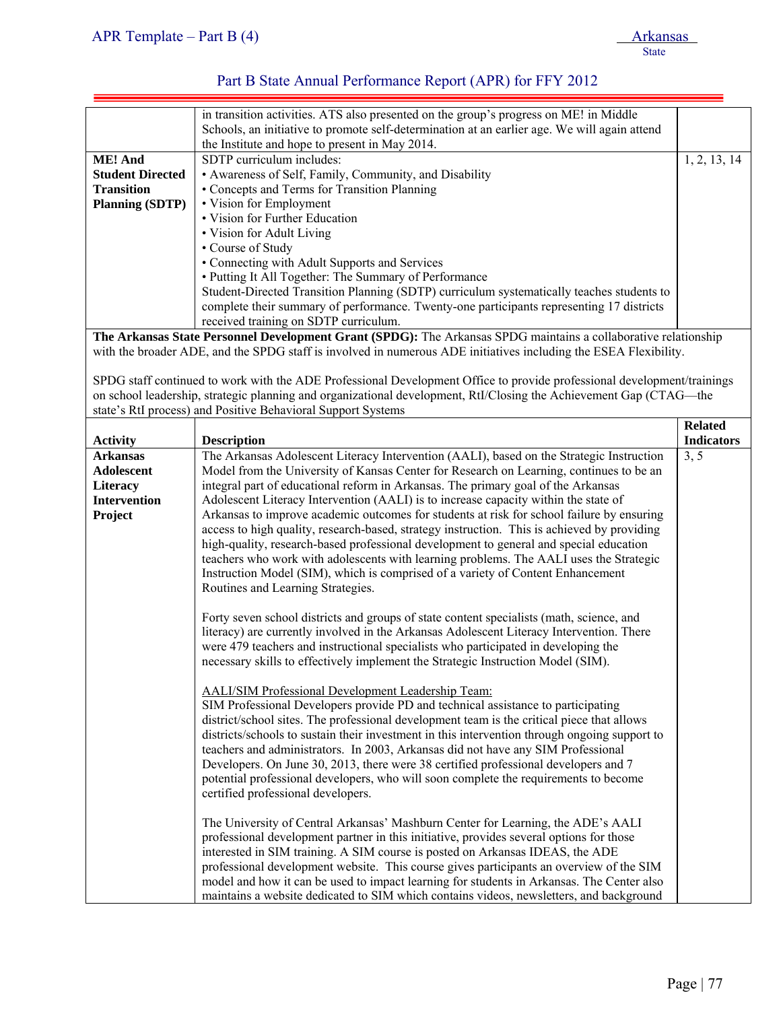| APR Template – Part B $(4)$ | <b>Arkansas</b> |
|-----------------------------|-----------------|
|                             | State           |

|                                                                                                                 | in transition activities. ATS also presented on the group's progress on ME! in Middle        |              |
|-----------------------------------------------------------------------------------------------------------------|----------------------------------------------------------------------------------------------|--------------|
|                                                                                                                 | Schools, an initiative to promote self-determination at an earlier age. We will again attend |              |
|                                                                                                                 | the Institute and hope to present in May 2014.                                               |              |
| <b>ME!</b> And                                                                                                  | SDTP curriculum includes:                                                                    | 1, 2, 13, 14 |
| <b>Student Directed</b>                                                                                         | • Awareness of Self, Family, Community, and Disability                                       |              |
| <b>Transition</b>                                                                                               | • Concepts and Terms for Transition Planning                                                 |              |
| <b>Planning (SDTP)</b>                                                                                          | • Vision for Employment                                                                      |              |
|                                                                                                                 | • Vision for Further Education                                                               |              |
|                                                                                                                 | • Vision for Adult Living                                                                    |              |
|                                                                                                                 | • Course of Study                                                                            |              |
|                                                                                                                 | • Connecting with Adult Supports and Services                                                |              |
|                                                                                                                 | • Putting It All Together: The Summary of Performance                                        |              |
|                                                                                                                 | Student-Directed Transition Planning (SDTP) curriculum systematically teaches students to    |              |
|                                                                                                                 | complete their summary of performance. Twenty-one participants representing 17 districts     |              |
|                                                                                                                 | received training on SDTP curriculum.                                                        |              |
| The Arkansas State Personnel Development Grant (SPDG): The Arkansas SPDG maintains a collaborative relationship |                                                                                              |              |

with the broader ADE, and the SPDG staff is involved in numerous ADE initiatives including the ESEA Flexibility.

SPDG staff continued to work with the ADE Professional Development Office to provide professional development/trainings on school leadership, strategic planning and organizational development, RtI/Closing the Achievement Gap (CTAG—the state's RtI process) and Positive Behavioral Support Systems

|                                                                                    | <b>Related</b>                                                                                                                                                                                                                                                                                                                                                                                                                                                                                                                                                                                                                                                                                                                                                                                                                     |                   |
|------------------------------------------------------------------------------------|------------------------------------------------------------------------------------------------------------------------------------------------------------------------------------------------------------------------------------------------------------------------------------------------------------------------------------------------------------------------------------------------------------------------------------------------------------------------------------------------------------------------------------------------------------------------------------------------------------------------------------------------------------------------------------------------------------------------------------------------------------------------------------------------------------------------------------|-------------------|
| <b>Activity</b>                                                                    | <b>Description</b>                                                                                                                                                                                                                                                                                                                                                                                                                                                                                                                                                                                                                                                                                                                                                                                                                 | <b>Indicators</b> |
| <b>Arkansas</b><br><b>Adolescent</b><br>Literacy<br><b>Intervention</b><br>Project | The Arkansas Adolescent Literacy Intervention (AALI), based on the Strategic Instruction<br>Model from the University of Kansas Center for Research on Learning, continues to be an<br>integral part of educational reform in Arkansas. The primary goal of the Arkansas<br>Adolescent Literacy Intervention (AALI) is to increase capacity within the state of<br>Arkansas to improve academic outcomes for students at risk for school failure by ensuring<br>access to high quality, research-based, strategy instruction. This is achieved by providing<br>high-quality, research-based professional development to general and special education<br>teachers who work with adolescents with learning problems. The AALI uses the Strategic<br>Instruction Model (SIM), which is comprised of a variety of Content Enhancement | 3, 5              |
|                                                                                    | Routines and Learning Strategies.<br>Forty seven school districts and groups of state content specialists (math, science, and<br>literacy) are currently involved in the Arkansas Adolescent Literacy Intervention. There<br>were 479 teachers and instructional specialists who participated in developing the<br>necessary skills to effectively implement the Strategic Instruction Model (SIM).                                                                                                                                                                                                                                                                                                                                                                                                                                |                   |
|                                                                                    | <b>AALI/SIM Professional Development Leadership Team:</b><br>SIM Professional Developers provide PD and technical assistance to participating<br>district/school sites. The professional development team is the critical piece that allows<br>districts/schools to sustain their investment in this intervention through ongoing support to<br>teachers and administrators. In 2003, Arkansas did not have any SIM Professional<br>Developers. On June 30, 2013, there were 38 certified professional developers and 7<br>potential professional developers, who will soon complete the requirements to become<br>certified professional developers.                                                                                                                                                                              |                   |
|                                                                                    | The University of Central Arkansas' Mashburn Center for Learning, the ADE's AALI<br>professional development partner in this initiative, provides several options for those<br>interested in SIM training. A SIM course is posted on Arkansas IDEAS, the ADE<br>professional development website. This course gives participants an overview of the SIM<br>model and how it can be used to impact learning for students in Arkansas. The Center also<br>maintains a website dedicated to SIM which contains videos, newsletters, and background                                                                                                                                                                                                                                                                                    |                   |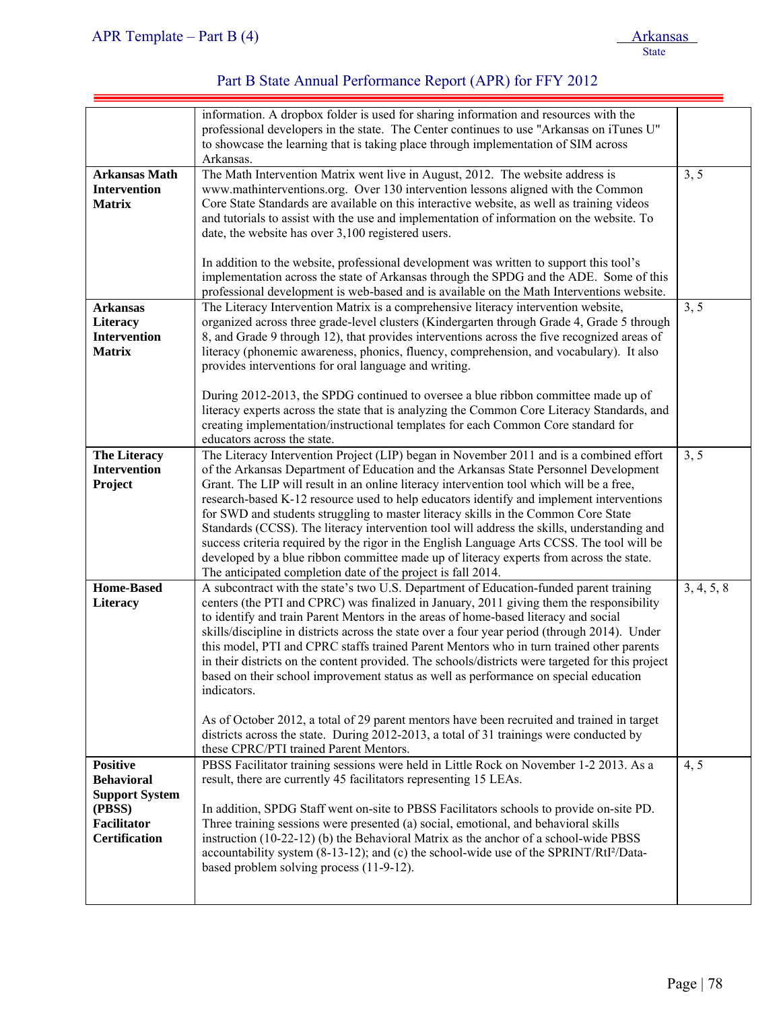|                                                                                                                | information. A dropbox folder is used for sharing information and resources with the<br>professional developers in the state. The Center continues to use "Arkansas on iTunes U"<br>to showcase the learning that is taking place through implementation of SIM across<br>Arkansas.                                                                                                                                                                                                                                                                                                                                                                                                                                                                                                                                                                                                                                  |            |
|----------------------------------------------------------------------------------------------------------------|----------------------------------------------------------------------------------------------------------------------------------------------------------------------------------------------------------------------------------------------------------------------------------------------------------------------------------------------------------------------------------------------------------------------------------------------------------------------------------------------------------------------------------------------------------------------------------------------------------------------------------------------------------------------------------------------------------------------------------------------------------------------------------------------------------------------------------------------------------------------------------------------------------------------|------------|
| <b>Arkansas Math</b><br><b>Intervention</b><br><b>Matrix</b>                                                   | The Math Intervention Matrix went live in August, 2012. The website address is<br>www.mathinterventions.org. Over 130 intervention lessons aligned with the Common<br>Core State Standards are available on this interactive website, as well as training videos<br>and tutorials to assist with the use and implementation of information on the website. To<br>date, the website has over 3,100 registered users.                                                                                                                                                                                                                                                                                                                                                                                                                                                                                                  | 3, 5       |
|                                                                                                                | In addition to the website, professional development was written to support this tool's<br>implementation across the state of Arkansas through the SPDG and the ADE. Some of this<br>professional development is web-based and is available on the Math Interventions website.                                                                                                                                                                                                                                                                                                                                                                                                                                                                                                                                                                                                                                       |            |
| <b>Arkansas</b><br>Literacy<br>Intervention<br><b>Matrix</b>                                                   | The Literacy Intervention Matrix is a comprehensive literacy intervention website,<br>organized across three grade-level clusters (Kindergarten through Grade 4, Grade 5 through<br>8, and Grade 9 through 12), that provides interventions across the five recognized areas of<br>literacy (phonemic awareness, phonics, fluency, comprehension, and vocabulary). It also<br>provides interventions for oral language and writing.<br>During 2012-2013, the SPDG continued to oversee a blue ribbon committee made up of<br>literacy experts across the state that is analyzing the Common Core Literacy Standards, and<br>creating implementation/instructional templates for each Common Core standard for                                                                                                                                                                                                        | 3, 5       |
| <b>The Literacy</b><br><b>Intervention</b><br>Project                                                          | educators across the state.<br>The Literacy Intervention Project (LIP) began in November 2011 and is a combined effort<br>of the Arkansas Department of Education and the Arkansas State Personnel Development<br>Grant. The LIP will result in an online literacy intervention tool which will be a free,<br>research-based K-12 resource used to help educators identify and implement interventions<br>for SWD and students struggling to master literacy skills in the Common Core State<br>Standards (CCSS). The literacy intervention tool will address the skills, understanding and<br>success criteria required by the rigor in the English Language Arts CCSS. The tool will be<br>developed by a blue ribbon committee made up of literacy experts from across the state.<br>The anticipated completion date of the project is fall 2014.                                                                 | 3, 5       |
| <b>Home-Based</b><br><b>Literacy</b>                                                                           | A subcontract with the state's two U.S. Department of Education-funded parent training<br>centers (the PTI and CPRC) was finalized in January, 2011 giving them the responsibility<br>to identify and train Parent Mentors in the areas of home-based literacy and social<br>skills/discipline in districts across the state over a four year period (through 2014). Under<br>this model, PTI and CPRC staffs trained Parent Mentors who in turn trained other parents<br>in their districts on the content provided. The schools/districts were targeted for this project<br>based on their school improvement status as well as performance on special education<br>indicators.<br>As of October 2012, a total of 29 parent mentors have been recruited and trained in target<br>districts across the state. During 2012-2013, a total of 31 trainings were conducted by<br>these CPRC/PTI trained Parent Mentors. | 3, 4, 5, 8 |
| <b>Positive</b><br><b>Behavioral</b><br><b>Support System</b><br>(PBSS)<br>Facilitator<br><b>Certification</b> | PBSS Facilitator training sessions were held in Little Rock on November 1-2 2013. As a<br>result, there are currently 45 facilitators representing 15 LEAs.<br>In addition, SPDG Staff went on-site to PBSS Facilitators schools to provide on-site PD.<br>Three training sessions were presented (a) social, emotional, and behavioral skills<br>instruction (10-22-12) (b) the Behavioral Matrix as the anchor of a school-wide PBSS<br>accountability system (8-13-12); and (c) the school-wide use of the SPRINT/RtI <sup>2</sup> /Data-<br>based problem solving process (11-9-12).                                                                                                                                                                                                                                                                                                                             | 4, 5       |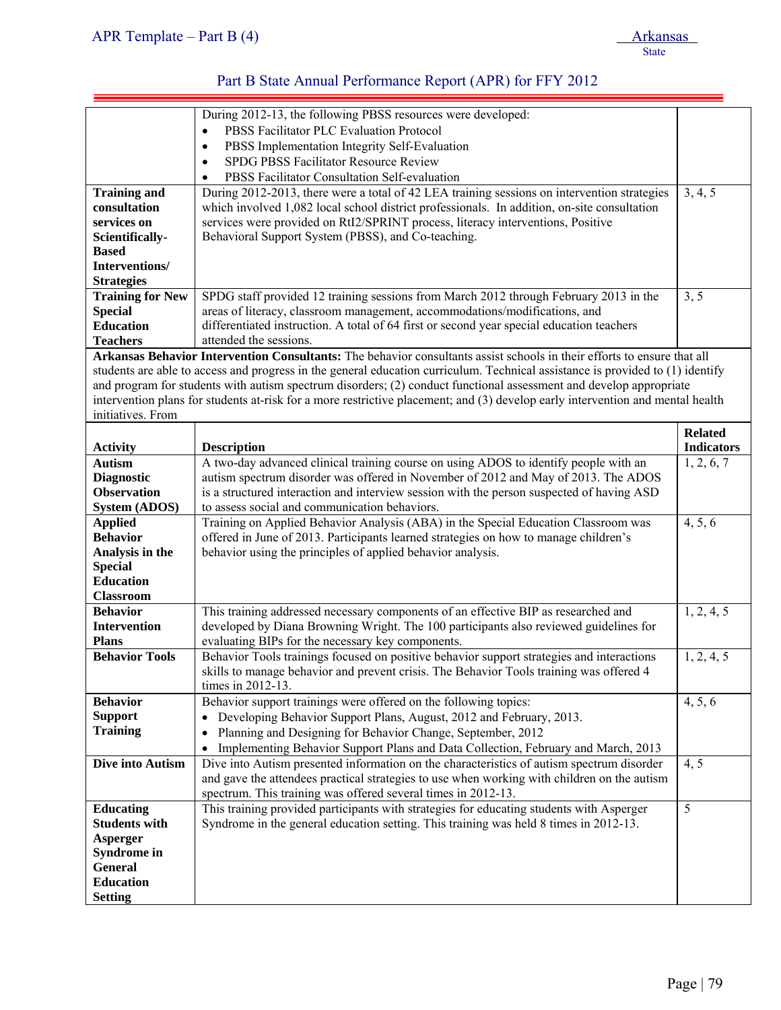| APR Template – Part B $(4)$ | Arkansas |
|-----------------------------|----------|
|                             | State    |

|                                     | During 2012-13, the following PBSS resources were developed:                                                                   |                   |
|-------------------------------------|--------------------------------------------------------------------------------------------------------------------------------|-------------------|
|                                     | PBSS Facilitator PLC Evaluation Protocol                                                                                       |                   |
|                                     | PBSS Implementation Integrity Self-Evaluation<br>$\bullet$                                                                     |                   |
|                                     | SPDG PBSS Facilitator Resource Review<br>$\bullet$                                                                             |                   |
|                                     | PBSS Facilitator Consultation Self-evaluation                                                                                  |                   |
| <b>Training and</b>                 | During 2012-2013, there were a total of 42 LEA training sessions on intervention strategies                                    | 3, 4, 5           |
| consultation                        | which involved 1,082 local school district professionals. In addition, on-site consultation                                    |                   |
| services on                         | services were provided on RtI2/SPRINT process, literacy interventions, Positive                                                |                   |
| Scientifically-                     | Behavioral Support System (PBSS), and Co-teaching.                                                                             |                   |
| <b>Based</b>                        |                                                                                                                                |                   |
| Interventions/                      |                                                                                                                                |                   |
| <b>Strategies</b>                   |                                                                                                                                |                   |
| <b>Training for New</b>             | SPDG staff provided 12 training sessions from March 2012 through February 2013 in the                                          | 3, 5              |
| <b>Special</b>                      | areas of literacy, classroom management, accommodations/modifications, and                                                     |                   |
| <b>Education</b>                    | differentiated instruction. A total of 64 first or second year special education teachers                                      |                   |
| <b>Teachers</b>                     | attended the sessions.                                                                                                         |                   |
|                                     | Arkansas Behavior Intervention Consultants: The behavior consultants assist schools in their efforts to ensure that all        |                   |
|                                     | students are able to access and progress in the general education curriculum. Technical assistance is provided to (1) identify |                   |
|                                     | and program for students with autism spectrum disorders; (2) conduct functional assessment and develop appropriate             |                   |
|                                     | intervention plans for students at-risk for a more restrictive placement; and (3) develop early intervention and mental health |                   |
| initiatives. From                   |                                                                                                                                |                   |
|                                     |                                                                                                                                | <b>Related</b>    |
|                                     |                                                                                                                                |                   |
| <b>Activity</b>                     | <b>Description</b>                                                                                                             | <b>Indicators</b> |
| <b>Autism</b>                       | A two-day advanced clinical training course on using ADOS to identify people with an                                           | 1, 2, 6, 7        |
| <b>Diagnostic</b>                   | autism spectrum disorder was offered in November of 2012 and May of 2013. The ADOS                                             |                   |
| <b>Observation</b>                  | is a structured interaction and interview session with the person suspected of having ASD                                      |                   |
| <b>System (ADOS)</b>                | to assess social and communication behaviors.                                                                                  |                   |
| <b>Applied</b>                      | Training on Applied Behavior Analysis (ABA) in the Special Education Classroom was                                             | 4, 5, 6           |
| <b>Behavior</b>                     | offered in June of 2013. Participants learned strategies on how to manage children's                                           |                   |
| Analysis in the                     | behavior using the principles of applied behavior analysis.                                                                    |                   |
| <b>Special</b><br><b>Education</b>  |                                                                                                                                |                   |
| <b>Classroom</b>                    |                                                                                                                                |                   |
|                                     |                                                                                                                                |                   |
| <b>Behavior</b>                     | This training addressed necessary components of an effective BIP as researched and                                             | 1, 2, 4, 5        |
| <b>Intervention</b><br><b>Plans</b> | developed by Diana Browning Wright. The 100 participants also reviewed guidelines for                                          |                   |
|                                     | evaluating BIPs for the necessary key components.                                                                              |                   |
| <b>Behavior Tools</b>               | Behavior Tools trainings focused on positive behavior support strategies and interactions                                      | 1, 2, 4, 5        |
|                                     | skills to manage behavior and prevent crisis. The Behavior Tools training was offered 4                                        |                   |
|                                     | times in 2012-13.                                                                                                              |                   |
| <b>Behavior</b>                     | Behavior support trainings were offered on the following topics:                                                               | 4, 5, 6           |
| <b>Support</b>                      | Developing Behavior Support Plans, August, 2012 and February, 2013.<br>$\bullet$                                               |                   |
| <b>Training</b>                     | Planning and Designing for Behavior Change, September, 2012<br>$\bullet$                                                       |                   |
|                                     | Implementing Behavior Support Plans and Data Collection, February and March, 2013                                              |                   |
| Dive into Autism                    | Dive into Autism presented information on the characteristics of autism spectrum disorder                                      | 4, 5              |
|                                     | and gave the attendees practical strategies to use when working with children on the autism                                    |                   |
|                                     | spectrum. This training was offered several times in 2012-13.                                                                  |                   |
| <b>Educating</b>                    | This training provided participants with strategies for educating students with Asperger                                       | 5                 |
| <b>Students with</b>                | Syndrome in the general education setting. This training was held 8 times in 2012-13.                                          |                   |
| Asperger                            |                                                                                                                                |                   |
| <b>Syndrome in</b>                  |                                                                                                                                |                   |
| <b>General</b>                      |                                                                                                                                |                   |
| <b>Education</b>                    |                                                                                                                                |                   |
| <b>Setting</b>                      |                                                                                                                                |                   |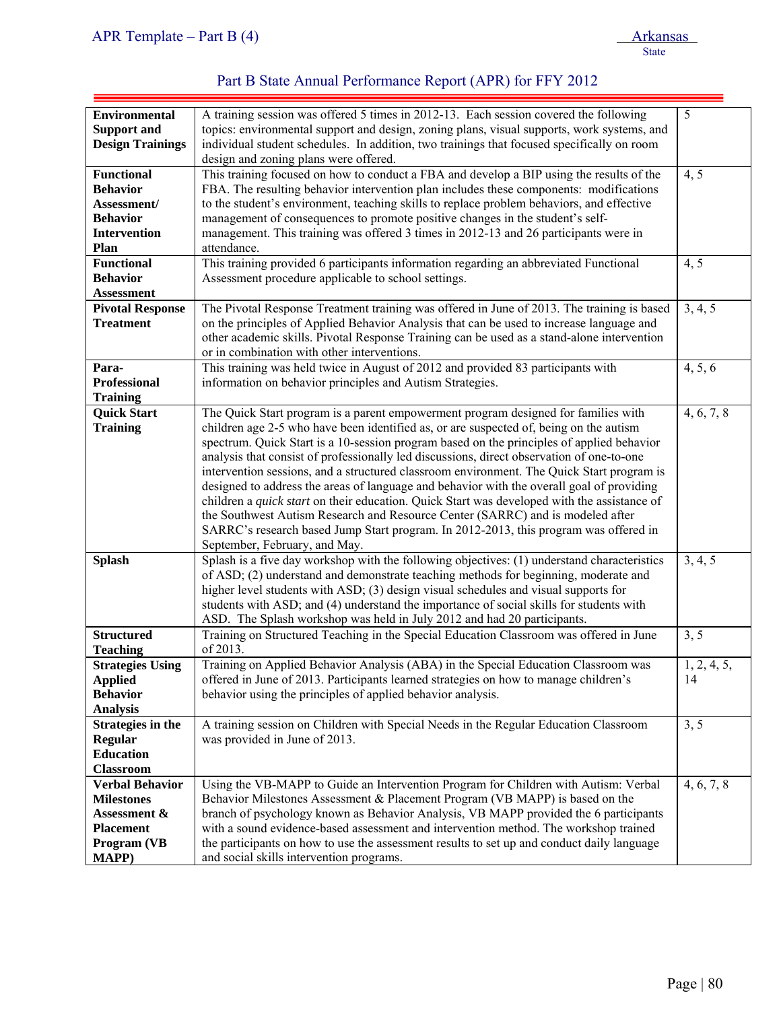| Part B State Annual Performance Report (APR) for FFY 2012 |  |
|-----------------------------------------------------------|--|
|-----------------------------------------------------------|--|

| <b>Environmental</b>     | A training session was offered 5 times in 2012-13. Each session covered the following       | 5           |
|--------------------------|---------------------------------------------------------------------------------------------|-------------|
| <b>Support and</b>       | topics: environmental support and design, zoning plans, visual supports, work systems, and  |             |
| <b>Design Trainings</b>  | individual student schedules. In addition, two trainings that focused specifically on room  |             |
|                          | design and zoning plans were offered.                                                       |             |
| <b>Functional</b>        | This training focused on how to conduct a FBA and develop a BIP using the results of the    |             |
|                          |                                                                                             | 4, 5        |
| <b>Behavior</b>          | FBA. The resulting behavior intervention plan includes these components: modifications      |             |
| Assessment/              | to the student's environment, teaching skills to replace problem behaviors, and effective   |             |
| <b>Behavior</b>          | management of consequences to promote positive changes in the student's self-               |             |
| Intervention             | management. This training was offered 3 times in 2012-13 and 26 participants were in        |             |
| <b>Plan</b>              | attendance.                                                                                 |             |
| <b>Functional</b>        | This training provided 6 participants information regarding an abbreviated Functional       | 4, 5        |
| <b>Behavior</b>          | Assessment procedure applicable to school settings.                                         |             |
| <b>Assessment</b>        |                                                                                             |             |
| <b>Pivotal Response</b>  | The Pivotal Response Treatment training was offered in June of 2013. The training is based  | 3, 4, 5     |
| <b>Treatment</b>         | on the principles of Applied Behavior Analysis that can be used to increase language and    |             |
|                          | other academic skills. Pivotal Response Training can be used as a stand-alone intervention  |             |
|                          | or in combination with other interventions.                                                 |             |
| Para-                    | This training was held twice in August of 2012 and provided 83 participants with            | 4, 5, 6     |
|                          | information on behavior principles and Autism Strategies.                                   |             |
| <b>Professional</b>      |                                                                                             |             |
| <b>Training</b>          |                                                                                             |             |
| <b>Quick Start</b>       | The Quick Start program is a parent empowerment program designed for families with          | 4, 6, 7, 8  |
| <b>Training</b>          | children age 2-5 who have been identified as, or are suspected of, being on the autism      |             |
|                          | spectrum. Quick Start is a 10-session program based on the principles of applied behavior   |             |
|                          | analysis that consist of professionally led discussions, direct observation of one-to-one   |             |
|                          | intervention sessions, and a structured classroom environment. The Quick Start program is   |             |
|                          | designed to address the areas of language and behavior with the overall goal of providing   |             |
|                          | children a quick start on their education. Quick Start was developed with the assistance of |             |
|                          | the Southwest Autism Research and Resource Center (SARRC) and is modeled after              |             |
|                          | SARRC's research based Jump Start program. In 2012-2013, this program was offered in        |             |
|                          | September, February, and May.                                                               |             |
| <b>Splash</b>            | Splash is a five day workshop with the following objectives: (1) understand characteristics | 3, 4, 5     |
|                          | of ASD; (2) understand and demonstrate teaching methods for beginning, moderate and         |             |
|                          | higher level students with ASD; (3) design visual schedules and visual supports for         |             |
|                          | students with ASD; and (4) understand the importance of social skills for students with     |             |
|                          |                                                                                             |             |
|                          | ASD. The Splash workshop was held in July 2012 and had 20 participants.                     |             |
| <b>Structured</b>        | Training on Structured Teaching in the Special Education Classroom was offered in June      | 3, 5        |
| <b>Teaching</b>          | of 2013.                                                                                    |             |
| <b>Strategies Using</b>  | Training on Applied Behavior Analysis (ABA) in the Special Education Classroom was          | 1, 2, 4, 5, |
| <b>Applied</b>           | offered in June of 2013. Participants learned strategies on how to manage children's        | 14          |
| <b>Behavior</b>          | behavior using the principles of applied behavior analysis.                                 |             |
| <b>Analysis</b>          |                                                                                             |             |
| <b>Strategies in the</b> | A training session on Children with Special Needs in the Regular Education Classroom        | 3, 5        |
| <b>Regular</b>           | was provided in June of 2013.                                                               |             |
| <b>Education</b>         |                                                                                             |             |
| <b>Classroom</b>         |                                                                                             |             |
| <b>Verbal Behavior</b>   | Using the VB-MAPP to Guide an Intervention Program for Children with Autism: Verbal         | 4, 6, 7, 8  |
| <b>Milestones</b>        | Behavior Milestones Assessment & Placement Program (VB MAPP) is based on the                |             |
| Assessment &             | branch of psychology known as Behavior Analysis, VB MAPP provided the 6 participants        |             |
| <b>Placement</b>         | with a sound evidence-based assessment and intervention method. The workshop trained        |             |
|                          |                                                                                             |             |
| Program (VB              | the participants on how to use the assessment results to set up and conduct daily language  |             |
| <b>MAPP</b> )            | and social skills intervention programs.                                                    |             |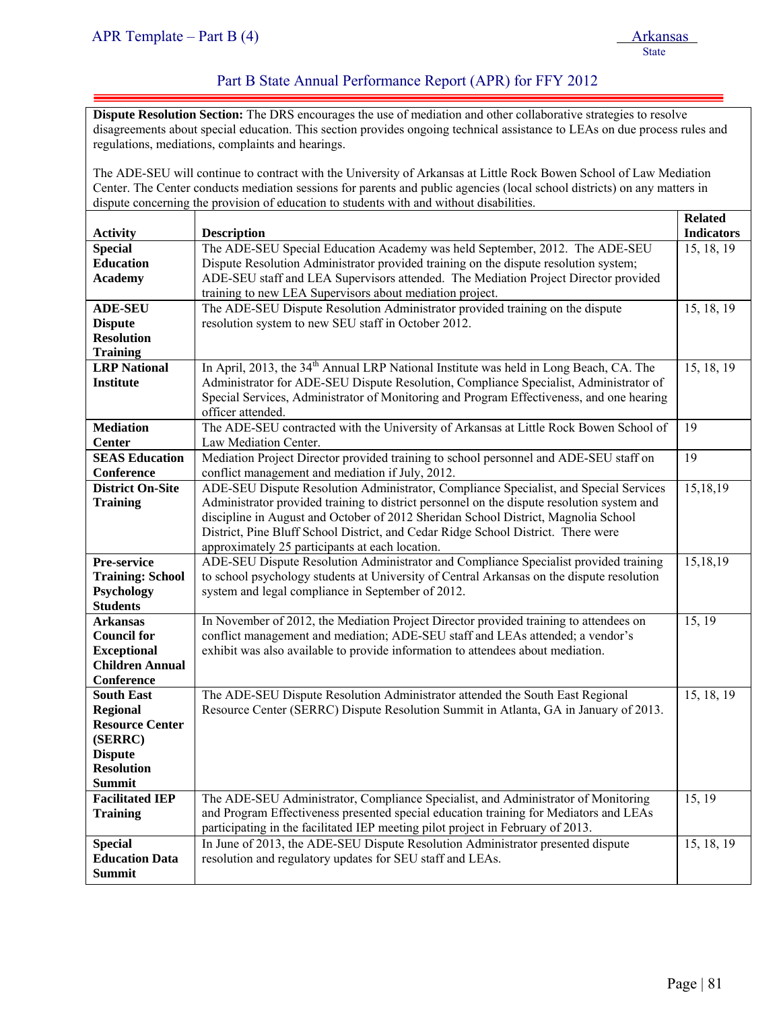ļ

#### Part B State Annual Performance Report (APR) for FFY 2012

**Dispute Resolution Section:** The DRS encourages the use of mediation and other collaborative strategies to resolve disagreements about special education. This section provides ongoing technical assistance to LEAs on due process rules and regulations, mediations, complaints and hearings.

The ADE-SEU will continue to contract with the University of Arkansas at Little Rock Bowen School of Law Mediation Center. The Center conducts mediation sessions for parents and public agencies (local school districts) on any matters in dispute concerning the provision of education to students with and without disabilities.

|                         |                                                                                                    | <b>Related</b>    |
|-------------------------|----------------------------------------------------------------------------------------------------|-------------------|
| <b>Activity</b>         | <b>Description</b>                                                                                 | <b>Indicators</b> |
| <b>Special</b>          | The ADE-SEU Special Education Academy was held September, 2012. The ADE-SEU                        | 15, 18, 19        |
| <b>Education</b>        | Dispute Resolution Administrator provided training on the dispute resolution system;               |                   |
| <b>Academy</b>          | ADE-SEU staff and LEA Supervisors attended. The Mediation Project Director provided                |                   |
|                         | training to new LEA Supervisors about mediation project.                                           |                   |
| <b>ADE-SEU</b>          | The ADE-SEU Dispute Resolution Administrator provided training on the dispute                      | 15, 18, 19        |
| <b>Dispute</b>          | resolution system to new SEU staff in October 2012.                                                |                   |
| <b>Resolution</b>       |                                                                                                    |                   |
| <b>Training</b>         |                                                                                                    |                   |
| <b>LRP</b> National     | In April, 2013, the 34 <sup>th</sup> Annual LRP National Institute was held in Long Beach, CA. The | 15, 18, 19        |
| <b>Institute</b>        | Administrator for ADE-SEU Dispute Resolution, Compliance Specialist, Administrator of              |                   |
|                         | Special Services, Administrator of Monitoring and Program Effectiveness, and one hearing           |                   |
|                         | officer attended.                                                                                  |                   |
| <b>Mediation</b>        | The ADE-SEU contracted with the University of Arkansas at Little Rock Bowen School of              | 19                |
| <b>Center</b>           | Law Mediation Center.                                                                              |                   |
| <b>SEAS Education</b>   | Mediation Project Director provided training to school personnel and ADE-SEU staff on              | 19                |
| Conference              | conflict management and mediation if July, 2012.                                                   |                   |
| <b>District On-Site</b> | ADE-SEU Dispute Resolution Administrator, Compliance Specialist, and Special Services              | 15,18,19          |
| <b>Training</b>         | Administrator provided training to district personnel on the dispute resolution system and         |                   |
|                         | discipline in August and October of 2012 Sheridan School District, Magnolia School                 |                   |
|                         | District, Pine Bluff School District, and Cedar Ridge School District. There were                  |                   |
|                         | approximately 25 participants at each location.                                                    |                   |
| Pre-service             | ADE-SEU Dispute Resolution Administrator and Compliance Specialist provided training               | 15,18,19          |
| <b>Training: School</b> | to school psychology students at University of Central Arkansas on the dispute resolution          |                   |
| Psychology              | system and legal compliance in September of 2012.                                                  |                   |
| <b>Students</b>         |                                                                                                    |                   |
| <b>Arkansas</b>         | In November of 2012, the Mediation Project Director provided training to attendees on              | 15, 19            |
| <b>Council for</b>      | conflict management and mediation; ADE-SEU staff and LEAs attended; a vendor's                     |                   |
| <b>Exceptional</b>      | exhibit was also available to provide information to attendees about mediation.                    |                   |
| <b>Children Annual</b>  |                                                                                                    |                   |
| Conference              |                                                                                                    |                   |
| <b>South East</b>       | The ADE-SEU Dispute Resolution Administrator attended the South East Regional                      | 15, 18, 19        |
| <b>Regional</b>         | Resource Center (SERRC) Dispute Resolution Summit in Atlanta, GA in January of 2013.               |                   |
| <b>Resource Center</b>  |                                                                                                    |                   |
| (SERRC)                 |                                                                                                    |                   |
| <b>Dispute</b>          |                                                                                                    |                   |
| <b>Resolution</b>       |                                                                                                    |                   |
| <b>Summit</b>           |                                                                                                    |                   |
| <b>Facilitated IEP</b>  | The ADE-SEU Administrator, Compliance Specialist, and Administrator of Monitoring                  | 15, 19            |
| <b>Training</b>         | and Program Effectiveness presented special education training for Mediators and LEAs              |                   |
|                         | participating in the facilitated IEP meeting pilot project in February of 2013.                    |                   |
| <b>Special</b>          | In June of 2013, the ADE-SEU Dispute Resolution Administrator presented dispute                    | 15, 18, 19        |
| <b>Education Data</b>   | resolution and regulatory updates for SEU staff and LEAs.                                          |                   |
| <b>Summit</b>           |                                                                                                    |                   |
|                         |                                                                                                    |                   |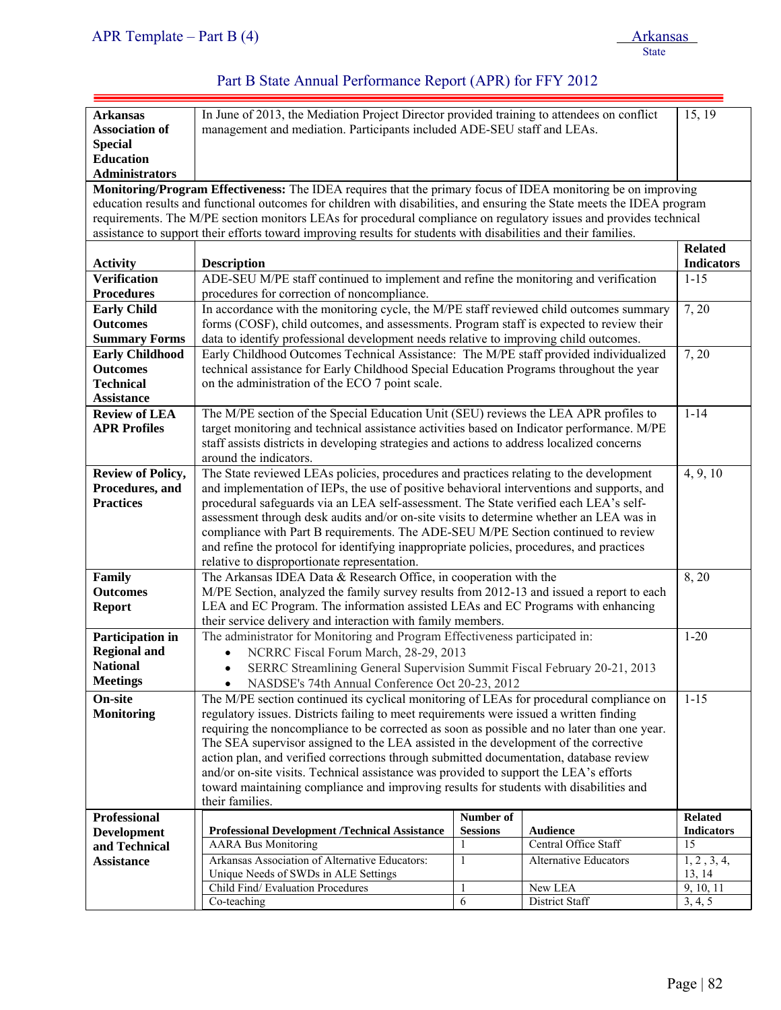| <b>Arkansas</b>                     | In June of 2013, the Mediation Project Director provided training to attendees on conflict                                                                                             |              |                              |                         |  |  |
|-------------------------------------|----------------------------------------------------------------------------------------------------------------------------------------------------------------------------------------|--------------|------------------------------|-------------------------|--|--|
| <b>Association of</b>               | management and mediation. Participants included ADE-SEU staff and LEAs.                                                                                                                |              |                              | 15, 19                  |  |  |
| <b>Special</b>                      |                                                                                                                                                                                        |              |                              |                         |  |  |
| <b>Education</b>                    |                                                                                                                                                                                        |              |                              |                         |  |  |
| <b>Administrators</b>               |                                                                                                                                                                                        |              |                              |                         |  |  |
|                                     | Monitoring/Program Effectiveness: The IDEA requires that the primary focus of IDEA monitoring be on improving                                                                          |              |                              |                         |  |  |
|                                     | education results and functional outcomes for children with disabilities, and ensuring the State meets the IDEA program                                                                |              |                              |                         |  |  |
|                                     | requirements. The M/PE section monitors LEAs for procedural compliance on regulatory issues and provides technical                                                                     |              |                              |                         |  |  |
|                                     | assistance to support their efforts toward improving results for students with disabilities and their families.                                                                        |              |                              |                         |  |  |
|                                     |                                                                                                                                                                                        |              |                              | <b>Related</b>          |  |  |
| <b>Activity</b>                     | <b>Description</b>                                                                                                                                                                     |              |                              | <b>Indicators</b>       |  |  |
| <b>Verification</b>                 | ADE-SEU M/PE staff continued to implement and refine the monitoring and verification                                                                                                   |              |                              | $1 - 15$                |  |  |
| <b>Procedures</b>                   | procedures for correction of noncompliance.                                                                                                                                            |              |                              |                         |  |  |
| <b>Early Child</b>                  | In accordance with the monitoring cycle, the M/PE staff reviewed child outcomes summary                                                                                                |              |                              | 7, 20                   |  |  |
| <b>Outcomes</b>                     | forms (COSF), child outcomes, and assessments. Program staff is expected to review their                                                                                               |              |                              |                         |  |  |
| <b>Summary Forms</b>                | data to identify professional development needs relative to improving child outcomes.                                                                                                  |              |                              |                         |  |  |
| <b>Early Childhood</b>              | Early Childhood Outcomes Technical Assistance: The M/PE staff provided individualized                                                                                                  |              |                              | 7, 20                   |  |  |
| <b>Outcomes</b>                     | technical assistance for Early Childhood Special Education Programs throughout the year                                                                                                |              |                              |                         |  |  |
| <b>Technical</b>                    | on the administration of the ECO 7 point scale.                                                                                                                                        |              |                              |                         |  |  |
| <b>Assistance</b>                   |                                                                                                                                                                                        |              |                              |                         |  |  |
| <b>Review of LEA</b>                | The M/PE section of the Special Education Unit (SEU) reviews the LEA APR profiles to                                                                                                   |              |                              | $1 - 14$                |  |  |
| <b>APR Profiles</b>                 | target monitoring and technical assistance activities based on Indicator performance. M/PE                                                                                             |              |                              |                         |  |  |
|                                     | staff assists districts in developing strategies and actions to address localized concerns                                                                                             |              |                              |                         |  |  |
|                                     | around the indicators.                                                                                                                                                                 |              |                              |                         |  |  |
|                                     | The State reviewed LEAs policies, procedures and practices relating to the development                                                                                                 |              |                              | 4, 9, 10                |  |  |
| <b>Review of Policy,</b>            |                                                                                                                                                                                        |              |                              |                         |  |  |
| Procedures, and<br><b>Practices</b> | and implementation of IEPs, the use of positive behavioral interventions and supports, and                                                                                             |              |                              |                         |  |  |
|                                     | procedural safeguards via an LEA self-assessment. The State verified each LEA's self-                                                                                                  |              |                              |                         |  |  |
|                                     | assessment through desk audits and/or on-site visits to determine whether an LEA was in<br>compliance with Part B requirements. The ADE-SEU M/PE Section continued to review           |              |                              |                         |  |  |
|                                     | and refine the protocol for identifying inappropriate policies, procedures, and practices                                                                                              |              |                              |                         |  |  |
|                                     | relative to disproportionate representation.                                                                                                                                           |              |                              |                         |  |  |
| Family                              |                                                                                                                                                                                        |              |                              | 8,20                    |  |  |
| <b>Outcomes</b>                     | The Arkansas IDEA Data & Research Office, in cooperation with the<br>M/PE Section, analyzed the family survey results from 2012-13 and issued a report to each                         |              |                              |                         |  |  |
| <b>Report</b>                       | LEA and EC Program. The information assisted LEAs and EC Programs with enhancing                                                                                                       |              |                              |                         |  |  |
|                                     | their service delivery and interaction with family members.                                                                                                                            |              |                              |                         |  |  |
| Participation in                    | The administrator for Monitoring and Program Effectiveness participated in:                                                                                                            |              |                              | $1 - 20$                |  |  |
| <b>Regional and</b>                 |                                                                                                                                                                                        |              |                              |                         |  |  |
| <b>National</b>                     | NCRRC Fiscal Forum March, 28-29, 2013<br>$\bullet$                                                                                                                                     |              |                              |                         |  |  |
| <b>Meetings</b>                     | SERRC Streamlining General Supervision Summit Fiscal February 20-21, 2013                                                                                                              |              |                              |                         |  |  |
| On-site                             | NASDSE's 74th Annual Conference Oct 20-23, 2012<br>The M/PE section continued its cyclical monitoring of LEAs for procedural compliance on                                             |              |                              | $1 - 15$                |  |  |
|                                     |                                                                                                                                                                                        |              |                              |                         |  |  |
| <b>Monitoring</b>                   | regulatory issues. Districts failing to meet requirements were issued a written finding<br>requiring the noncompliance to be corrected as soon as possible and no later than one year. |              |                              |                         |  |  |
|                                     |                                                                                                                                                                                        |              |                              |                         |  |  |
|                                     | The SEA supervisor assigned to the LEA assisted in the development of the corrective                                                                                                   |              |                              |                         |  |  |
|                                     | action plan, and verified corrections through submitted documentation, database review                                                                                                 |              |                              |                         |  |  |
|                                     | and/or on-site visits. Technical assistance was provided to support the LEA's efforts<br>toward maintaining compliance and improving results for students with disabilities and        |              |                              |                         |  |  |
|                                     | their families.                                                                                                                                                                        |              |                              |                         |  |  |
| <b>Professional</b>                 | Number of<br><b>Related</b>                                                                                                                                                            |              |                              |                         |  |  |
| <b>Development</b>                  | <b>Sessions</b><br><b>Professional Development /Technical Assistance</b><br><b>Audience</b>                                                                                            |              |                              |                         |  |  |
| and Technical                       | <b>AARA Bus Monitoring</b>                                                                                                                                                             | 1            | Central Office Staff         | <b>Indicators</b><br>15 |  |  |
| <b>Assistance</b>                   | Arkansas Association of Alternative Educators:                                                                                                                                         | $\mathbf{1}$ | <b>Alternative Educators</b> | 1, 2, 3, 4,             |  |  |
|                                     | Unique Needs of SWDs in ALE Settings                                                                                                                                                   |              |                              | 13, 14                  |  |  |
|                                     | Child Find/ Evaluation Procedures                                                                                                                                                      | $\mathbf{1}$ | New LEA                      | $\overline{9}$ , 10, 11 |  |  |
|                                     | Co-teaching                                                                                                                                                                            | 6            | District Staff               | 3, 4, 5                 |  |  |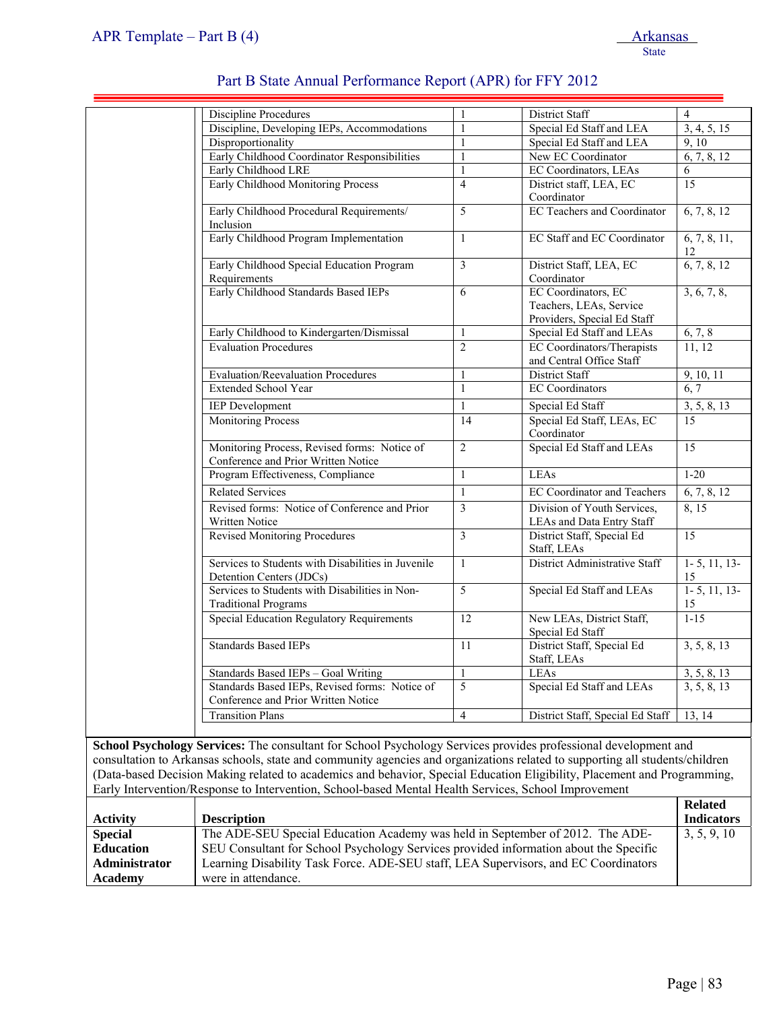| Discipline, Developing IEPs, Accommodations<br>Disproportionality                     | $\mathbf{1}$            |                                                                               |                         |
|---------------------------------------------------------------------------------------|-------------------------|-------------------------------------------------------------------------------|-------------------------|
|                                                                                       |                         | Special Ed Staff and LEA                                                      | 3, 4, 5, 15             |
|                                                                                       | $\mathbf{1}$            | Special Ed Staff and LEA                                                      | 9.10                    |
| Early Childhood Coordinator Responsibilities                                          | $\mathbf{1}$            | New EC Coordinator                                                            | 6, 7, 8, 12             |
| Early Childhood LRE                                                                   | $\mathbf{1}$            | <b>EC Coordinators</b> , LEAs                                                 | 6                       |
| Early Childhood Monitoring Process                                                    | $\overline{4}$          | District staff, LEA, EC<br>Coordinator                                        | 15                      |
| Early Childhood Procedural Requirements/<br>Inclusion                                 | 5                       | <b>EC Teachers and Coordinator</b>                                            | 6, 7, 8, 12             |
| Early Childhood Program Implementation                                                | $\mathbf{1}$            | <b>EC Staff and EC Coordinator</b>                                            | 6, 7, 8, 11,<br>12      |
| Early Childhood Special Education Program<br>Requirements                             | $\overline{\mathbf{3}}$ | District Staff, LEA, EC<br>Coordinator                                        | 6, 7, 8, 12             |
| Early Childhood Standards Based IEPs                                                  | 6                       | EC Coordinators, EC<br>Teachers, LEAs, Service<br>Providers, Special Ed Staff | 3, 6, 7, 8,             |
| Early Childhood to Kindergarten/Dismissal                                             | $\mathbf{1}$            | Special Ed Staff and LEAs                                                     | 6, 7, 8                 |
| <b>Evaluation Procedures</b>                                                          | $\overline{2}$          | EC Coordinators/Therapists<br>and Central Office Staff                        | 11, 12                  |
| <b>Evaluation/Reevaluation Procedures</b>                                             | $\mathbf{1}$            | <b>District Staff</b>                                                         | 9, 10, 11               |
| <b>Extended School Year</b>                                                           | $\mathbf{1}$            | <b>EC</b> Coordinators                                                        | 6, 7                    |
| <b>IEP</b> Development                                                                | $\mathbf{1}$            | Special Ed Staff                                                              | 3, 5, 8, 13             |
| <b>Monitoring Process</b>                                                             | 14                      | Special Ed Staff, LEAs, EC<br>Coordinator                                     | 15                      |
| Monitoring Process, Revised forms: Notice of<br>Conference and Prior Written Notice   | $\overline{2}$          | Special Ed Staff and LEAs                                                     | 15                      |
| Program Effectiveness, Compliance                                                     | $\mathbf{1}$            | LEAs                                                                          | $1 - 20$                |
| <b>Related Services</b>                                                               | $\mathbf{1}$            | <b>EC Coordinator and Teachers</b>                                            | 6, 7, 8, 12             |
| Revised forms: Notice of Conference and Prior<br>Written Notice                       | $\overline{3}$          | Division of Youth Services,<br>LEAs and Data Entry Staff                      | 8, 15                   |
| <b>Revised Monitoring Procedures</b>                                                  | $\mathfrak{Z}$          | District Staff, Special Ed<br>Staff, LEAs                                     | 15                      |
| Services to Students with Disabilities in Juvenile<br>Detention Centers (JDCs)        | $\mathbf{1}$            | District Administrative Staff                                                 | $1 - 5$ , 11, 13-<br>15 |
| Services to Students with Disabilities in Non-<br><b>Traditional Programs</b>         | $\overline{5}$          | Special Ed Staff and LEAs                                                     | $1 - 5$ , 11, 13-<br>15 |
| Special Education Regulatory Requirements                                             | 12                      | New LEAs, District Staff,<br>Special Ed Staff                                 | $1 - 15$                |
| <b>Standards Based IEPs</b>                                                           | 11                      | District Staff, Special Ed<br>Staff, LEAs                                     | 3, 5, 8, 13             |
| Standards Based IEPs - Goal Writing                                                   | $\mathbf{1}$            | LEAs                                                                          | 3, 5, 8, 13             |
| Standards Based IEPs, Revised forms: Notice of<br>Conference and Prior Written Notice | 5                       | Special Ed Staff and LEAs                                                     | 3, 5, 8, 13             |
| <b>Transition Plans</b>                                                               | $\overline{4}$          | District Staff, Special Ed Staff                                              | 13, 14                  |

consultation to Arkansas schools, state and community agencies and organizations related to supporting all students/children (Data-based Decision Making related to academics and behavior, Special Education Eligibility, Placement and Programming, Early Intervention/Response to Intervention, School-based Mental Health Services, School Improvement

|                  |                                                                                       | <b>Related</b>    |
|------------------|---------------------------------------------------------------------------------------|-------------------|
| <b>Activity</b>  | <b>Description</b>                                                                    | <b>Indicators</b> |
| <b>Special</b>   | The ADE-SEU Special Education Academy was held in September of 2012. The ADE-         | 3, 5, 9, 10       |
| <b>Education</b> | SEU Consultant for School Psychology Services provided information about the Specific |                   |
| Administrator    | Learning Disability Task Force. ADE-SEU staff, LEA Supervisors, and EC Coordinators   |                   |
| Academy          | were in attendance.                                                                   |                   |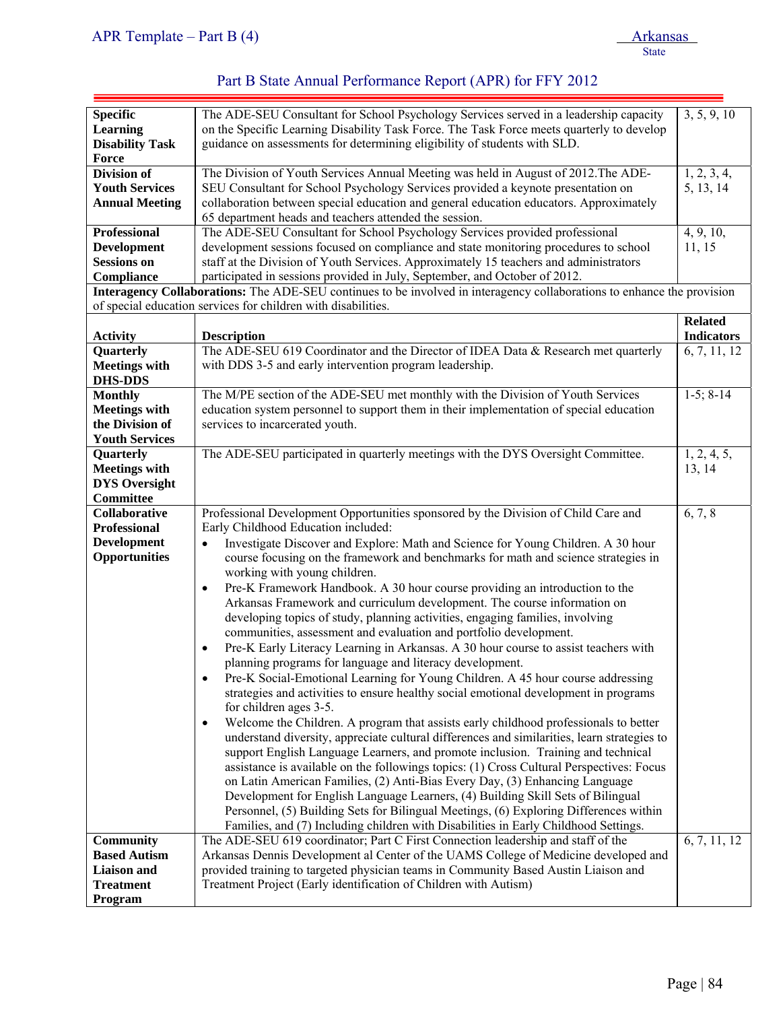| <b>Specific</b><br><b>Learning</b><br><b>Disability Task</b> | The ADE-SEU Consultant for School Psychology Services served in a leadership capacity<br>on the Specific Learning Disability Task Force. The Task Force meets quarterly to develop<br>guidance on assessments for determining eligibility of students with SLD. | 3, 5, 9, 10                |
|--------------------------------------------------------------|-----------------------------------------------------------------------------------------------------------------------------------------------------------------------------------------------------------------------------------------------------------------|----------------------------|
| Force                                                        |                                                                                                                                                                                                                                                                 |                            |
| <b>Division of</b>                                           |                                                                                                                                                                                                                                                                 |                            |
|                                                              | The Division of Youth Services Annual Meeting was held in August of 2012. The ADE-                                                                                                                                                                              | 1, 2, 3, 4,                |
| <b>Youth Services</b>                                        | SEU Consultant for School Psychology Services provided a keynote presentation on                                                                                                                                                                                | 5, 13, 14                  |
| <b>Annual Meeting</b>                                        | collaboration between special education and general education educators. Approximately<br>65 department heads and teachers attended the session.                                                                                                                |                            |
| <b>Professional</b>                                          | The ADE-SEU Consultant for School Psychology Services provided professional                                                                                                                                                                                     | 4, 9, 10,                  |
| <b>Development</b>                                           | development sessions focused on compliance and state monitoring procedures to school                                                                                                                                                                            | 11, 15                     |
| <b>Sessions on</b>                                           | staff at the Division of Youth Services. Approximately 15 teachers and administrators                                                                                                                                                                           |                            |
| Compliance                                                   | participated in sessions provided in July, September, and October of 2012.                                                                                                                                                                                      |                            |
|                                                              | Interagency Collaborations: The ADE-SEU continues to be involved in interagency collaborations to enhance the provision                                                                                                                                         |                            |
|                                                              | of special education services for children with disabilities.                                                                                                                                                                                                   |                            |
|                                                              |                                                                                                                                                                                                                                                                 | <b>Related</b>             |
| <b>Activity</b>                                              | <b>Description</b>                                                                                                                                                                                                                                              | <b>Indicators</b>          |
| Quarterly                                                    | The ADE-SEU 619 Coordinator and the Director of IDEA Data & Research met quarterly                                                                                                                                                                              | $\overline{6}$ , 7, 11, 12 |
| <b>Meetings with</b>                                         | with DDS 3-5 and early intervention program leadership.                                                                                                                                                                                                         |                            |
| <b>DHS-DDS</b>                                               |                                                                                                                                                                                                                                                                 |                            |
| <b>Monthly</b>                                               | The M/PE section of the ADE-SEU met monthly with the Division of Youth Services                                                                                                                                                                                 | $1-5; 8-14$                |
| <b>Meetings with</b>                                         | education system personnel to support them in their implementation of special education                                                                                                                                                                         |                            |
| the Division of                                              | services to incarcerated youth.                                                                                                                                                                                                                                 |                            |
| <b>Youth Services</b>                                        |                                                                                                                                                                                                                                                                 |                            |
| Quarterly                                                    | The ADE-SEU participated in quarterly meetings with the DYS Oversight Committee.                                                                                                                                                                                | 1, 2, 4, 5,                |
|                                                              |                                                                                                                                                                                                                                                                 |                            |
| <b>Meetings with</b>                                         |                                                                                                                                                                                                                                                                 | 13, 14                     |
| <b>DYS Oversight</b><br>Committee                            |                                                                                                                                                                                                                                                                 |                            |
| Collaborative                                                | Professional Development Opportunities sponsored by the Division of Child Care and                                                                                                                                                                              | 6, 7, 8                    |
| <b>Professional</b>                                          | Early Childhood Education included:                                                                                                                                                                                                                             |                            |
| <b>Development</b>                                           |                                                                                                                                                                                                                                                                 |                            |
| <b>Opportunities</b>                                         | Investigate Discover and Explore: Math and Science for Young Children. A 30 hour                                                                                                                                                                                |                            |
|                                                              | course focusing on the framework and benchmarks for math and science strategies in                                                                                                                                                                              |                            |
|                                                              | working with young children.                                                                                                                                                                                                                                    |                            |
|                                                              | Pre-K Framework Handbook. A 30 hour course providing an introduction to the<br>$\bullet$                                                                                                                                                                        |                            |
|                                                              | Arkansas Framework and curriculum development. The course information on                                                                                                                                                                                        |                            |
|                                                              | developing topics of study, planning activities, engaging families, involving                                                                                                                                                                                   |                            |
|                                                              | communities, assessment and evaluation and portfolio development.                                                                                                                                                                                               |                            |
|                                                              | Pre-K Early Literacy Learning in Arkansas. A 30 hour course to assist teachers with<br>$\bullet$                                                                                                                                                                |                            |
|                                                              | planning programs for language and literacy development.                                                                                                                                                                                                        |                            |
|                                                              | Pre-K Social-Emotional Learning for Young Children. A 45 hour course addressing<br>$\bullet$                                                                                                                                                                    |                            |
|                                                              | strategies and activities to ensure healthy social emotional development in programs                                                                                                                                                                            |                            |
|                                                              | for children ages 3-5.                                                                                                                                                                                                                                          |                            |
|                                                              | Welcome the Children. A program that assists early childhood professionals to better<br>$\bullet$                                                                                                                                                               |                            |
|                                                              | understand diversity, appreciate cultural differences and similarities, learn strategies to                                                                                                                                                                     |                            |
|                                                              | support English Language Learners, and promote inclusion. Training and technical                                                                                                                                                                                |                            |
|                                                              | assistance is available on the followings topics: (1) Cross Cultural Perspectives: Focus                                                                                                                                                                        |                            |
|                                                              | on Latin American Families, (2) Anti-Bias Every Day, (3) Enhancing Language                                                                                                                                                                                     |                            |
|                                                              | Development for English Language Learners, (4) Building Skill Sets of Bilingual                                                                                                                                                                                 |                            |
|                                                              | Personnel, (5) Building Sets for Bilingual Meetings, (6) Exploring Differences within                                                                                                                                                                           |                            |
|                                                              | Families, and (7) Including children with Disabilities in Early Childhood Settings.                                                                                                                                                                             |                            |
| Community                                                    | The ADE-SEU 619 coordinator; Part C First Connection leadership and staff of the                                                                                                                                                                                | 6, 7, 11, 12               |
| <b>Based Autism</b>                                          | Arkansas Dennis Development al Center of the UAMS College of Medicine developed and                                                                                                                                                                             |                            |
| <b>Liaison</b> and                                           | provided training to targeted physician teams in Community Based Austin Liaison and                                                                                                                                                                             |                            |
| <b>Treatment</b>                                             | Treatment Project (Early identification of Children with Autism)                                                                                                                                                                                                |                            |
| Program                                                      |                                                                                                                                                                                                                                                                 |                            |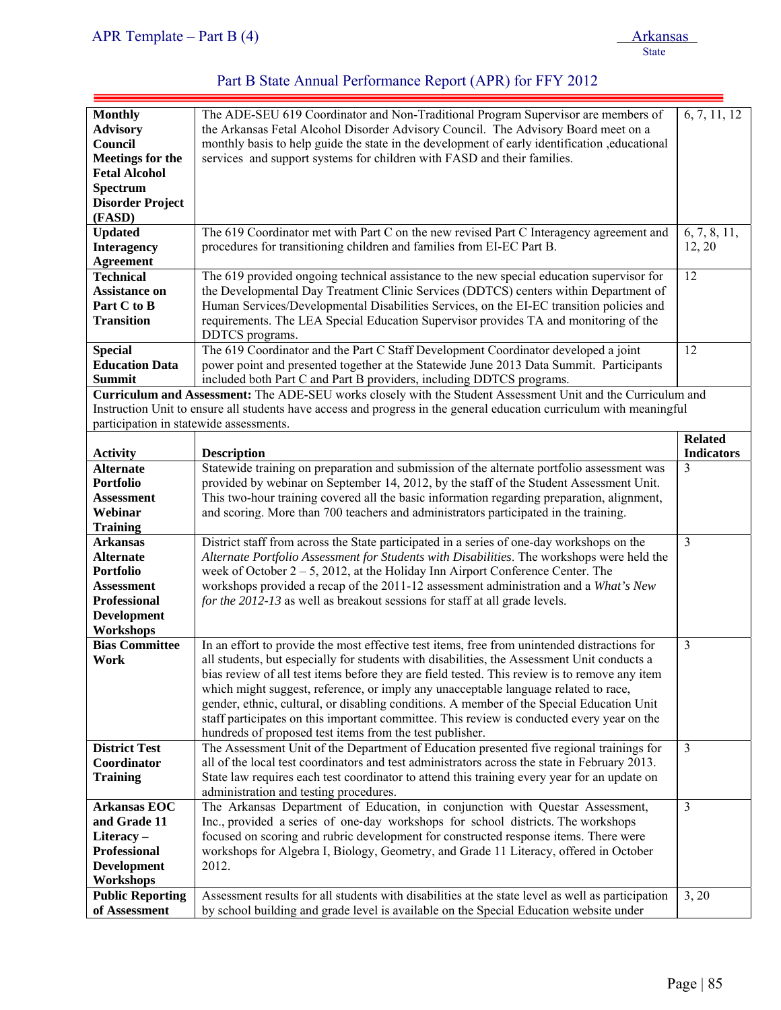| <b>Monthly</b>                           | The ADE-SEU 619 Coordinator and Non-Traditional Program Supervisor are members of                                                                                                           | 6, 7, 11, 12      |
|------------------------------------------|---------------------------------------------------------------------------------------------------------------------------------------------------------------------------------------------|-------------------|
| <b>Advisory</b>                          | the Arkansas Fetal Alcohol Disorder Advisory Council. The Advisory Board meet on a                                                                                                          |                   |
|                                          |                                                                                                                                                                                             |                   |
| Council                                  | monthly basis to help guide the state in the development of early identification, educational                                                                                               |                   |
| <b>Meetings for the</b>                  | services and support systems for children with FASD and their families.                                                                                                                     |                   |
| <b>Fetal Alcohol</b>                     |                                                                                                                                                                                             |                   |
| Spectrum                                 |                                                                                                                                                                                             |                   |
| <b>Disorder Project</b>                  |                                                                                                                                                                                             |                   |
| (FASD)                                   |                                                                                                                                                                                             |                   |
| <b>Updated</b>                           | The 619 Coordinator met with Part C on the new revised Part C Interagency agreement and                                                                                                     | 6, 7, 8, 11,      |
| <b>Interagency</b>                       | procedures for transitioning children and families from EI-EC Part B.                                                                                                                       | 12, 20            |
| <b>Agreement</b>                         |                                                                                                                                                                                             |                   |
|                                          |                                                                                                                                                                                             |                   |
| <b>Technical</b>                         | The 619 provided ongoing technical assistance to the new special education supervisor for                                                                                                   | 12                |
| <b>Assistance on</b>                     | the Developmental Day Treatment Clinic Services (DDTCS) centers within Department of                                                                                                        |                   |
| Part C to B                              | Human Services/Developmental Disabilities Services, on the EI-EC transition policies and                                                                                                    |                   |
| <b>Transition</b>                        | requirements. The LEA Special Education Supervisor provides TA and monitoring of the                                                                                                        |                   |
|                                          | DDTCS programs.                                                                                                                                                                             |                   |
| <b>Special</b>                           | The 619 Coordinator and the Part C Staff Development Coordinator developed a joint                                                                                                          | 12                |
| <b>Education Data</b>                    | power point and presented together at the Statewide June 2013 Data Summit. Participants                                                                                                     |                   |
| <b>Summit</b>                            | included both Part C and Part B providers, including DDTCS programs.                                                                                                                        |                   |
|                                          | Curriculum and Assessment: The ADE-SEU works closely with the Student Assessment Unit and the Curriculum and                                                                                |                   |
|                                          | Instruction Unit to ensure all students have access and progress in the general education curriculum with meaningful                                                                        |                   |
|                                          |                                                                                                                                                                                             |                   |
| participation in statewide assessments.  |                                                                                                                                                                                             |                   |
|                                          |                                                                                                                                                                                             | <b>Related</b>    |
| <b>Activity</b>                          | <b>Description</b>                                                                                                                                                                          | <b>Indicators</b> |
| <b>Alternate</b>                         | Statewide training on preparation and submission of the alternate portfolio assessment was                                                                                                  | 3                 |
| <b>Portfolio</b>                         | provided by webinar on September 14, 2012, by the staff of the Student Assessment Unit.                                                                                                     |                   |
| <b>Assessment</b>                        | This two-hour training covered all the basic information regarding preparation, alignment,                                                                                                  |                   |
| Webinar                                  | and scoring. More than 700 teachers and administrators participated in the training.                                                                                                        |                   |
| <b>Training</b>                          |                                                                                                                                                                                             |                   |
| <b>Arkansas</b>                          | District staff from across the State participated in a series of one-day workshops on the                                                                                                   | 3                 |
| <b>Alternate</b>                         | Alternate Portfolio Assessment for Students with Disabilities. The workshops were held the                                                                                                  |                   |
| <b>Portfolio</b>                         | week of October $2 - 5$ , 2012, at the Holiday Inn Airport Conference Center. The                                                                                                           |                   |
| <b>Assessment</b>                        | workshops provided a recap of the 2011-12 assessment administration and a What's New                                                                                                        |                   |
| <b>Professional</b>                      | for the 2012-13 as well as breakout sessions for staff at all grade levels.                                                                                                                 |                   |
|                                          |                                                                                                                                                                                             |                   |
| <b>Development</b>                       |                                                                                                                                                                                             |                   |
| Workshops                                |                                                                                                                                                                                             |                   |
| <b>Bias Committee</b>                    | In an effort to provide the most effective test items, free from unintended distractions for                                                                                                | 3                 |
| Work                                     | all students, but especially for students with disabilities, the Assessment Unit conducts a                                                                                                 |                   |
|                                          | bias review of all test items before they are field tested. This review is to remove any item                                                                                               |                   |
|                                          | which might suggest, reference, or imply any unacceptable language related to race,                                                                                                         |                   |
|                                          | gender, ethnic, cultural, or disabling conditions. A member of the Special Education Unit                                                                                                   |                   |
|                                          | staff participates on this important committee. This review is conducted every year on the                                                                                                  |                   |
|                                          | hundreds of proposed test items from the test publisher.                                                                                                                                    |                   |
| <b>District Test</b>                     | The Assessment Unit of the Department of Education presented five regional trainings for                                                                                                    | $\overline{3}$    |
| Coordinator                              | all of the local test coordinators and test administrators across the state in February 2013.                                                                                               |                   |
| <b>Training</b>                          | State law requires each test coordinator to attend this training every year for an update on                                                                                                |                   |
|                                          | administration and testing procedures.                                                                                                                                                      |                   |
| Arkansas $EO\overline{C}$                | The Arkansas Department of Education, in conjunction with Questar Assessment,                                                                                                               | 3                 |
| and Grade 11                             |                                                                                                                                                                                             |                   |
|                                          | Inc., provided a series of one-day workshops for school districts. The workshops                                                                                                            |                   |
| Literacy-                                | focused on scoring and rubric development for constructed response items. There were                                                                                                        |                   |
| <b>Professional</b>                      | workshops for Algebra I, Biology, Geometry, and Grade 11 Literacy, offered in October                                                                                                       |                   |
| <b>Development</b>                       | 2012.                                                                                                                                                                                       |                   |
|                                          |                                                                                                                                                                                             |                   |
| Workshops                                |                                                                                                                                                                                             |                   |
| <b>Public Reporting</b><br>of Assessment | Assessment results for all students with disabilities at the state level as well as participation<br>by school building and grade level is available on the Special Education website under | 3, 20             |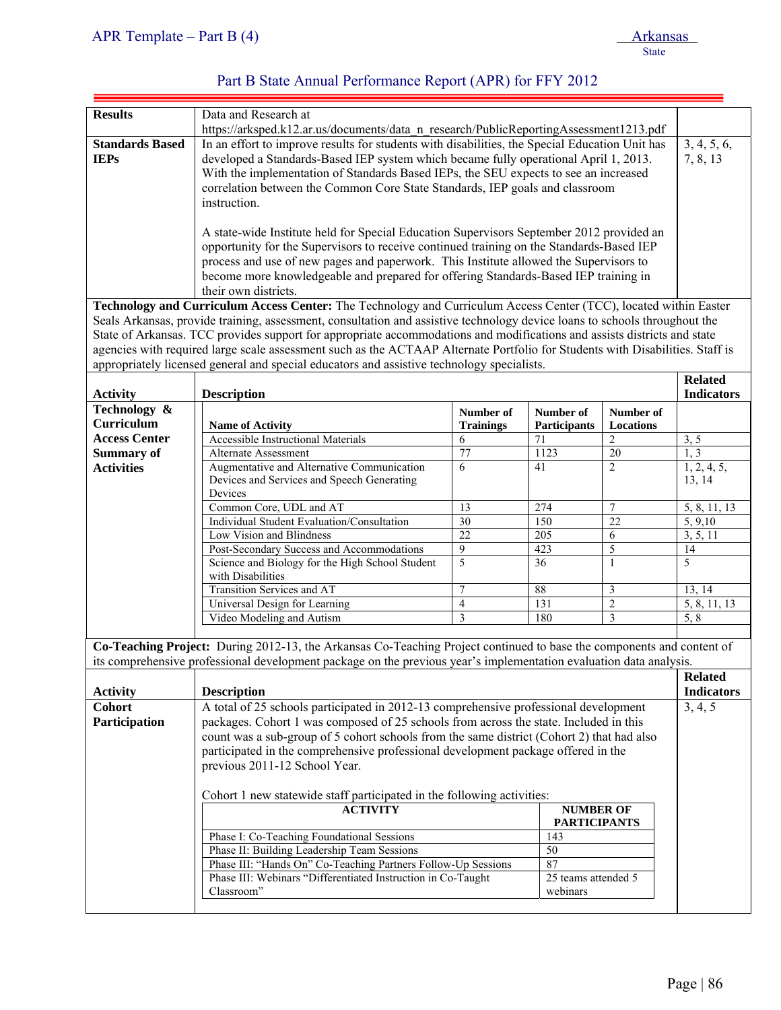| APR Template – Part B $(4)$ | <b>Arkansas</b> |
|-----------------------------|-----------------|
|                             | State           |

| Part B State Annual Performance Report (APR) for FFY 2012 |  |
|-----------------------------------------------------------|--|
|-----------------------------------------------------------|--|

| <b>Results</b>         | Data and Research at                                                                                                          |                         |                     |                         |                         |  |
|------------------------|-------------------------------------------------------------------------------------------------------------------------------|-------------------------|---------------------|-------------------------|-------------------------|--|
|                        | https://arksped.k12.ar.us/documents/data_n_research/PublicReportingAssessment1213.pdf                                         |                         |                     |                         |                         |  |
| <b>Standards Based</b> | In an effort to improve results for students with disabilities, the Special Education Unit has                                |                         |                     |                         |                         |  |
|                        |                                                                                                                               |                         |                     |                         | 3, 4, 5, 6,<br>7, 8, 13 |  |
| <b>IEPs</b>            | developed a Standards-Based IEP system which became fully operational April 1, 2013.                                          |                         |                     |                         |                         |  |
|                        | With the implementation of Standards Based IEPs, the SEU expects to see an increased                                          |                         |                     |                         |                         |  |
|                        | correlation between the Common Core State Standards, IEP goals and classroom                                                  |                         |                     |                         |                         |  |
|                        | instruction.                                                                                                                  |                         |                     |                         |                         |  |
|                        |                                                                                                                               |                         |                     |                         |                         |  |
|                        | A state-wide Institute held for Special Education Supervisors September 2012 provided an                                      |                         |                     |                         |                         |  |
|                        | opportunity for the Supervisors to receive continued training on the Standards-Based IEP                                      |                         |                     |                         |                         |  |
|                        | process and use of new pages and paperwork. This Institute allowed the Supervisors to                                         |                         |                     |                         |                         |  |
|                        | become more knowledgeable and prepared for offering Standards-Based IEP training in                                           |                         |                     |                         |                         |  |
|                        |                                                                                                                               |                         |                     |                         |                         |  |
|                        | their own districts.                                                                                                          |                         |                     |                         |                         |  |
|                        | Technology and Curriculum Access Center: The Technology and Curriculum Access Center (TCC), located within Easter             |                         |                     |                         |                         |  |
|                        | Seals Arkansas, provide training, assessment, consultation and assistive technology device loans to schools throughout the    |                         |                     |                         |                         |  |
|                        | State of Arkansas. TCC provides support for appropriate accommodations and modifications and assists districts and state      |                         |                     |                         |                         |  |
|                        | agencies with required large scale assessment such as the ACTAAP Alternate Portfolio for Students with Disabilities. Staff is |                         |                     |                         |                         |  |
|                        | appropriately licensed general and special educators and assistive technology specialists.                                    |                         |                     |                         |                         |  |
|                        |                                                                                                                               |                         |                     |                         | <b>Related</b>          |  |
| <b>Activity</b>        | <b>Description</b>                                                                                                            |                         |                     |                         | <b>Indicators</b>       |  |
| Technology &           |                                                                                                                               | Number of               | Number of           | Number of               |                         |  |
| Curriculum             | <b>Name of Activity</b>                                                                                                       | <b>Trainings</b>        | <b>Participants</b> | Locations               |                         |  |
| <b>Access Center</b>   | <b>Accessible Instructional Materials</b>                                                                                     | 6                       | 71                  | $\mathfrak{2}$          | 3, 5                    |  |
| <b>Summary of</b>      | <b>Alternate Assessment</b>                                                                                                   | 77                      | 1123                | 20                      | 1, 3                    |  |
| <b>Activities</b>      | Augmentative and Alternative Communication                                                                                    | 6                       | 41                  | $\overline{2}$          | 1, 2, 4, 5,             |  |
|                        | Devices and Services and Speech Generating                                                                                    |                         |                     |                         | 13, 14                  |  |
|                        | Devices                                                                                                                       |                         |                     |                         |                         |  |
|                        | Common Core, UDL and AT                                                                                                       | 13                      | 274                 | $\tau$                  | 5, 8, 11, 13            |  |
|                        | Individual Student Evaluation/Consultation                                                                                    | 30                      | 150                 | 22                      | 5, 9, 10                |  |
|                        | Low Vision and Blindness                                                                                                      | $\overline{22}$         | $\overline{205}$    | 6                       | 3, 5, 11                |  |
|                        | Post-Secondary Success and Accommodations                                                                                     | 9                       | 423                 | 5                       | 14                      |  |
|                        | Science and Biology for the High School Student                                                                               | 5                       | 36                  | $\mathbf{1}$            | 5                       |  |
|                        | with Disabilities                                                                                                             |                         |                     |                         |                         |  |
|                        | Transition Services and AT                                                                                                    | $\overline{7}$          | $88\,$              |                         |                         |  |
|                        |                                                                                                                               |                         |                     | $\mathfrak{Z}$          | 13, 14                  |  |
|                        | Universal Design for Learning                                                                                                 | $\overline{\mathbf{4}}$ | 131                 | $\overline{2}$          | 5, 8, 11, 13            |  |
|                        | Video Modeling and Autism                                                                                                     | 3                       | 180                 | $\overline{\mathbf{3}}$ | 5, 8                    |  |
|                        |                                                                                                                               |                         |                     |                         |                         |  |
|                        | Co-Teaching Project: During 2012-13, the Arkansas Co-Teaching Project continued to base the components and content of         |                         |                     |                         |                         |  |
|                        | its comprehensive professional development package on the previous year's implementation evaluation data analysis.            |                         |                     |                         |                         |  |
|                        |                                                                                                                               |                         |                     |                         | <b>Related</b>          |  |
| <b>Activity</b>        | <b>Description</b>                                                                                                            |                         |                     |                         | <b>Indicators</b>       |  |
| <b>Cohort</b>          | A total of 25 schools participated in 2012-13 comprehensive professional development                                          |                         |                     |                         | 3, 4, 5                 |  |
| Participation          | packages. Cohort 1 was composed of 25 schools from across the state. Included in this                                         |                         |                     |                         |                         |  |
|                        |                                                                                                                               |                         |                     |                         |                         |  |
|                        | count was a sub-group of 5 cohort schools from the same district (Cohort 2) that had also                                     |                         |                     |                         |                         |  |
|                        | participated in the comprehensive professional development package offered in the                                             |                         |                     |                         |                         |  |
|                        | previous 2011-12 School Year.                                                                                                 |                         |                     |                         |                         |  |
|                        |                                                                                                                               |                         |                     |                         |                         |  |
|                        | Cohort 1 new statewide staff participated in the following activities:                                                        |                         |                     |                         |                         |  |
|                        | <b>ACTIVITY</b><br><b>NUMBER OF</b>                                                                                           |                         |                     |                         |                         |  |
|                        |                                                                                                                               |                         | <b>PARTICIPANTS</b> |                         |                         |  |
|                        | Phase I: Co-Teaching Foundational Sessions                                                                                    |                         | 143                 |                         |                         |  |
|                        | Phase II: Building Leadership Team Sessions                                                                                   |                         | $\overline{50}$     |                         |                         |  |
|                        | Phase III: "Hands On" Co-Teaching Partners Follow-Up Sessions                                                                 |                         | 87                  |                         |                         |  |
|                        | Phase III: Webinars "Differentiated Instruction in Co-Taught                                                                  |                         | 25 teams attended 5 |                         |                         |  |
|                        | Classroom"                                                                                                                    |                         | webinars            |                         |                         |  |
|                        |                                                                                                                               |                         |                     |                         |                         |  |
|                        |                                                                                                                               |                         |                     |                         |                         |  |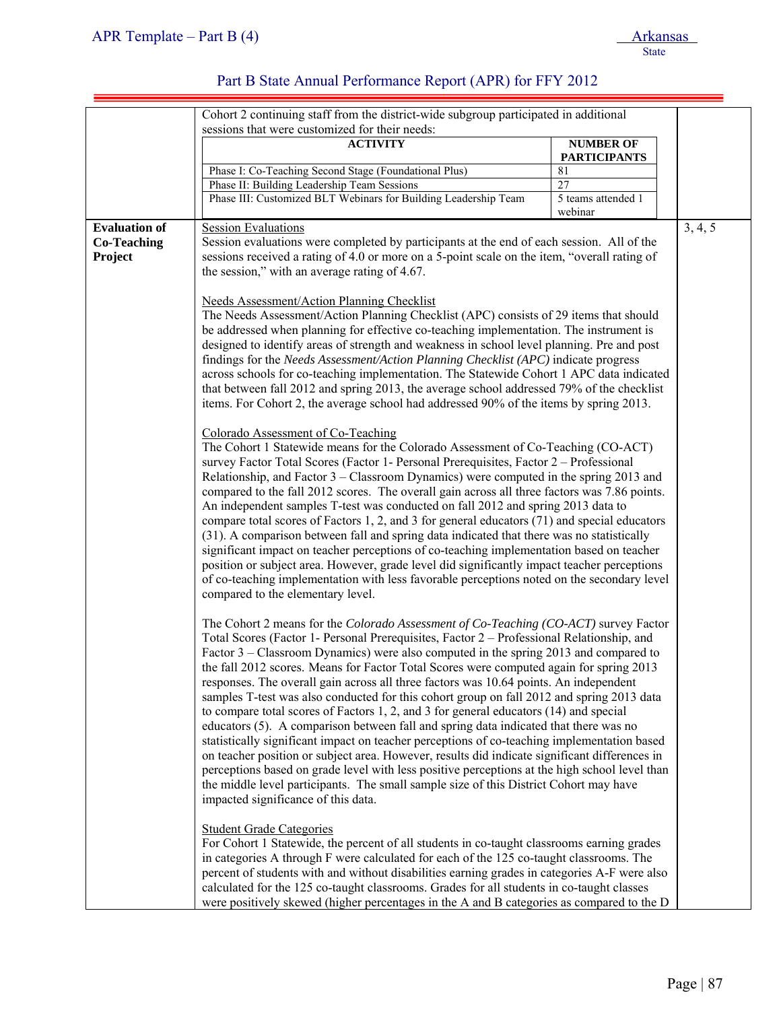|                      | Cohort 2 continuing staff from the district-wide subgroup participated in additional          |                     |         |
|----------------------|-----------------------------------------------------------------------------------------------|---------------------|---------|
|                      | sessions that were customized for their needs:                                                |                     |         |
|                      | <b>ACTIVITY</b>                                                                               | <b>NUMBER OF</b>    |         |
|                      |                                                                                               | <b>PARTICIPANTS</b> |         |
|                      | Phase I: Co-Teaching Second Stage (Foundational Plus)                                         | 81                  |         |
|                      | Phase II: Building Leadership Team Sessions                                                   | $\overline{27}$     |         |
|                      | Phase III: Customized BLT Webinars for Building Leadership Team                               | 5 teams attended 1  |         |
|                      |                                                                                               | webinar             |         |
| <b>Evaluation of</b> | <b>Session Evaluations</b>                                                                    |                     | 3, 4, 5 |
| <b>Co-Teaching</b>   | Session evaluations were completed by participants at the end of each session. All of the     |                     |         |
| Project              | sessions received a rating of 4.0 or more on a 5-point scale on the item, "overall rating of  |                     |         |
|                      | the session," with an average rating of 4.67.                                                 |                     |         |
|                      |                                                                                               |                     |         |
|                      | <b>Needs Assessment/Action Planning Checklist</b>                                             |                     |         |
|                      | The Needs Assessment/Action Planning Checklist (APC) consists of 29 items that should         |                     |         |
|                      | be addressed when planning for effective co-teaching implementation. The instrument is        |                     |         |
|                      |                                                                                               |                     |         |
|                      | designed to identify areas of strength and weakness in school level planning. Pre and post    |                     |         |
|                      | findings for the Needs Assessment/Action Planning Checklist (APC) indicate progress           |                     |         |
|                      | across schools for co-teaching implementation. The Statewide Cohort 1 APC data indicated      |                     |         |
|                      | that between fall 2012 and spring 2013, the average school addressed 79% of the checklist     |                     |         |
|                      | items. For Cohort 2, the average school had addressed 90% of the items by spring 2013.        |                     |         |
|                      |                                                                                               |                     |         |
|                      | Colorado Assessment of Co-Teaching                                                            |                     |         |
|                      | The Cohort 1 Statewide means for the Colorado Assessment of Co-Teaching (CO-ACT)              |                     |         |
|                      | survey Factor Total Scores (Factor 1- Personal Prerequisites, Factor 2 – Professional         |                     |         |
|                      | Relationship, and Factor 3 – Classroom Dynamics) were computed in the spring 2013 and         |                     |         |
|                      | compared to the fall 2012 scores. The overall gain across all three factors was 7.86 points.  |                     |         |
|                      | An independent samples T-test was conducted on fall 2012 and spring 2013 data to              |                     |         |
|                      | compare total scores of Factors 1, 2, and 3 for general educators (71) and special educators  |                     |         |
|                      | (31). A comparison between fall and spring data indicated that there was no statistically     |                     |         |
|                      | significant impact on teacher perceptions of co-teaching implementation based on teacher      |                     |         |
|                      | position or subject area. However, grade level did significantly impact teacher perceptions   |                     |         |
|                      | of co-teaching implementation with less favorable perceptions noted on the secondary level    |                     |         |
|                      | compared to the elementary level.                                                             |                     |         |
|                      |                                                                                               |                     |         |
|                      | The Cohort 2 means for the Colorado Assessment of Co-Teaching (CO-ACT) survey Factor          |                     |         |
|                      | Total Scores (Factor 1- Personal Prerequisites, Factor 2 – Professional Relationship, and     |                     |         |
|                      | Factor 3 – Classroom Dynamics) were also computed in the spring 2013 and compared to          |                     |         |
|                      | the fall 2012 scores. Means for Factor Total Scores were computed again for spring 2013       |                     |         |
|                      | responses. The overall gain across all three factors was 10.64 points. An independent         |                     |         |
|                      | samples T-test was also conducted for this cohort group on fall 2012 and spring 2013 data     |                     |         |
|                      | to compare total scores of Factors 1, 2, and 3 for general educators (14) and special         |                     |         |
|                      | educators (5). A comparison between fall and spring data indicated that there was no          |                     |         |
|                      | statistically significant impact on teacher perceptions of co-teaching implementation based   |                     |         |
|                      | on teacher position or subject area. However, results did indicate significant differences in |                     |         |
|                      | perceptions based on grade level with less positive perceptions at the high school level than |                     |         |
|                      | the middle level participants. The small sample size of this District Cohort may have         |                     |         |
|                      |                                                                                               |                     |         |
|                      | impacted significance of this data.                                                           |                     |         |
|                      |                                                                                               |                     |         |
|                      | <b>Student Grade Categories</b>                                                               |                     |         |
|                      | For Cohort 1 Statewide, the percent of all students in co-taught classrooms earning grades    |                     |         |
|                      | in categories A through F were calculated for each of the 125 co-taught classrooms. The       |                     |         |
|                      | percent of students with and without disabilities earning grades in categories A-F were also  |                     |         |
|                      | calculated for the 125 co-taught classrooms. Grades for all students in co-taught classes     |                     |         |
|                      | were positively skewed (higher percentages in the A and B categories as compared to the D     |                     |         |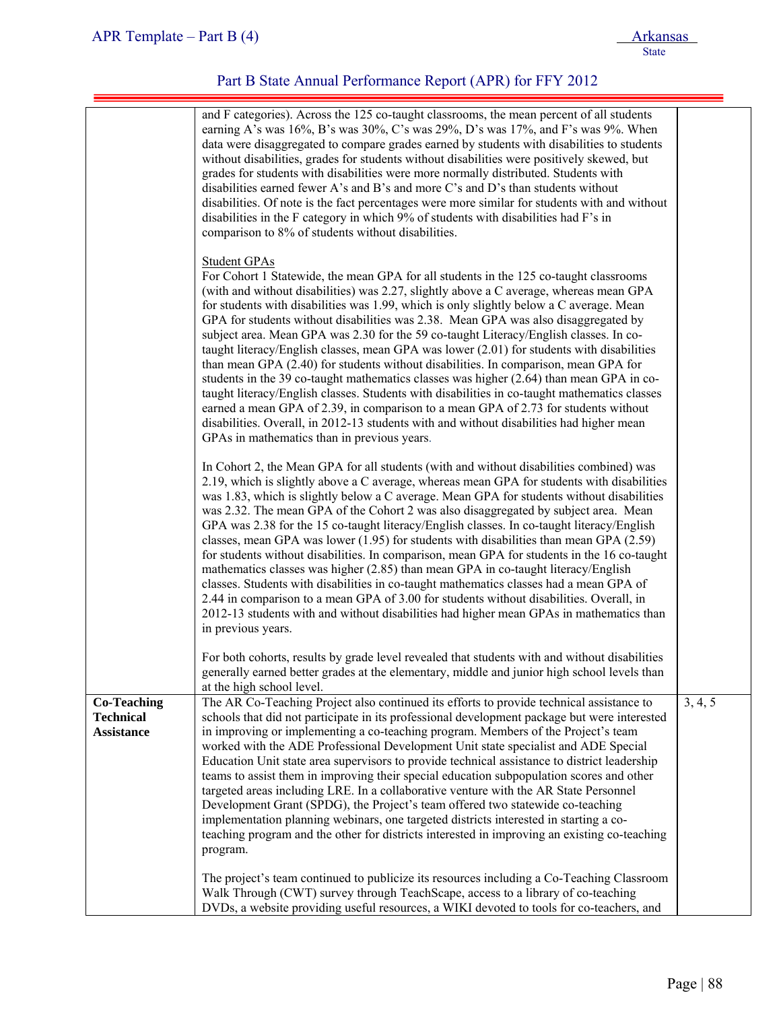|                                                             | and F categories). Across the 125 co-taught classrooms, the mean percent of all students<br>earning A's was 16%, B's was 30%, C's was 29%, D's was 17%, and F's was 9%. When<br>data were disaggregated to compare grades earned by students with disabilities to students<br>without disabilities, grades for students without disabilities were positively skewed, but<br>grades for students with disabilities were more normally distributed. Students with<br>disabilities earned fewer A's and B's and more C's and D's than students without<br>disabilities. Of note is the fact percentages were more similar for students with and without<br>disabilities in the F category in which 9% of students with disabilities had F's in<br>comparison to 8% of students without disabilities.                                                                                                                                                                                                                                                                                                   |         |
|-------------------------------------------------------------|-----------------------------------------------------------------------------------------------------------------------------------------------------------------------------------------------------------------------------------------------------------------------------------------------------------------------------------------------------------------------------------------------------------------------------------------------------------------------------------------------------------------------------------------------------------------------------------------------------------------------------------------------------------------------------------------------------------------------------------------------------------------------------------------------------------------------------------------------------------------------------------------------------------------------------------------------------------------------------------------------------------------------------------------------------------------------------------------------------|---------|
|                                                             | <b>Student GPAs</b><br>For Cohort 1 Statewide, the mean GPA for all students in the 125 co-taught classrooms<br>(with and without disabilities) was 2.27, slightly above a C average, whereas mean GPA<br>for students with disabilities was 1.99, which is only slightly below a C average. Mean<br>GPA for students without disabilities was 2.38. Mean GPA was also disaggregated by<br>subject area. Mean GPA was 2.30 for the 59 co-taught Literacy/English classes. In co-<br>taught literacy/English classes, mean GPA was lower (2.01) for students with disabilities<br>than mean GPA (2.40) for students without disabilities. In comparison, mean GPA for<br>students in the 39 co-taught mathematics classes was higher $(2.64)$ than mean GPA in co-<br>taught literacy/English classes. Students with disabilities in co-taught mathematics classes<br>earned a mean GPA of 2.39, in comparison to a mean GPA of 2.73 for students without<br>disabilities. Overall, in 2012-13 students with and without disabilities had higher mean<br>GPAs in mathematics than in previous years. |         |
|                                                             | In Cohort 2, the Mean GPA for all students (with and without disabilities combined) was<br>2.19, which is slightly above a C average, whereas mean GPA for students with disabilities<br>was 1.83, which is slightly below a C average. Mean GPA for students without disabilities<br>was 2.32. The mean GPA of the Cohort 2 was also disaggregated by subject area. Mean<br>GPA was 2.38 for the 15 co-taught literacy/English classes. In co-taught literacy/English<br>classes, mean GPA was lower $(1.95)$ for students with disabilities than mean GPA $(2.59)$<br>for students without disabilities. In comparison, mean GPA for students in the 16 co-taught<br>mathematics classes was higher (2.85) than mean GPA in co-taught literacy/English<br>classes. Students with disabilities in co-taught mathematics classes had a mean GPA of<br>2.44 in comparison to a mean GPA of 3.00 for students without disabilities. Overall, in<br>2012-13 students with and without disabilities had higher mean GPAs in mathematics than<br>in previous years.                                      |         |
|                                                             | For both cohorts, results by grade level revealed that students with and without disabilities<br>generally earned better grades at the elementary, middle and junior high school levels than<br>at the high school level.                                                                                                                                                                                                                                                                                                                                                                                                                                                                                                                                                                                                                                                                                                                                                                                                                                                                           |         |
| <b>Co-Teaching</b><br><b>Technical</b><br><b>Assistance</b> | The AR Co-Teaching Project also continued its efforts to provide technical assistance to<br>schools that did not participate in its professional development package but were interested<br>in improving or implementing a co-teaching program. Members of the Project's team<br>worked with the ADE Professional Development Unit state specialist and ADE Special<br>Education Unit state area supervisors to provide technical assistance to district leadership<br>teams to assist them in improving their special education subpopulation scores and other<br>targeted areas including LRE. In a collaborative venture with the AR State Personnel<br>Development Grant (SPDG), the Project's team offered two statewide co-teaching<br>implementation planning webinars, one targeted districts interested in starting a co-<br>teaching program and the other for districts interested in improving an existing co-teaching<br>program.                                                                                                                                                      | 3, 4, 5 |
|                                                             | The project's team continued to publicize its resources including a Co-Teaching Classroom<br>Walk Through (CWT) survey through TeachScape, access to a library of co-teaching<br>DVDs, a website providing useful resources, a WIKI devoted to tools for co-teachers, and                                                                                                                                                                                                                                                                                                                                                                                                                                                                                                                                                                                                                                                                                                                                                                                                                           |         |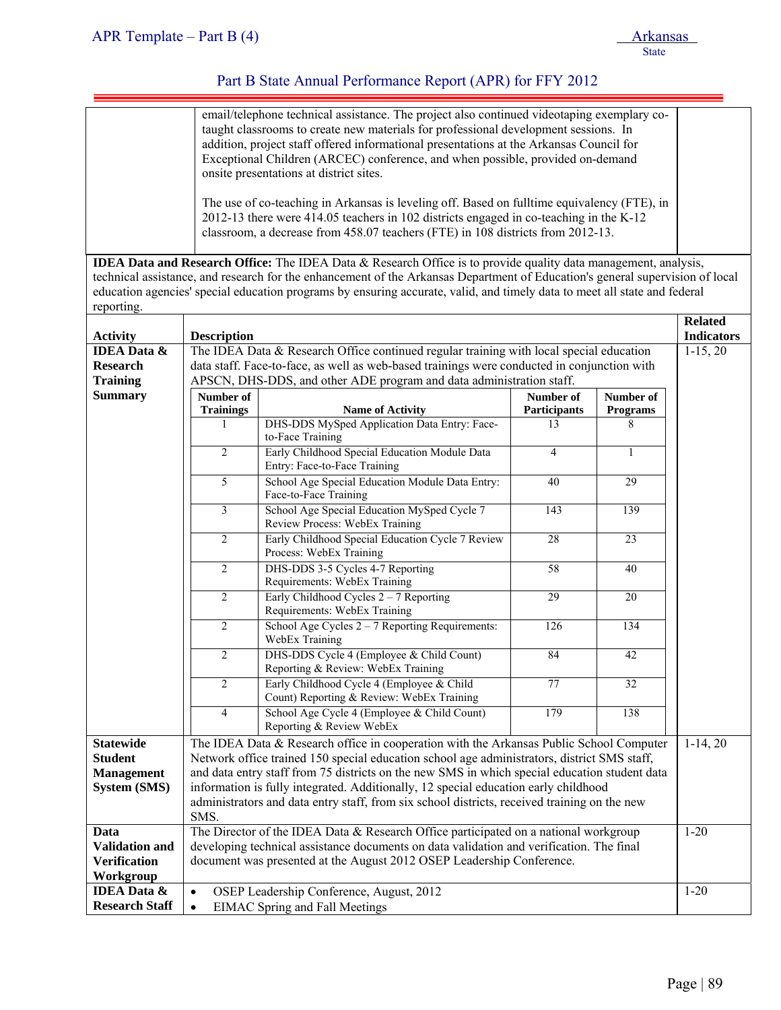|                                              | email/telephone technical assistance. The project also continued videotaping exemplary co-<br>taught classrooms to create new materials for professional development sessions. In<br>addition, project staff offered informational presentations at the Arkansas Council for<br>Exceptional Children (ARCEC) conference, and when possible, provided on-demand |                                                                                                                                                                                        |                    |                      |                   |
|----------------------------------------------|----------------------------------------------------------------------------------------------------------------------------------------------------------------------------------------------------------------------------------------------------------------------------------------------------------------------------------------------------------------|----------------------------------------------------------------------------------------------------------------------------------------------------------------------------------------|--------------------|----------------------|-------------------|
|                                              | onsite presentations at district sites.                                                                                                                                                                                                                                                                                                                        |                                                                                                                                                                                        |                    |                      |                   |
|                                              | The use of co-teaching in Arkansas is leveling off. Based on fulltime equivalency (FTE), in<br>2012-13 there were 414.05 teachers in 102 districts engaged in co-teaching in the K-12                                                                                                                                                                          |                                                                                                                                                                                        |                    |                      |                   |
|                                              |                                                                                                                                                                                                                                                                                                                                                                | classroom, a decrease from 458.07 teachers (FTE) in 108 districts from 2012-13.                                                                                                        |                    |                      |                   |
|                                              |                                                                                                                                                                                                                                                                                                                                                                | <b>IDEA Data and Research Office:</b> The IDEA Data & Research Office is to provide quality data management, analysis,                                                                 |                    |                      |                   |
|                                              |                                                                                                                                                                                                                                                                                                                                                                | technical assistance, and research for the enhancement of the Arkansas Department of Education's general supervision of local                                                          |                    |                      |                   |
| reporting.                                   |                                                                                                                                                                                                                                                                                                                                                                | education agencies' special education programs by ensuring accurate, valid, and timely data to meet all state and federal                                                              |                    |                      |                   |
|                                              |                                                                                                                                                                                                                                                                                                                                                                |                                                                                                                                                                                        |                    |                      | <b>Related</b>    |
| <b>Activity</b>                              | <b>Description</b>                                                                                                                                                                                                                                                                                                                                             |                                                                                                                                                                                        |                    |                      | <b>Indicators</b> |
| <b>IDEA Data &amp;</b><br><b>Research</b>    |                                                                                                                                                                                                                                                                                                                                                                | The IDEA Data & Research Office continued regular training with local special education<br>data staff. Face-to-face, as well as web-based trainings were conducted in conjunction with |                    |                      | $1-15, 20$        |
| <b>Training</b>                              |                                                                                                                                                                                                                                                                                                                                                                | APSCN, DHS-DDS, and other ADE program and data administration staff.                                                                                                                   |                    |                      |                   |
| <b>Summary</b>                               | Number of                                                                                                                                                                                                                                                                                                                                                      |                                                                                                                                                                                        | Number of          | Number of            |                   |
|                                              | <b>Trainings</b>                                                                                                                                                                                                                                                                                                                                               | <b>Name of Activity</b><br>DHS-DDS MySped Application Data Entry: Face-                                                                                                                | Participants<br>13 | <b>Programs</b><br>8 |                   |
|                                              |                                                                                                                                                                                                                                                                                                                                                                | to-Face Training                                                                                                                                                                       |                    |                      |                   |
|                                              | $\overline{c}$                                                                                                                                                                                                                                                                                                                                                 | Early Childhood Special Education Module Data<br>Entry: Face-to-Face Training                                                                                                          | $\overline{4}$     | 1                    |                   |
|                                              | $\overline{5}$                                                                                                                                                                                                                                                                                                                                                 | School Age Special Education Module Data Entry:<br>Face-to-Face Training                                                                                                               | 40                 | 29                   |                   |
|                                              | $\overline{3}$                                                                                                                                                                                                                                                                                                                                                 | School Age Special Education MySped Cycle 7<br>Review Process: WebEx Training                                                                                                          | 143                | 139                  |                   |
|                                              | $\overline{c}$                                                                                                                                                                                                                                                                                                                                                 | Early Childhood Special Education Cycle 7 Review<br>Process: WebEx Training                                                                                                            | 28                 | $\overline{23}$      |                   |
|                                              | $\overline{c}$                                                                                                                                                                                                                                                                                                                                                 | DHS-DDS 3-5 Cycles 4-7 Reporting<br>Requirements: WebEx Training                                                                                                                       | 58                 | 40                   |                   |
|                                              | $\overline{2}$                                                                                                                                                                                                                                                                                                                                                 | Early Childhood Cycles $2 - 7$ Reporting<br>Requirements: WebEx Training                                                                                                               | 29                 | 20                   |                   |
|                                              | $\overline{c}$                                                                                                                                                                                                                                                                                                                                                 | School Age Cycles $2 - 7$ Reporting Requirements:<br>WebEx Training                                                                                                                    | 126                | 134                  |                   |
|                                              | $\overline{2}$                                                                                                                                                                                                                                                                                                                                                 | DHS-DDS Cycle 4 (Employee & Child Count)<br>Reporting & Review: WebEx Training                                                                                                         | 84                 | 42                   |                   |
|                                              | $\overline{2}$                                                                                                                                                                                                                                                                                                                                                 | Early Childhood Cycle 4 (Employee & Child<br>Count) Reporting & Review: WebEx Training                                                                                                 | 77                 | 32                   |                   |
|                                              | $\overline{4}$                                                                                                                                                                                                                                                                                                                                                 | School Age Cycle 4 (Employee & Child Count)<br>Reporting & Review WebEx                                                                                                                | 179                | 138                  |                   |
| <b>Statewide</b>                             |                                                                                                                                                                                                                                                                                                                                                                | The IDEA Data & Research office in cooperation with the Arkansas Public School Computer                                                                                                |                    |                      | $1-14, 20$        |
| <b>Student</b>                               | Network office trained 150 special education school age administrators, district SMS staff,                                                                                                                                                                                                                                                                    |                                                                                                                                                                                        |                    |                      |                   |
| <b>Management</b><br><b>System (SMS)</b>     |                                                                                                                                                                                                                                                                                                                                                                | and data entry staff from 75 districts on the new SMS in which special education student data<br>information is fully integrated. Additionally, 12 special education early childhood   |                    |                      |                   |
|                                              |                                                                                                                                                                                                                                                                                                                                                                | administrators and data entry staff, from six school districts, received training on the new                                                                                           |                    |                      |                   |
|                                              | SMS.                                                                                                                                                                                                                                                                                                                                                           |                                                                                                                                                                                        |                    |                      |                   |
| Data                                         | The Director of the IDEA Data & Research Office participated on a national workgroup                                                                                                                                                                                                                                                                           |                                                                                                                                                                                        |                    | $1 - 20$             |                   |
| <b>Validation and</b><br><b>Verification</b> | developing technical assistance documents on data validation and verification. The final<br>document was presented at the August 2012 OSEP Leadership Conference.                                                                                                                                                                                              |                                                                                                                                                                                        |                    |                      |                   |
| Workgroup                                    |                                                                                                                                                                                                                                                                                                                                                                |                                                                                                                                                                                        |                    |                      |                   |
| <b>IDEA Data &amp;</b>                       | OSEP Leadership Conference, August, 2012<br>$\bullet$                                                                                                                                                                                                                                                                                                          |                                                                                                                                                                                        |                    | $1 - 20$             |                   |
| <b>Research Staff</b>                        | <b>EIMAC</b> Spring and Fall Meetings<br>$\bullet$                                                                                                                                                                                                                                                                                                             |                                                                                                                                                                                        |                    |                      |                   |